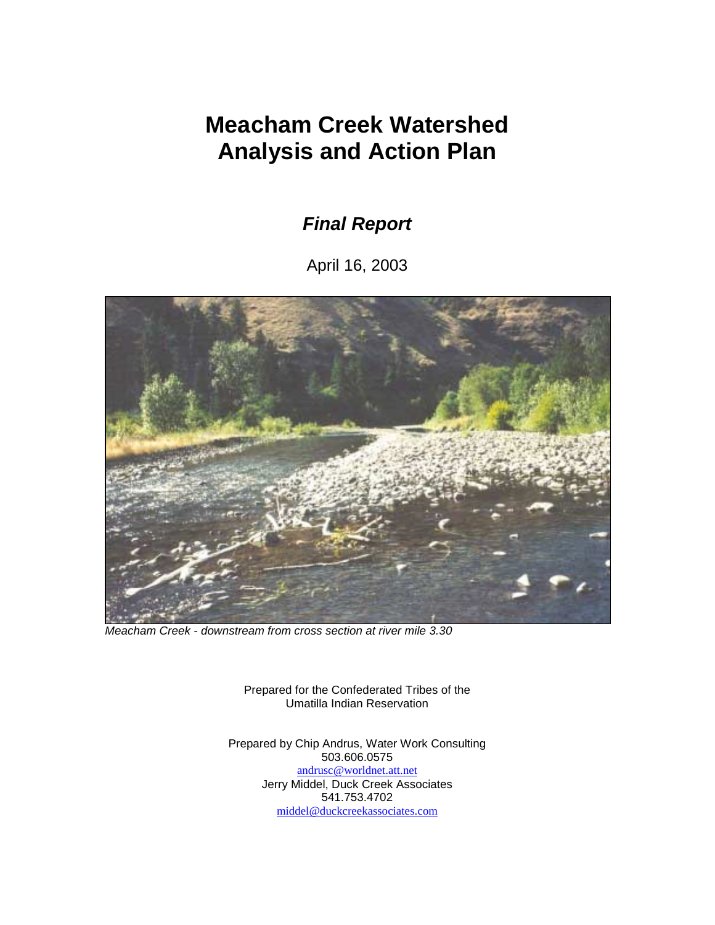# **Meacham Creek Watershed Analysis and Action Plan**

*Final Report* 

April 16, 2003



*Meacham Creek - downstream from cross section at river mile 3.30* 

Prepared for the Confederated Tribes of the Umatilla Indian Reservation

Prepared by Chip Andrus, Water Work Consulting 503.606.0575 andrusc@worldnet.att.net Jerry Middel, Duck Creek Associates 541.753.4702 middel@duckcreekassociates.com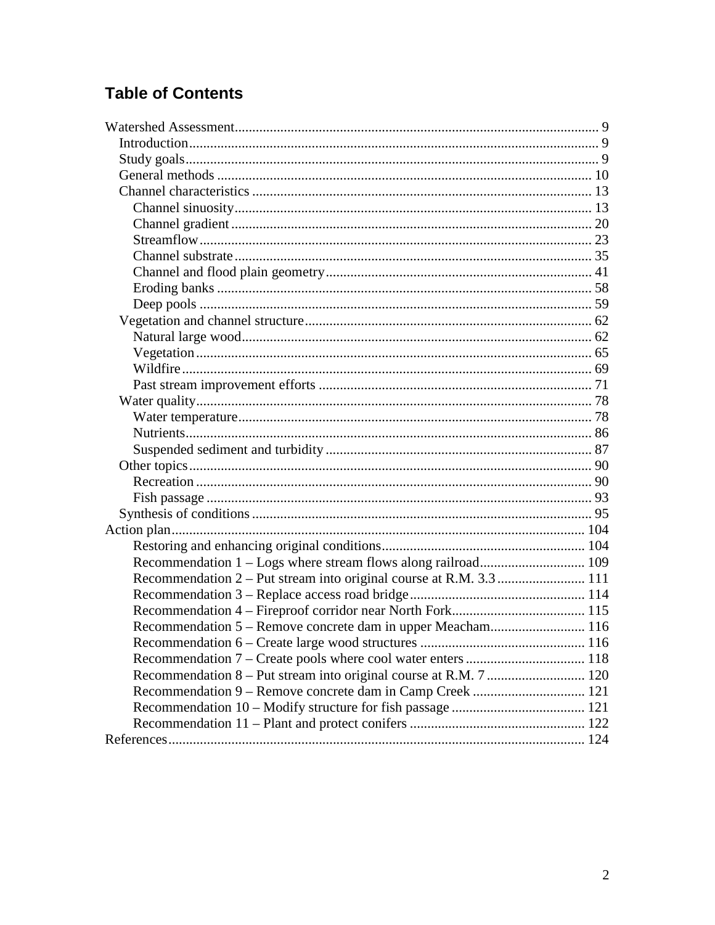## **Table of Contents**

| Recommendation 2 – Put stream into original course at R.M. 3.3  111 |  |
|---------------------------------------------------------------------|--|
|                                                                     |  |
|                                                                     |  |
| Recommendation 5 – Remove concrete dam in upper Meacham 116         |  |
|                                                                     |  |
|                                                                     |  |
|                                                                     |  |
|                                                                     |  |
|                                                                     |  |
|                                                                     |  |
|                                                                     |  |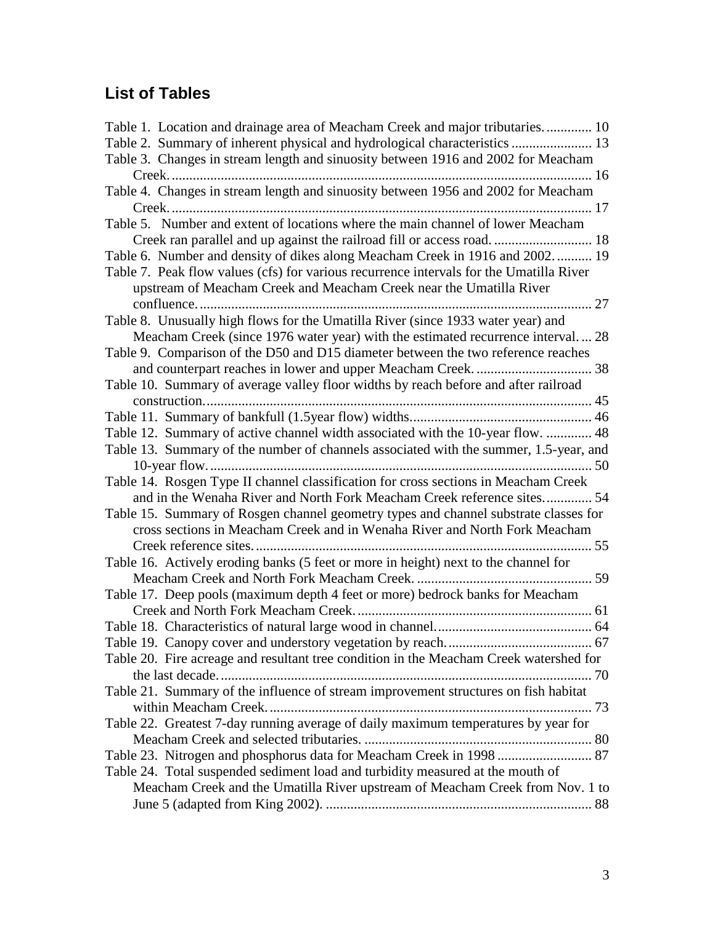## **List of Tables**

| Table 1. Location and drainage area of Meacham Creek and major tributaries 10                                                                                  |  |
|----------------------------------------------------------------------------------------------------------------------------------------------------------------|--|
| Table 2. Summary of inherent physical and hydrological characteristics  13                                                                                     |  |
| Table 3. Changes in stream length and sinuosity between 1916 and 2002 for Meacham                                                                              |  |
|                                                                                                                                                                |  |
| Table 4. Changes in stream length and sinuosity between 1956 and 2002 for Meacham                                                                              |  |
| Table 5. Number and extent of locations where the main channel of lower Meacham                                                                                |  |
|                                                                                                                                                                |  |
| Table 6. Number and density of dikes along Meacham Creek in 1916 and 2002 19                                                                                   |  |
| Table 7. Peak flow values (cfs) for various recurrence intervals for the Umatilla River<br>upstream of Meacham Creek and Meacham Creek near the Umatilla River |  |
|                                                                                                                                                                |  |
| Table 8. Unusually high flows for the Umatilla River (since 1933 water year) and                                                                               |  |
| Meacham Creek (since 1976 water year) with the estimated recurrence interval 28                                                                                |  |
| Table 9. Comparison of the D50 and D15 diameter between the two reference reaches                                                                              |  |
|                                                                                                                                                                |  |
| Table 10. Summary of average valley floor widths by reach before and after railroad                                                                            |  |
|                                                                                                                                                                |  |
|                                                                                                                                                                |  |
| Table 12. Summary of active channel width associated with the 10-year flow.  48                                                                                |  |
| Table 13. Summary of the number of channels associated with the summer, 1.5-year, and                                                                          |  |
|                                                                                                                                                                |  |
| Table 14. Rosgen Type II channel classification for cross sections in Meacham Creek                                                                            |  |
| and in the Wenaha River and North Fork Meacham Creek reference sites 54                                                                                        |  |
| Table 15. Summary of Rosgen channel geometry types and channel substrate classes for                                                                           |  |
| cross sections in Meacham Creek and in Wenaha River and North Fork Meacham                                                                                     |  |
| 55                                                                                                                                                             |  |
| Table 16. Actively eroding banks (5 feet or more in height) next to the channel for                                                                            |  |
|                                                                                                                                                                |  |
| Table 17. Deep pools (maximum depth 4 feet or more) bedrock banks for Meacham                                                                                  |  |
|                                                                                                                                                                |  |
|                                                                                                                                                                |  |
|                                                                                                                                                                |  |
| Table 20. Fire acreage and resultant tree condition in the Meacham Creek watershed for                                                                         |  |
|                                                                                                                                                                |  |
| Table 21. Summary of the influence of stream improvement structures on fish habitat                                                                            |  |
|                                                                                                                                                                |  |
| Table 22. Greatest 7-day running average of daily maximum temperatures by year for                                                                             |  |
|                                                                                                                                                                |  |
| Table 23. Nitrogen and phosphorus data for Meacham Creek in 1998  87                                                                                           |  |
| Table 24. Total suspended sediment load and turbidity measured at the mouth of                                                                                 |  |
| Meacham Creek and the Umatilla River upstream of Meacham Creek from Nov. 1 to                                                                                  |  |
|                                                                                                                                                                |  |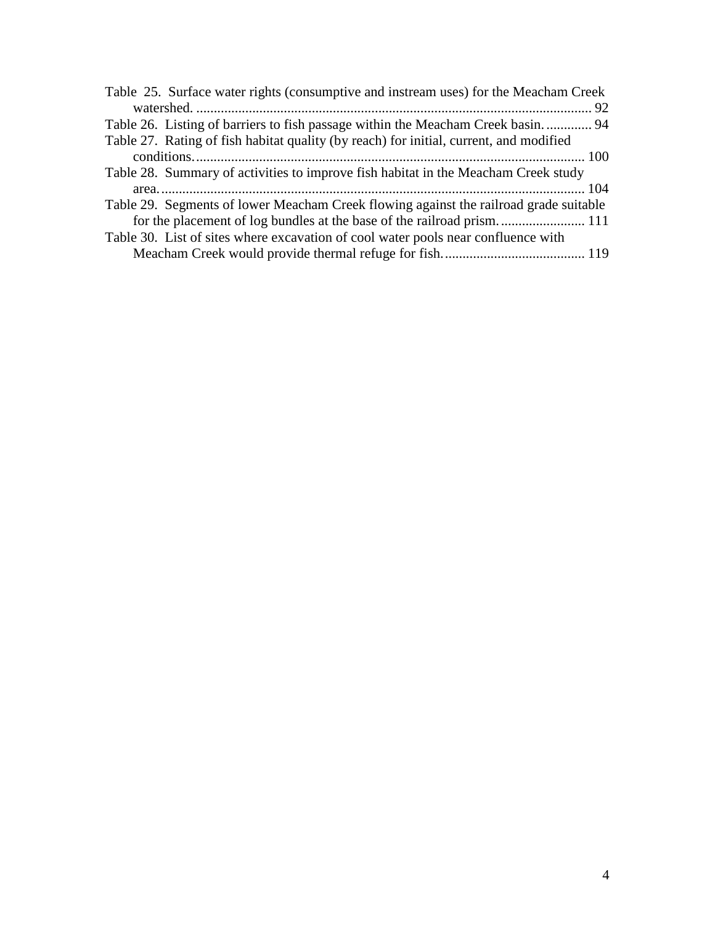| Table 25. Surface water rights (consumptive and instream uses) for the Meacham Creek   |
|----------------------------------------------------------------------------------------|
|                                                                                        |
| Table 26. Listing of barriers to fish passage within the Meacham Creek basin 94        |
| Table 27. Rating of fish habitat quality (by reach) for initial, current, and modified |
|                                                                                        |
| Table 28. Summary of activities to improve fish habitat in the Meacham Creek study     |
|                                                                                        |
| Table 29. Segments of lower Meacham Creek flowing against the railroad grade suitable  |
|                                                                                        |
| Table 30. List of sites where excavation of cool water pools near confluence with      |
|                                                                                        |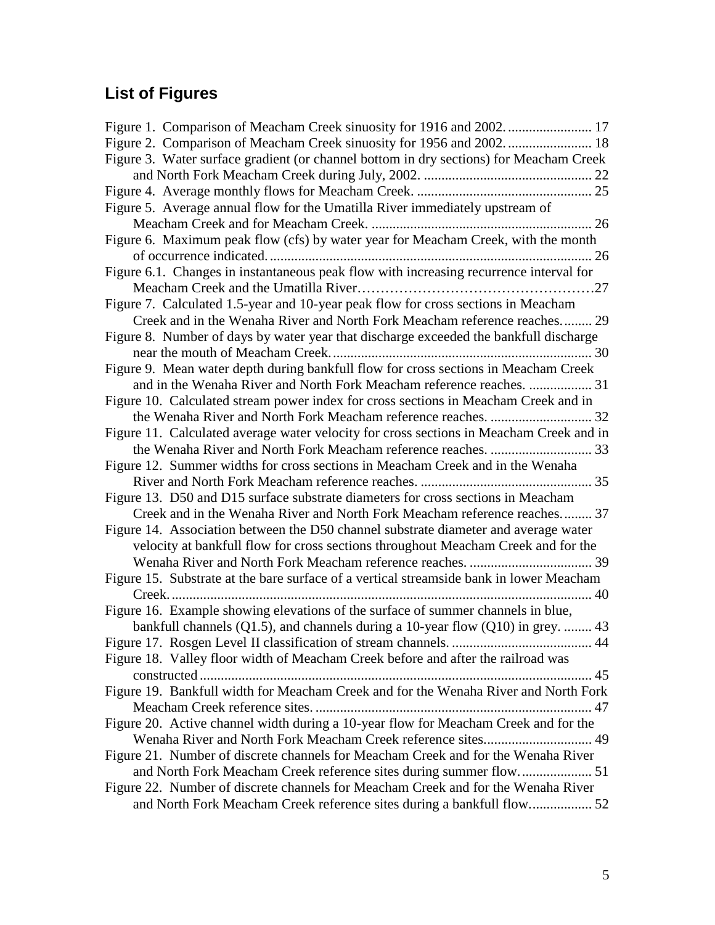# **List of Figures**

| Figure 3. Water surface gradient (or channel bottom in dry sections) for Meacham Creek  |
|-----------------------------------------------------------------------------------------|
|                                                                                         |
|                                                                                         |
| Figure 5. Average annual flow for the Umatilla River immediately upstream of            |
|                                                                                         |
| Figure 6. Maximum peak flow (cfs) by water year for Meacham Creek, with the month       |
|                                                                                         |
| Figure 6.1. Changes in instantaneous peak flow with increasing recurrence interval for  |
|                                                                                         |
| Figure 7. Calculated 1.5-year and 10-year peak flow for cross sections in Meacham       |
| Creek and in the Wenaha River and North Fork Meacham reference reaches 29               |
| Figure 8. Number of days by water year that discharge exceeded the bankfull discharge   |
|                                                                                         |
| Figure 9. Mean water depth during bankfull flow for cross sections in Meacham Creek     |
| and in the Wenaha River and North Fork Meacham reference reaches.  31                   |
| Figure 10. Calculated stream power index for cross sections in Meacham Creek and in     |
|                                                                                         |
| Figure 11. Calculated average water velocity for cross sections in Meacham Creek and in |
|                                                                                         |
| Figure 12. Summer widths for cross sections in Meacham Creek and in the Wenaha          |
|                                                                                         |
| Figure 13. D50 and D15 surface substrate diameters for cross sections in Meacham        |
| Creek and in the Wenaha River and North Fork Meacham reference reaches 37               |
| Figure 14. Association between the D50 channel substrate diameter and average water     |
| velocity at bankfull flow for cross sections throughout Meacham Creek and for the       |
|                                                                                         |
| Figure 15. Substrate at the bare surface of a vertical streamside bank in lower Meacham |
|                                                                                         |
| Figure 16. Example showing elevations of the surface of summer channels in blue,        |
| bankfull channels $(Q1.5)$ , and channels during a 10-year flow $(Q10)$ in grey.  43    |
|                                                                                         |
| Figure 18. Valley floor width of Meacham Creek before and after the railroad was        |
|                                                                                         |
| Figure 19. Bankfull width for Meacham Creek and for the Wenaha River and North Fork     |
|                                                                                         |
| Figure 20. Active channel width during a 10-year flow for Meacham Creek and for the     |
|                                                                                         |
| Figure 21. Number of discrete channels for Meacham Creek and for the Wenaha River       |
|                                                                                         |
| Figure 22. Number of discrete channels for Meacham Creek and for the Wenaha River       |
|                                                                                         |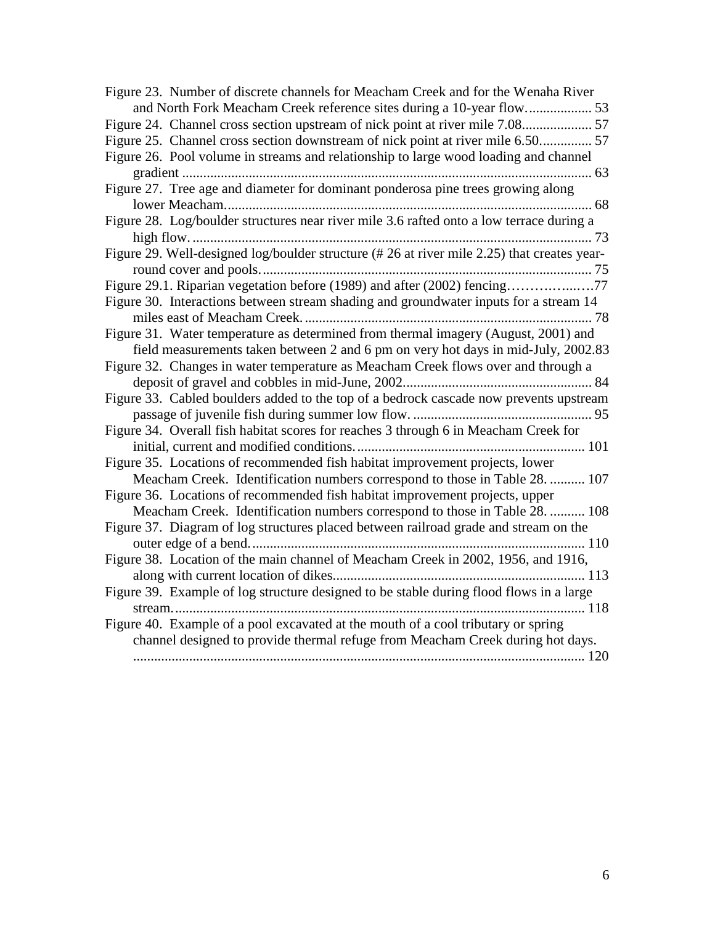| Figure 23. Number of discrete channels for Meacham Creek and for the Wenaha River           |  |
|---------------------------------------------------------------------------------------------|--|
|                                                                                             |  |
|                                                                                             |  |
| Figure 25. Channel cross section downstream of nick point at river mile 6.50                |  |
| Figure 26. Pool volume in streams and relationship to large wood loading and channel        |  |
|                                                                                             |  |
| Figure 27. Tree age and diameter for dominant ponderosa pine trees growing along            |  |
|                                                                                             |  |
| Figure 28. Log/boulder structures near river mile 3.6 rafted onto a low terrace during a    |  |
|                                                                                             |  |
| Figure 29. Well-designed log/boulder structure (# 26 at river mile 2.25) that creates year- |  |
|                                                                                             |  |
| Figure 29.1. Riparian vegetation before (1989) and after (2002) fencing77                   |  |
| Figure 30. Interactions between stream shading and groundwater inputs for a stream 14       |  |
|                                                                                             |  |
| Figure 31. Water temperature as determined from thermal imagery (August, 2001) and          |  |
| field measurements taken between 2 and 6 pm on very hot days in mid-July, 2002.83           |  |
| Figure 32. Changes in water temperature as Meacham Creek flows over and through a           |  |
|                                                                                             |  |
| Figure 33. Cabled boulders added to the top of a bedrock cascade now prevents upstream      |  |
|                                                                                             |  |
| Figure 34. Overall fish habitat scores for reaches 3 through 6 in Meacham Creek for         |  |
| Figure 35. Locations of recommended fish habitat improvement projects, lower                |  |
| Meacham Creek. Identification numbers correspond to those in Table 28.  107                 |  |
| Figure 36. Locations of recommended fish habitat improvement projects, upper                |  |
| Meacham Creek. Identification numbers correspond to those in Table 28.  108                 |  |
| Figure 37. Diagram of log structures placed between railroad grade and stream on the        |  |
|                                                                                             |  |
| Figure 38. Location of the main channel of Meacham Creek in 2002, 1956, and 1916,           |  |
|                                                                                             |  |
| Figure 39. Example of log structure designed to be stable during flood flows in a large     |  |
|                                                                                             |  |
| Figure 40. Example of a pool excavated at the mouth of a cool tributary or spring           |  |
| channel designed to provide thermal refuge from Meacham Creek during hot days.              |  |
|                                                                                             |  |
|                                                                                             |  |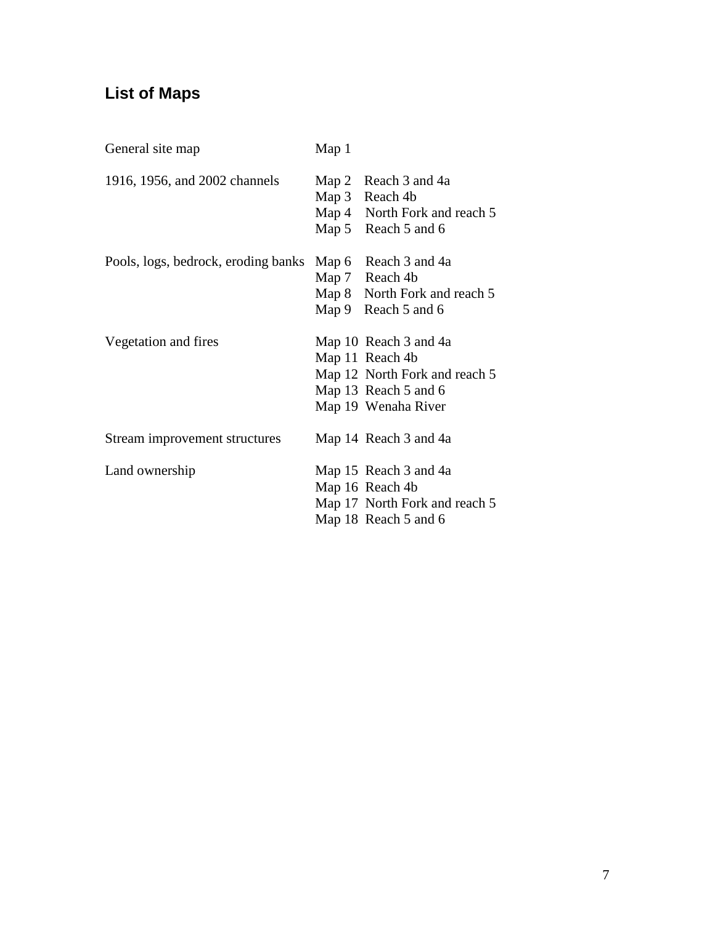# **List of Maps**

| General site map                    | Map 1 |                                                                                                                          |
|-------------------------------------|-------|--------------------------------------------------------------------------------------------------------------------------|
| 1916, 1956, and 2002 channels       |       | Map 2 Reach 3 and 4a<br>Map 3 Reach 4b<br>Map 4 North Fork and reach 5<br>Map 5 Reach 5 and 6                            |
| Pools, logs, bedrock, eroding banks |       | Map 6 Reach 3 and 4a<br>Map 7 Reach 4b<br>Map 8 North Fork and reach 5<br>Map 9 Reach 5 and 6                            |
| Vegetation and fires                |       | Map 10 Reach 3 and 4a<br>Map 11 Reach 4b<br>Map 12 North Fork and reach 5<br>Map 13 Reach 5 and 6<br>Map 19 Wenaha River |
| Stream improvement structures       |       | Map 14 Reach 3 and 4a                                                                                                    |
| Land ownership                      |       | Map 15 Reach 3 and 4a<br>Map 16 Reach 4b<br>Map 17 North Fork and reach 5<br>Map 18 Reach 5 and 6                        |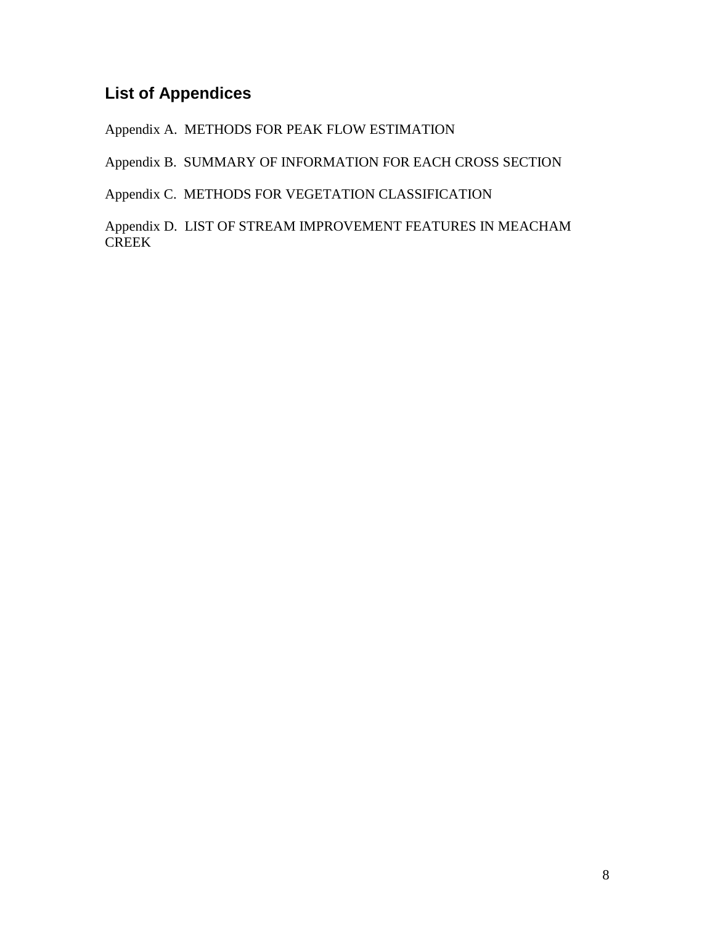## **List of Appendices**

Appendix A. METHODS FOR PEAK FLOW ESTIMATION

Appendix B. SUMMARY OF INFORMATION FOR EACH CROSS SECTION

Appendix C. METHODS FOR VEGETATION CLASSIFICATION

Appendix D. LIST OF STREAM IMPROVEMENT FEATURES IN MEACHAM CREEK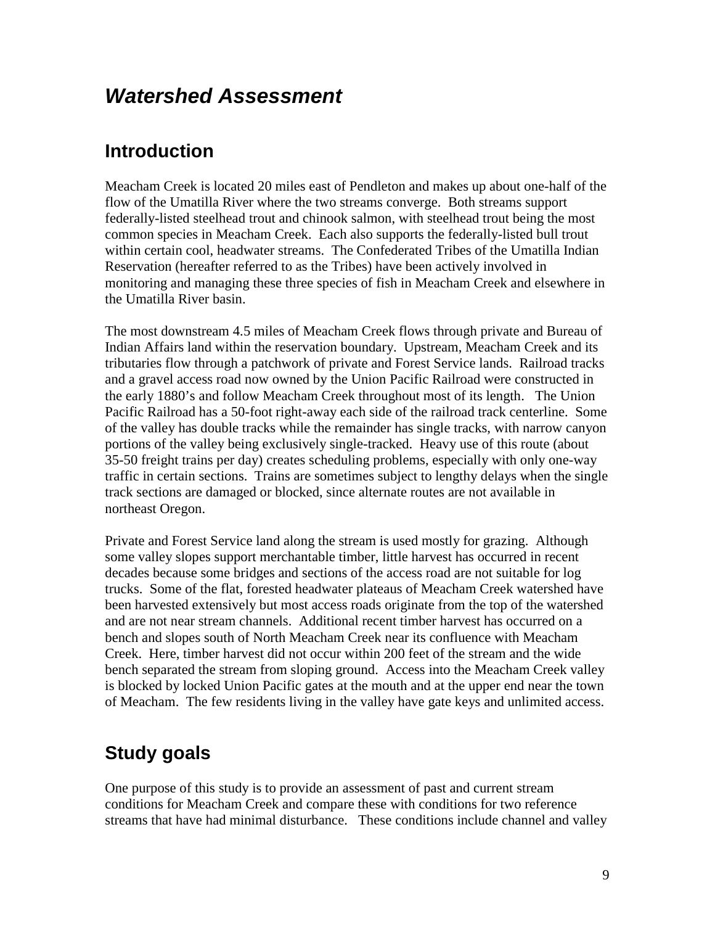# *Watershed Assessment*

## **Introduction**

Meacham Creek is located 20 miles east of Pendleton and makes up about one-half of the flow of the Umatilla River where the two streams converge. Both streams support federally-listed steelhead trout and chinook salmon, with steelhead trout being the most common species in Meacham Creek. Each also supports the federally-listed bull trout within certain cool, headwater streams. The Confederated Tribes of the Umatilla Indian Reservation (hereafter referred to as the Tribes) have been actively involved in monitoring and managing these three species of fish in Meacham Creek and elsewhere in the Umatilla River basin.

The most downstream 4.5 miles of Meacham Creek flows through private and Bureau of Indian Affairs land within the reservation boundary. Upstream, Meacham Creek and its tributaries flow through a patchwork of private and Forest Service lands. Railroad tracks and a gravel access road now owned by the Union Pacific Railroad were constructed in the early 1880's and follow Meacham Creek throughout most of its length. The Union Pacific Railroad has a 50-foot right-away each side of the railroad track centerline. Some of the valley has double tracks while the remainder has single tracks, with narrow canyon portions of the valley being exclusively single-tracked. Heavy use of this route (about 35-50 freight trains per day) creates scheduling problems, especially with only one-way traffic in certain sections. Trains are sometimes subject to lengthy delays when the single track sections are damaged or blocked, since alternate routes are not available in northeast Oregon.

Private and Forest Service land along the stream is used mostly for grazing. Although some valley slopes support merchantable timber, little harvest has occurred in recent decades because some bridges and sections of the access road are not suitable for log trucks. Some of the flat, forested headwater plateaus of Meacham Creek watershed have been harvested extensively but most access roads originate from the top of the watershed and are not near stream channels. Additional recent timber harvest has occurred on a bench and slopes south of North Meacham Creek near its confluence with Meacham Creek. Here, timber harvest did not occur within 200 feet of the stream and the wide bench separated the stream from sloping ground. Access into the Meacham Creek valley is blocked by locked Union Pacific gates at the mouth and at the upper end near the town of Meacham. The few residents living in the valley have gate keys and unlimited access.

## **Study goals**

One purpose of this study is to provide an assessment of past and current stream conditions for Meacham Creek and compare these with conditions for two reference streams that have had minimal disturbance. These conditions include channel and valley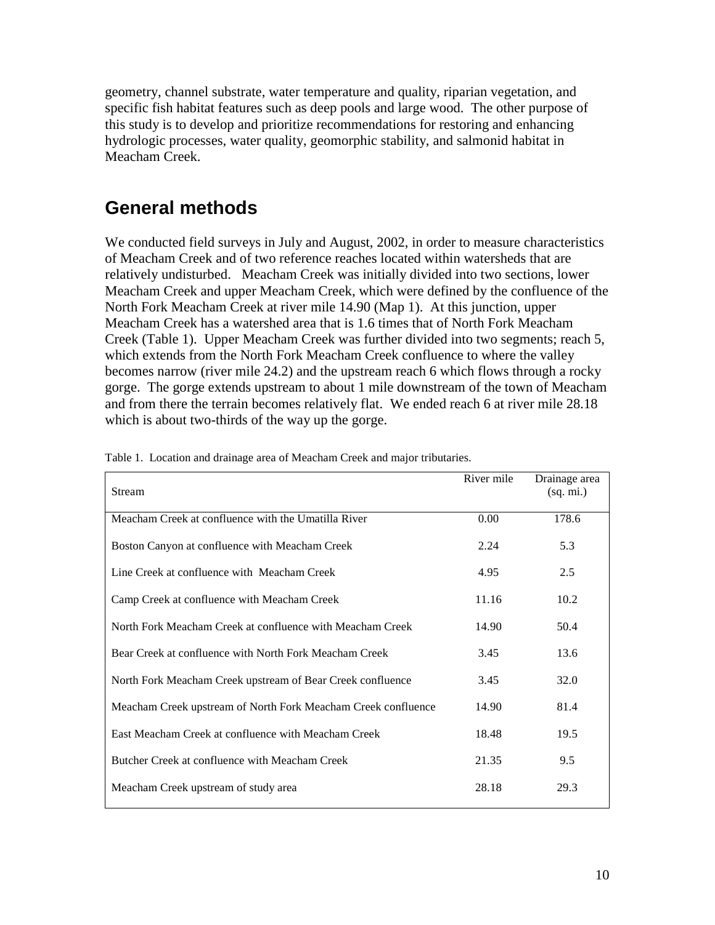geometry, channel substrate, water temperature and quality, riparian vegetation, and specific fish habitat features such as deep pools and large wood. The other purpose of this study is to develop and prioritize recommendations for restoring and enhancing hydrologic processes, water quality, geomorphic stability, and salmonid habitat in Meacham Creek.

## **General methods**

We conducted field surveys in July and August, 2002, in order to measure characteristics of Meacham Creek and of two reference reaches located within watersheds that are relatively undisturbed. Meacham Creek was initially divided into two sections, lower Meacham Creek and upper Meacham Creek, which were defined by the confluence of the North Fork Meacham Creek at river mile 14.90 (Map 1). At this junction, upper Meacham Creek has a watershed area that is 1.6 times that of North Fork Meacham Creek (Table 1). Upper Meacham Creek was further divided into two segments; reach 5, which extends from the North Fork Meacham Creek confluence to where the valley becomes narrow (river mile 24.2) and the upstream reach 6 which flows through a rocky gorge. The gorge extends upstream to about 1 mile downstream of the town of Meacham and from there the terrain becomes relatively flat. We ended reach 6 at river mile 28.18 which is about two-thirds of the way up the gorge.

| Stream                                                        | River mile | Drainage area<br>(sq. mi.) |
|---------------------------------------------------------------|------------|----------------------------|
| Meacham Creek at confluence with the Umatilla River           | 0.00       | 178.6                      |
| Boston Canyon at confluence with Meacham Creek                | 2.24       | 5.3                        |
| Line Creek at confluence with Meacham Creek                   | 4.95       | 2.5                        |
| Camp Creek at confluence with Meacham Creek                   | 11.16      | 10.2                       |
| North Fork Meacham Creek at confluence with Meacham Creek     | 14.90      | 50.4                       |
| Bear Creek at confluence with North Fork Meacham Creek        | 3.45       | 13.6                       |
| North Fork Meacham Creek upstream of Bear Creek confluence    | 3.45       | 32.0                       |
| Meacham Creek upstream of North Fork Meacham Creek confluence | 14.90      | 81.4                       |
| East Meacham Creek at confluence with Meacham Creek           | 18.48      | 19.5                       |
| Butcher Creek at confluence with Meacham Creek                | 21.35      | 9.5                        |
| Meacham Creek upstream of study area                          | 28.18      | 29.3                       |

Table 1. Location and drainage area of Meacham Creek and major tributaries.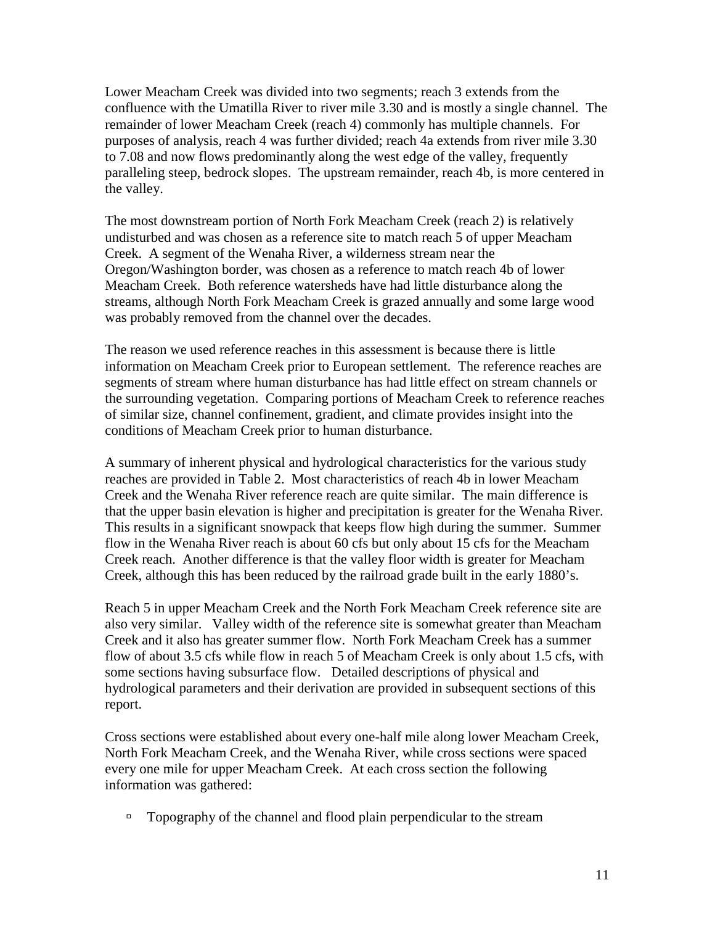Lower Meacham Creek was divided into two segments; reach 3 extends from the confluence with the Umatilla River to river mile 3.30 and is mostly a single channel. The remainder of lower Meacham Creek (reach 4) commonly has multiple channels. For purposes of analysis, reach 4 was further divided; reach 4a extends from river mile 3.30 to 7.08 and now flows predominantly along the west edge of the valley, frequently paralleling steep, bedrock slopes. The upstream remainder, reach 4b, is more centered in the valley.

The most downstream portion of North Fork Meacham Creek (reach 2) is relatively undisturbed and was chosen as a reference site to match reach 5 of upper Meacham Creek. A segment of the Wenaha River, a wilderness stream near the Oregon/Washington border, was chosen as a reference to match reach 4b of lower Meacham Creek. Both reference watersheds have had little disturbance along the streams, although North Fork Meacham Creek is grazed annually and some large wood was probably removed from the channel over the decades.

The reason we used reference reaches in this assessment is because there is little information on Meacham Creek prior to European settlement. The reference reaches are segments of stream where human disturbance has had little effect on stream channels or the surrounding vegetation. Comparing portions of Meacham Creek to reference reaches of similar size, channel confinement, gradient, and climate provides insight into the conditions of Meacham Creek prior to human disturbance.

A summary of inherent physical and hydrological characteristics for the various study reaches are provided in Table 2. Most characteristics of reach 4b in lower Meacham Creek and the Wenaha River reference reach are quite similar. The main difference is that the upper basin elevation is higher and precipitation is greater for the Wenaha River. This results in a significant snowpack that keeps flow high during the summer. Summer flow in the Wenaha River reach is about 60 cfs but only about 15 cfs for the Meacham Creek reach. Another difference is that the valley floor width is greater for Meacham Creek, although this has been reduced by the railroad grade built in the early 1880's.

Reach 5 in upper Meacham Creek and the North Fork Meacham Creek reference site are also very similar. Valley width of the reference site is somewhat greater than Meacham Creek and it also has greater summer flow. North Fork Meacham Creek has a summer flow of about 3.5 cfs while flow in reach 5 of Meacham Creek is only about 1.5 cfs, with some sections having subsurface flow. Detailed descriptions of physical and hydrological parameters and their derivation are provided in subsequent sections of this report.

Cross sections were established about every one-half mile along lower Meacham Creek, North Fork Meacham Creek, and the Wenaha River, while cross sections were spaced every one mile for upper Meacham Creek. At each cross section the following information was gathered:

 $\Box$  Topography of the channel and flood plain perpendicular to the stream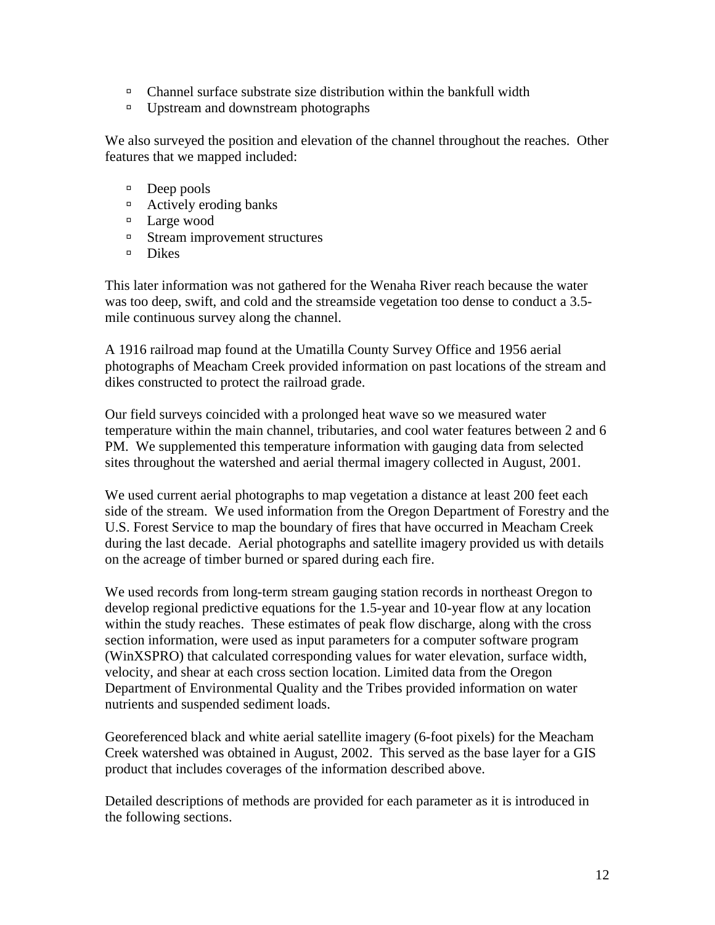- $\Box$  Channel surface substrate size distribution within the bankfull width
- <sup>In</sup> Upstream and downstream photographs

We also surveyed the position and elevation of the channel throughout the reaches. Other features that we mapped included:

- <sup>"</sup> Deep pools
- <sup>"</sup> Actively eroding banks
- <sup>"</sup> Large wood
- <sup>In</sup> Stream improvement structures
- $\Box$  Dikes

This later information was not gathered for the Wenaha River reach because the water was too deep, swift, and cold and the streamside vegetation too dense to conduct a 3.5 mile continuous survey along the channel.

A 1916 railroad map found at the Umatilla County Survey Office and 1956 aerial photographs of Meacham Creek provided information on past locations of the stream and dikes constructed to protect the railroad grade.

Our field surveys coincided with a prolonged heat wave so we measured water temperature within the main channel, tributaries, and cool water features between 2 and 6 PM. We supplemented this temperature information with gauging data from selected sites throughout the watershed and aerial thermal imagery collected in August, 2001.

We used current aerial photographs to map vegetation a distance at least 200 feet each side of the stream. We used information from the Oregon Department of Forestry and the U.S. Forest Service to map the boundary of fires that have occurred in Meacham Creek during the last decade. Aerial photographs and satellite imagery provided us with details on the acreage of timber burned or spared during each fire.

We used records from long-term stream gauging station records in northeast Oregon to develop regional predictive equations for the 1.5-year and 10-year flow at any location within the study reaches. These estimates of peak flow discharge, along with the cross section information, were used as input parameters for a computer software program (WinXSPRO) that calculated corresponding values for water elevation, surface width, velocity, and shear at each cross section location. Limited data from the Oregon Department of Environmental Quality and the Tribes provided information on water nutrients and suspended sediment loads.

Georeferenced black and white aerial satellite imagery (6-foot pixels) for the Meacham Creek watershed was obtained in August, 2002. This served as the base layer for a GIS product that includes coverages of the information described above.

Detailed descriptions of methods are provided for each parameter as it is introduced in the following sections.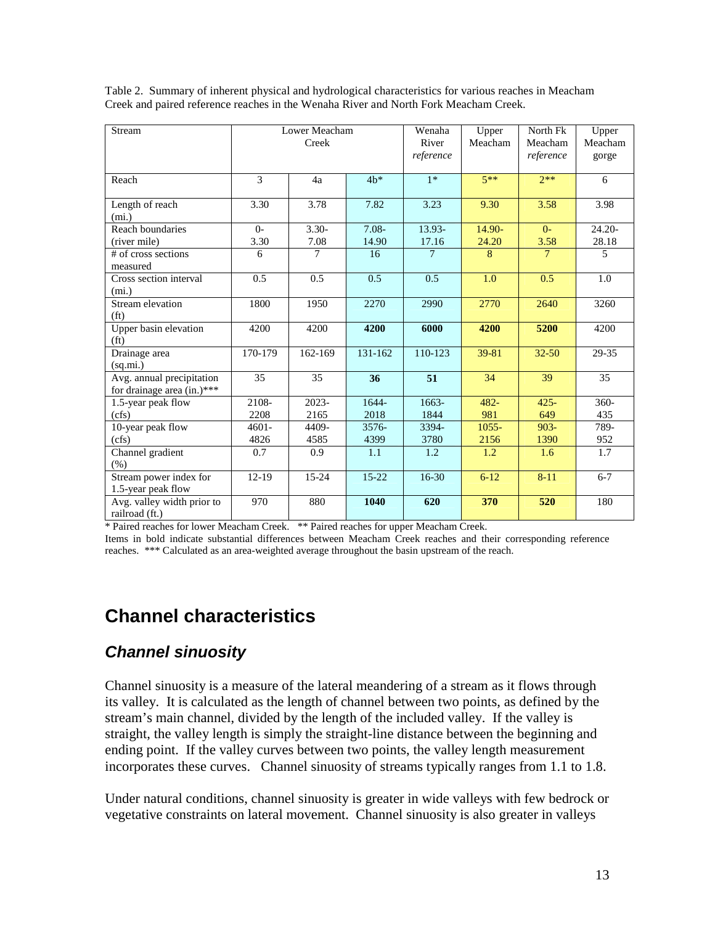| Stream                                                  | Lower Meacham<br>Creek |                  | Wenaha<br>River<br>reference | Upper<br>Meacham | North Fk<br>Meacham<br>reference | Upper<br>Meacham<br>gorge |                    |
|---------------------------------------------------------|------------------------|------------------|------------------------------|------------------|----------------------------------|---------------------------|--------------------|
| Reach                                                   | 3                      | 4a               | $4b*$                        | $1*$             | $5**$                            | $7**$                     | 6                  |
| Length of reach<br>(mi.)                                | $\overline{3.30}$      | 3.78             | 7.82                         | 3.23             | 9.30                             | 3.58                      | 3.98               |
| Reach boundaries<br>(river mile)                        | $O -$<br>3.30          | $3.30 -$<br>7.08 | $7.08 -$<br>14.90            | 13.93-<br>17.16  | 14.90-<br>24.20                  | $0-$<br>3.58              | $24.20 -$<br>28.18 |
| # of cross sections<br>measured                         | 6                      | 7                | 16                           | $\overline{7}$   | 8                                | $\tau$                    | 5                  |
| Cross section interval<br>(mi.)                         | 0.5                    | 0.5              | 0.5                          | 0.5              | 1.0                              | 0.5                       | 1.0                |
| Stream elevation<br>(f <sub>t</sub> )                   | 1800                   | 1950             | 2270                         | 2990             | 2770                             | 2640                      | 3260               |
| Upper basin elevation<br>(f <sup>t</sup> )              | 4200                   | 4200             | 4200                         | 6000             | 4200                             | 5200                      | 4200               |
| Drainage area<br>(sq.mi.)                               | 170-179                | 162-169          | 131-162                      | 110-123          | 39-81                            | $32 - 50$                 | 29-35              |
| Avg. annual precipitation<br>for drainage area (in.)*** | 35                     | 35               | 36                           | 51               | 34                               | 39                        | 35                 |
| 1.5-year peak flow                                      | 2108-                  | $2023 -$         | 1644-                        | $1663-$          | $482 -$                          | $425 -$                   | $360 -$            |
| (cfs)                                                   | 2208                   | 2165             | 2018                         | 1844             | 981                              | 649                       | 435                |
| 10-year peak flow                                       | $4601 -$               | 4409-            | $3576 -$                     | 3394-            | $1055 -$                         | $903 -$                   | 789-               |
| (cfs)                                                   | 4826                   | 4585             | 4399                         | 3780             | 2156                             | 1390                      | 952                |
| Channel gradient<br>$(\%)$                              | 0.7                    | 0.9              | 1.1                          | 1.2              | 1.2                              | 1.6                       | 1.7                |
| Stream power index for<br>1.5-year peak flow            | $12-19$                | $15 - 24$        | $15-22$                      | $16 - 30$        | $6 - 12$                         | $8 - 11$                  | $6 - 7$            |
| Avg. valley width prior to<br>railroad (ft.)            | 970                    | 880              | 1040                         | 620              | 370                              | 520                       | 180                |

Table 2. Summary of inherent physical and hydrological characteristics for various reaches in Meacham Creek and paired reference reaches in the Wenaha River and North Fork Meacham Creek.

\* Paired reaches for lower Meacham Creek. \*\* Paired reaches for upper Meacham Creek.

Items in bold indicate substantial differences between Meacham Creek reaches and their corresponding reference reaches. \*\*\* Calculated as an area-weighted average throughout the basin upstream of the reach.

## **Channel characteristics**

#### *Channel sinuosity*

Channel sinuosity is a measure of the lateral meandering of a stream as it flows through its valley. It is calculated as the length of channel between two points, as defined by the stream's main channel, divided by the length of the included valley. If the valley is straight, the valley length is simply the straight-line distance between the beginning and ending point. If the valley curves between two points, the valley length measurement incorporates these curves. Channel sinuosity of streams typically ranges from 1.1 to 1.8.

Under natural conditions, channel sinuosity is greater in wide valleys with few bedrock or vegetative constraints on lateral movement. Channel sinuosity is also greater in valleys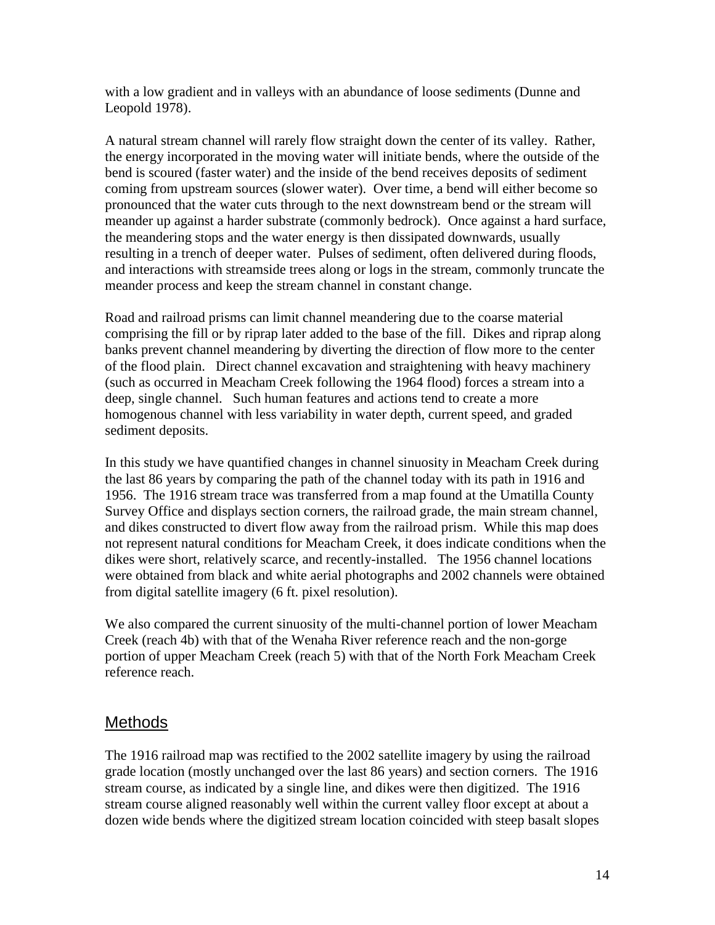with a low gradient and in valleys with an abundance of loose sediments (Dunne and Leopold 1978).

A natural stream channel will rarely flow straight down the center of its valley. Rather, the energy incorporated in the moving water will initiate bends, where the outside of the bend is scoured (faster water) and the inside of the bend receives deposits of sediment coming from upstream sources (slower water). Over time, a bend will either become so pronounced that the water cuts through to the next downstream bend or the stream will meander up against a harder substrate (commonly bedrock). Once against a hard surface, the meandering stops and the water energy is then dissipated downwards, usually resulting in a trench of deeper water. Pulses of sediment, often delivered during floods, and interactions with streamside trees along or logs in the stream, commonly truncate the meander process and keep the stream channel in constant change.

Road and railroad prisms can limit channel meandering due to the coarse material comprising the fill or by riprap later added to the base of the fill. Dikes and riprap along banks prevent channel meandering by diverting the direction of flow more to the center of the flood plain. Direct channel excavation and straightening with heavy machinery (such as occurred in Meacham Creek following the 1964 flood) forces a stream into a deep, single channel. Such human features and actions tend to create a more homogenous channel with less variability in water depth, current speed, and graded sediment deposits.

In this study we have quantified changes in channel sinuosity in Meacham Creek during the last 86 years by comparing the path of the channel today with its path in 1916 and 1956. The 1916 stream trace was transferred from a map found at the Umatilla County Survey Office and displays section corners, the railroad grade, the main stream channel, and dikes constructed to divert flow away from the railroad prism. While this map does not represent natural conditions for Meacham Creek, it does indicate conditions when the dikes were short, relatively scarce, and recently-installed. The 1956 channel locations were obtained from black and white aerial photographs and 2002 channels were obtained from digital satellite imagery (6 ft. pixel resolution).

We also compared the current sinuosity of the multi-channel portion of lower Meacham Creek (reach 4b) with that of the Wenaha River reference reach and the non-gorge portion of upper Meacham Creek (reach 5) with that of the North Fork Meacham Creek reference reach.

### **Methods**

The 1916 railroad map was rectified to the 2002 satellite imagery by using the railroad grade location (mostly unchanged over the last 86 years) and section corners. The 1916 stream course, as indicated by a single line, and dikes were then digitized. The 1916 stream course aligned reasonably well within the current valley floor except at about a dozen wide bends where the digitized stream location coincided with steep basalt slopes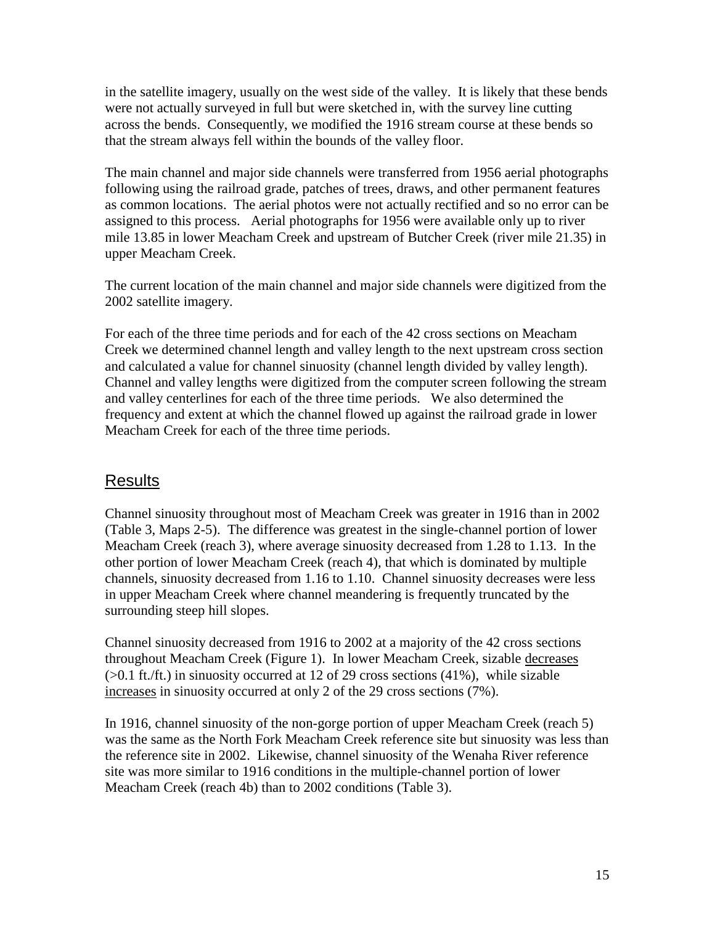in the satellite imagery, usually on the west side of the valley. It is likely that these bends were not actually surveyed in full but were sketched in, with the survey line cutting across the bends. Consequently, we modified the 1916 stream course at these bends so that the stream always fell within the bounds of the valley floor.

The main channel and major side channels were transferred from 1956 aerial photographs following using the railroad grade, patches of trees, draws, and other permanent features as common locations. The aerial photos were not actually rectified and so no error can be assigned to this process. Aerial photographs for 1956 were available only up to river mile 13.85 in lower Meacham Creek and upstream of Butcher Creek (river mile 21.35) in upper Meacham Creek.

The current location of the main channel and major side channels were digitized from the 2002 satellite imagery.

For each of the three time periods and for each of the 42 cross sections on Meacham Creek we determined channel length and valley length to the next upstream cross section and calculated a value for channel sinuosity (channel length divided by valley length). Channel and valley lengths were digitized from the computer screen following the stream and valley centerlines for each of the three time periods. We also determined the frequency and extent at which the channel flowed up against the railroad grade in lower Meacham Creek for each of the three time periods.

### Results

Channel sinuosity throughout most of Meacham Creek was greater in 1916 than in 2002 (Table 3, Maps 2-5). The difference was greatest in the single-channel portion of lower Meacham Creek (reach 3), where average sinuosity decreased from 1.28 to 1.13. In the other portion of lower Meacham Creek (reach 4), that which is dominated by multiple channels, sinuosity decreased from 1.16 to 1.10. Channel sinuosity decreases were less in upper Meacham Creek where channel meandering is frequently truncated by the surrounding steep hill slopes.

Channel sinuosity decreased from 1916 to 2002 at a majority of the 42 cross sections throughout Meacham Creek (Figure 1). In lower Meacham Creek, sizable decreases (>0.1 ft./ft.) in sinuosity occurred at 12 of 29 cross sections (41%), while sizable increases in sinuosity occurred at only 2 of the 29 cross sections (7%).

In 1916, channel sinuosity of the non-gorge portion of upper Meacham Creek (reach 5) was the same as the North Fork Meacham Creek reference site but sinuosity was less than the reference site in 2002. Likewise, channel sinuosity of the Wenaha River reference site was more similar to 1916 conditions in the multiple-channel portion of lower Meacham Creek (reach 4b) than to 2002 conditions (Table 3).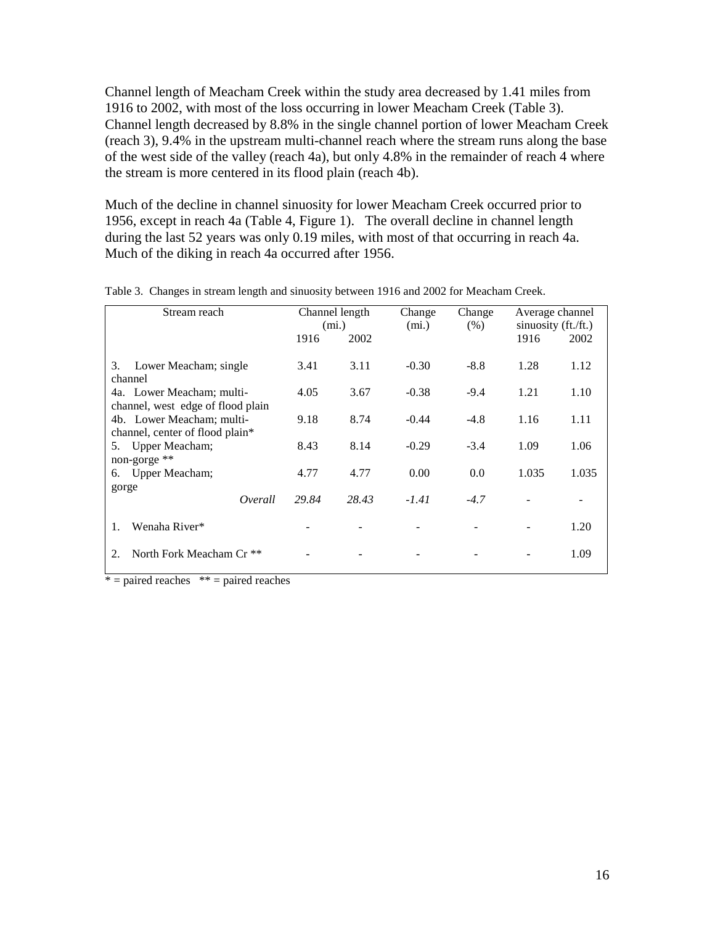Channel length of Meacham Creek within the study area decreased by 1.41 miles from 1916 to 2002, with most of the loss occurring in lower Meacham Creek (Table 3). Channel length decreased by 8.8% in the single channel portion of lower Meacham Creek (reach 3), 9.4% in the upstream multi-channel reach where the stream runs along the base of the west side of the valley (reach 4a), but only 4.8% in the remainder of reach 4 where the stream is more centered in its flood plain (reach 4b).

Much of the decline in channel sinuosity for lower Meacham Creek occurred prior to 1956, except in reach 4a (Table 4, Figure 1). The overall decline in channel length during the last 52 years was only 0.19 miles, with most of that occurring in reach 4a. Much of the diking in reach 4a occurred after 1956.

| Stream reach                                                   |       | Channel length<br>(mi.) | Change<br>(mi.) | Change<br>(% ) | Average channel<br>sinuosity (ft./ft.) |       |
|----------------------------------------------------------------|-------|-------------------------|-----------------|----------------|----------------------------------------|-------|
|                                                                | 1916  | 2002                    |                 |                | 1916                                   | 2002  |
| Lower Meacham; single<br>3.<br>channel                         | 3.41  | 3.11                    | $-0.30$         | $-8.8$         | 1.28                                   | 1.12  |
| 4a. Lower Meacham; multi-<br>channel, west edge of flood plain | 4.05  | 3.67                    | $-0.38$         | $-9.4$         | 1.21                                   | 1.10  |
| 4b. Lower Meacham; multi-<br>channel, center of flood plain*   | 9.18  | 8.74                    | $-0.44$         | $-4.8$         | 1.16                                   | 1.11  |
| Upper Meacham;<br>5.<br>non-gorge **                           | 8.43  | 8.14                    | $-0.29$         | $-3.4$         | 1.09                                   | 1.06  |
| Upper Meacham;<br>6.                                           | 4.77  | 4.77                    | 0.00            | 0.0            | 1.035                                  | 1.035 |
| gorge<br>Overall                                               | 29.84 | 28.43                   | $-1.41$         | $-4.7$         |                                        |       |
| Wenaha River*<br>1.                                            |       |                         |                 |                |                                        | 1.20  |
| North Fork Meacham Cr <sup>**</sup><br>2.                      |       |                         |                 |                |                                        | 1.09  |

Table 3. Changes in stream length and sinuosity between 1916 and 2002 for Meacham Creek.

 $* =$  paired reaches  $* =$  paired reaches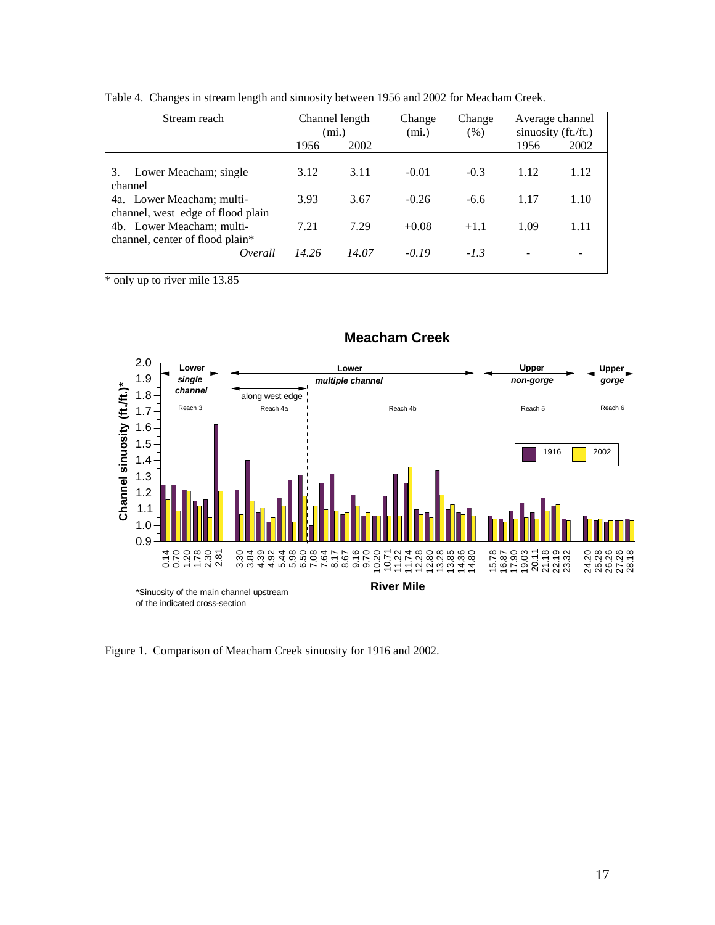| Stream reach                                                   |       | Channel length<br>(mi.) | Change<br>(mi.) | Change<br>(% ) |      | Average channel<br>sinuosity (ft./ft.) |
|----------------------------------------------------------------|-------|-------------------------|-----------------|----------------|------|----------------------------------------|
|                                                                | 1956  | 2002                    |                 |                | 1956 | 2002                                   |
| 3.<br>Lower Meacham; single<br>channel                         | 3.12  | 3.11                    | $-0.01$         | $-0.3$         | 1.12 | 1.12                                   |
| 4a. Lower Meacham; multi-<br>channel, west edge of flood plain | 3.93  | 3.67                    | $-0.26$         | $-6.6$         | 1.17 | 1.10                                   |
| 4b. Lower Meacham; multi-<br>channel, center of flood plain*   | 7.21  | 7.29                    | $+0.08$         | $+1.1$         | 1.09 | 1.11                                   |
| Overall                                                        | 14.26 | 14.07                   | $-0.19$         | $-1.3$         |      |                                        |

Table 4. Changes in stream length and sinuosity between 1956 and 2002 for Meacham Creek.

\* only up to river mile 13.85



#### **Meacham Creek**

Figure 1. Comparison of Meacham Creek sinuosity for 1916 and 2002.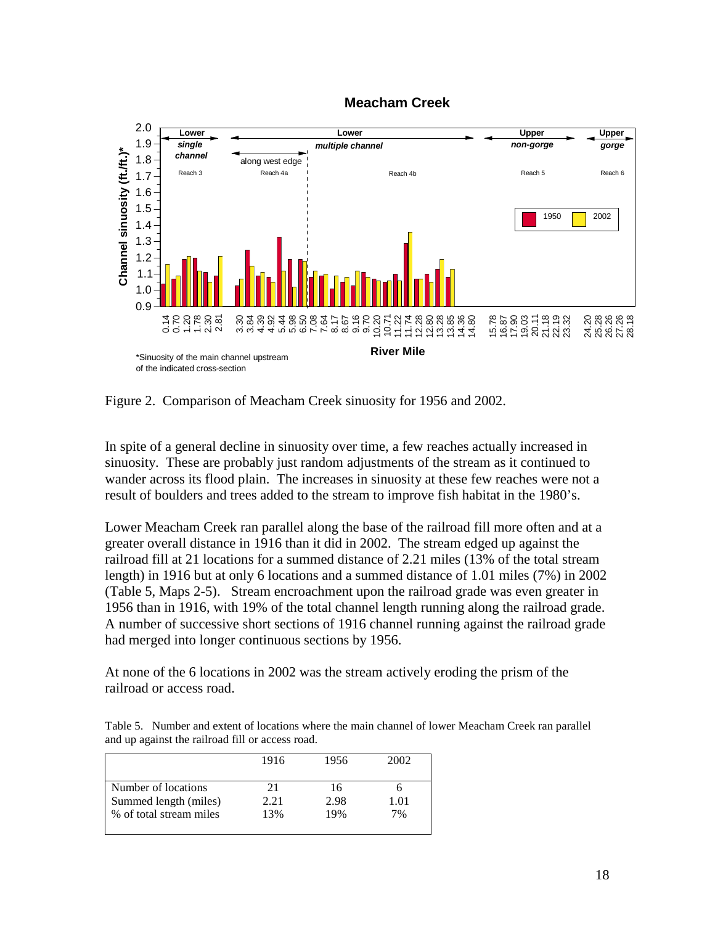



Figure 2. Comparison of Meacham Creek sinuosity for 1956 and 2002.

In spite of a general decline in sinuosity over time, a few reaches actually increased in sinuosity. These are probably just random adjustments of the stream as it continued to wander across its flood plain. The increases in sinuosity at these few reaches were not a result of boulders and trees added to the stream to improve fish habitat in the 1980's.

Lower Meacham Creek ran parallel along the base of the railroad fill more often and at a greater overall distance in 1916 than it did in 2002. The stream edged up against the railroad fill at 21 locations for a summed distance of 2.21 miles (13% of the total stream length) in 1916 but at only 6 locations and a summed distance of 1.01 miles (7%) in 2002 (Table 5, Maps 2-5). Stream encroachment upon the railroad grade was even greater in 1956 than in 1916, with 19% of the total channel length running along the railroad grade. A number of successive short sections of 1916 channel running against the railroad grade had merged into longer continuous sections by 1956.

At none of the 6 locations in 2002 was the stream actively eroding the prism of the railroad or access road.

Table 5. Number and extent of locations where the main channel of lower Meacham Creek ran parallel and up against the railroad fill or access road.

|                         | 1916 | 1956 | 2002 |
|-------------------------|------|------|------|
| Number of locations     | 21   | 16   |      |
| Summed length (miles)   | 2.21 | 2.98 | 1.01 |
| % of total stream miles | 13%  | 19%  | 7%   |
|                         |      |      |      |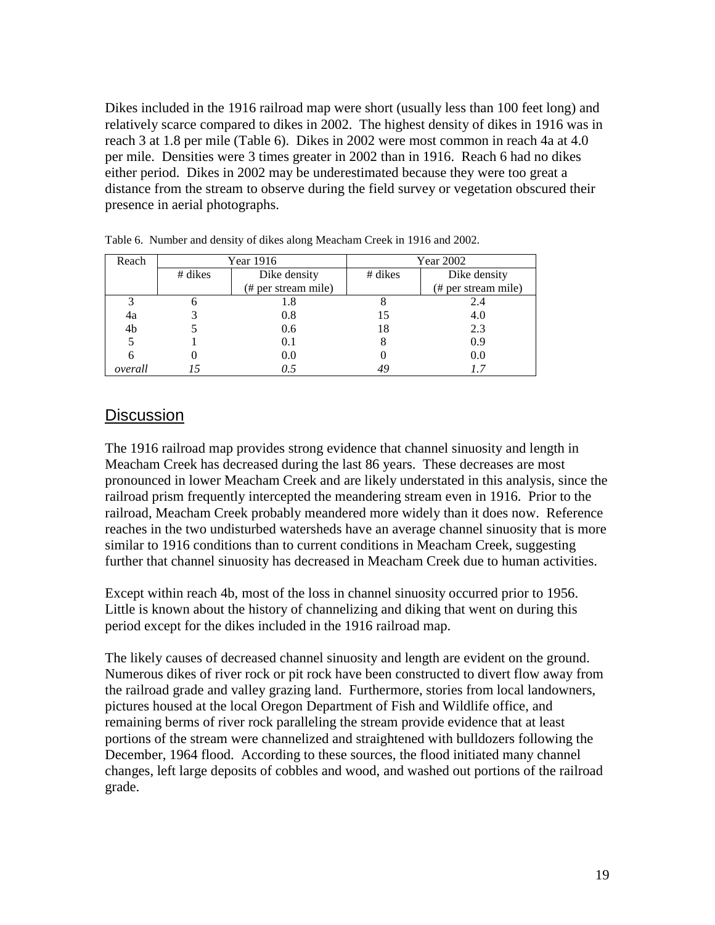Dikes included in the 1916 railroad map were short (usually less than 100 feet long) and relatively scarce compared to dikes in 2002. The highest density of dikes in 1916 was in reach 3 at 1.8 per mile (Table 6). Dikes in 2002 were most common in reach 4a at 4.0 per mile. Densities were 3 times greater in 2002 than in 1916. Reach 6 had no dikes either period. Dikes in 2002 may be underestimated because they were too great a distance from the stream to observe during the field survey or vegetation obscured their presence in aerial photographs.

| Reach   | Year 1916 |                     |         | Year 2002           |
|---------|-----------|---------------------|---------|---------------------|
|         | # dikes   | Dike density        | # dikes | Dike density        |
|         |           | (# per stream mile) |         | (# per stream mile) |
| 3       |           | 1.8                 |         | 2.4                 |
| 4a      |           | 0.8                 | 15      | 4.0                 |
| 4b      |           | 0.6                 | 18      | 2.3                 |
|         |           | 0.1                 | 8       | 0.9                 |
| 6       |           | 0.0                 | U       | 0.0                 |
| overall |           | 0.5                 | 49      |                     |

Table 6. Number and density of dikes along Meacham Creek in 1916 and 2002.

#### **Discussion**

The 1916 railroad map provides strong evidence that channel sinuosity and length in Meacham Creek has decreased during the last 86 years. These decreases are most pronounced in lower Meacham Creek and are likely understated in this analysis, since the railroad prism frequently intercepted the meandering stream even in 1916. Prior to the railroad, Meacham Creek probably meandered more widely than it does now. Reference reaches in the two undisturbed watersheds have an average channel sinuosity that is more similar to 1916 conditions than to current conditions in Meacham Creek, suggesting further that channel sinuosity has decreased in Meacham Creek due to human activities.

Except within reach 4b, most of the loss in channel sinuosity occurred prior to 1956. Little is known about the history of channelizing and diking that went on during this period except for the dikes included in the 1916 railroad map.

The likely causes of decreased channel sinuosity and length are evident on the ground. Numerous dikes of river rock or pit rock have been constructed to divert flow away from the railroad grade and valley grazing land. Furthermore, stories from local landowners, pictures housed at the local Oregon Department of Fish and Wildlife office, and remaining berms of river rock paralleling the stream provide evidence that at least portions of the stream were channelized and straightened with bulldozers following the December, 1964 flood. According to these sources, the flood initiated many channel changes, left large deposits of cobbles and wood, and washed out portions of the railroad grade.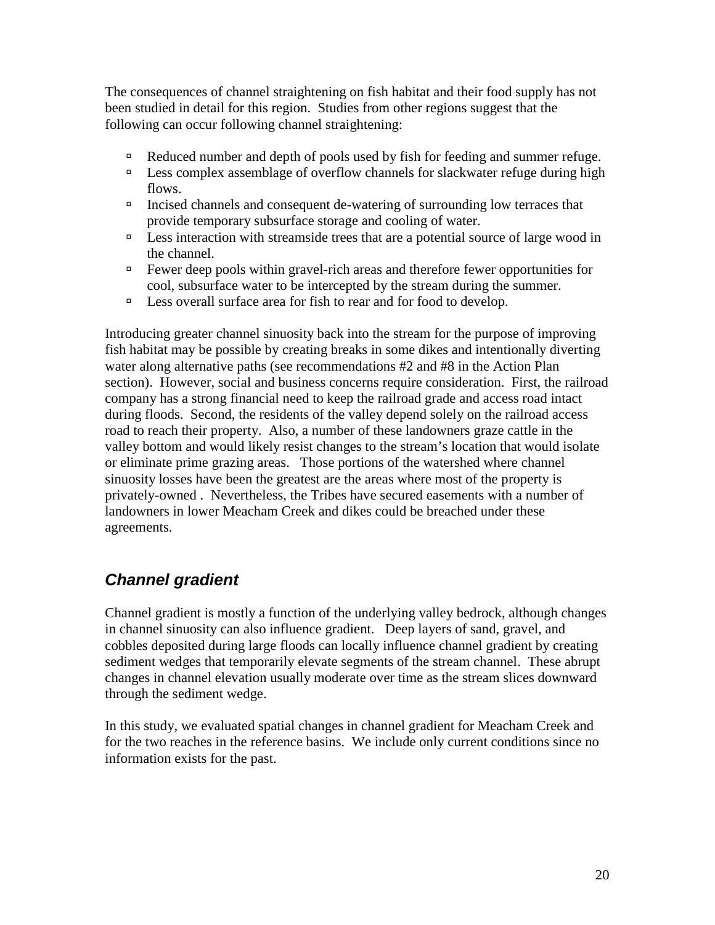The consequences of channel straightening on fish habitat and their food supply has not been studied in detail for this region. Studies from other regions suggest that the following can occur following channel straightening:

- $\Box$  Reduced number and depth of pools used by fish for feeding and summer refuge.
- $\Box$  Less complex assemblage of overflow channels for slackwater refuge during high flows.
- <sup>Incised</sup> channels and consequent de-watering of surrounding low terraces that provide temporary subsurface storage and cooling of water.
- $\Box$  Less interaction with streamside trees that are a potential source of large wood in the channel.
- <sup>In</sup> Fewer deep pools within gravel-rich areas and therefore fewer opportunities for cool, subsurface water to be intercepted by the stream during the summer.
- <sup>In</sup> Less overall surface area for fish to rear and for food to develop.

Introducing greater channel sinuosity back into the stream for the purpose of improving fish habitat may be possible by creating breaks in some dikes and intentionally diverting water along alternative paths (see recommendations #2 and #8 in the Action Plan section). However, social and business concerns require consideration. First, the railroad company has a strong financial need to keep the railroad grade and access road intact during floods. Second, the residents of the valley depend solely on the railroad access road to reach their property. Also, a number of these landowners graze cattle in the valley bottom and would likely resist changes to the stream's location that would isolate or eliminate prime grazing areas. Those portions of the watershed where channel sinuosity losses have been the greatest are the areas where most of the property is privately-owned . Nevertheless, the Tribes have secured easements with a number of landowners in lower Meacham Creek and dikes could be breached under these agreements.

## *Channel gradient*

Channel gradient is mostly a function of the underlying valley bedrock, although changes in channel sinuosity can also influence gradient. Deep layers of sand, gravel, and cobbles deposited during large floods can locally influence channel gradient by creating sediment wedges that temporarily elevate segments of the stream channel. These abrupt changes in channel elevation usually moderate over time as the stream slices downward through the sediment wedge.

In this study, we evaluated spatial changes in channel gradient for Meacham Creek and for the two reaches in the reference basins. We include only current conditions since no information exists for the past.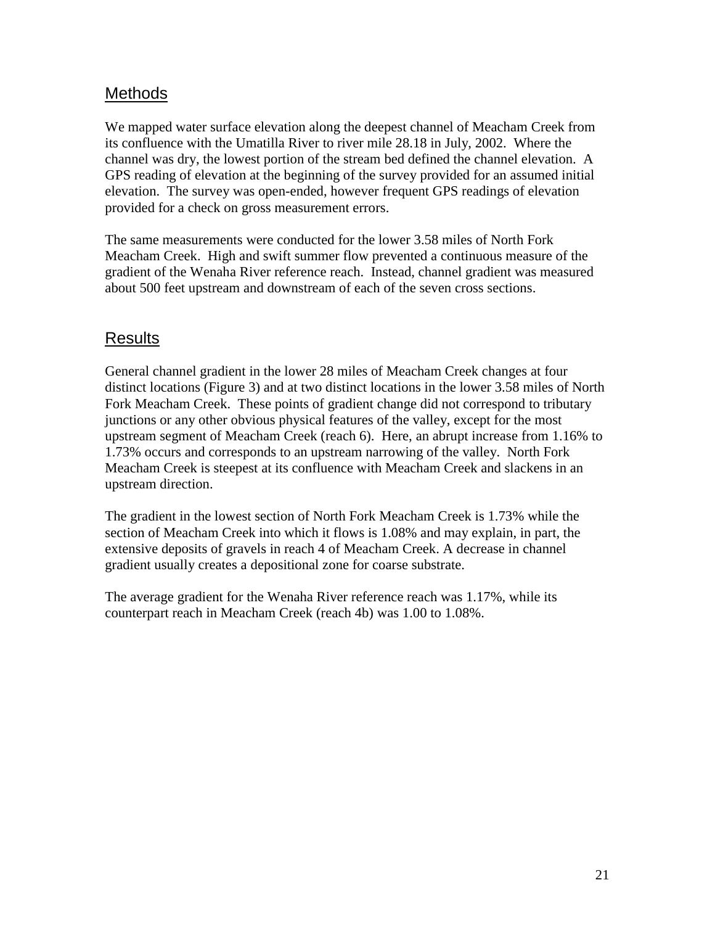### **Methods**

We mapped water surface elevation along the deepest channel of Meacham Creek from its confluence with the Umatilla River to river mile 28.18 in July, 2002. Where the channel was dry, the lowest portion of the stream bed defined the channel elevation. A GPS reading of elevation at the beginning of the survey provided for an assumed initial elevation. The survey was open-ended, however frequent GPS readings of elevation provided for a check on gross measurement errors.

The same measurements were conducted for the lower 3.58 miles of North Fork Meacham Creek. High and swift summer flow prevented a continuous measure of the gradient of the Wenaha River reference reach. Instead, channel gradient was measured about 500 feet upstream and downstream of each of the seven cross sections.

### Results

General channel gradient in the lower 28 miles of Meacham Creek changes at four distinct locations (Figure 3) and at two distinct locations in the lower 3.58 miles of North Fork Meacham Creek. These points of gradient change did not correspond to tributary junctions or any other obvious physical features of the valley, except for the most upstream segment of Meacham Creek (reach 6). Here, an abrupt increase from 1.16% to 1.73% occurs and corresponds to an upstream narrowing of the valley. North Fork Meacham Creek is steepest at its confluence with Meacham Creek and slackens in an upstream direction.

The gradient in the lowest section of North Fork Meacham Creek is 1.73% while the section of Meacham Creek into which it flows is 1.08% and may explain, in part, the extensive deposits of gravels in reach 4 of Meacham Creek. A decrease in channel gradient usually creates a depositional zone for coarse substrate.

The average gradient for the Wenaha River reference reach was 1.17%, while its counterpart reach in Meacham Creek (reach 4b) was 1.00 to 1.08%.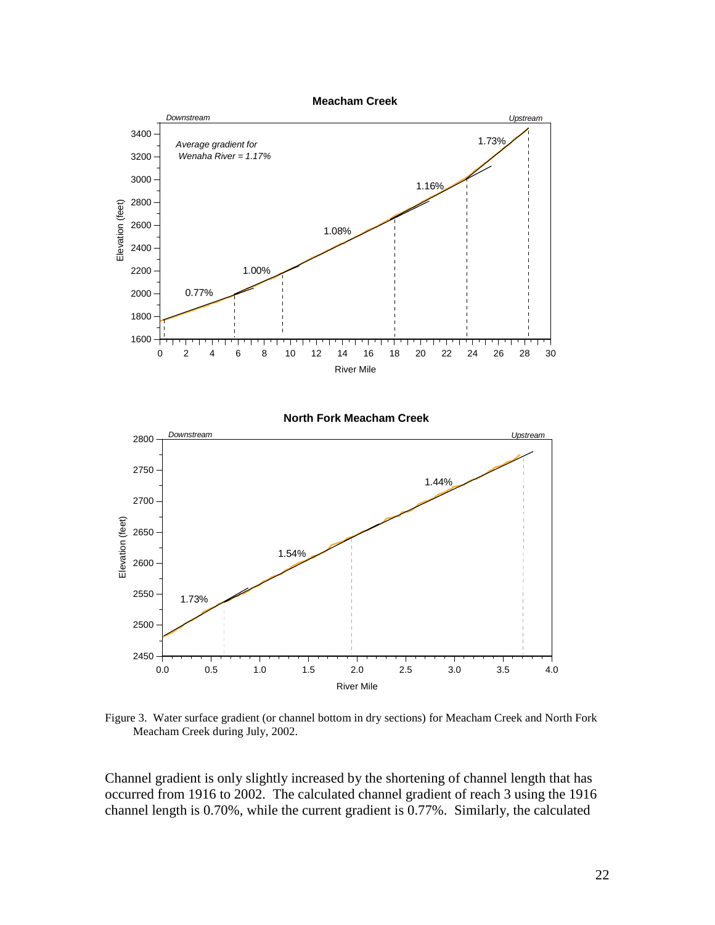

Figure 3. Water surface gradient (or channel bottom in dry sections) for Meacham Creek and North Fork Meacham Creek during July, 2002.

Channel gradient is only slightly increased by the shortening of channel length that has occurred from 1916 to 2002. The calculated channel gradient of reach 3 using the 1916 channel length is 0.70%, while the current gradient is 0.77%. Similarly, the calculated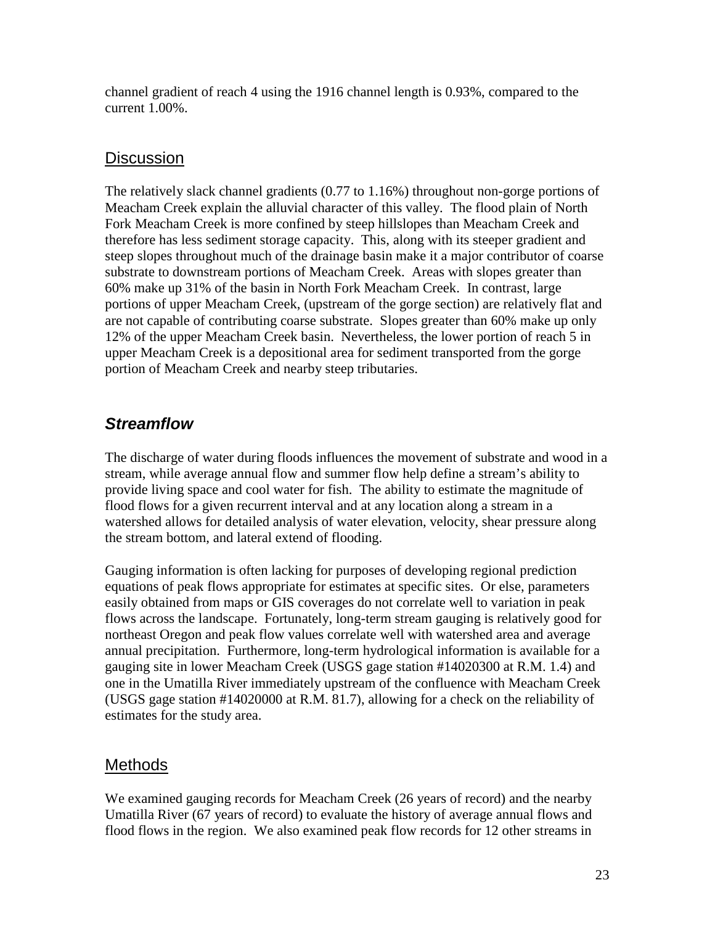channel gradient of reach 4 using the 1916 channel length is 0.93%, compared to the current 1.00%.

### **Discussion**

The relatively slack channel gradients (0.77 to 1.16%) throughout non-gorge portions of Meacham Creek explain the alluvial character of this valley. The flood plain of North Fork Meacham Creek is more confined by steep hillslopes than Meacham Creek and therefore has less sediment storage capacity. This, along with its steeper gradient and steep slopes throughout much of the drainage basin make it a major contributor of coarse substrate to downstream portions of Meacham Creek. Areas with slopes greater than 60% make up 31% of the basin in North Fork Meacham Creek. In contrast, large portions of upper Meacham Creek, (upstream of the gorge section) are relatively flat and are not capable of contributing coarse substrate. Slopes greater than 60% make up only 12% of the upper Meacham Creek basin. Nevertheless, the lower portion of reach 5 in upper Meacham Creek is a depositional area for sediment transported from the gorge portion of Meacham Creek and nearby steep tributaries.

## *Streamflow*

The discharge of water during floods influences the movement of substrate and wood in a stream, while average annual flow and summer flow help define a stream's ability to provide living space and cool water for fish. The ability to estimate the magnitude of flood flows for a given recurrent interval and at any location along a stream in a watershed allows for detailed analysis of water elevation, velocity, shear pressure along the stream bottom, and lateral extend of flooding.

Gauging information is often lacking for purposes of developing regional prediction equations of peak flows appropriate for estimates at specific sites. Or else, parameters easily obtained from maps or GIS coverages do not correlate well to variation in peak flows across the landscape. Fortunately, long-term stream gauging is relatively good for northeast Oregon and peak flow values correlate well with watershed area and average annual precipitation. Furthermore, long-term hydrological information is available for a gauging site in lower Meacham Creek (USGS gage station #14020300 at R.M. 1.4) and one in the Umatilla River immediately upstream of the confluence with Meacham Creek (USGS gage station #14020000 at R.M. 81.7), allowing for a check on the reliability of estimates for the study area.

### **Methods**

We examined gauging records for Meacham Creek (26 years of record) and the nearby Umatilla River (67 years of record) to evaluate the history of average annual flows and flood flows in the region. We also examined peak flow records for 12 other streams in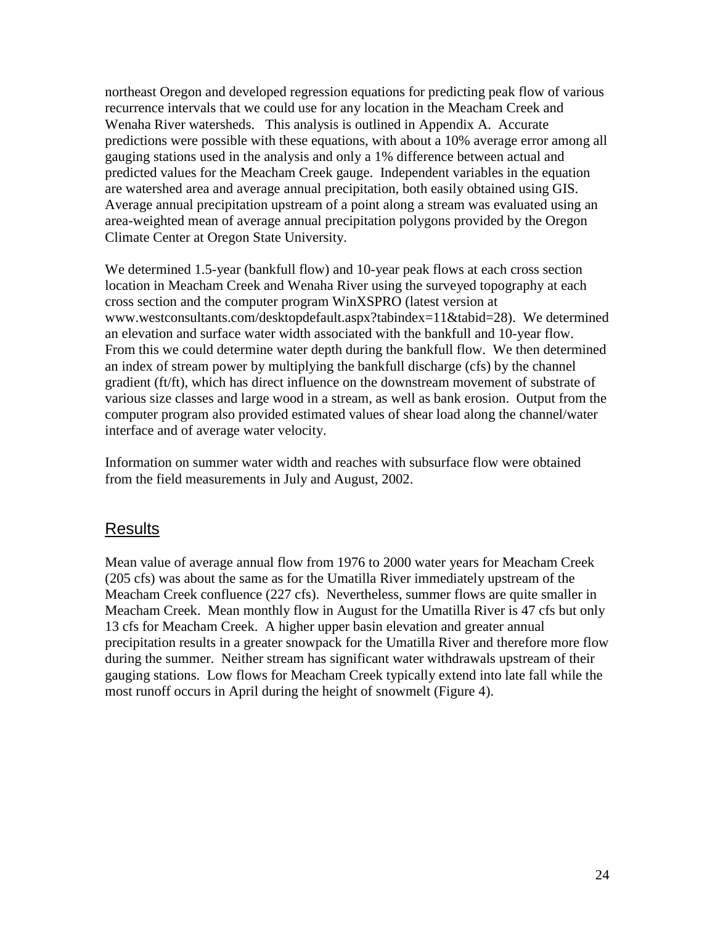northeast Oregon and developed regression equations for predicting peak flow of various recurrence intervals that we could use for any location in the Meacham Creek and Wenaha River watersheds. This analysis is outlined in Appendix A. Accurate predictions were possible with these equations, with about a 10% average error among all gauging stations used in the analysis and only a 1% difference between actual and predicted values for the Meacham Creek gauge. Independent variables in the equation are watershed area and average annual precipitation, both easily obtained using GIS. Average annual precipitation upstream of a point along a stream was evaluated using an area-weighted mean of average annual precipitation polygons provided by the Oregon Climate Center at Oregon State University.

We determined 1.5-year (bankfull flow) and 10-year peak flows at each cross section location in Meacham Creek and Wenaha River using the surveyed topography at each cross section and the computer program WinXSPRO (latest version at www.westconsultants.com/desktopdefault.aspx?tabindex=11&tabid=28). We determined an elevation and surface water width associated with the bankfull and 10-year flow. From this we could determine water depth during the bankfull flow. We then determined an index of stream power by multiplying the bankfull discharge (cfs) by the channel gradient (ft/ft), which has direct influence on the downstream movement of substrate of various size classes and large wood in a stream, as well as bank erosion. Output from the computer program also provided estimated values of shear load along the channel/water interface and of average water velocity.

Information on summer water width and reaches with subsurface flow were obtained from the field measurements in July and August, 2002.

#### **Results**

Mean value of average annual flow from 1976 to 2000 water years for Meacham Creek (205 cfs) was about the same as for the Umatilla River immediately upstream of the Meacham Creek confluence (227 cfs). Nevertheless, summer flows are quite smaller in Meacham Creek. Mean monthly flow in August for the Umatilla River is 47 cfs but only 13 cfs for Meacham Creek. A higher upper basin elevation and greater annual precipitation results in a greater snowpack for the Umatilla River and therefore more flow during the summer. Neither stream has significant water withdrawals upstream of their gauging stations. Low flows for Meacham Creek typically extend into late fall while the most runoff occurs in April during the height of snowmelt (Figure 4).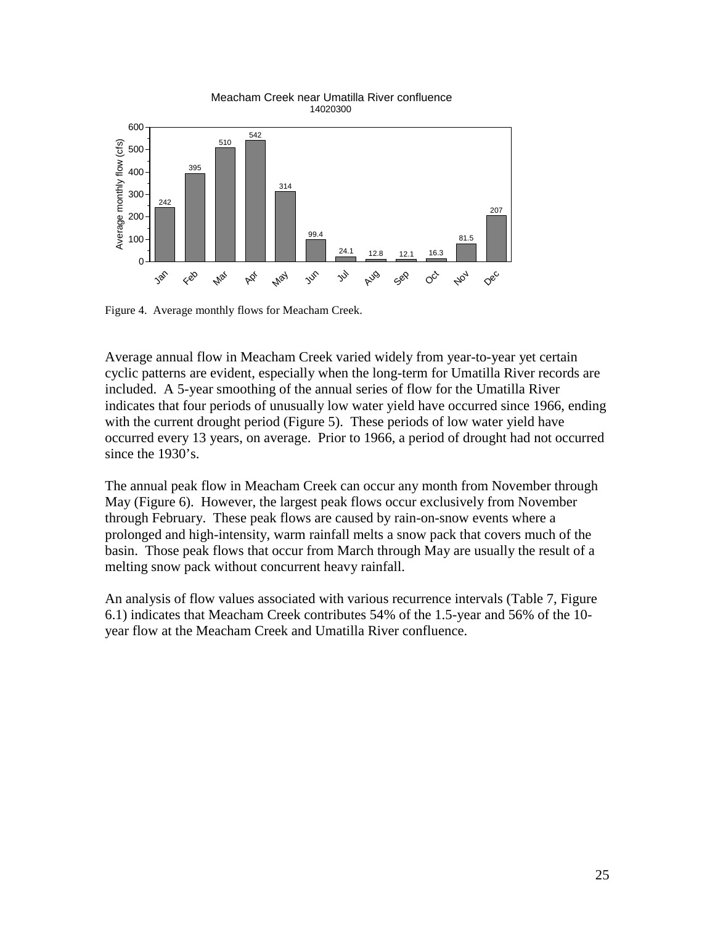

Figure 4. Average monthly flows for Meacham Creek.

Average annual flow in Meacham Creek varied widely from year-to-year yet certain cyclic patterns are evident, especially when the long-term for Umatilla River records are included. A 5-year smoothing of the annual series of flow for the Umatilla River indicates that four periods of unusually low water yield have occurred since 1966, ending with the current drought period (Figure 5). These periods of low water yield have occurred every 13 years, on average. Prior to 1966, a period of drought had not occurred since the 1930's.

The annual peak flow in Meacham Creek can occur any month from November through May (Figure 6). However, the largest peak flows occur exclusively from November through February. These peak flows are caused by rain-on-snow events where a prolonged and high-intensity, warm rainfall melts a snow pack that covers much of the basin. Those peak flows that occur from March through May are usually the result of a melting snow pack without concurrent heavy rainfall.

An analysis of flow values associated with various recurrence intervals (Table 7, Figure 6.1) indicates that Meacham Creek contributes 54% of the 1.5-year and 56% of the 10 year flow at the Meacham Creek and Umatilla River confluence.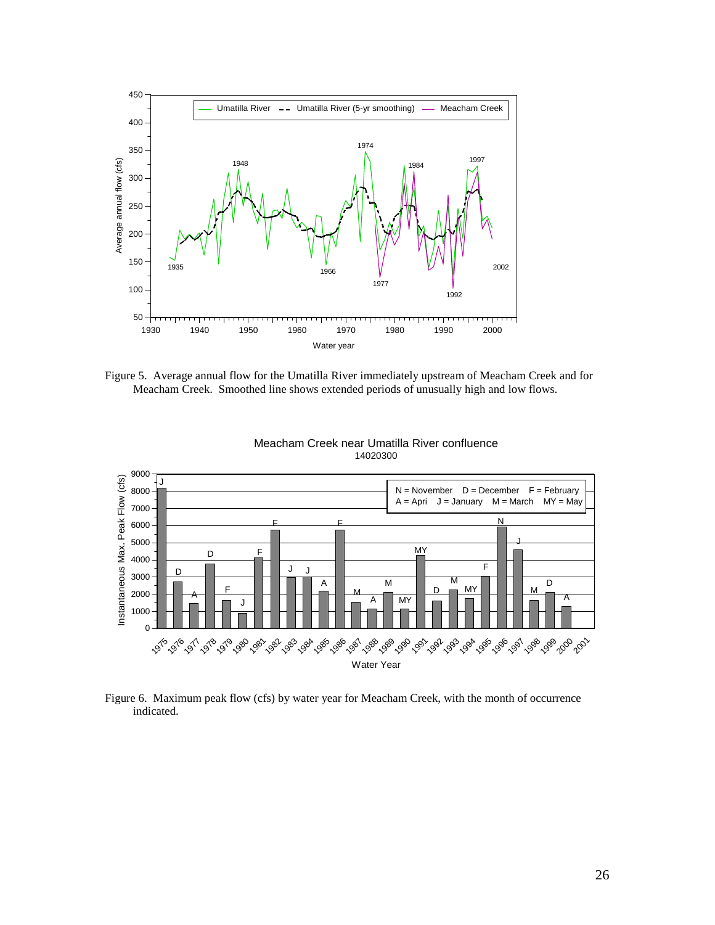

Figure 5. Average annual flow for the Umatilla River immediately upstream of Meacham Creek and for Meacham Creek. Smoothed line shows extended periods of unusually high and low flows.



Meacham Creek near Umatilla River confluence 14020300

Figure 6. Maximum peak flow (cfs) by water year for Meacham Creek, with the month of occurrence indicated.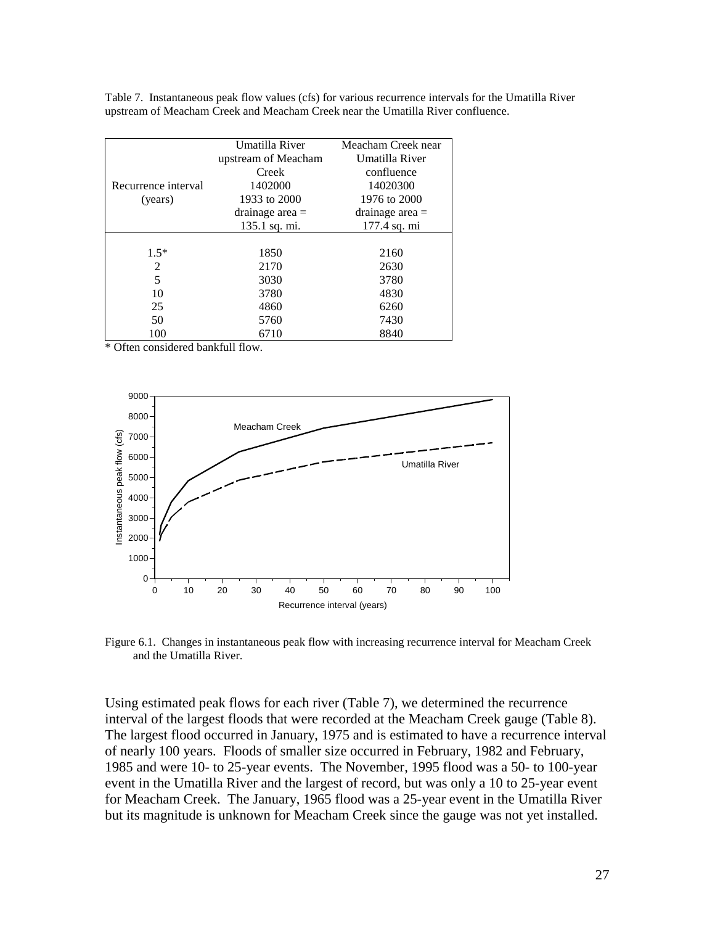|                     | Umatilla River      | Meacham Creek near |  |  |
|---------------------|---------------------|--------------------|--|--|
|                     | upstream of Meacham | Umatilla River     |  |  |
|                     | Creek               | confluence         |  |  |
| Recurrence interval | 1402000             | 14020300           |  |  |
| (years)             | 1933 to 2000        | 1976 to 2000       |  |  |
|                     | drainage area $=$   | drainage area $=$  |  |  |
|                     | 135.1 sq. mi.       | 177.4 sq. mi       |  |  |
|                     |                     |                    |  |  |
| $1.5*$              | 1850                | 2160               |  |  |
| 2                   | 2170                | 2630               |  |  |
| 5                   | 3030                | 3780               |  |  |
| 10                  | 3780                | 4830               |  |  |
| 25                  | 4860                | 6260               |  |  |
| 50                  | 5760                | 7430               |  |  |
| 100                 | 6710                | 8840               |  |  |

Table 7. Instantaneous peak flow values (cfs) for various recurrence intervals for the Umatilla River upstream of Meacham Creek and Meacham Creek near the Umatilla River confluence.

\* Often considered bankfull flow.



Figure 6.1. Changes in instantaneous peak flow with increasing recurrence interval for Meacham Creek and the Umatilla River.

Using estimated peak flows for each river (Table 7), we determined the recurrence interval of the largest floods that were recorded at the Meacham Creek gauge (Table 8). The largest flood occurred in January, 1975 and is estimated to have a recurrence interval of nearly 100 years. Floods of smaller size occurred in February, 1982 and February, 1985 and were 10- to 25-year events. The November, 1995 flood was a 50- to 100-year event in the Umatilla River and the largest of record, but was only a 10 to 25-year event for Meacham Creek. The January, 1965 flood was a 25-year event in the Umatilla River but its magnitude is unknown for Meacham Creek since the gauge was not yet installed.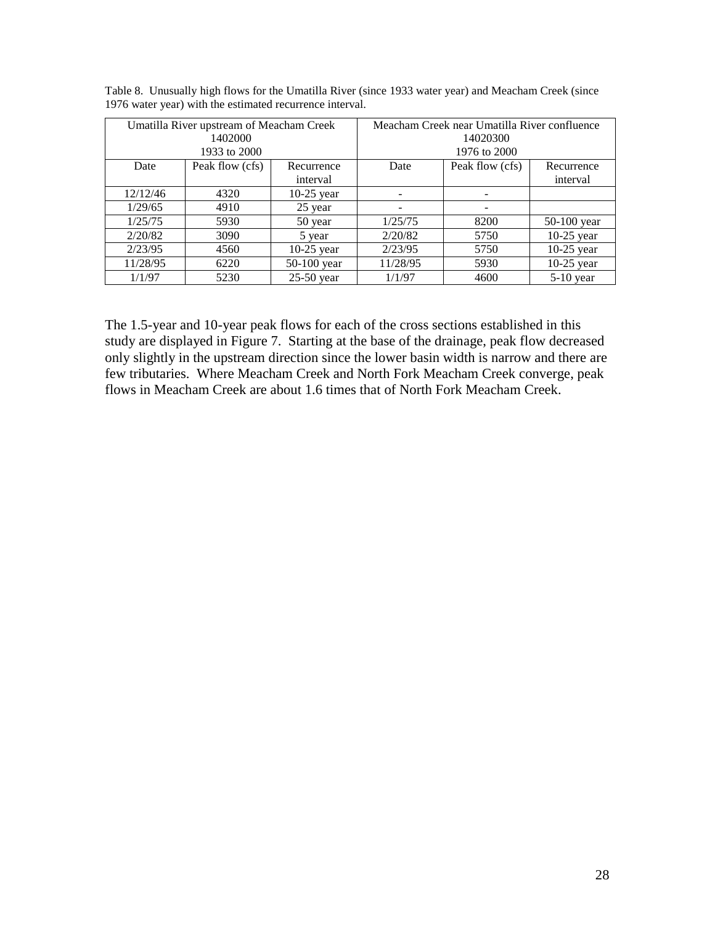| Umatilla River upstream of Meacham Creek |                 |              | Meacham Creek near Umatilla River confluence |                 |              |  |
|------------------------------------------|-----------------|--------------|----------------------------------------------|-----------------|--------------|--|
| 1402000                                  |                 |              | 14020300                                     |                 |              |  |
| 1933 to 2000                             |                 |              | 1976 to 2000                                 |                 |              |  |
| Date                                     | Peak flow (cfs) | Recurrence   | Date                                         | Peak flow (cfs) | Recurrence   |  |
|                                          |                 | interval     |                                              |                 | interval     |  |
| 12/12/46                                 | 4320            | $10-25$ year |                                              |                 |              |  |
| 1/29/65                                  | 4910            | 25 year      |                                              |                 |              |  |
| 1/25/75                                  | 5930            | 50 year      | 1/25/75                                      | 8200            | 50-100 year  |  |
| 2/20/82                                  | 3090            | 5 year       | 2/20/82                                      | 5750            | $10-25$ year |  |
| 2/23/95                                  | 4560            | $10-25$ year | 2/23/95                                      | 5750            | $10-25$ year |  |
| 11/28/95                                 | 6220            | 50-100 year  | 11/28/95                                     | 5930            | $10-25$ year |  |
| 1/1/97                                   | 5230            | $25-50$ year | 1/1/97                                       | 4600            | $5-10$ year  |  |

| Table 8. Unusually high flows for the Umatilla River (since 1933 water year) and Meacham Creek (since |  |  |  |
|-------------------------------------------------------------------------------------------------------|--|--|--|
| 1976 water year) with the estimated recurrence interval.                                              |  |  |  |

The 1.5-year and 10-year peak flows for each of the cross sections established in this study are displayed in Figure 7. Starting at the base of the drainage, peak flow decreased only slightly in the upstream direction since the lower basin width is narrow and there are few tributaries. Where Meacham Creek and North Fork Meacham Creek converge, peak flows in Meacham Creek are about 1.6 times that of North Fork Meacham Creek.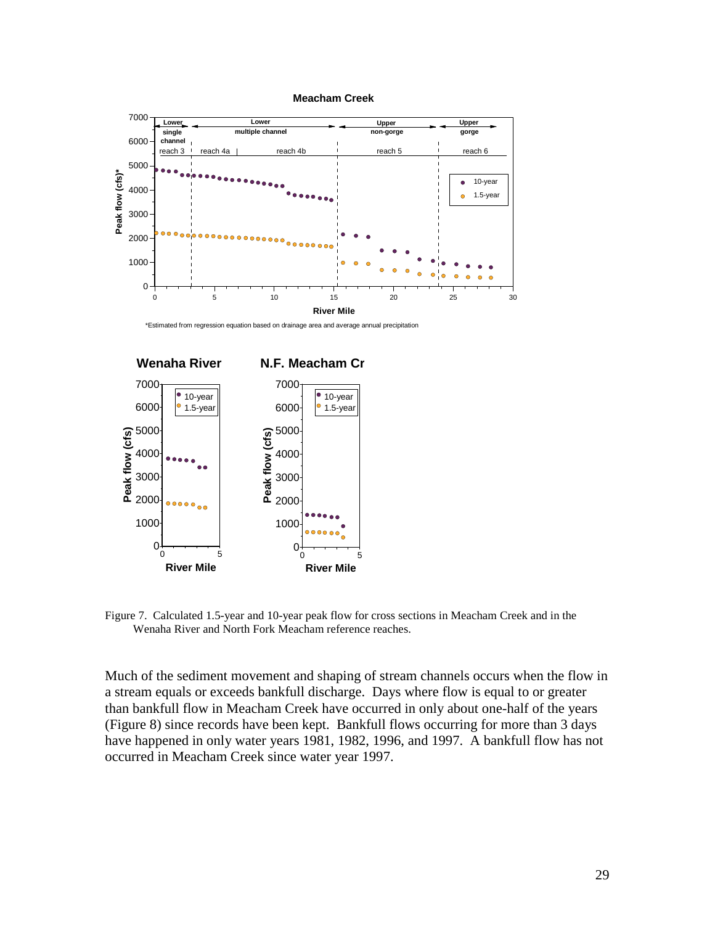







Figure 7. Calculated 1.5-year and 10-year peak flow for cross sections in Meacham Creek and in the Wenaha River and North Fork Meacham reference reaches.

Much of the sediment movement and shaping of stream channels occurs when the flow in a stream equals or exceeds bankfull discharge. Days where flow is equal to or greater than bankfull flow in Meacham Creek have occurred in only about one-half of the years (Figure 8) since records have been kept. Bankfull flows occurring for more than 3 days have happened in only water years 1981, 1982, 1996, and 1997. A bankfull flow has not occurred in Meacham Creek since water year 1997.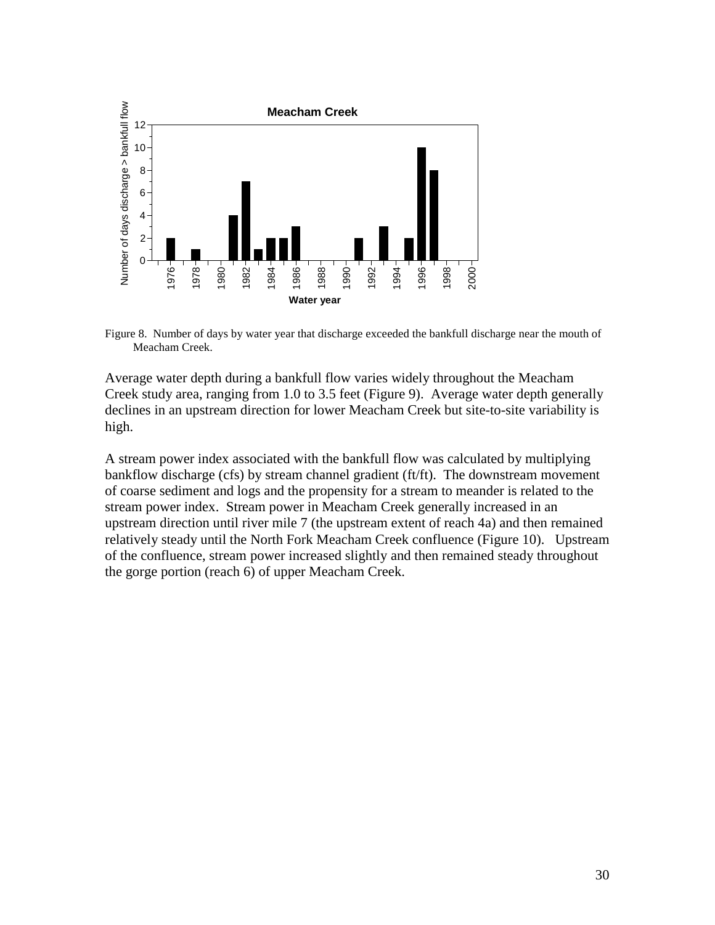

Figure 8. Number of days by water year that discharge exceeded the bankfull discharge near the mouth of Meacham Creek.

Average water depth during a bankfull flow varies widely throughout the Meacham Creek study area, ranging from 1.0 to 3.5 feet (Figure 9). Average water depth generally declines in an upstream direction for lower Meacham Creek but site-to-site variability is high.

A stream power index associated with the bankfull flow was calculated by multiplying bankflow discharge (cfs) by stream channel gradient (ft/ft). The downstream movement of coarse sediment and logs and the propensity for a stream to meander is related to the stream power index. Stream power in Meacham Creek generally increased in an upstream direction until river mile 7 (the upstream extent of reach 4a) and then remained relatively steady until the North Fork Meacham Creek confluence (Figure 10). Upstream of the confluence, stream power increased slightly and then remained steady throughout the gorge portion (reach 6) of upper Meacham Creek.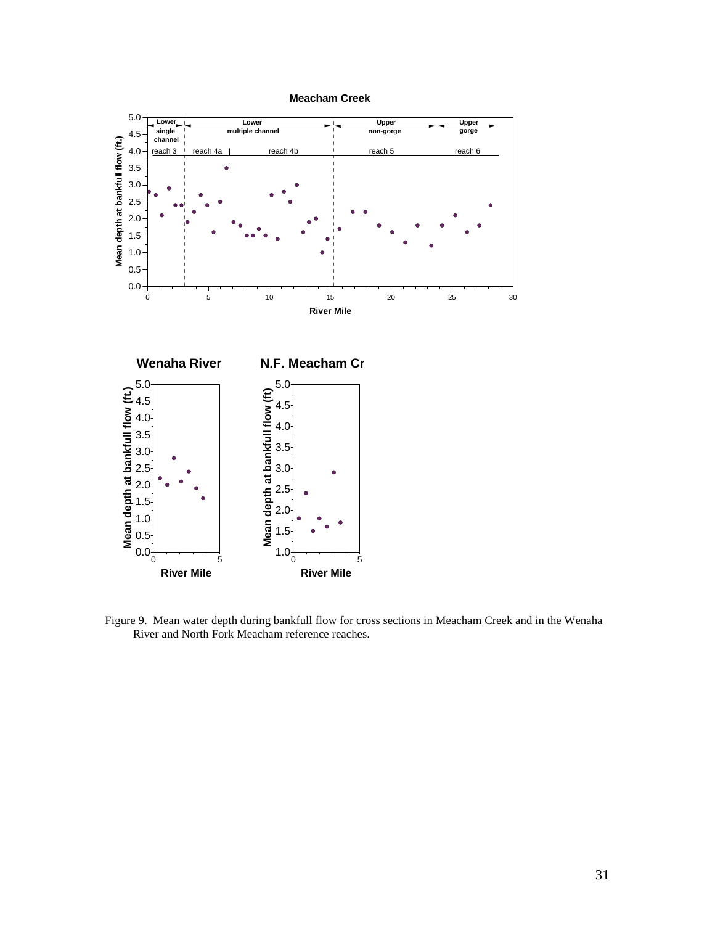

Figure 9. Mean water depth during bankfull flow for cross sections in Meacham Creek and in the Wenaha River and North Fork Meacham reference reaches.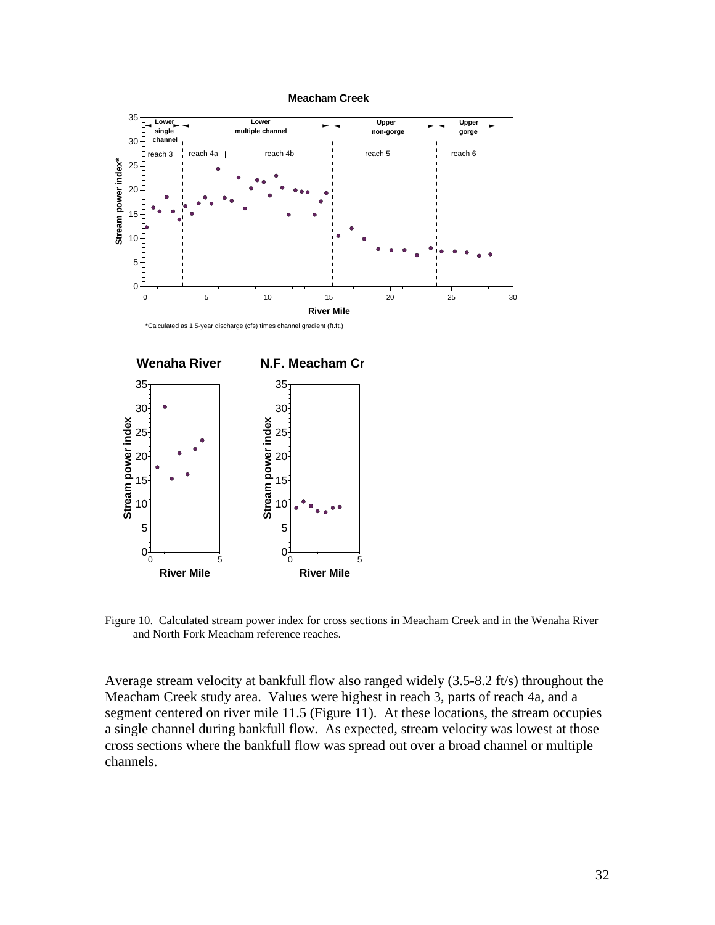

\*Calculated as 1.5-year discharge (cfs) times channel gradient (ft.ft.)



Figure 10. Calculated stream power index for cross sections in Meacham Creek and in the Wenaha River and North Fork Meacham reference reaches.

Average stream velocity at bankfull flow also ranged widely (3.5-8.2 ft/s) throughout the Meacham Creek study area. Values were highest in reach 3, parts of reach 4a, and a segment centered on river mile 11.5 (Figure 11). At these locations, the stream occupies a single channel during bankfull flow. As expected, stream velocity was lowest at those cross sections where the bankfull flow was spread out over a broad channel or multiple channels.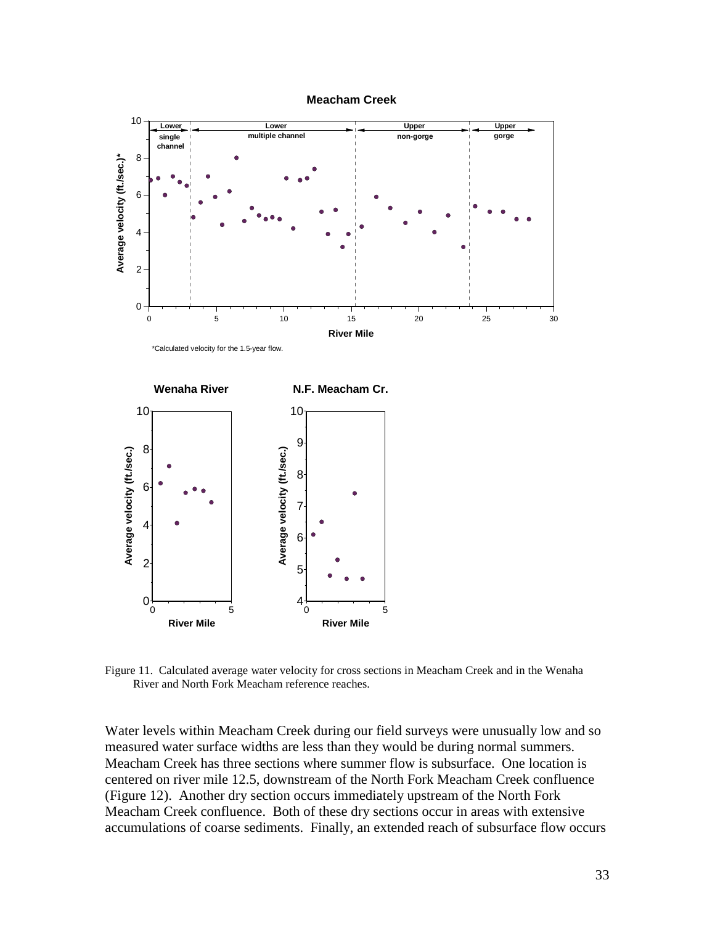



Figure 11. Calculated average water velocity for cross sections in Meacham Creek and in the Wenaha River and North Fork Meacham reference reaches.

Water levels within Meacham Creek during our field surveys were unusually low and so measured water surface widths are less than they would be during normal summers. Meacham Creek has three sections where summer flow is subsurface. One location is centered on river mile 12.5, downstream of the North Fork Meacham Creek confluence (Figure 12). Another dry section occurs immediately upstream of the North Fork Meacham Creek confluence. Both of these dry sections occur in areas with extensive accumulations of coarse sediments. Finally, an extended reach of subsurface flow occurs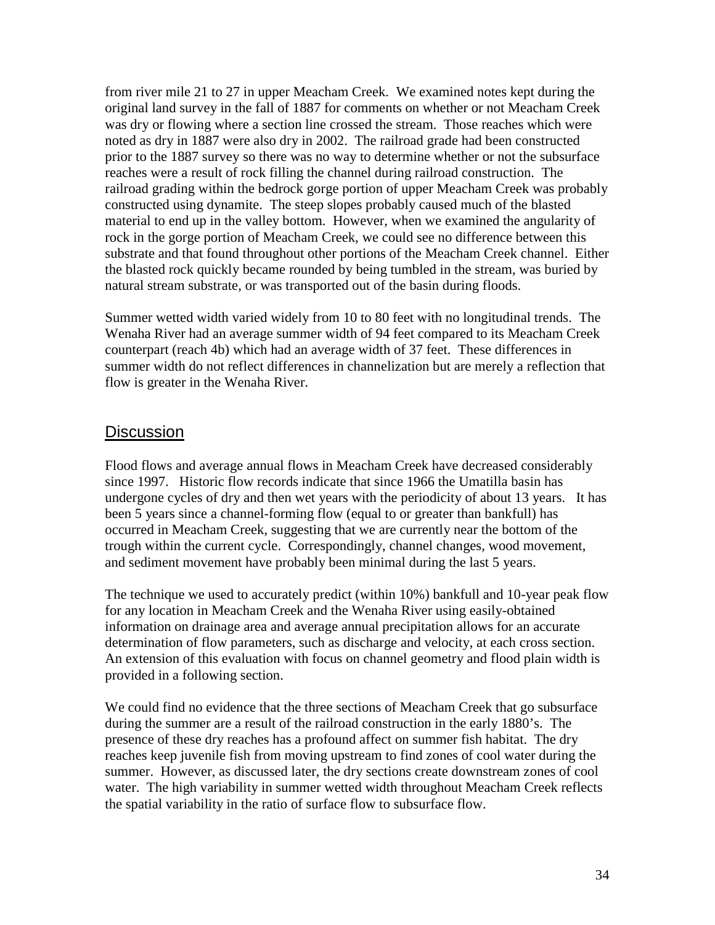from river mile 21 to 27 in upper Meacham Creek. We examined notes kept during the original land survey in the fall of 1887 for comments on whether or not Meacham Creek was dry or flowing where a section line crossed the stream. Those reaches which were noted as dry in 1887 were also dry in 2002. The railroad grade had been constructed prior to the 1887 survey so there was no way to determine whether or not the subsurface reaches were a result of rock filling the channel during railroad construction. The railroad grading within the bedrock gorge portion of upper Meacham Creek was probably constructed using dynamite. The steep slopes probably caused much of the blasted material to end up in the valley bottom. However, when we examined the angularity of rock in the gorge portion of Meacham Creek, we could see no difference between this substrate and that found throughout other portions of the Meacham Creek channel. Either the blasted rock quickly became rounded by being tumbled in the stream, was buried by natural stream substrate, or was transported out of the basin during floods.

Summer wetted width varied widely from 10 to 80 feet with no longitudinal trends. The Wenaha River had an average summer width of 94 feet compared to its Meacham Creek counterpart (reach 4b) which had an average width of 37 feet. These differences in summer width do not reflect differences in channelization but are merely a reflection that flow is greater in the Wenaha River.

#### **Discussion**

Flood flows and average annual flows in Meacham Creek have decreased considerably since 1997. Historic flow records indicate that since 1966 the Umatilla basin has undergone cycles of dry and then wet years with the periodicity of about 13 years. It has been 5 years since a channel-forming flow (equal to or greater than bankfull) has occurred in Meacham Creek, suggesting that we are currently near the bottom of the trough within the current cycle. Correspondingly, channel changes, wood movement, and sediment movement have probably been minimal during the last 5 years.

The technique we used to accurately predict (within 10%) bankfull and 10-year peak flow for any location in Meacham Creek and the Wenaha River using easily-obtained information on drainage area and average annual precipitation allows for an accurate determination of flow parameters, such as discharge and velocity, at each cross section. An extension of this evaluation with focus on channel geometry and flood plain width is provided in a following section.

We could find no evidence that the three sections of Meacham Creek that go subsurface during the summer are a result of the railroad construction in the early 1880's. The presence of these dry reaches has a profound affect on summer fish habitat. The dry reaches keep juvenile fish from moving upstream to find zones of cool water during the summer. However, as discussed later, the dry sections create downstream zones of cool water. The high variability in summer wetted width throughout Meacham Creek reflects the spatial variability in the ratio of surface flow to subsurface flow.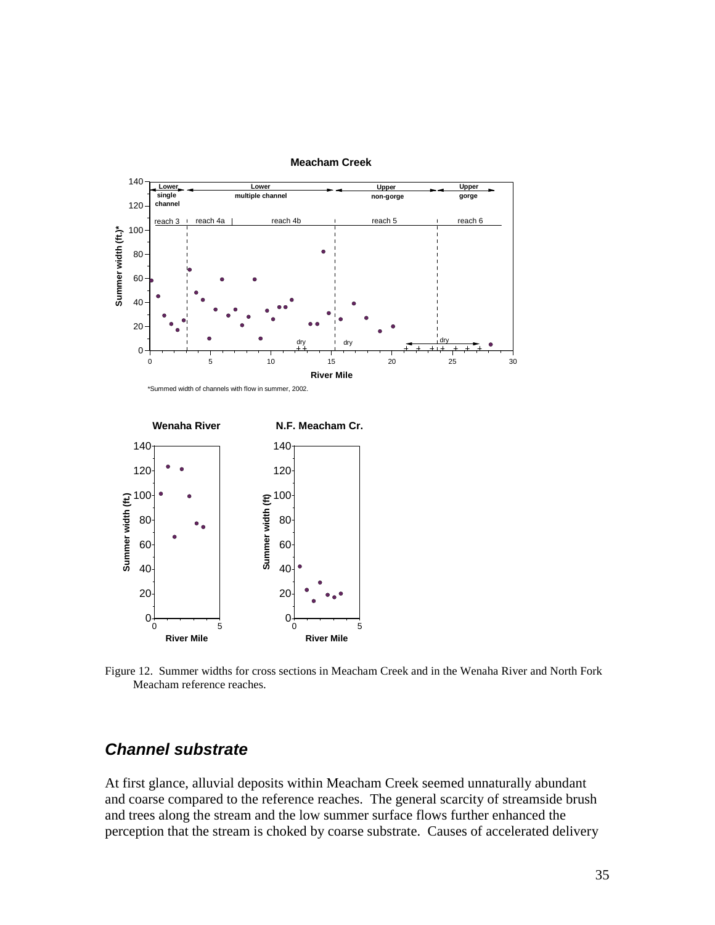

**Meacham Creek**

Figure 12. Summer widths for cross sections in Meacham Creek and in the Wenaha River and North Fork Meacham reference reaches.

#### *Channel substrate*

At first glance, alluvial deposits within Meacham Creek seemed unnaturally abundant and coarse compared to the reference reaches. The general scarcity of streamside brush and trees along the stream and the low summer surface flows further enhanced the perception that the stream is choked by coarse substrate. Causes of accelerated delivery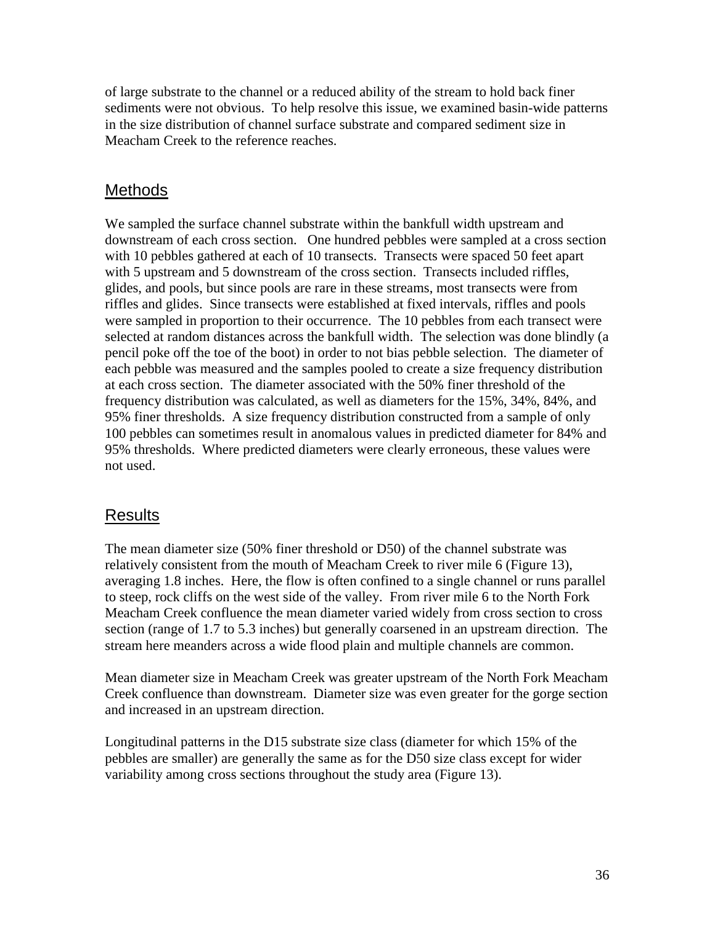of large substrate to the channel or a reduced ability of the stream to hold back finer sediments were not obvious. To help resolve this issue, we examined basin-wide patterns in the size distribution of channel surface substrate and compared sediment size in Meacham Creek to the reference reaches.

## Methods

We sampled the surface channel substrate within the bankfull width upstream and downstream of each cross section. One hundred pebbles were sampled at a cross section with 10 pebbles gathered at each of 10 transects. Transects were spaced 50 feet apart with 5 upstream and 5 downstream of the cross section. Transects included riffles, glides, and pools, but since pools are rare in these streams, most transects were from riffles and glides. Since transects were established at fixed intervals, riffles and pools were sampled in proportion to their occurrence. The 10 pebbles from each transect were selected at random distances across the bankfull width. The selection was done blindly (a pencil poke off the toe of the boot) in order to not bias pebble selection. The diameter of each pebble was measured and the samples pooled to create a size frequency distribution at each cross section. The diameter associated with the 50% finer threshold of the frequency distribution was calculated, as well as diameters for the 15%, 34%, 84%, and 95% finer thresholds. A size frequency distribution constructed from a sample of only 100 pebbles can sometimes result in anomalous values in predicted diameter for 84% and 95% thresholds. Where predicted diameters were clearly erroneous, these values were not used.

### Results

The mean diameter size (50% finer threshold or D50) of the channel substrate was relatively consistent from the mouth of Meacham Creek to river mile 6 (Figure 13), averaging 1.8 inches. Here, the flow is often confined to a single channel or runs parallel to steep, rock cliffs on the west side of the valley. From river mile 6 to the North Fork Meacham Creek confluence the mean diameter varied widely from cross section to cross section (range of 1.7 to 5.3 inches) but generally coarsened in an upstream direction. The stream here meanders across a wide flood plain and multiple channels are common.

Mean diameter size in Meacham Creek was greater upstream of the North Fork Meacham Creek confluence than downstream. Diameter size was even greater for the gorge section and increased in an upstream direction.

Longitudinal patterns in the D15 substrate size class (diameter for which 15% of the pebbles are smaller) are generally the same as for the D50 size class except for wider variability among cross sections throughout the study area (Figure 13).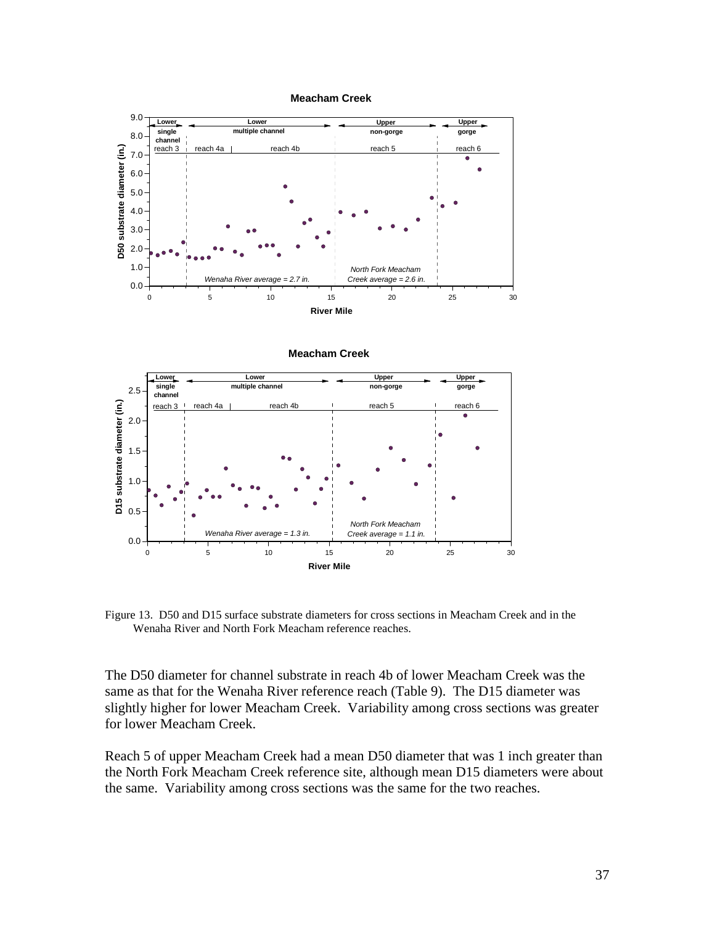



**Meacham Creek**



Figure 13. D50 and D15 surface substrate diameters for cross sections in Meacham Creek and in the Wenaha River and North Fork Meacham reference reaches.

The D50 diameter for channel substrate in reach 4b of lower Meacham Creek was the same as that for the Wenaha River reference reach (Table 9). The D15 diameter was slightly higher for lower Meacham Creek. Variability among cross sections was greater for lower Meacham Creek.

Reach 5 of upper Meacham Creek had a mean D50 diameter that was 1 inch greater than the North Fork Meacham Creek reference site, although mean D15 diameters were about the same. Variability among cross sections was the same for the two reaches.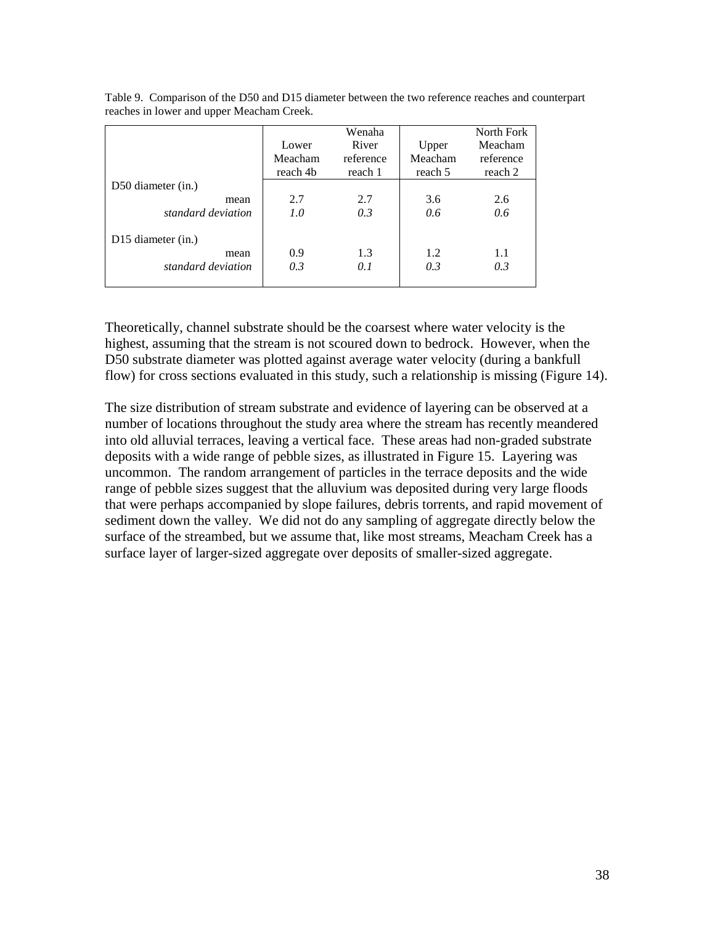|                                | Lower<br>Meacham | Wenaha<br>River<br>reference | Upper<br>Meacham | North Fork<br>Meacham<br>reference |
|--------------------------------|------------------|------------------------------|------------------|------------------------------------|
|                                | reach 4b         | reach 1                      | reach 5          | reach 2                            |
| D50 diameter (in.)             |                  |                              |                  |                                    |
| mean                           | 2.7              | 2.7                          | 3.6              | 2.6                                |
| standard deviation             | 1.0              | 0.3                          | 0.6              | 0.6                                |
| D <sub>15</sub> diameter (in.) |                  |                              |                  |                                    |
| mean                           | 0.9              | 1.3                          | 1.2              | 1.1                                |
| standard deviation             | 0.3              | 0.1                          | 0.3              | 0.3                                |

Table 9. Comparison of the D50 and D15 diameter between the two reference reaches and counterpart reaches in lower and upper Meacham Creek.

Theoretically, channel substrate should be the coarsest where water velocity is the highest, assuming that the stream is not scoured down to bedrock. However, when the D50 substrate diameter was plotted against average water velocity (during a bankfull flow) for cross sections evaluated in this study, such a relationship is missing (Figure 14).

The size distribution of stream substrate and evidence of layering can be observed at a number of locations throughout the study area where the stream has recently meandered into old alluvial terraces, leaving a vertical face. These areas had non-graded substrate deposits with a wide range of pebble sizes, as illustrated in Figure 15. Layering was uncommon. The random arrangement of particles in the terrace deposits and the wide range of pebble sizes suggest that the alluvium was deposited during very large floods that were perhaps accompanied by slope failures, debris torrents, and rapid movement of sediment down the valley. We did not do any sampling of aggregate directly below the surface of the streambed, but we assume that, like most streams, Meacham Creek has a surface layer of larger-sized aggregate over deposits of smaller-sized aggregate.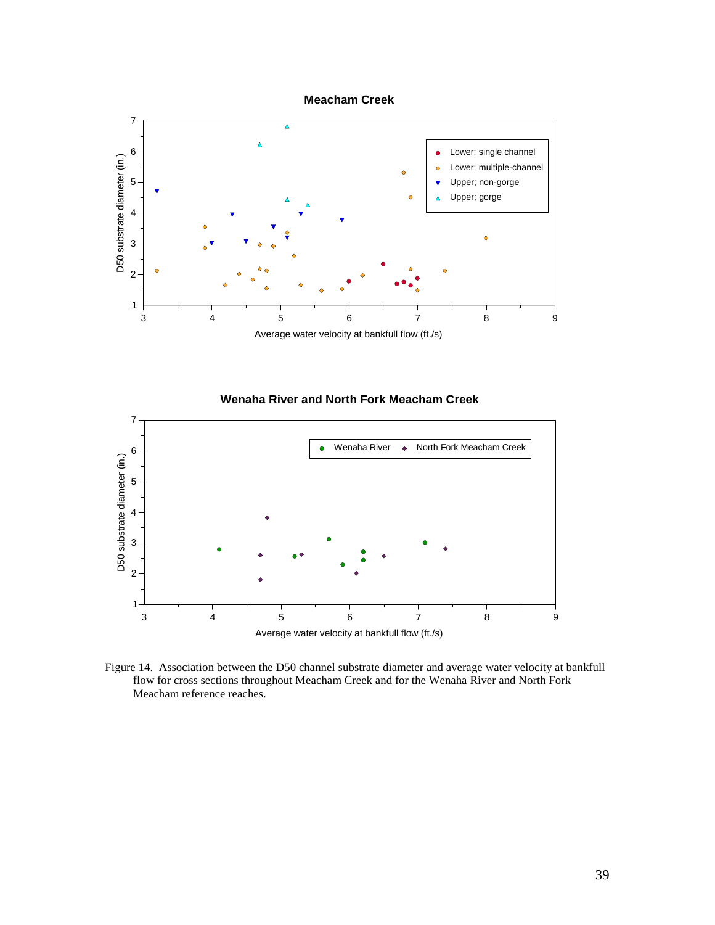

#### **Wenaha River and North Fork Meacham Creek**



Figure 14. Association between the D50 channel substrate diameter and average water velocity at bankfull flow for cross sections throughout Meacham Creek and for the Wenaha River and North Fork Meacham reference reaches.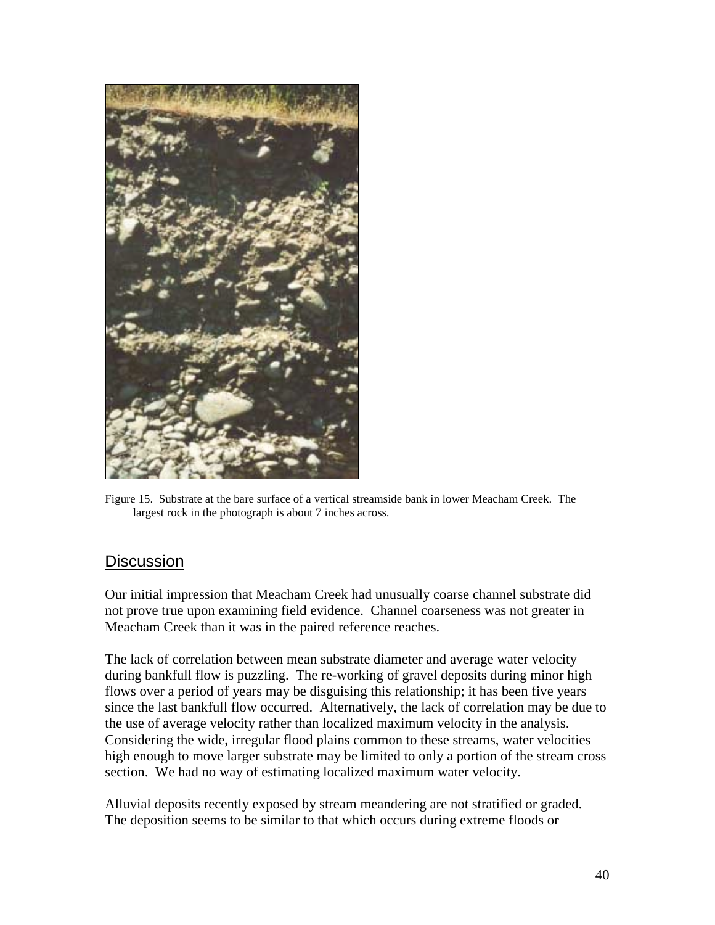

Figure 15. Substrate at the bare surface of a vertical streamside bank in lower Meacham Creek. The largest rock in the photograph is about 7 inches across.

## **Discussion**

Our initial impression that Meacham Creek had unusually coarse channel substrate did not prove true upon examining field evidence. Channel coarseness was not greater in Meacham Creek than it was in the paired reference reaches.

The lack of correlation between mean substrate diameter and average water velocity during bankfull flow is puzzling. The re-working of gravel deposits during minor high flows over a period of years may be disguising this relationship; it has been five years since the last bankfull flow occurred. Alternatively, the lack of correlation may be due to the use of average velocity rather than localized maximum velocity in the analysis. Considering the wide, irregular flood plains common to these streams, water velocities high enough to move larger substrate may be limited to only a portion of the stream cross section. We had no way of estimating localized maximum water velocity.

Alluvial deposits recently exposed by stream meandering are not stratified or graded. The deposition seems to be similar to that which occurs during extreme floods or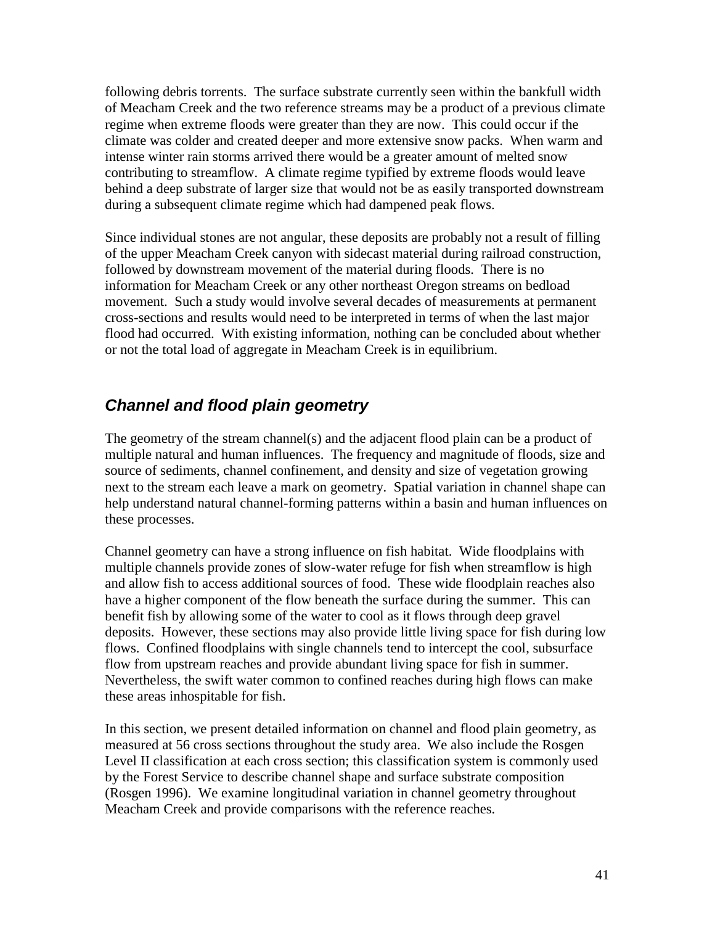following debris torrents. The surface substrate currently seen within the bankfull width of Meacham Creek and the two reference streams may be a product of a previous climate regime when extreme floods were greater than they are now. This could occur if the climate was colder and created deeper and more extensive snow packs. When warm and intense winter rain storms arrived there would be a greater amount of melted snow contributing to streamflow. A climate regime typified by extreme floods would leave behind a deep substrate of larger size that would not be as easily transported downstream during a subsequent climate regime which had dampened peak flows.

Since individual stones are not angular, these deposits are probably not a result of filling of the upper Meacham Creek canyon with sidecast material during railroad construction, followed by downstream movement of the material during floods. There is no information for Meacham Creek or any other northeast Oregon streams on bedload movement. Such a study would involve several decades of measurements at permanent cross-sections and results would need to be interpreted in terms of when the last major flood had occurred. With existing information, nothing can be concluded about whether or not the total load of aggregate in Meacham Creek is in equilibrium.

# *Channel and flood plain geometry*

The geometry of the stream channel(s) and the adjacent flood plain can be a product of multiple natural and human influences. The frequency and magnitude of floods, size and source of sediments, channel confinement, and density and size of vegetation growing next to the stream each leave a mark on geometry. Spatial variation in channel shape can help understand natural channel-forming patterns within a basin and human influences on these processes.

Channel geometry can have a strong influence on fish habitat. Wide floodplains with multiple channels provide zones of slow-water refuge for fish when streamflow is high and allow fish to access additional sources of food. These wide floodplain reaches also have a higher component of the flow beneath the surface during the summer. This can benefit fish by allowing some of the water to cool as it flows through deep gravel deposits. However, these sections may also provide little living space for fish during low flows. Confined floodplains with single channels tend to intercept the cool, subsurface flow from upstream reaches and provide abundant living space for fish in summer. Nevertheless, the swift water common to confined reaches during high flows can make these areas inhospitable for fish.

In this section, we present detailed information on channel and flood plain geometry, as measured at 56 cross sections throughout the study area. We also include the Rosgen Level II classification at each cross section; this classification system is commonly used by the Forest Service to describe channel shape and surface substrate composition (Rosgen 1996). We examine longitudinal variation in channel geometry throughout Meacham Creek and provide comparisons with the reference reaches.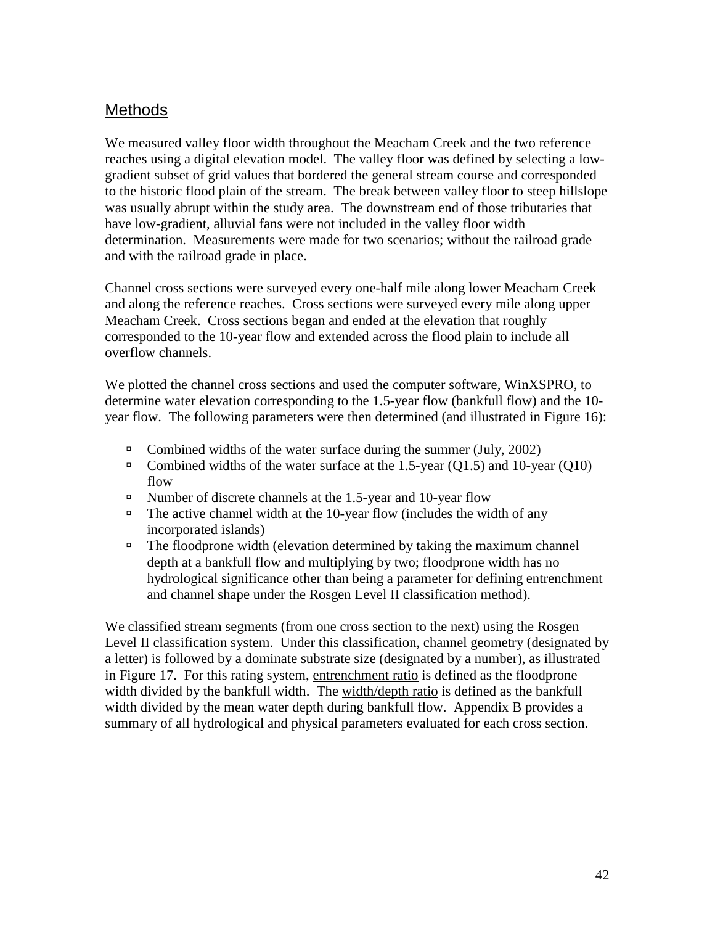## **Methods**

We measured valley floor width throughout the Meacham Creek and the two reference reaches using a digital elevation model. The valley floor was defined by selecting a lowgradient subset of grid values that bordered the general stream course and corresponded to the historic flood plain of the stream. The break between valley floor to steep hillslope was usually abrupt within the study area. The downstream end of those tributaries that have low-gradient, alluvial fans were not included in the valley floor width determination. Measurements were made for two scenarios; without the railroad grade and with the railroad grade in place.

Channel cross sections were surveyed every one-half mile along lower Meacham Creek and along the reference reaches. Cross sections were surveyed every mile along upper Meacham Creek. Cross sections began and ended at the elevation that roughly corresponded to the 10-year flow and extended across the flood plain to include all overflow channels.

We plotted the channel cross sections and used the computer software, WinXSPRO, to determine water elevation corresponding to the 1.5-year flow (bankfull flow) and the 10 year flow. The following parameters were then determined (and illustrated in Figure 16):

- <sup>In</sup> Combined widths of the water surface during the summer (July, 2002)
- $\Box$  Combined widths of the water surface at the 1.5-year (Q1.5) and 10-year (Q10) flow
- <sup>In</sup> Number of discrete channels at the 1.5-year and 10-year flow
- $\Box$  The active channel width at the 10-year flow (includes the width of any incorporated islands)
- <sup>I</sup> The floodprone width (elevation determined by taking the maximum channel depth at a bankfull flow and multiplying by two; floodprone width has no hydrological significance other than being a parameter for defining entrenchment and channel shape under the Rosgen Level II classification method).

We classified stream segments (from one cross section to the next) using the Rosgen Level II classification system. Under this classification, channel geometry (designated by a letter) is followed by a dominate substrate size (designated by a number), as illustrated in Figure 17. For this rating system, entrenchment ratio is defined as the floodprone width divided by the bankfull width. The width/depth ratio is defined as the bankfull width divided by the mean water depth during bankfull flow. Appendix B provides a summary of all hydrological and physical parameters evaluated for each cross section.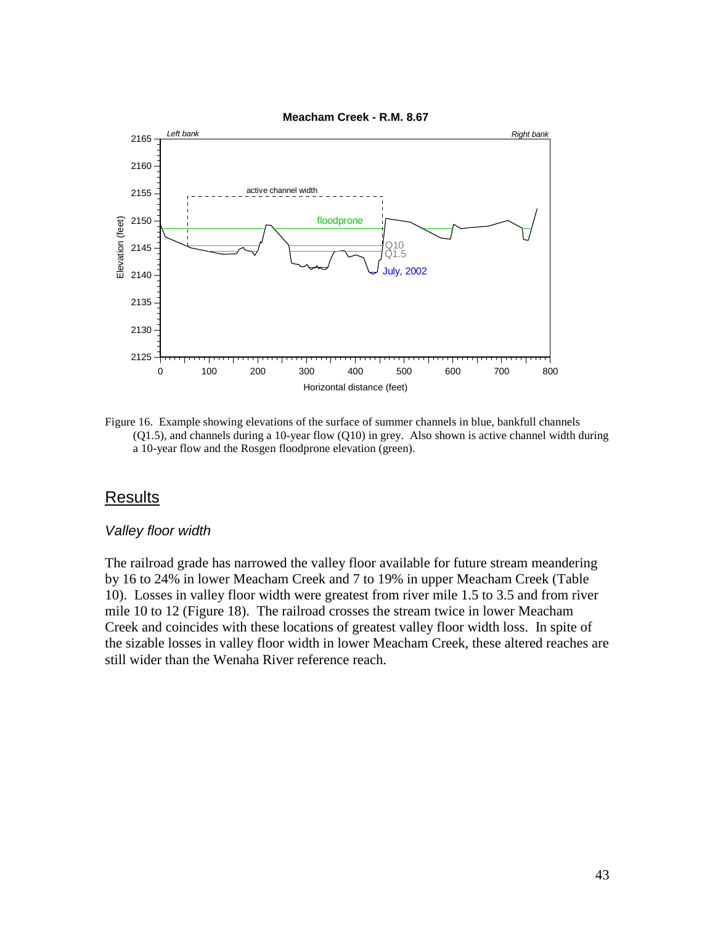

Figure 16. Example showing elevations of the surface of summer channels in blue, bankfull channels (Q1.5), and channels during a 10-year flow (Q10) in grey. Also shown is active channel width during a 10-year flow and the Rosgen floodprone elevation (green).

#### **Results**

#### *Valley floor width*

The railroad grade has narrowed the valley floor available for future stream meandering by 16 to 24% in lower Meacham Creek and 7 to 19% in upper Meacham Creek (Table 10). Losses in valley floor width were greatest from river mile 1.5 to 3.5 and from river mile 10 to 12 (Figure 18). The railroad crosses the stream twice in lower Meacham Creek and coincides with these locations of greatest valley floor width loss. In spite of the sizable losses in valley floor width in lower Meacham Creek, these altered reaches are still wider than the Wenaha River reference reach.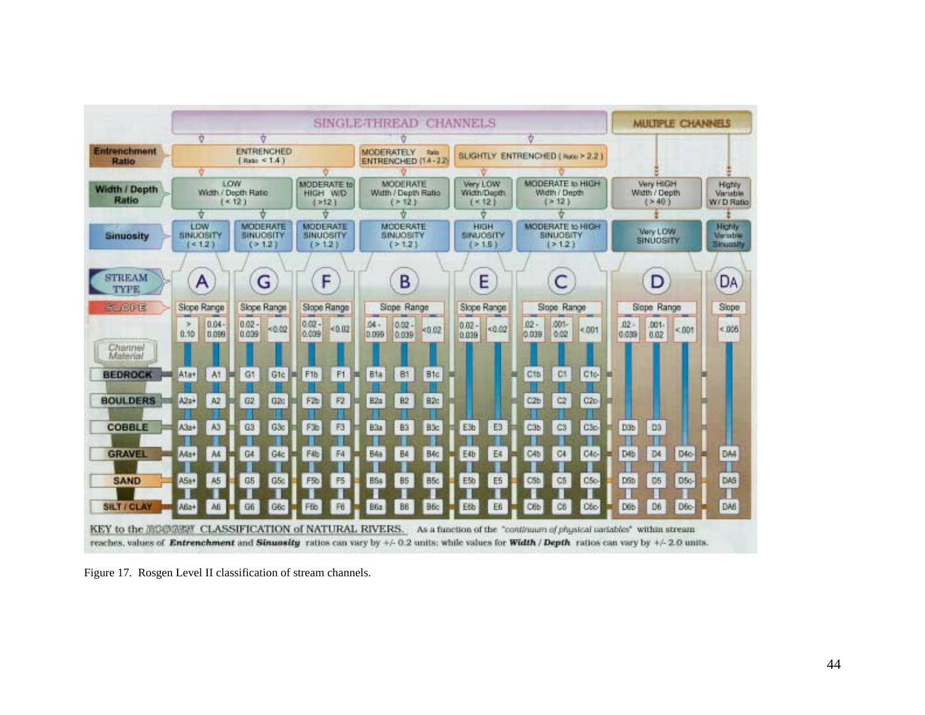

Figure 17. Rosgen Level II classification of stream channels.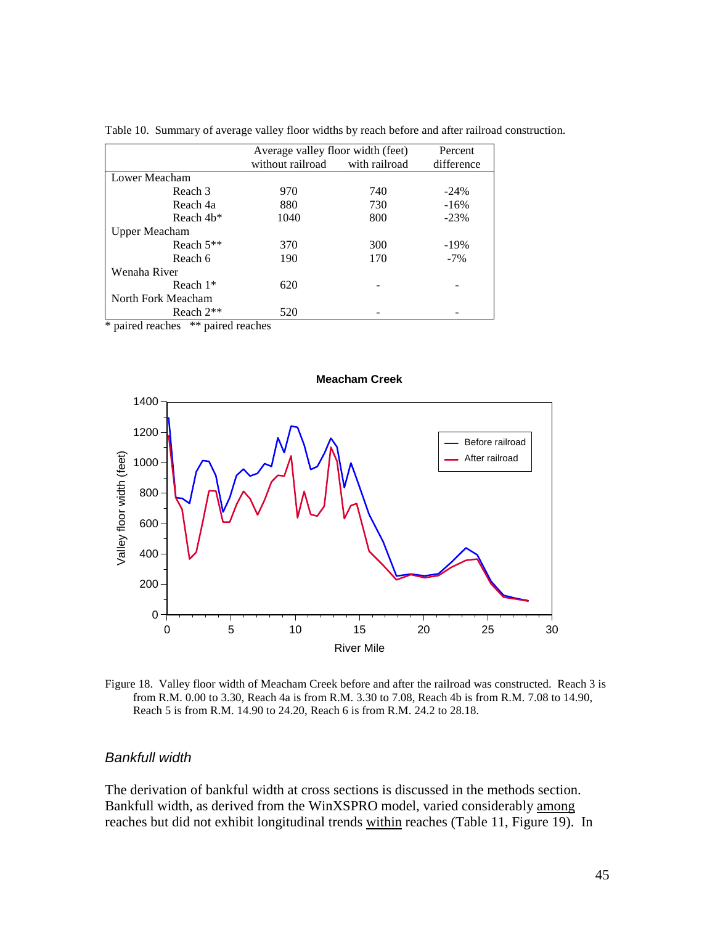|                    | Average valley floor width (feet) |               | Percent    |
|--------------------|-----------------------------------|---------------|------------|
|                    | without railroad                  | with railroad | difference |
| Lower Meacham      |                                   |               |            |
| Reach 3            | 970                               | 740           | $-24\%$    |
| Reach 4a           | 880                               | 730           | $-16%$     |
| Reach 4b*          | 1040                              | 800           | $-23%$     |
| Upper Meacham      |                                   |               |            |
| Reach $5**$        | 370                               | 300           | $-19%$     |
| Reach 6            | 190                               | 170           | $-7\%$     |
| Wenaha River       |                                   |               |            |
| Reach $1*$         | 620                               |               |            |
| North Fork Meacham |                                   |               |            |
| Reach $2**$        | 520                               |               |            |

Table 10. Summary of average valley floor widths by reach before and after railroad construction.

\* paired reaches \*\* paired reaches



Figure 18. Valley floor width of Meacham Creek before and after the railroad was constructed. Reach 3 is from R.M. 0.00 to 3.30, Reach 4a is from R.M. 3.30 to 7.08, Reach 4b is from R.M. 7.08 to 14.90,

Reach 5 is from R.M. 14.90 to 24.20, Reach 6 is from R.M. 24.2 to 28.18.

#### *Bankfull width*

The derivation of bankful width at cross sections is discussed in the methods section. Bankfull width, as derived from the WinXSPRO model, varied considerably among reaches but did not exhibit longitudinal trends within reaches (Table 11, Figure 19). In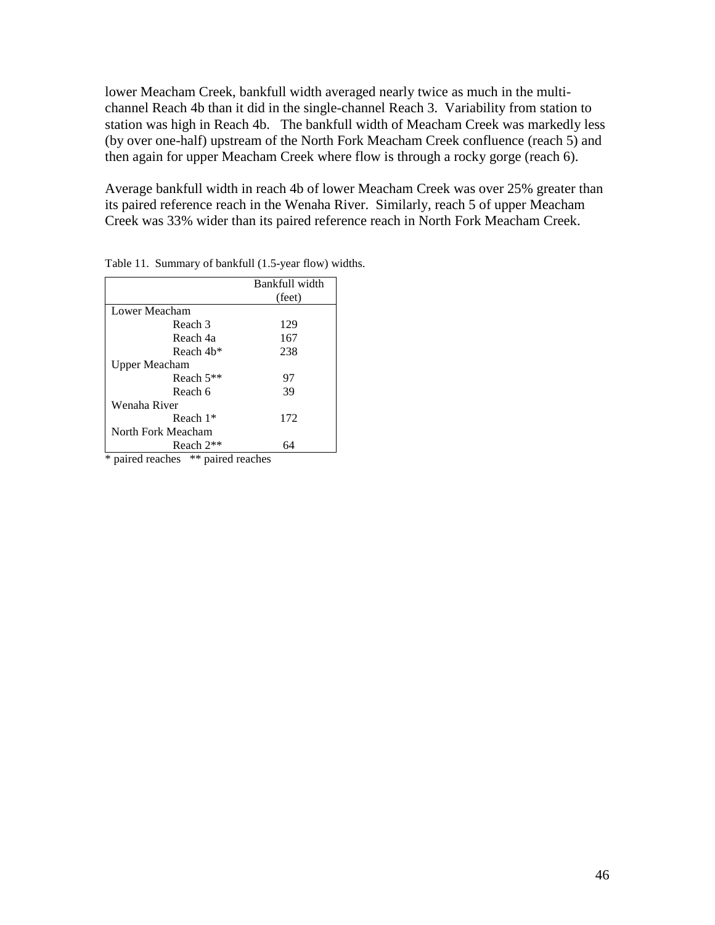lower Meacham Creek, bankfull width averaged nearly twice as much in the multichannel Reach 4b than it did in the single-channel Reach 3. Variability from station to station was high in Reach 4b. The bankfull width of Meacham Creek was markedly less (by over one-half) upstream of the North Fork Meacham Creek confluence (reach 5) and then again for upper Meacham Creek where flow is through a rocky gorge (reach 6).

Average bankfull width in reach 4b of lower Meacham Creek was over 25% greater than its paired reference reach in the Wenaha River. Similarly, reach 5 of upper Meacham Creek was 33% wider than its paired reference reach in North Fork Meacham Creek.

|                        | Bankfull width |
|------------------------|----------------|
|                        | (feet)         |
| Lower Meacham          |                |
| Reach 3                | 129            |
| Reach 4a               | 167            |
| Reach 4 <sub>b</sub> * | 238            |
| Upper Meacham          |                |
| Reach $5**$            | 97             |
| Reach 6                | 39             |
| Wenaha River           |                |
| Reach $1*$             | 172            |
| North Fork Meacham     |                |
| Reach 2 <sup>**</sup>  | 64             |

Table 11. Summary of bankfull (1.5-year flow) widths.

\* paired reaches \*\* paired reaches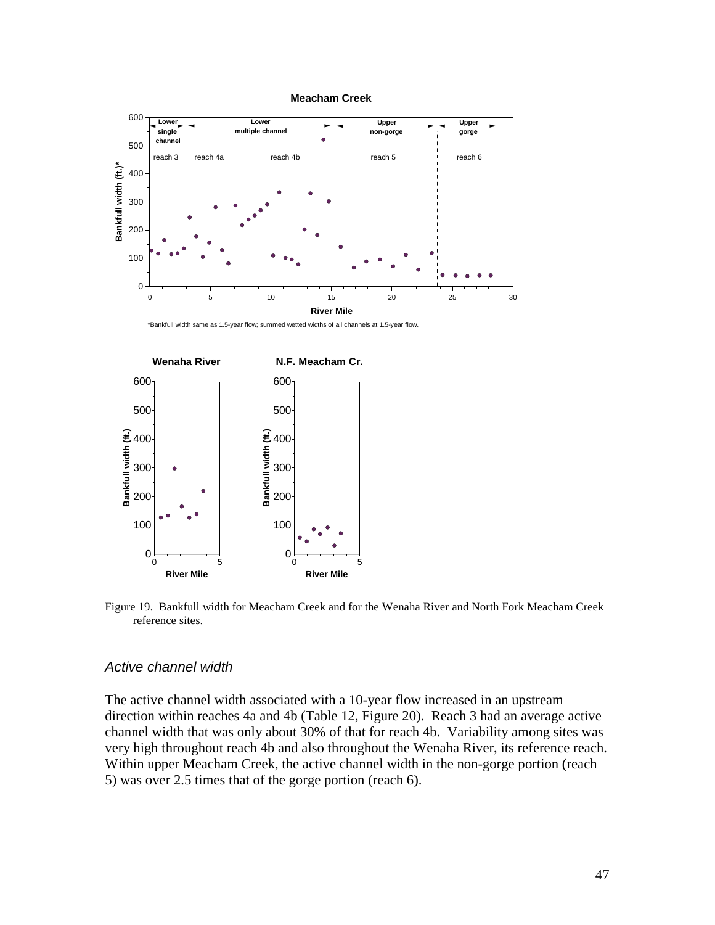

\*Bankfull width same as 1.5-year flow; summed wetted widths of all channels at 1.5-year flow.



Figure 19. Bankfull width for Meacham Creek and for the Wenaha River and North Fork Meacham Creek reference sites.

#### *Active channel width*

The active channel width associated with a 10-year flow increased in an upstream direction within reaches 4a and 4b (Table 12, Figure 20). Reach 3 had an average active channel width that was only about 30% of that for reach 4b. Variability among sites was very high throughout reach 4b and also throughout the Wenaha River, its reference reach. Within upper Meacham Creek, the active channel width in the non-gorge portion (reach 5) was over 2.5 times that of the gorge portion (reach 6).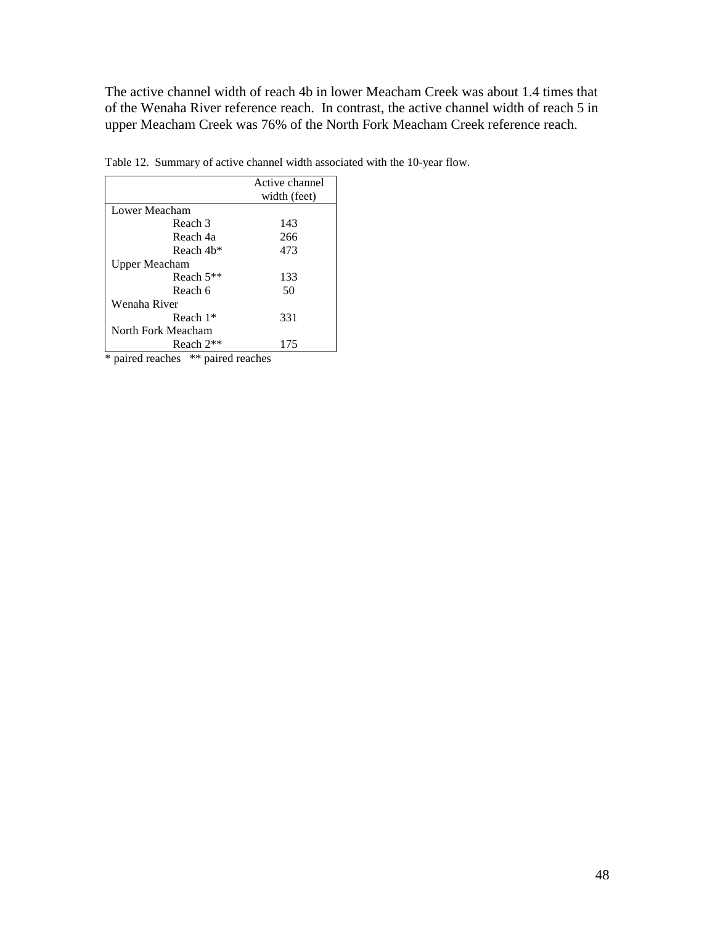The active channel width of reach 4b in lower Meacham Creek was about 1.4 times that of the Wenaha River reference reach. In contrast, the active channel width of reach 5 in upper Meacham Creek was 76% of the North Fork Meacham Creek reference reach.

| width (feet)<br>143 |
|---------------------|
|                     |
|                     |
|                     |
| 266                 |
| 473                 |
|                     |
| 133                 |
| 50                  |
|                     |
| 331                 |
|                     |
| 175                 |
|                     |

Table 12. Summary of active channel width associated with the 10-year flow.

\* paired reaches \*\* paired reaches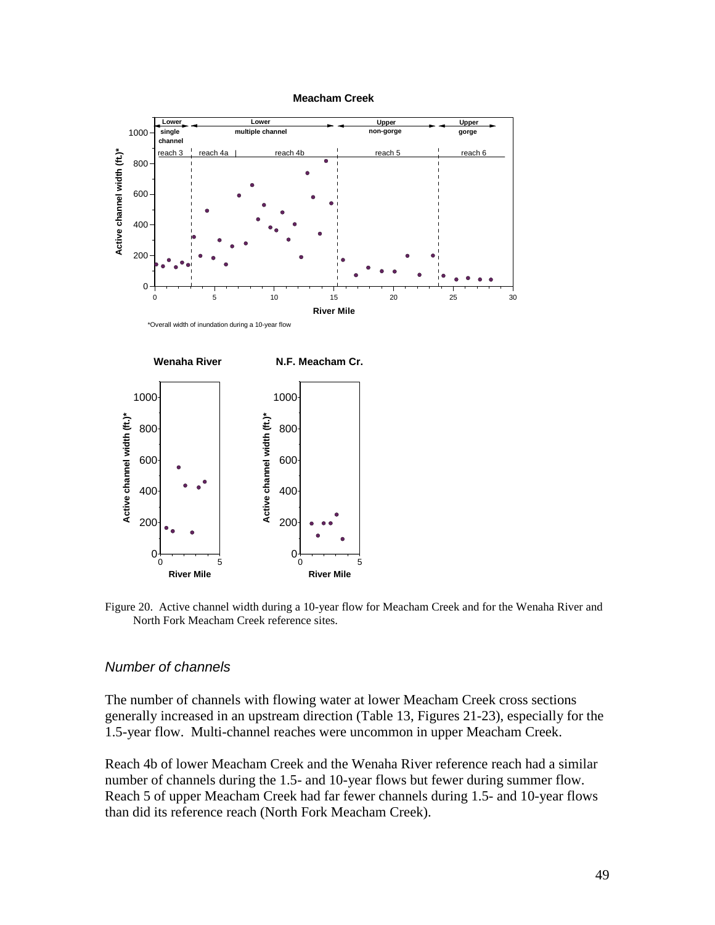

Figure 20. Active channel width during a 10-year flow for Meacham Creek and for the Wenaha River and North Fork Meacham Creek reference sites.

#### *Number of channels*

The number of channels with flowing water at lower Meacham Creek cross sections generally increased in an upstream direction (Table 13, Figures 21-23), especially for the 1.5-year flow. Multi-channel reaches were uncommon in upper Meacham Creek.

Reach 4b of lower Meacham Creek and the Wenaha River reference reach had a similar number of channels during the 1.5- and 10-year flows but fewer during summer flow. Reach 5 of upper Meacham Creek had far fewer channels during 1.5- and 10-year flows than did its reference reach (North Fork Meacham Creek).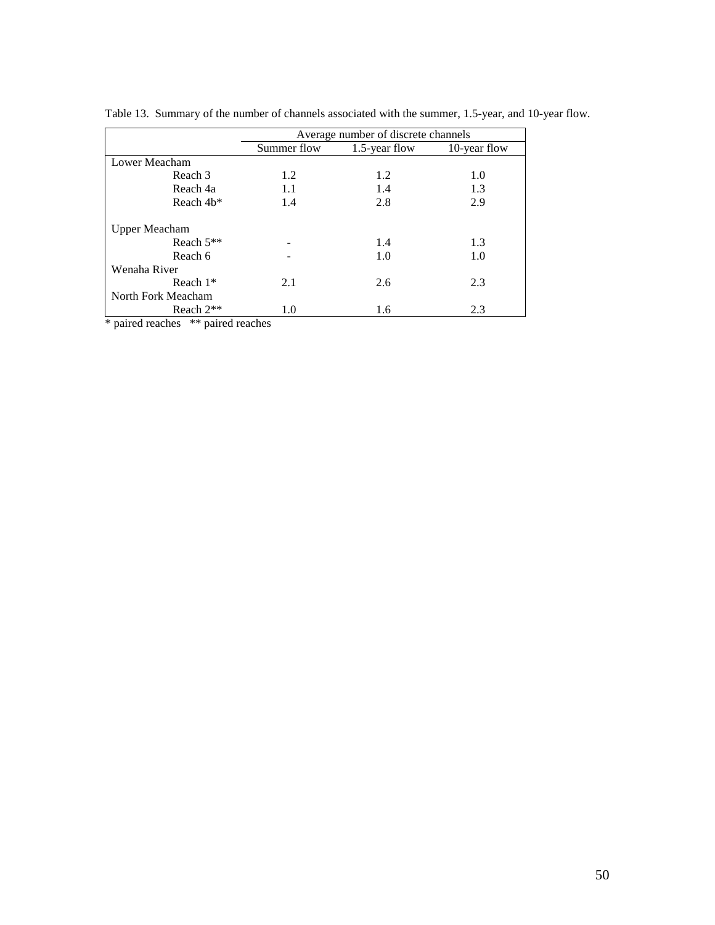|                      | Average number of discrete channels |               |              |  |  |  |  |  |
|----------------------|-------------------------------------|---------------|--------------|--|--|--|--|--|
|                      | Summer flow                         | 1.5-year flow | 10-year flow |  |  |  |  |  |
| Lower Meacham        |                                     |               |              |  |  |  |  |  |
| Reach 3              | 1.2                                 | 1.2           | 1.0          |  |  |  |  |  |
| Reach 4a             | 1.1                                 | 1.4           | 1.3          |  |  |  |  |  |
| Reach 4b*            | 1.4                                 | 2.8           | 2.9          |  |  |  |  |  |
| <b>Upper Meacham</b> |                                     |               |              |  |  |  |  |  |
| Reach $5**$          |                                     | 1.4           | 1.3          |  |  |  |  |  |
| Reach 6              |                                     | 1.0           | 1.0          |  |  |  |  |  |
| Wenaha River         |                                     |               |              |  |  |  |  |  |
| Reach $1*$           | 2.1                                 | 2.6           | 2.3          |  |  |  |  |  |
| North Fork Meacham   |                                     |               |              |  |  |  |  |  |
| Reach $2**$          | 1.0                                 | 1.6           | 2.3          |  |  |  |  |  |

Table 13. Summary of the number of channels associated with the summer, 1.5-year, and 10-year flow.

\* paired reaches \*\* paired reaches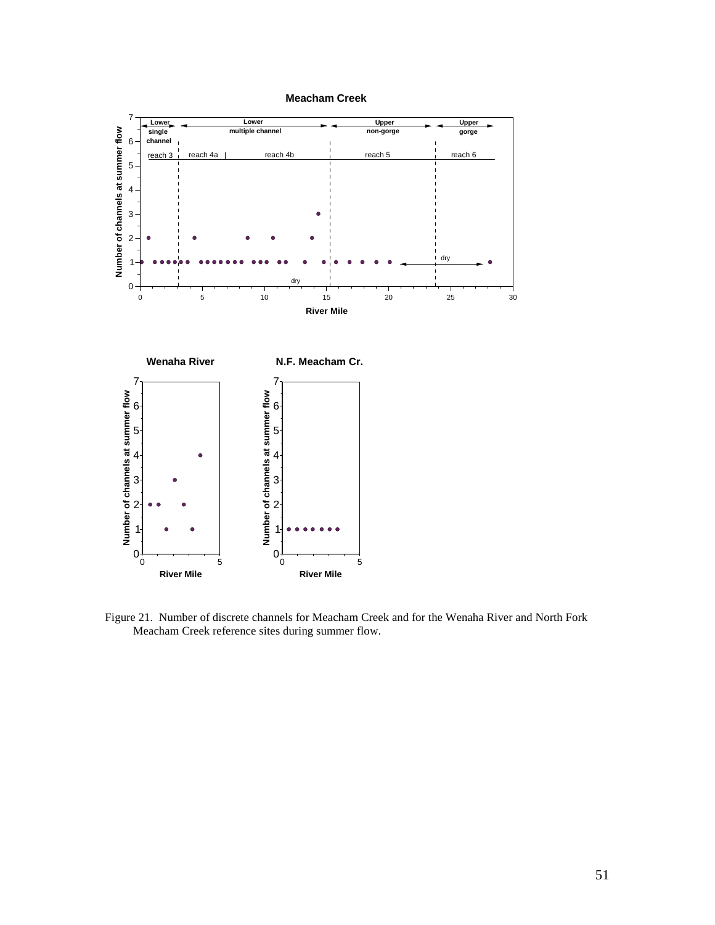



Figure 21. Number of discrete channels for Meacham Creek and for the Wenaha River and North Fork Meacham Creek reference sites during summer flow.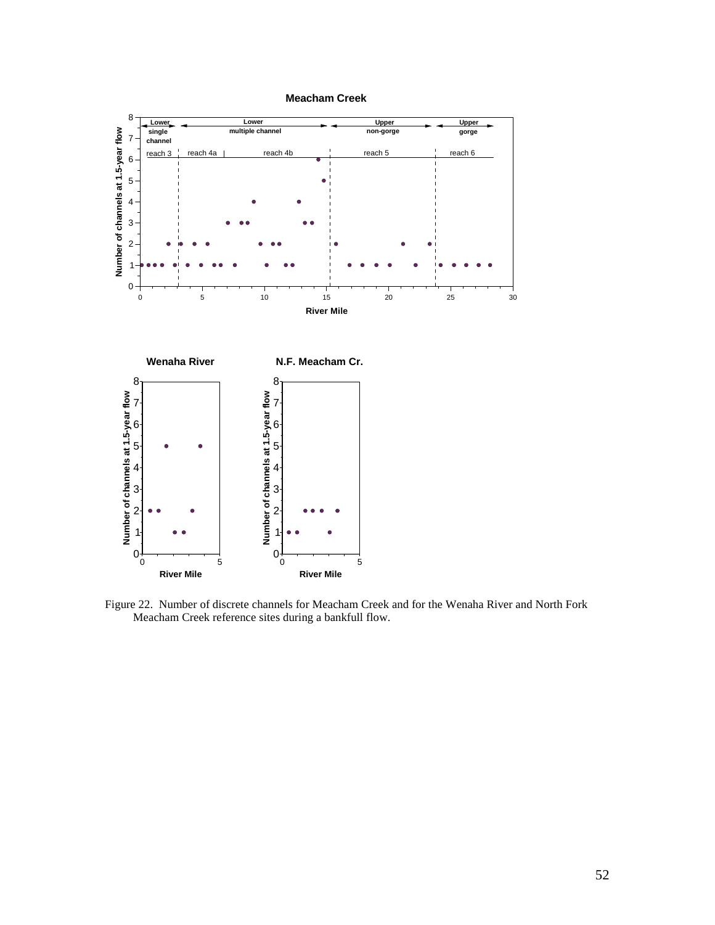

Figure 22. Number of discrete channels for Meacham Creek and for the Wenaha River and North Fork Meacham Creek reference sites during a bankfull flow.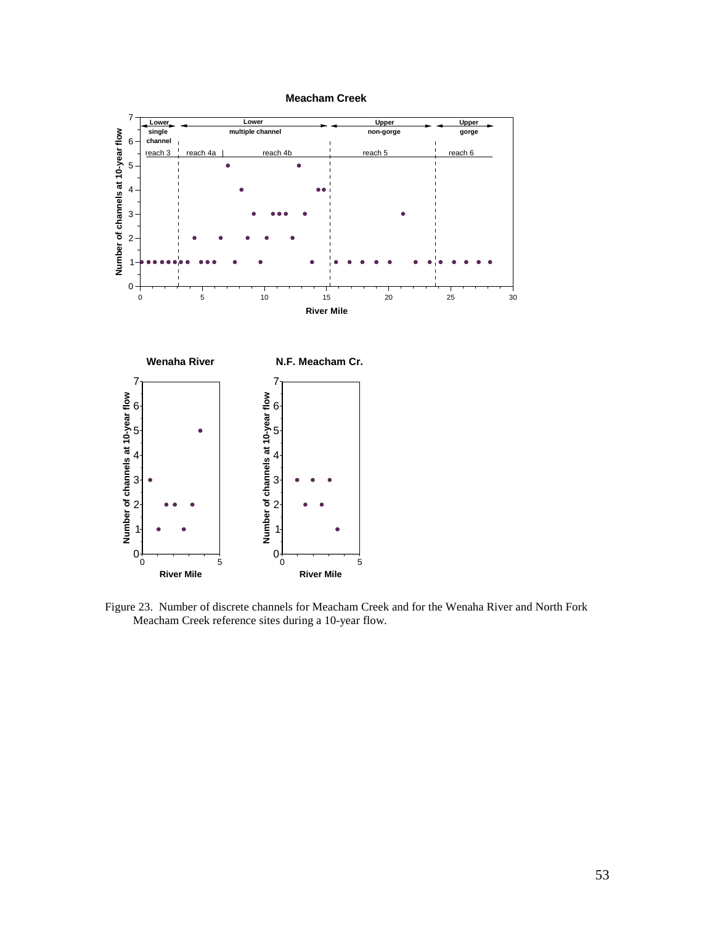

Figure 23. Number of discrete channels for Meacham Creek and for the Wenaha River and North Fork Meacham Creek reference sites during a 10-year flow.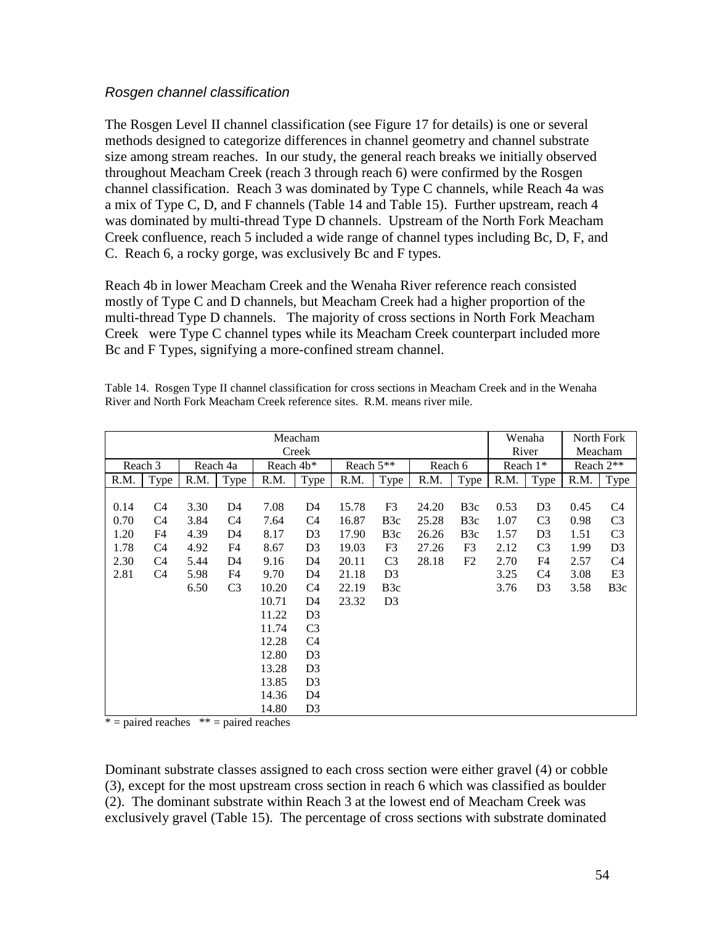#### *Rosgen channel classification*

The Rosgen Level II channel classification (see Figure 17 for details) is one or several methods designed to categorize differences in channel geometry and channel substrate size among stream reaches. In our study, the general reach breaks we initially observed throughout Meacham Creek (reach 3 through reach 6) were confirmed by the Rosgen channel classification. Reach 3 was dominated by Type C channels, while Reach 4a was a mix of Type C, D, and F channels (Table 14 and Table 15). Further upstream, reach 4 was dominated by multi-thread Type D channels. Upstream of the North Fork Meacham Creek confluence, reach 5 included a wide range of channel types including Bc, D, F, and C. Reach 6, a rocky gorge, was exclusively Bc and F types.

Reach 4b in lower Meacham Creek and the Wenaha River reference reach consisted mostly of Type C and D channels, but Meacham Creek had a higher proportion of the multi-thread Type D channels. The majority of cross sections in North Fork Meacham Creek were Type C channel types while its Meacham Creek counterpart included more Bc and F Types, signifying a more-confined stream channel.

| Meacham<br>Creek |                |      |                |                       |                |           |                  |         |                  | Wenaha<br>River |                | North Fork<br>Meacham |                  |
|------------------|----------------|------|----------------|-----------------------|----------------|-----------|------------------|---------|------------------|-----------------|----------------|-----------------------|------------------|
|                  | Reach 3        |      | Reach 4a       | Reach 4b <sup>*</sup> |                | Reach 5** |                  | Reach 6 |                  | Reach $1*$      |                | Reach $2**$           |                  |
| R.M.             | Type           | R.M. | Type           | R.M.                  | Type           | R.M.      | Type             | R.M.    | Type             | R.M.            | <b>Type</b>    | R.M.                  | <b>Type</b>      |
|                  |                |      |                |                       |                |           |                  |         |                  |                 |                |                       |                  |
| 0.14             | C4             | 3.30 | D4             | 7.08                  | D <sub>4</sub> | 15.78     | F3               | 24.20   | B <sub>3</sub> c | 0.53            | D <sub>3</sub> | 0.45                  | C <sub>4</sub>   |
| 0.70             | C4             | 3.84 | C <sub>4</sub> | 7.64                  | C <sub>4</sub> | 16.87     | B <sub>3c</sub>  | 25.28   | B <sub>3c</sub>  | 1.07            | C <sub>3</sub> | 0.98                  | C <sub>3</sub>   |
| 1.20             | F4             | 4.39 | D4             | 8.17                  | D <sub>3</sub> | 17.90     | B <sub>3</sub> c | 26.26   | B <sub>3</sub> c | 1.57            | D <sub>3</sub> | 1.51                  | C <sub>3</sub>   |
| 1.78             | C4             | 4.92 | F4             | 8.67                  | D <sub>3</sub> | 19.03     | F3               | 27.26   | F <sub>3</sub>   | 2.12            | C <sub>3</sub> | 1.99                  | D <sub>3</sub>   |
| 2.30             | C <sub>4</sub> | 5.44 | D <sub>4</sub> | 9.16                  | D <sub>4</sub> | 20.11     | C <sub>3</sub>   | 28.18   | F <sub>2</sub>   | 2.70            | F <sub>4</sub> | 2.57                  | C <sub>4</sub>   |
| 2.81             | C <sub>4</sub> | 5.98 | F4             | 9.70                  | D4             | 21.18     | D <sub>3</sub>   |         |                  | 3.25            | C4             | 3.08                  | E <sub>3</sub>   |
|                  |                | 6.50 | C <sub>3</sub> | 10.20                 | C <sub>4</sub> | 22.19     | B <sub>3</sub> c |         |                  | 3.76            | D <sub>3</sub> | 3.58                  | B <sub>3</sub> c |
|                  |                |      |                | 10.71                 | D4             | 23.32     | D <sub>3</sub>   |         |                  |                 |                |                       |                  |
|                  |                |      |                | 11.22                 | D <sub>3</sub> |           |                  |         |                  |                 |                |                       |                  |
|                  |                |      |                | 11.74                 | C <sub>3</sub> |           |                  |         |                  |                 |                |                       |                  |
|                  |                |      |                | 12.28                 | C <sub>4</sub> |           |                  |         |                  |                 |                |                       |                  |
|                  |                |      |                | 12.80                 | D <sub>3</sub> |           |                  |         |                  |                 |                |                       |                  |
|                  |                |      |                | 13.28                 | D <sub>3</sub> |           |                  |         |                  |                 |                |                       |                  |
|                  |                |      |                | 13.85                 | D <sub>3</sub> |           |                  |         |                  |                 |                |                       |                  |
|                  |                |      |                | 14.36                 | D4             |           |                  |         |                  |                 |                |                       |                  |
|                  |                |      |                | 14.80                 | D <sub>3</sub> |           |                  |         |                  |                 |                |                       |                  |

Table 14. Rosgen Type II channel classification for cross sections in Meacham Creek and in the Wenaha River and North Fork Meacham Creek reference sites. R.M. means river mile.

 $* =$  paired reaches  $* =$  paired reaches

Dominant substrate classes assigned to each cross section were either gravel (4) or cobble (3), except for the most upstream cross section in reach 6 which was classified as boulder (2). The dominant substrate within Reach 3 at the lowest end of Meacham Creek was exclusively gravel (Table 15). The percentage of cross sections with substrate dominated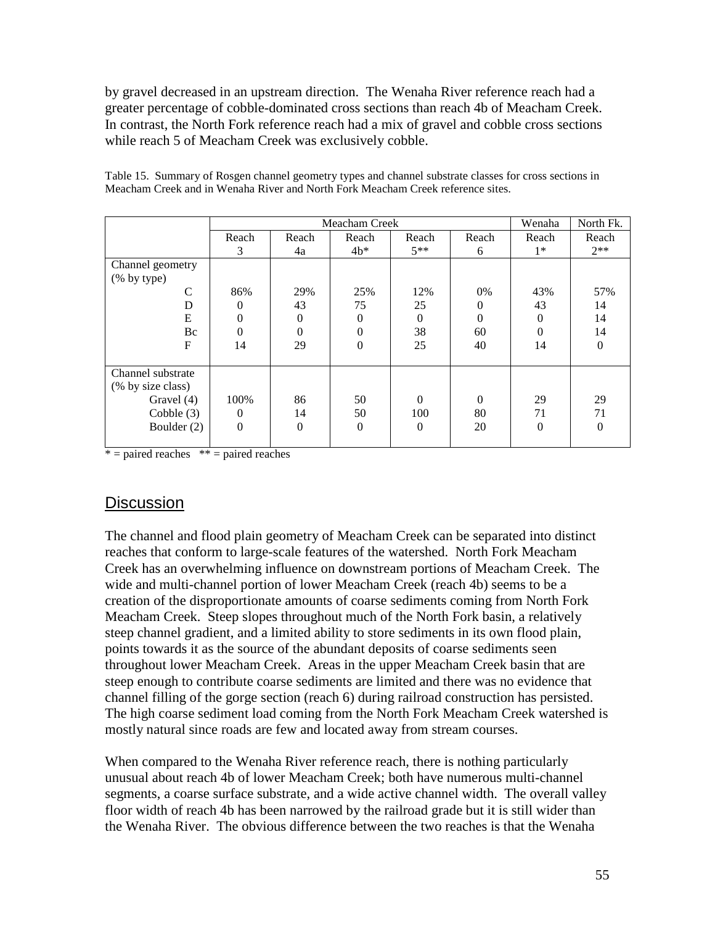by gravel decreased in an upstream direction. The Wenaha River reference reach had a greater percentage of cobble-dominated cross sections than reach 4b of Meacham Creek. In contrast, the North Fork reference reach had a mix of gravel and cobble cross sections while reach 5 of Meacham Creek was exclusively cobble.

|                   |          |          | Meacham Creek  |          |          | Wenaha   | North Fk. |
|-------------------|----------|----------|----------------|----------|----------|----------|-----------|
|                   | Reach    | Reach    | Reach          | Reach    | Reach    | Reach    | Reach     |
|                   | 3        | 4a       | $4b*$          | $5**$    | 6        | $1*$     | $2**$     |
| Channel geometry  |          |          |                |          |          |          |           |
| (% by type)       |          |          |                |          |          |          |           |
| C                 | 86%      | 29%      | 25%            | 12%      | 0%       | 43%      | 57%       |
| D                 | 0        | 43       | 75             | 25       | $\Omega$ | 43       | 14        |
| E                 | $\theta$ | $\Omega$ | $\theta$       | $\Omega$ | $\Omega$ | $\Omega$ | 14        |
| Bc                | 0        | $\theta$ | 0              | 38       | 60       | $\Omega$ | 14        |
| F                 | 14       | 29       | $\theta$       | 25       | 40       | 14       | $\Omega$  |
|                   |          |          |                |          |          |          |           |
| Channel substrate |          |          |                |          |          |          |           |
| (% by size class) |          |          |                |          |          |          |           |
| Gravel (4)        | 100%     | 86       | 50             | $\Omega$ | $\Omega$ | 29       | 29        |
| Cobble $(3)$      | $\Omega$ | 14       | 50             | 100      | 80       | 71       | 71        |
| Boulder (2)       | $\theta$ | $\Omega$ | $\overline{0}$ | $\Omega$ | 20       | $\Omega$ | $\theta$  |
|                   |          |          |                |          |          |          |           |

Table 15. Summary of Rosgen channel geometry types and channel substrate classes for cross sections in Meacham Creek and in Wenaha River and North Fork Meacham Creek reference sites.

 $* =$  paired reaches  $* =$  paired reaches

## **Discussion**

The channel and flood plain geometry of Meacham Creek can be separated into distinct reaches that conform to large-scale features of the watershed. North Fork Meacham Creek has an overwhelming influence on downstream portions of Meacham Creek. The wide and multi-channel portion of lower Meacham Creek (reach 4b) seems to be a creation of the disproportionate amounts of coarse sediments coming from North Fork Meacham Creek. Steep slopes throughout much of the North Fork basin, a relatively steep channel gradient, and a limited ability to store sediments in its own flood plain, points towards it as the source of the abundant deposits of coarse sediments seen throughout lower Meacham Creek. Areas in the upper Meacham Creek basin that are steep enough to contribute coarse sediments are limited and there was no evidence that channel filling of the gorge section (reach 6) during railroad construction has persisted. The high coarse sediment load coming from the North Fork Meacham Creek watershed is mostly natural since roads are few and located away from stream courses.

When compared to the Wenaha River reference reach, there is nothing particularly unusual about reach 4b of lower Meacham Creek; both have numerous multi-channel segments, a coarse surface substrate, and a wide active channel width. The overall valley floor width of reach 4b has been narrowed by the railroad grade but it is still wider than the Wenaha River. The obvious difference between the two reaches is that the Wenaha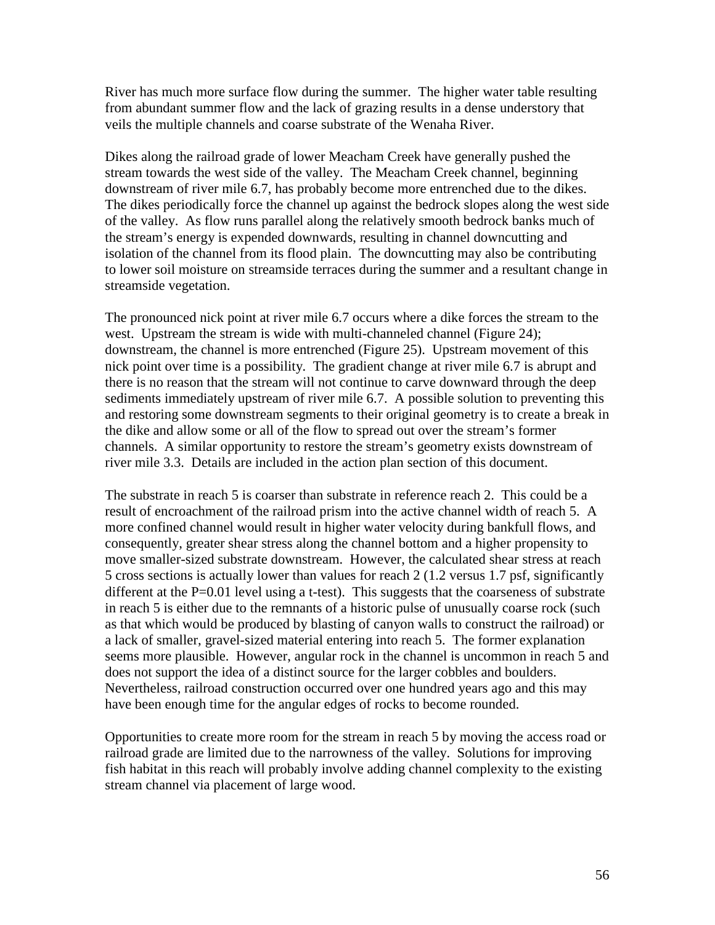River has much more surface flow during the summer. The higher water table resulting from abundant summer flow and the lack of grazing results in a dense understory that veils the multiple channels and coarse substrate of the Wenaha River.

Dikes along the railroad grade of lower Meacham Creek have generally pushed the stream towards the west side of the valley. The Meacham Creek channel, beginning downstream of river mile 6.7, has probably become more entrenched due to the dikes. The dikes periodically force the channel up against the bedrock slopes along the west side of the valley. As flow runs parallel along the relatively smooth bedrock banks much of the stream's energy is expended downwards, resulting in channel downcutting and isolation of the channel from its flood plain. The downcutting may also be contributing to lower soil moisture on streamside terraces during the summer and a resultant change in streamside vegetation.

The pronounced nick point at river mile 6.7 occurs where a dike forces the stream to the west. Upstream the stream is wide with multi-channeled channel (Figure 24); downstream, the channel is more entrenched (Figure 25). Upstream movement of this nick point over time is a possibility. The gradient change at river mile 6.7 is abrupt and there is no reason that the stream will not continue to carve downward through the deep sediments immediately upstream of river mile 6.7. A possible solution to preventing this and restoring some downstream segments to their original geometry is to create a break in the dike and allow some or all of the flow to spread out over the stream's former channels. A similar opportunity to restore the stream's geometry exists downstream of river mile 3.3. Details are included in the action plan section of this document.

The substrate in reach 5 is coarser than substrate in reference reach 2. This could be a result of encroachment of the railroad prism into the active channel width of reach 5. A more confined channel would result in higher water velocity during bankfull flows, and consequently, greater shear stress along the channel bottom and a higher propensity to move smaller-sized substrate downstream. However, the calculated shear stress at reach 5 cross sections is actually lower than values for reach 2 (1.2 versus 1.7 psf, significantly different at the  $P=0.01$  level using a t-test). This suggests that the coarseness of substrate in reach 5 is either due to the remnants of a historic pulse of unusually coarse rock (such as that which would be produced by blasting of canyon walls to construct the railroad) or a lack of smaller, gravel-sized material entering into reach 5. The former explanation seems more plausible. However, angular rock in the channel is uncommon in reach 5 and does not support the idea of a distinct source for the larger cobbles and boulders. Nevertheless, railroad construction occurred over one hundred years ago and this may have been enough time for the angular edges of rocks to become rounded.

Opportunities to create more room for the stream in reach 5 by moving the access road or railroad grade are limited due to the narrowness of the valley. Solutions for improving fish habitat in this reach will probably involve adding channel complexity to the existing stream channel via placement of large wood.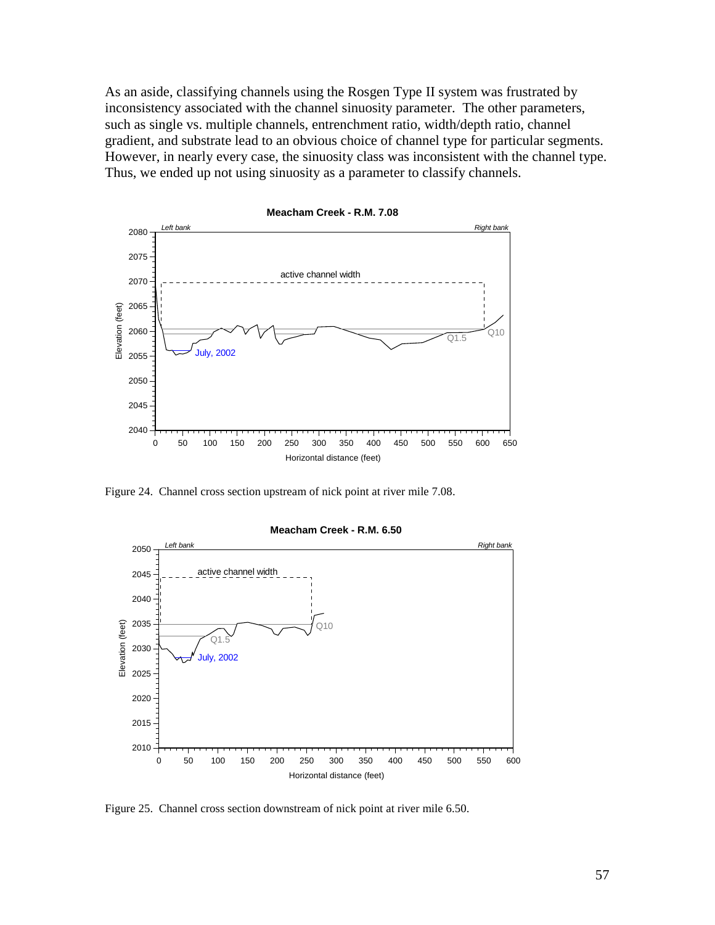As an aside, classifying channels using the Rosgen Type II system was frustrated by inconsistency associated with the channel sinuosity parameter. The other parameters, such as single vs. multiple channels, entrenchment ratio, width/depth ratio, channel gradient, and substrate lead to an obvious choice of channel type for particular segments. However, in nearly every case, the sinuosity class was inconsistent with the channel type. Thus, we ended up not using sinuosity as a parameter to classify channels.



**Meacham Creek - R.M. 7.08**

Figure 24. Channel cross section upstream of nick point at river mile 7.08.



#### **Meacham Creek - R.M. 6.50**

Figure 25. Channel cross section downstream of nick point at river mile 6.50.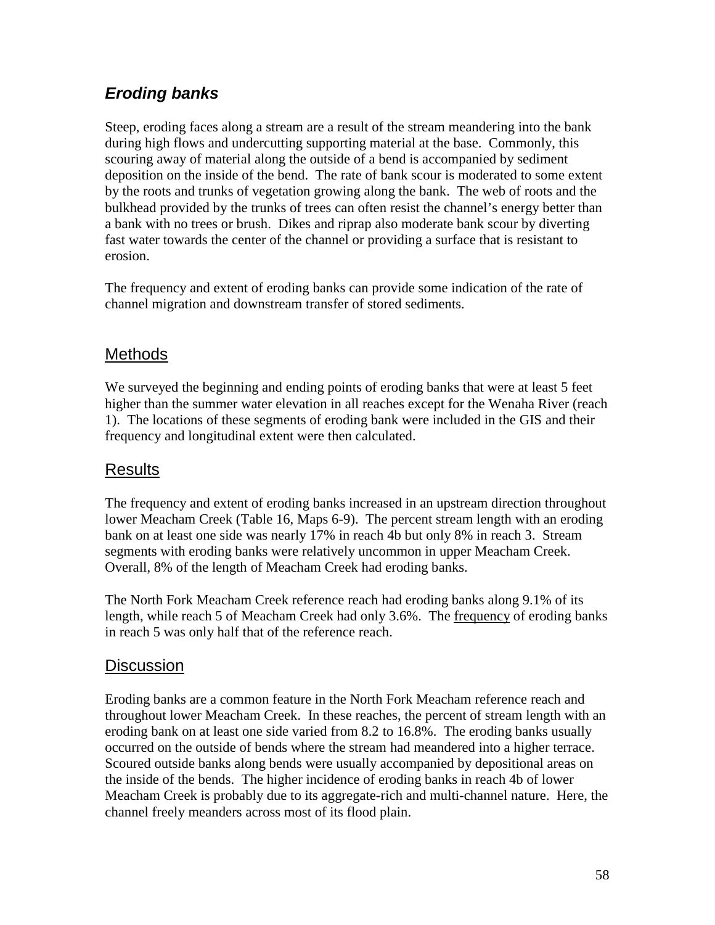# *Eroding banks*

Steep, eroding faces along a stream are a result of the stream meandering into the bank during high flows and undercutting supporting material at the base. Commonly, this scouring away of material along the outside of a bend is accompanied by sediment deposition on the inside of the bend. The rate of bank scour is moderated to some extent by the roots and trunks of vegetation growing along the bank. The web of roots and the bulkhead provided by the trunks of trees can often resist the channel's energy better than a bank with no trees or brush. Dikes and riprap also moderate bank scour by diverting fast water towards the center of the channel or providing a surface that is resistant to erosion.

The frequency and extent of eroding banks can provide some indication of the rate of channel migration and downstream transfer of stored sediments.

# **Methods**

We surveyed the beginning and ending points of eroding banks that were at least 5 feet higher than the summer water elevation in all reaches except for the Wenaha River (reach 1). The locations of these segments of eroding bank were included in the GIS and their frequency and longitudinal extent were then calculated.

# Results

The frequency and extent of eroding banks increased in an upstream direction throughout lower Meacham Creek (Table 16, Maps 6-9). The percent stream length with an eroding bank on at least one side was nearly 17% in reach 4b but only 8% in reach 3. Stream segments with eroding banks were relatively uncommon in upper Meacham Creek. Overall, 8% of the length of Meacham Creek had eroding banks.

The North Fork Meacham Creek reference reach had eroding banks along 9.1% of its length, while reach 5 of Meacham Creek had only 3.6%. The frequency of eroding banks in reach 5 was only half that of the reference reach.

## **Discussion**

Eroding banks are a common feature in the North Fork Meacham reference reach and throughout lower Meacham Creek. In these reaches, the percent of stream length with an eroding bank on at least one side varied from 8.2 to 16.8%. The eroding banks usually occurred on the outside of bends where the stream had meandered into a higher terrace. Scoured outside banks along bends were usually accompanied by depositional areas on the inside of the bends. The higher incidence of eroding banks in reach 4b of lower Meacham Creek is probably due to its aggregate-rich and multi-channel nature. Here, the channel freely meanders across most of its flood plain.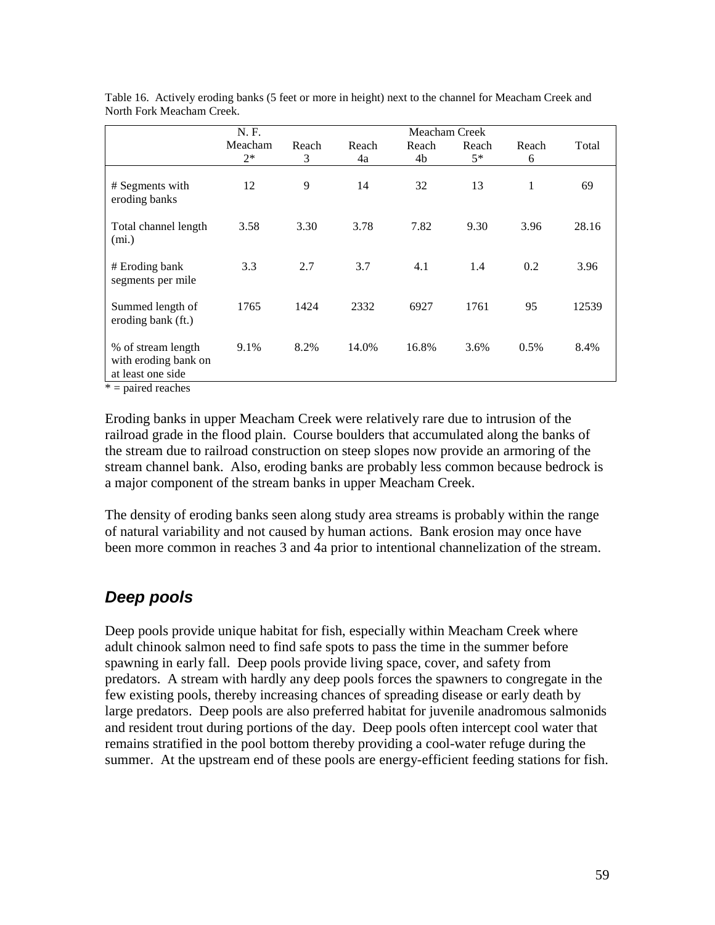|                                                                 | N. F.           |            |             | Meacham Creek |               |            |       |
|-----------------------------------------------------------------|-----------------|------------|-------------|---------------|---------------|------------|-------|
|                                                                 | Meacham<br>$2*$ | Reach<br>3 | Reach<br>4a | Reach<br>4b   | Reach<br>$5*$ | Reach<br>6 | Total |
| # Segments with<br>eroding banks                                | 12              | 9          | 14          | 32            | 13            | 1          | 69    |
| Total channel length<br>(mi.)                                   | 3.58            | 3.30       | 3.78        | 7.82          | 9.30          | 3.96       | 28.16 |
| # Eroding bank<br>segments per mile                             | 3.3             | 2.7        | 3.7         | 4.1           | 1.4           | 0.2        | 3.96  |
| Summed length of<br>eroding bank (ft.)                          | 1765            | 1424       | 2332        | 6927          | 1761          | 95         | 12539 |
| % of stream length<br>with eroding bank on<br>at least one side | 9.1%            | 8.2%       | 14.0%       | 16.8%         | 3.6%          | 0.5%       | 8.4%  |

Table 16. Actively eroding banks (5 feet or more in height) next to the channel for Meacham Creek and North Fork Meacham Creek.

 $* =$  paired reaches

Eroding banks in upper Meacham Creek were relatively rare due to intrusion of the railroad grade in the flood plain. Course boulders that accumulated along the banks of the stream due to railroad construction on steep slopes now provide an armoring of the stream channel bank. Also, eroding banks are probably less common because bedrock is a major component of the stream banks in upper Meacham Creek.

The density of eroding banks seen along study area streams is probably within the range of natural variability and not caused by human actions. Bank erosion may once have been more common in reaches 3 and 4a prior to intentional channelization of the stream.

## *Deep pools*

Deep pools provide unique habitat for fish, especially within Meacham Creek where adult chinook salmon need to find safe spots to pass the time in the summer before spawning in early fall. Deep pools provide living space, cover, and safety from predators. A stream with hardly any deep pools forces the spawners to congregate in the few existing pools, thereby increasing chances of spreading disease or early death by large predators. Deep pools are also preferred habitat for juvenile anadromous salmonids and resident trout during portions of the day. Deep pools often intercept cool water that remains stratified in the pool bottom thereby providing a cool-water refuge during the summer. At the upstream end of these pools are energy-efficient feeding stations for fish.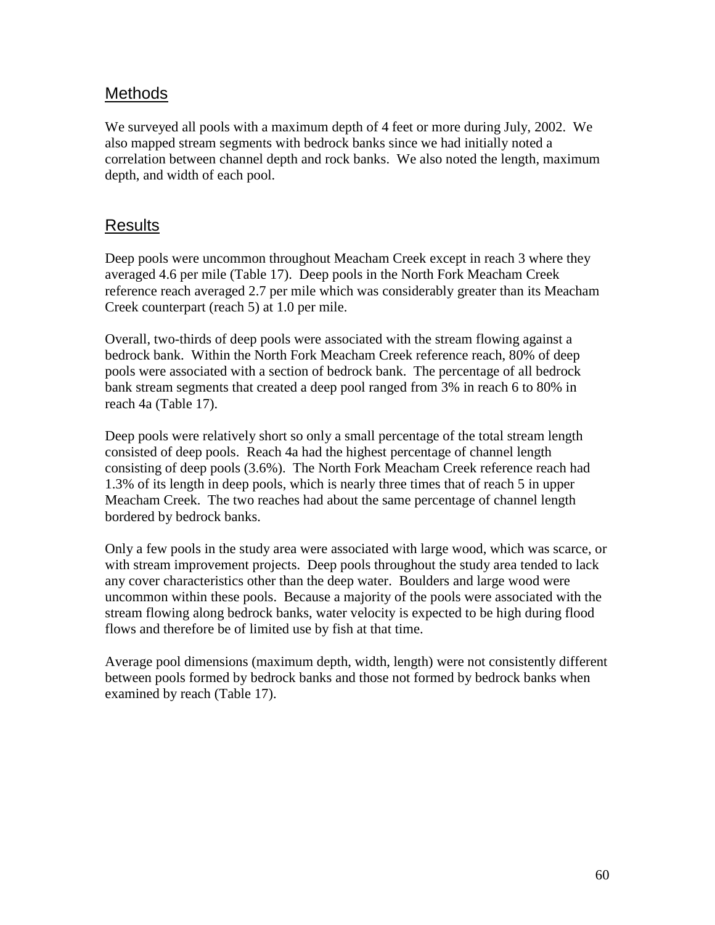## **Methods**

We surveyed all pools with a maximum depth of 4 feet or more during July, 2002. We also mapped stream segments with bedrock banks since we had initially noted a correlation between channel depth and rock banks. We also noted the length, maximum depth, and width of each pool.

## Results

Deep pools were uncommon throughout Meacham Creek except in reach 3 where they averaged 4.6 per mile (Table 17). Deep pools in the North Fork Meacham Creek reference reach averaged 2.7 per mile which was considerably greater than its Meacham Creek counterpart (reach 5) at 1.0 per mile.

Overall, two-thirds of deep pools were associated with the stream flowing against a bedrock bank. Within the North Fork Meacham Creek reference reach, 80% of deep pools were associated with a section of bedrock bank. The percentage of all bedrock bank stream segments that created a deep pool ranged from 3% in reach 6 to 80% in reach 4a (Table 17).

Deep pools were relatively short so only a small percentage of the total stream length consisted of deep pools. Reach 4a had the highest percentage of channel length consisting of deep pools (3.6%). The North Fork Meacham Creek reference reach had 1.3% of its length in deep pools, which is nearly three times that of reach 5 in upper Meacham Creek. The two reaches had about the same percentage of channel length bordered by bedrock banks.

Only a few pools in the study area were associated with large wood, which was scarce, or with stream improvement projects. Deep pools throughout the study area tended to lack any cover characteristics other than the deep water. Boulders and large wood were uncommon within these pools. Because a majority of the pools were associated with the stream flowing along bedrock banks, water velocity is expected to be high during flood flows and therefore be of limited use by fish at that time.

Average pool dimensions (maximum depth, width, length) were not consistently different between pools formed by bedrock banks and those not formed by bedrock banks when examined by reach (Table 17).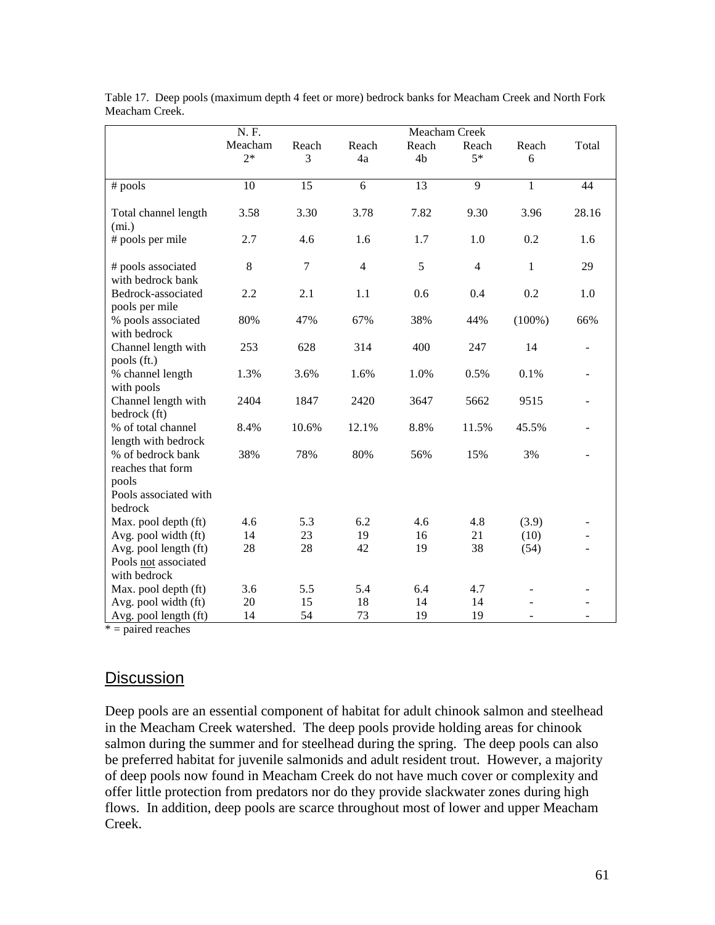|                                                               | N. F.           |            |                | Meacham Creek |                |              |                          |  |
|---------------------------------------------------------------|-----------------|------------|----------------|---------------|----------------|--------------|--------------------------|--|
|                                                               | Meacham<br>$2*$ | Reach<br>3 | Reach<br>4a    | Reach<br>4b   | Reach<br>$5*$  | Reach<br>6   | Total                    |  |
| # pools                                                       | 10              | 15         | 6              | 13            | $\overline{9}$ | $\mathbf{1}$ | 44                       |  |
| Total channel length<br>(mi.)                                 | 3.58            | 3.30       | 3.78           | 7.82          | 9.30           | 3.96         | 28.16                    |  |
| # pools per mile                                              | 2.7             | 4.6        | 1.6            | 1.7           | 1.0            | 0.2          | 1.6                      |  |
| # pools associated<br>with bedrock bank                       | 8               | $\tau$     | $\overline{4}$ | 5             | $\overline{4}$ | $\mathbf{1}$ | 29                       |  |
| Bedrock-associated<br>pools per mile                          | 2.2             | 2.1        | 1.1            | 0.6           | 0.4            | 0.2          | 1.0                      |  |
| % pools associated<br>with bedrock                            | 80%             | 47%        | 67%            | 38%           | 44%            | $(100\%)$    | 66%                      |  |
| Channel length with<br>pools (ft.)                            | 253             | 628        | 314            | 400           | 247            | 14           |                          |  |
| % channel length<br>with pools                                | 1.3%            | 3.6%       | 1.6%           | 1.0%          | 0.5%           | 0.1%         |                          |  |
| Channel length with<br>bedrock (ft)                           | 2404            | 1847       | 2420           | 3647          | 5662           | 9515         |                          |  |
| % of total channel<br>length with bedrock                     | 8.4%            | 10.6%      | 12.1%          | 8.8%          | 11.5%          | 45.5%        |                          |  |
| % of bedrock bank<br>reaches that form                        | 38%             | 78%        | 80%            | 56%           | 15%            | 3%           |                          |  |
| pools<br>Pools associated with<br>bedrock                     |                 |            |                |               |                |              |                          |  |
| Max. pool depth (ft)                                          | 4.6             | 5.3        | 6.2            | 4.6           | 4.8            | (3.9)        |                          |  |
| Avg. pool width (ft)                                          | 14              | 23         | 19             | 16            | 21             | (10)         |                          |  |
| Avg. pool length (ft)<br>Pools not associated<br>with bedrock | 28              | 28         | 42             | 19            | 38             | (54)         |                          |  |
| Max. pool depth (ft)                                          | 3.6             | 5.5        | 5.4            | 6.4           | 4.7            |              |                          |  |
| Avg. pool width (ft)                                          | 20              | 15         | 18             | 14            | 14             |              |                          |  |
| Avg. pool length (ft)                                         | 14              | 54         | 73             | 19            | 19             |              | $\overline{\phantom{m}}$ |  |

Table 17. Deep pools (maximum depth 4 feet or more) bedrock banks for Meacham Creek and North Fork Meacham Creek.

 $* =$  paired reaches

## **Discussion**

Deep pools are an essential component of habitat for adult chinook salmon and steelhead in the Meacham Creek watershed. The deep pools provide holding areas for chinook salmon during the summer and for steelhead during the spring. The deep pools can also be preferred habitat for juvenile salmonids and adult resident trout. However, a majority of deep pools now found in Meacham Creek do not have much cover or complexity and offer little protection from predators nor do they provide slackwater zones during high flows. In addition, deep pools are scarce throughout most of lower and upper Meacham Creek.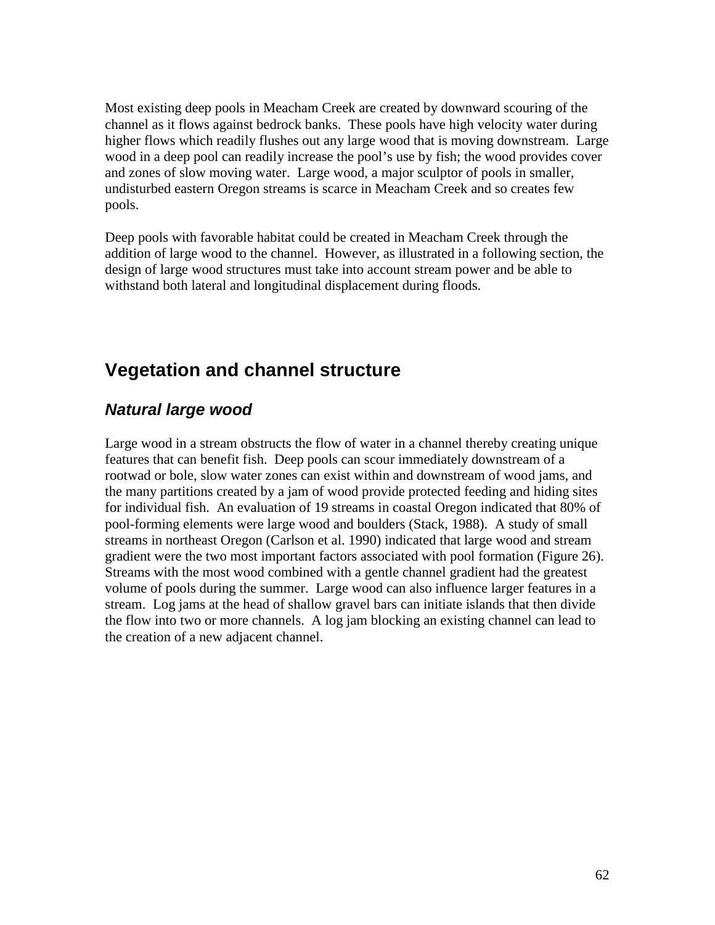Most existing deep pools in Meacham Creek are created by downward scouring of the channel as it flows against bedrock banks. These pools have high velocity water during higher flows which readily flushes out any large wood that is moving downstream. Large wood in a deep pool can readily increase the pool's use by fish; the wood provides cover and zones of slow moving water. Large wood, a major sculptor of pools in smaller, undisturbed eastern Oregon streams is scarce in Meacham Creek and so creates few pools.

Deep pools with favorable habitat could be created in Meacham Creek through the addition of large wood to the channel. However, as illustrated in a following section, the design of large wood structures must take into account stream power and be able to withstand both lateral and longitudinal displacement during floods.

# **Vegetation and channel structure**

## *Natural large wood*

Large wood in a stream obstructs the flow of water in a channel thereby creating unique features that can benefit fish. Deep pools can scour immediately downstream of a rootwad or bole, slow water zones can exist within and downstream of wood jams, and the many partitions created by a jam of wood provide protected feeding and hiding sites for individual fish. An evaluation of 19 streams in coastal Oregon indicated that 80% of pool-forming elements were large wood and boulders (Stack, 1988). A study of small streams in northeast Oregon (Carlson et al. 1990) indicated that large wood and stream gradient were the two most important factors associated with pool formation (Figure 26). Streams with the most wood combined with a gentle channel gradient had the greatest volume of pools during the summer. Large wood can also influence larger features in a stream. Log jams at the head of shallow gravel bars can initiate islands that then divide the flow into two or more channels. A log jam blocking an existing channel can lead to the creation of a new adjacent channel.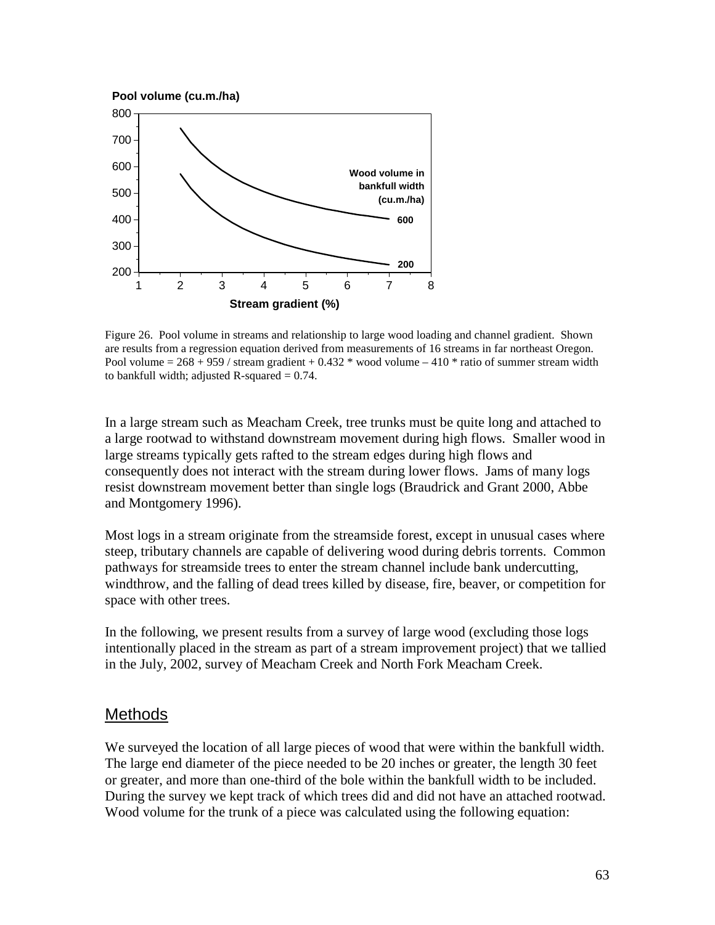

Figure 26. Pool volume in streams and relationship to large wood loading and channel gradient. Shown are results from a regression equation derived from measurements of 16 streams in far northeast Oregon. Pool volume =  $268 + 959$  / stream gradient + 0.432 \* wood volume – 410 \* ratio of summer stream width to bankfull width; adjusted R-squared  $= 0.74$ .

In a large stream such as Meacham Creek, tree trunks must be quite long and attached to a large rootwad to withstand downstream movement during high flows. Smaller wood in large streams typically gets rafted to the stream edges during high flows and consequently does not interact with the stream during lower flows. Jams of many logs resist downstream movement better than single logs (Braudrick and Grant 2000, Abbe and Montgomery 1996).

Most logs in a stream originate from the streamside forest, except in unusual cases where steep, tributary channels are capable of delivering wood during debris torrents. Common pathways for streamside trees to enter the stream channel include bank undercutting, windthrow, and the falling of dead trees killed by disease, fire, beaver, or competition for space with other trees.

In the following, we present results from a survey of large wood (excluding those logs intentionally placed in the stream as part of a stream improvement project) that we tallied in the July, 2002, survey of Meacham Creek and North Fork Meacham Creek.

#### **Methods**

We surveyed the location of all large pieces of wood that were within the bankfull width. The large end diameter of the piece needed to be 20 inches or greater, the length 30 feet or greater, and more than one-third of the bole within the bankfull width to be included. During the survey we kept track of which trees did and did not have an attached rootwad. Wood volume for the trunk of a piece was calculated using the following equation: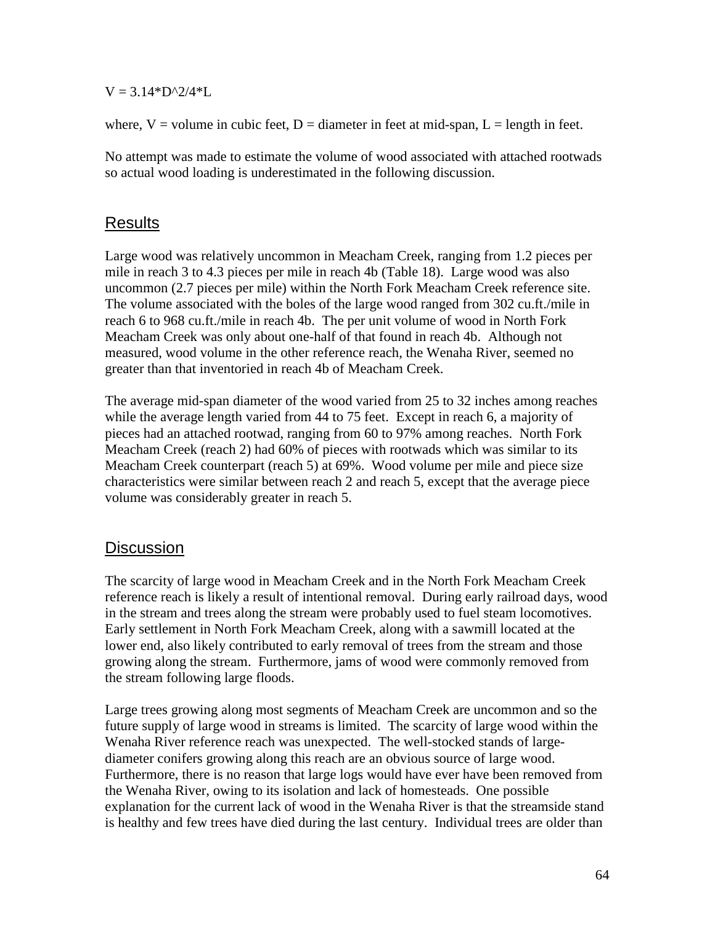$V = 3.14*D^{2}/4*L$ 

where,  $V =$  volume in cubic feet,  $D =$  diameter in feet at mid-span,  $L =$  length in feet.

No attempt was made to estimate the volume of wood associated with attached rootwads so actual wood loading is underestimated in the following discussion.

#### Results

Large wood was relatively uncommon in Meacham Creek, ranging from 1.2 pieces per mile in reach 3 to 4.3 pieces per mile in reach 4b (Table 18). Large wood was also uncommon (2.7 pieces per mile) within the North Fork Meacham Creek reference site. The volume associated with the boles of the large wood ranged from 302 cu.ft./mile in reach 6 to 968 cu.ft./mile in reach 4b. The per unit volume of wood in North Fork Meacham Creek was only about one-half of that found in reach 4b. Although not measured, wood volume in the other reference reach, the Wenaha River, seemed no greater than that inventoried in reach 4b of Meacham Creek.

The average mid-span diameter of the wood varied from 25 to 32 inches among reaches while the average length varied from 44 to 75 feet. Except in reach 6, a majority of pieces had an attached rootwad, ranging from 60 to 97% among reaches. North Fork Meacham Creek (reach 2) had 60% of pieces with rootwads which was similar to its Meacham Creek counterpart (reach 5) at 69%. Wood volume per mile and piece size characteristics were similar between reach 2 and reach 5, except that the average piece volume was considerably greater in reach 5.

## **Discussion**

The scarcity of large wood in Meacham Creek and in the North Fork Meacham Creek reference reach is likely a result of intentional removal. During early railroad days, wood in the stream and trees along the stream were probably used to fuel steam locomotives. Early settlement in North Fork Meacham Creek, along with a sawmill located at the lower end, also likely contributed to early removal of trees from the stream and those growing along the stream. Furthermore, jams of wood were commonly removed from the stream following large floods.

Large trees growing along most segments of Meacham Creek are uncommon and so the future supply of large wood in streams is limited. The scarcity of large wood within the Wenaha River reference reach was unexpected. The well-stocked stands of largediameter conifers growing along this reach are an obvious source of large wood. Furthermore, there is no reason that large logs would have ever have been removed from the Wenaha River, owing to its isolation and lack of homesteads. One possible explanation for the current lack of wood in the Wenaha River is that the streamside stand is healthy and few trees have died during the last century. Individual trees are older than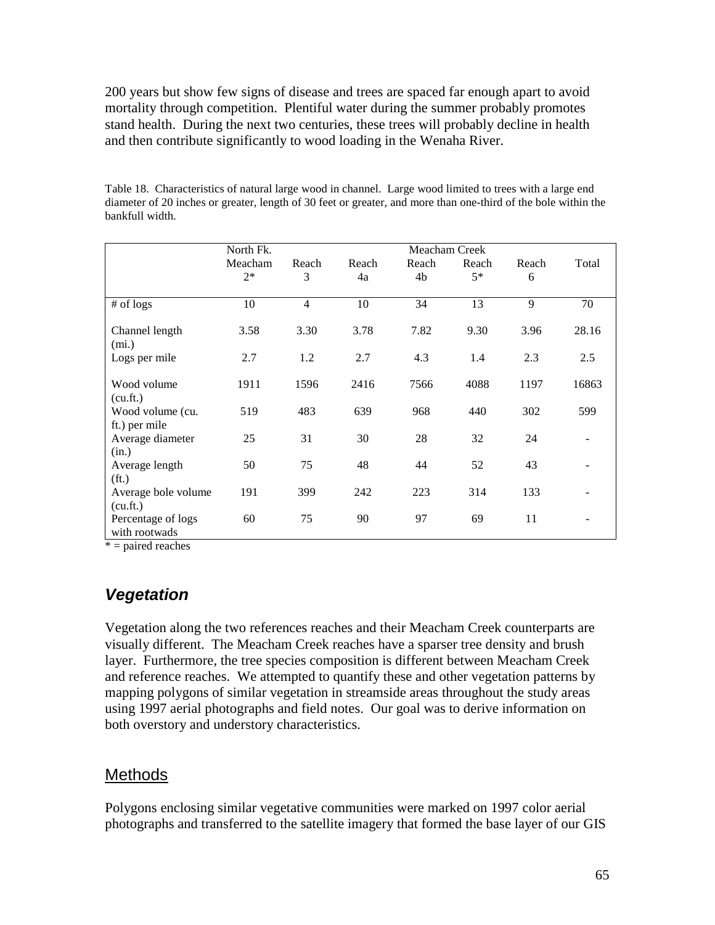200 years but show few signs of disease and trees are spaced far enough apart to avoid mortality through competition. Plentiful water during the summer probably promotes stand health. During the next two centuries, these trees will probably decline in health and then contribute significantly to wood loading in the Wenaha River.

| Table 18. Characteristics of natural large wood in channel. Large wood limited to trees with a large end       |
|----------------------------------------------------------------------------------------------------------------|
| diameter of 20 inches or greater, length of 30 feet or greater, and more than one-third of the bole within the |
| bankfull width.                                                                                                |

|                                     | North Fk. |       |       | Meacham Creek |       |       |                   |
|-------------------------------------|-----------|-------|-------|---------------|-------|-------|-------------------|
|                                     | Meacham   | Reach | Reach | Reach         | Reach | Reach | Total             |
|                                     | $2*$      | 3     | 4a    | 4b            | $5*$  | 6     |                   |
|                                     |           |       |       |               |       |       |                   |
| $#$ of logs                         | 10        | 4     | 10    | 34            | 13    | 9     | 70                |
| Channel length                      | 3.58      | 3.30  | 3.78  | 7.82          | 9.30  | 3.96  | 28.16             |
| (mi.)                               |           |       |       |               |       |       |                   |
| Logs per mile                       | 2.7       | 1.2   | 2.7   | 4.3           | 1.4   | 2.3   | 2.5               |
|                                     |           |       |       |               |       |       |                   |
| Wood volume                         | 1911      | 1596  | 2416  | 7566          | 4088  | 1197  | 16863             |
| (cu.fit.)                           |           |       |       |               |       |       |                   |
| Wood volume (cu.<br>ft.) per mile   | 519       | 483   | 639   | 968           | 440   | 302   | 599               |
| Average diameter                    | 25        | 31    | 30    | 28            | 32    | 24    |                   |
| (in.)                               |           |       |       |               |       |       |                   |
| Average length                      | 50        | 75    | 48    | 44            | 52    | 43    | $\qquad \qquad -$ |
| (f <sub>t</sub> )                   |           |       |       |               |       |       |                   |
| Average bole volume                 | 191       | 399   | 242   | 223           | 314   | 133   | $\overline{a}$    |
| (cu.fit.)                           |           |       |       |               |       |       |                   |
| Percentage of logs<br>with rootwads | 60        | 75    | 90    | 97            | 69    | 11    |                   |

 $* =$  paired reaches

# *Vegetation*

Vegetation along the two references reaches and their Meacham Creek counterparts are visually different. The Meacham Creek reaches have a sparser tree density and brush layer. Furthermore, the tree species composition is different between Meacham Creek and reference reaches. We attempted to quantify these and other vegetation patterns by mapping polygons of similar vegetation in streamside areas throughout the study areas using 1997 aerial photographs and field notes. Our goal was to derive information on both overstory and understory characteristics.

## **Methods**

Polygons enclosing similar vegetative communities were marked on 1997 color aerial photographs and transferred to the satellite imagery that formed the base layer of our GIS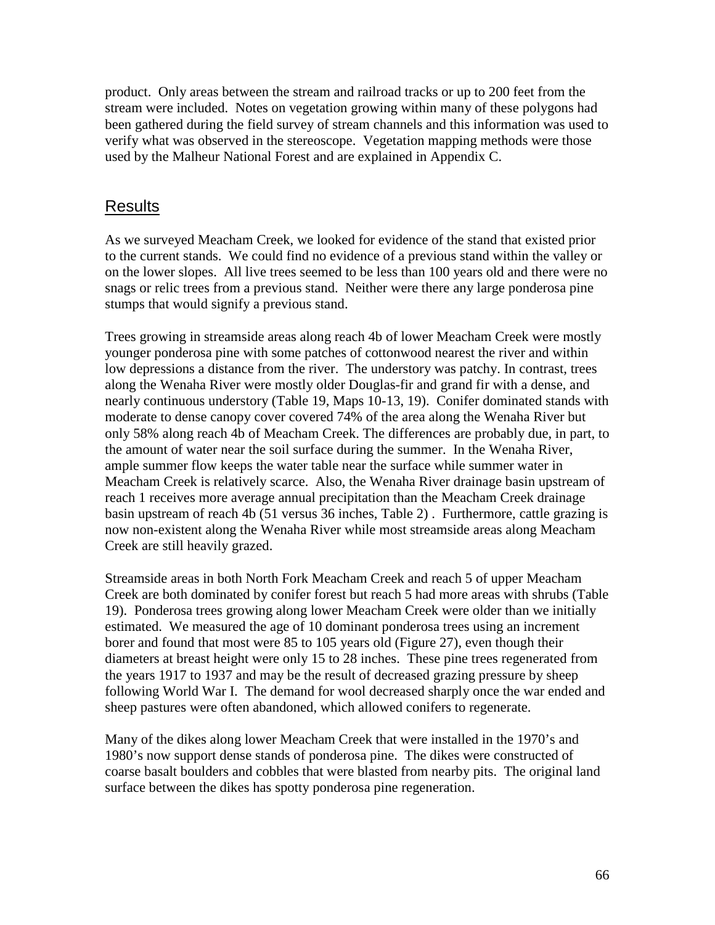product. Only areas between the stream and railroad tracks or up to 200 feet from the stream were included. Notes on vegetation growing within many of these polygons had been gathered during the field survey of stream channels and this information was used to verify what was observed in the stereoscope. Vegetation mapping methods were those used by the Malheur National Forest and are explained in Appendix C.

#### Results

As we surveyed Meacham Creek, we looked for evidence of the stand that existed prior to the current stands. We could find no evidence of a previous stand within the valley or on the lower slopes. All live trees seemed to be less than 100 years old and there were no snags or relic trees from a previous stand. Neither were there any large ponderosa pine stumps that would signify a previous stand.

Trees growing in streamside areas along reach 4b of lower Meacham Creek were mostly younger ponderosa pine with some patches of cottonwood nearest the river and within low depressions a distance from the river. The understory was patchy. In contrast, trees along the Wenaha River were mostly older Douglas-fir and grand fir with a dense, and nearly continuous understory (Table 19, Maps 10-13, 19). Conifer dominated stands with moderate to dense canopy cover covered 74% of the area along the Wenaha River but only 58% along reach 4b of Meacham Creek. The differences are probably due, in part, to the amount of water near the soil surface during the summer. In the Wenaha River, ample summer flow keeps the water table near the surface while summer water in Meacham Creek is relatively scarce. Also, the Wenaha River drainage basin upstream of reach 1 receives more average annual precipitation than the Meacham Creek drainage basin upstream of reach 4b (51 versus 36 inches, Table 2) . Furthermore, cattle grazing is now non-existent along the Wenaha River while most streamside areas along Meacham Creek are still heavily grazed.

Streamside areas in both North Fork Meacham Creek and reach 5 of upper Meacham Creek are both dominated by conifer forest but reach 5 had more areas with shrubs (Table 19). Ponderosa trees growing along lower Meacham Creek were older than we initially estimated. We measured the age of 10 dominant ponderosa trees using an increment borer and found that most were 85 to 105 years old (Figure 27), even though their diameters at breast height were only 15 to 28 inches. These pine trees regenerated from the years 1917 to 1937 and may be the result of decreased grazing pressure by sheep following World War I. The demand for wool decreased sharply once the war ended and sheep pastures were often abandoned, which allowed conifers to regenerate.

Many of the dikes along lower Meacham Creek that were installed in the 1970's and 1980's now support dense stands of ponderosa pine. The dikes were constructed of coarse basalt boulders and cobbles that were blasted from nearby pits. The original land surface between the dikes has spotty ponderosa pine regeneration.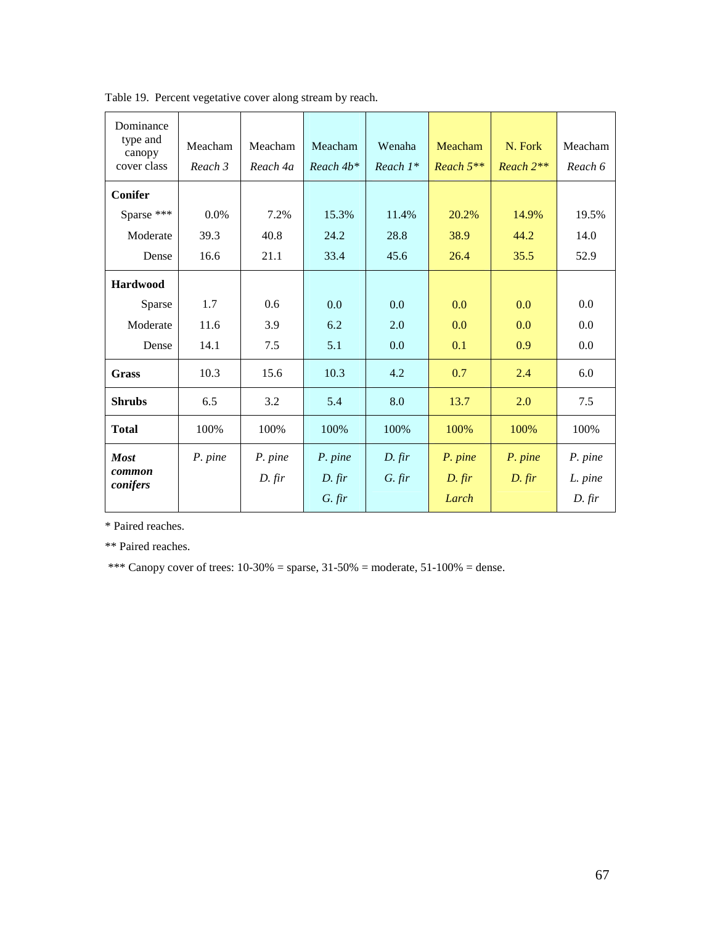| Dominance<br>type and<br>canopy<br>cover class | Meacham<br>Reach 3 | Meacham<br>Reach 4a | Meacham<br>$Reach4b*$           | Wenaha<br>Reach $1^*$ | Meacham<br>Reach 5**         | N. Fork<br>$Reach 2**$ | Meacham<br>Reach 6             |
|------------------------------------------------|--------------------|---------------------|---------------------------------|-----------------------|------------------------------|------------------------|--------------------------------|
| <b>Conifer</b>                                 |                    |                     |                                 |                       |                              |                        |                                |
| Sparse ***                                     | 0.0%               | 7.2%                | 15.3%                           | 11.4%                 | 20.2%                        | 14.9%                  | 19.5%                          |
| Moderate                                       | 39.3               | 40.8                | 24.2                            | 28.8                  | 38.9                         | 44.2                   | 14.0                           |
| Dense                                          | 16.6               | 21.1                | 33.4                            | 45.6                  | 26.4                         | 35.5                   | 52.9                           |
| <b>Hardwood</b>                                |                    |                     |                                 |                       |                              |                        |                                |
| Sparse                                         | 1.7                | 0.6                 | 0.0                             | 0.0                   | 0.0                          | 0.0                    | 0.0                            |
| Moderate                                       | 11.6               | 3.9                 | 6.2                             | 2.0                   | 0.0                          | 0.0                    | 0.0                            |
| Dense                                          | 14.1               | 7.5                 | 5.1                             | 0.0                   | 0.1                          | 0.9                    | 0.0                            |
| <b>Grass</b>                                   | 10.3               | 15.6                | 10.3                            | 4.2                   | 0.7                          | 2.4                    | 6.0                            |
| <b>Shrubs</b>                                  | 6.5                | 3.2                 | 5.4                             | 8.0                   | 13.7                         | 2.0                    | 7.5                            |
| <b>Total</b>                                   | 100%               | 100%                | 100%                            | 100%                  | 100%                         | 100%                   | 100%                           |
| <b>Most</b><br>common<br>conifers              | P. pine            | P. pine<br>$D.$ fir | P. pine<br>$D.$ fir<br>$G.$ fir | D. fir<br>$G.$ fir    | P. pine<br>$D.$ fir<br>Larch | P. pine<br>$D.$ fir    | P. pine<br>L. pine<br>$D.$ fir |

Table 19. Percent vegetative cover along stream by reach.

\* Paired reaches.

\*\* Paired reaches.

\*\*\* Canopy cover of trees:  $10-30\%$  = sparse,  $31-50\%$  = moderate,  $51-100\%$  = dense.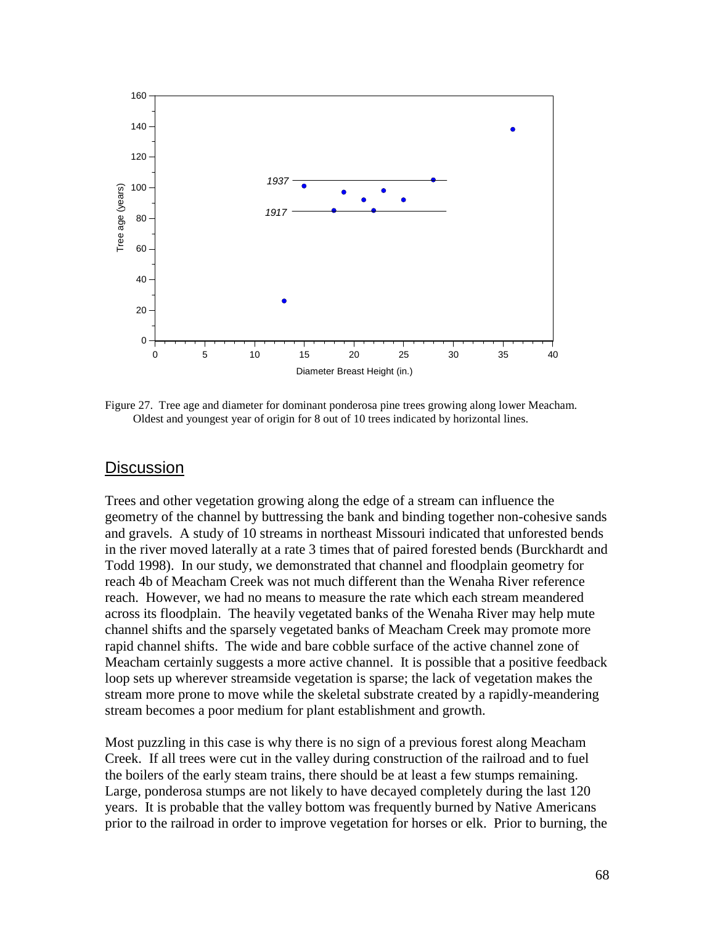

Figure 27. Tree age and diameter for dominant ponderosa pine trees growing along lower Meacham. Oldest and youngest year of origin for 8 out of 10 trees indicated by horizontal lines.

#### **Discussion**

Trees and other vegetation growing along the edge of a stream can influence the geometry of the channel by buttressing the bank and binding together non-cohesive sands and gravels. A study of 10 streams in northeast Missouri indicated that unforested bends in the river moved laterally at a rate 3 times that of paired forested bends (Burckhardt and Todd 1998). In our study, we demonstrated that channel and floodplain geometry for reach 4b of Meacham Creek was not much different than the Wenaha River reference reach. However, we had no means to measure the rate which each stream meandered across its floodplain. The heavily vegetated banks of the Wenaha River may help mute channel shifts and the sparsely vegetated banks of Meacham Creek may promote more rapid channel shifts. The wide and bare cobble surface of the active channel zone of Meacham certainly suggests a more active channel. It is possible that a positive feedback loop sets up wherever streamside vegetation is sparse; the lack of vegetation makes the stream more prone to move while the skeletal substrate created by a rapidly-meandering stream becomes a poor medium for plant establishment and growth.

Most puzzling in this case is why there is no sign of a previous forest along Meacham Creek. If all trees were cut in the valley during construction of the railroad and to fuel the boilers of the early steam trains, there should be at least a few stumps remaining. Large, ponderosa stumps are not likely to have decayed completely during the last 120 years. It is probable that the valley bottom was frequently burned by Native Americans prior to the railroad in order to improve vegetation for horses or elk. Prior to burning, the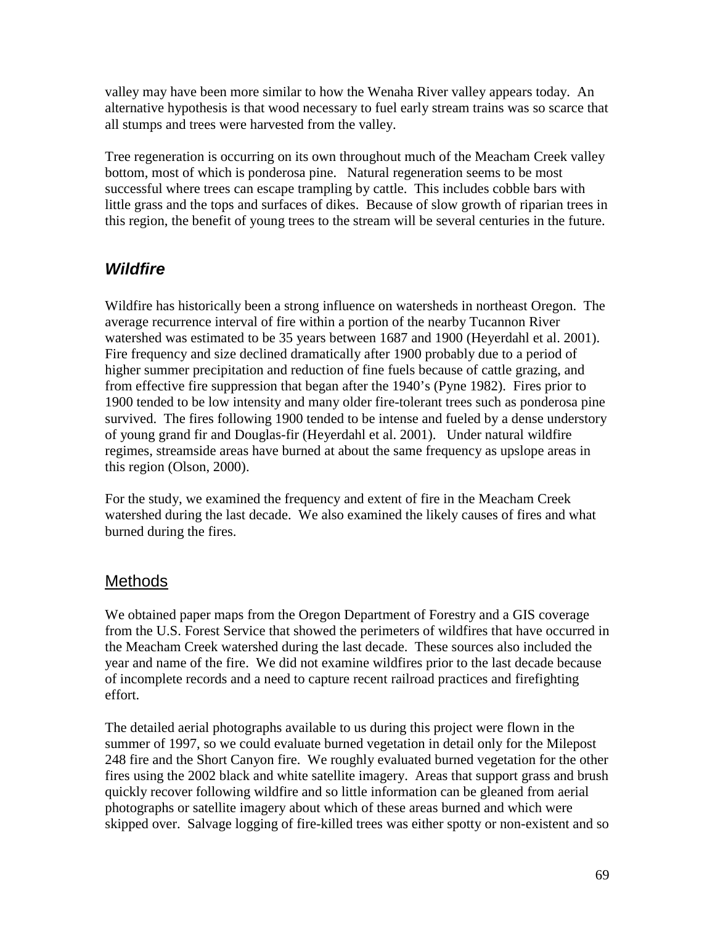valley may have been more similar to how the Wenaha River valley appears today. An alternative hypothesis is that wood necessary to fuel early stream trains was so scarce that all stumps and trees were harvested from the valley.

Tree regeneration is occurring on its own throughout much of the Meacham Creek valley bottom, most of which is ponderosa pine. Natural regeneration seems to be most successful where trees can escape trampling by cattle. This includes cobble bars with little grass and the tops and surfaces of dikes. Because of slow growth of riparian trees in this region, the benefit of young trees to the stream will be several centuries in the future.

# *Wildfire*

Wildfire has historically been a strong influence on watersheds in northeast Oregon. The average recurrence interval of fire within a portion of the nearby Tucannon River watershed was estimated to be 35 years between 1687 and 1900 (Heyerdahl et al. 2001). Fire frequency and size declined dramatically after 1900 probably due to a period of higher summer precipitation and reduction of fine fuels because of cattle grazing, and from effective fire suppression that began after the 1940's (Pyne 1982). Fires prior to 1900 tended to be low intensity and many older fire-tolerant trees such as ponderosa pine survived. The fires following 1900 tended to be intense and fueled by a dense understory of young grand fir and Douglas-fir (Heyerdahl et al. 2001). Under natural wildfire regimes, streamside areas have burned at about the same frequency as upslope areas in this region (Olson, 2000).

For the study, we examined the frequency and extent of fire in the Meacham Creek watershed during the last decade. We also examined the likely causes of fires and what burned during the fires.

# Methods

We obtained paper maps from the Oregon Department of Forestry and a GIS coverage from the U.S. Forest Service that showed the perimeters of wildfires that have occurred in the Meacham Creek watershed during the last decade. These sources also included the year and name of the fire. We did not examine wildfires prior to the last decade because of incomplete records and a need to capture recent railroad practices and firefighting effort.

The detailed aerial photographs available to us during this project were flown in the summer of 1997, so we could evaluate burned vegetation in detail only for the Milepost 248 fire and the Short Canyon fire. We roughly evaluated burned vegetation for the other fires using the 2002 black and white satellite imagery. Areas that support grass and brush quickly recover following wildfire and so little information can be gleaned from aerial photographs or satellite imagery about which of these areas burned and which were skipped over. Salvage logging of fire-killed trees was either spotty or non-existent and so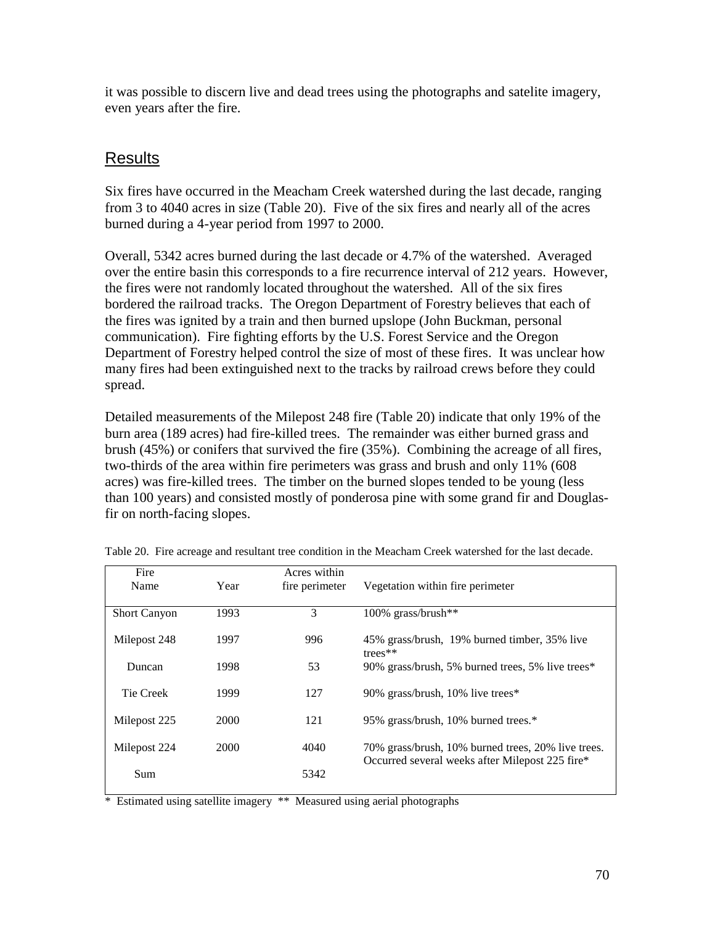it was possible to discern live and dead trees using the photographs and satelite imagery, even years after the fire.

# Results

Six fires have occurred in the Meacham Creek watershed during the last decade, ranging from 3 to 4040 acres in size (Table 20). Five of the six fires and nearly all of the acres burned during a 4-year period from 1997 to 2000.

Overall, 5342 acres burned during the last decade or 4.7% of the watershed. Averaged over the entire basin this corresponds to a fire recurrence interval of 212 years. However, the fires were not randomly located throughout the watershed. All of the six fires bordered the railroad tracks. The Oregon Department of Forestry believes that each of the fires was ignited by a train and then burned upslope (John Buckman, personal communication). Fire fighting efforts by the U.S. Forest Service and the Oregon Department of Forestry helped control the size of most of these fires. It was unclear how many fires had been extinguished next to the tracks by railroad crews before they could spread.

Detailed measurements of the Milepost 248 fire (Table 20) indicate that only 19% of the burn area (189 acres) had fire-killed trees. The remainder was either burned grass and brush (45%) or conifers that survived the fire (35%). Combining the acreage of all fires, two-thirds of the area within fire perimeters was grass and brush and only 11% (608 acres) was fire-killed trees. The timber on the burned slopes tended to be young (less than 100 years) and consisted mostly of ponderosa pine with some grand fir and Douglasfir on north-facing slopes.

| Fire<br>Name        | Year | Acres within<br>fire perimeter | Vegetation within fire perimeter                           |
|---------------------|------|--------------------------------|------------------------------------------------------------|
| <b>Short Canyon</b> | 1993 | 3                              | $100\%$ grass/brush**                                      |
| Milepost 248        | 1997 | 996                            | 45% grass/brush, 19% burned timber, 35% live<br>trees $**$ |
| Duncan              | 1998 | 53                             | 90% grass/brush, 5% burned trees, 5% live trees*           |
| Tie Creek           | 1999 | 127                            | 90% grass/brush, 10% live trees*                           |
| Milepost 225        | 2000 | 121                            | 95% grass/brush, 10% burned trees.*                        |
| Milepost 224        | 2000 | 4040                           | 70% grass/brush, 10% burned trees, 20% live trees.         |
| Sum                 |      | 5342                           | Occurred several weeks after Milepost 225 fire*            |

Table 20. Fire acreage and resultant tree condition in the Meacham Creek watershed for the last decade.

\* Estimated using satellite imagery \*\* Measured using aerial photographs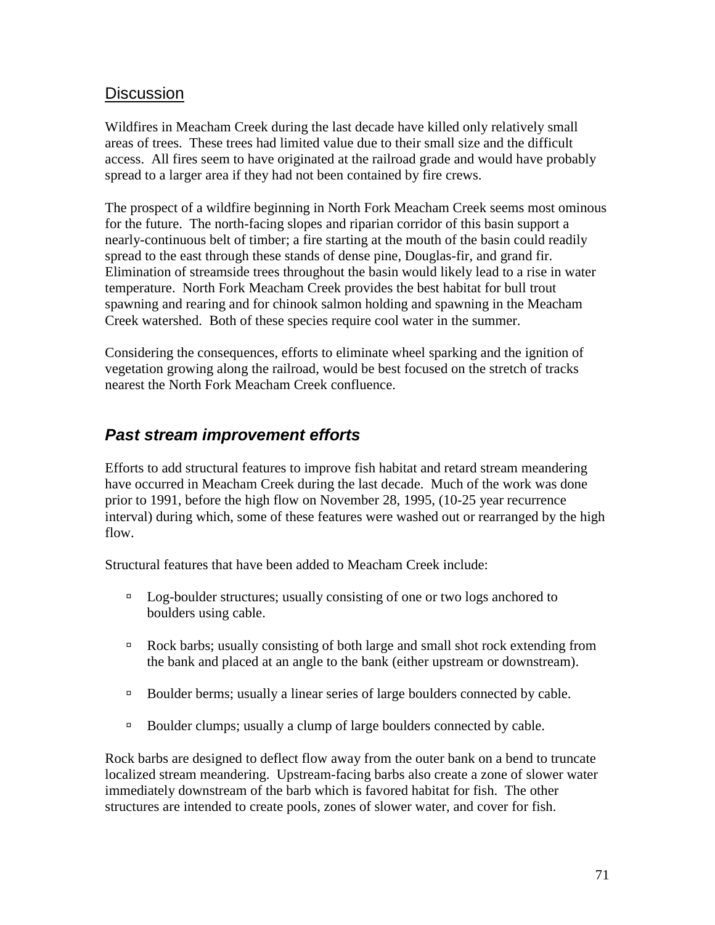#### **Discussion**

Wildfires in Meacham Creek during the last decade have killed only relatively small areas of trees. These trees had limited value due to their small size and the difficult access. All fires seem to have originated at the railroad grade and would have probably spread to a larger area if they had not been contained by fire crews.

The prospect of a wildfire beginning in North Fork Meacham Creek seems most ominous for the future. The north-facing slopes and riparian corridor of this basin support a nearly-continuous belt of timber; a fire starting at the mouth of the basin could readily spread to the east through these stands of dense pine, Douglas-fir, and grand fir. Elimination of streamside trees throughout the basin would likely lead to a rise in water temperature. North Fork Meacham Creek provides the best habitat for bull trout spawning and rearing and for chinook salmon holding and spawning in the Meacham Creek watershed. Both of these species require cool water in the summer.

Considering the consequences, efforts to eliminate wheel sparking and the ignition of vegetation growing along the railroad, would be best focused on the stretch of tracks nearest the North Fork Meacham Creek confluence.

# *Past stream improvement efforts*

Efforts to add structural features to improve fish habitat and retard stream meandering have occurred in Meacham Creek during the last decade. Much of the work was done prior to 1991, before the high flow on November 28, 1995, (10-25 year recurrence interval) during which, some of these features were washed out or rearranged by the high flow.

Structural features that have been added to Meacham Creek include:

- <sup>In</sup> Log-boulder structures; usually consisting of one or two logs anchored to boulders using cable.
- ! Rock barbs; usually consisting of both large and small shot rock extending from the bank and placed at an angle to the bank (either upstream or downstream).
- <sup>In</sup> Boulder berms; usually a linear series of large boulders connected by cable.
- <sup>In</sup> Boulder clumps; usually a clump of large boulders connected by cable.

Rock barbs are designed to deflect flow away from the outer bank on a bend to truncate localized stream meandering. Upstream-facing barbs also create a zone of slower water immediately downstream of the barb which is favored habitat for fish. The other structures are intended to create pools, zones of slower water, and cover for fish.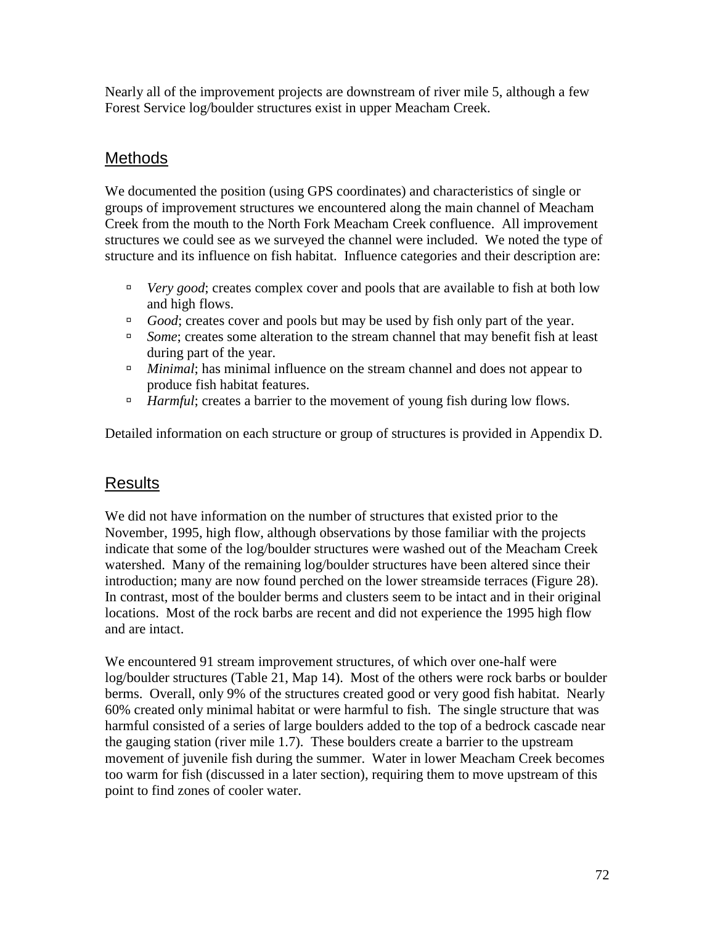Nearly all of the improvement projects are downstream of river mile 5, although a few Forest Service log/boulder structures exist in upper Meacham Creek.

# Methods

We documented the position (using GPS coordinates) and characteristics of single or groups of improvement structures we encountered along the main channel of Meacham Creek from the mouth to the North Fork Meacham Creek confluence. All improvement structures we could see as we surveyed the channel were included. We noted the type of structure and its influence on fish habitat. Influence categories and their description are:

- <sup>I</sup> *Very good*; creates complex cover and pools that are available to fish at both low and high flows.
- <sup>If</sup> *Good*; creates cover and pools but may be used by fish only part of the year.
- <sup>In</sup> *Some*; creates some alteration to the stream channel that may benefit fish at least during part of the year.
- <sup>In *Minimal*; has minimal influence on the stream channel and does not appear to</sup> produce fish habitat features.
- <sup>If</sup> *Harmful*; creates a barrier to the movement of young fish during low flows.

Detailed information on each structure or group of structures is provided in Appendix D.

# Results

We did not have information on the number of structures that existed prior to the November, 1995, high flow, although observations by those familiar with the projects indicate that some of the log/boulder structures were washed out of the Meacham Creek watershed. Many of the remaining log/boulder structures have been altered since their introduction; many are now found perched on the lower streamside terraces (Figure 28). In contrast, most of the boulder berms and clusters seem to be intact and in their original locations. Most of the rock barbs are recent and did not experience the 1995 high flow and are intact.

We encountered 91 stream improvement structures, of which over one-half were log/boulder structures (Table 21, Map 14). Most of the others were rock barbs or boulder berms. Overall, only 9% of the structures created good or very good fish habitat. Nearly 60% created only minimal habitat or were harmful to fish. The single structure that was harmful consisted of a series of large boulders added to the top of a bedrock cascade near the gauging station (river mile 1.7). These boulders create a barrier to the upstream movement of juvenile fish during the summer. Water in lower Meacham Creek becomes too warm for fish (discussed in a later section), requiring them to move upstream of this point to find zones of cooler water.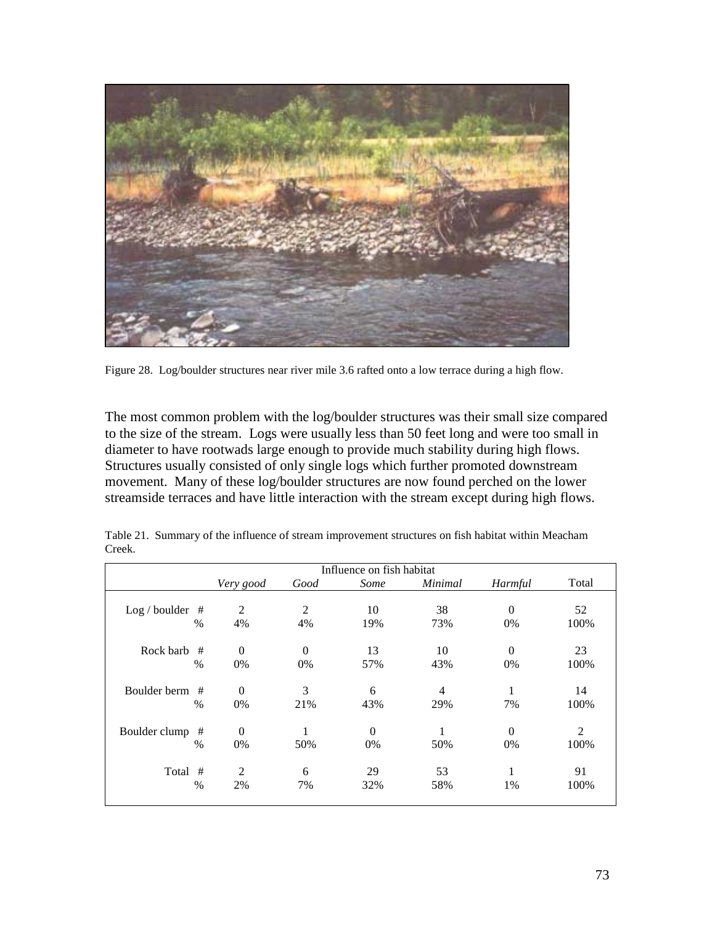

Figure 28. Log/boulder structures near river mile 3.6 rafted onto a low terrace during a high flow.

The most common problem with the log/boulder structures was their small size compared to the size of the stream. Logs were usually less than 50 feet long and were too small in diameter to have rootwads large enough to provide much stability during high flows. Structures usually consisted of only single logs which further promoted downstream movement. Many of these log/boulder structures are now found perched on the lower streamside terraces and have little interaction with the stream except during high flows.

|                    |                |                | Influence on fish habitat |         |          |       |
|--------------------|----------------|----------------|---------------------------|---------|----------|-------|
|                    | Very good      | Good           | Some                      | Minimal | Harmful  | Total |
|                    |                |                |                           |         |          |       |
| $Log/boulder$ #    | $\mathfrak{D}$ | $\mathfrak{D}$ | 10                        | 38      | $\Omega$ | 52    |
| $\%$               | 4%             | 4%             | 19%                       | 73%     | 0%       | 100%  |
|                    |                |                |                           |         |          |       |
| Rock barb<br>#     | $\Omega$       | $\Omega$       | 13                        | 10      | $\Omega$ | 23    |
| $\%$               | 0%             | 0%             | 57%                       | 43%     | 0%       | 100%  |
|                    |                |                |                           |         |          |       |
| Boulder berm #     | $\theta$       | 3              | 6                         | 4       |          | 14    |
| $\%$               | 0%             | 21%            | 43%                       | 29%     | 7%       | 100%  |
| Boulder clump<br># | $\Omega$       | 1              | $\theta$                  |         | $\Omega$ | 2     |
|                    |                |                |                           |         |          |       |
| $\%$               | 0%             | 50%            | 0%                        | 50%     | 0%       | 100%  |
| #<br>Total         | 2              | 6              | 29                        | 53      |          | 91    |
| $\%$               | 2%             | 7%             | 32%                       | 58%     | 1%       | 100%  |
|                    |                |                |                           |         |          |       |

Table 21. Summary of the influence of stream improvement structures on fish habitat within Meacham Creek.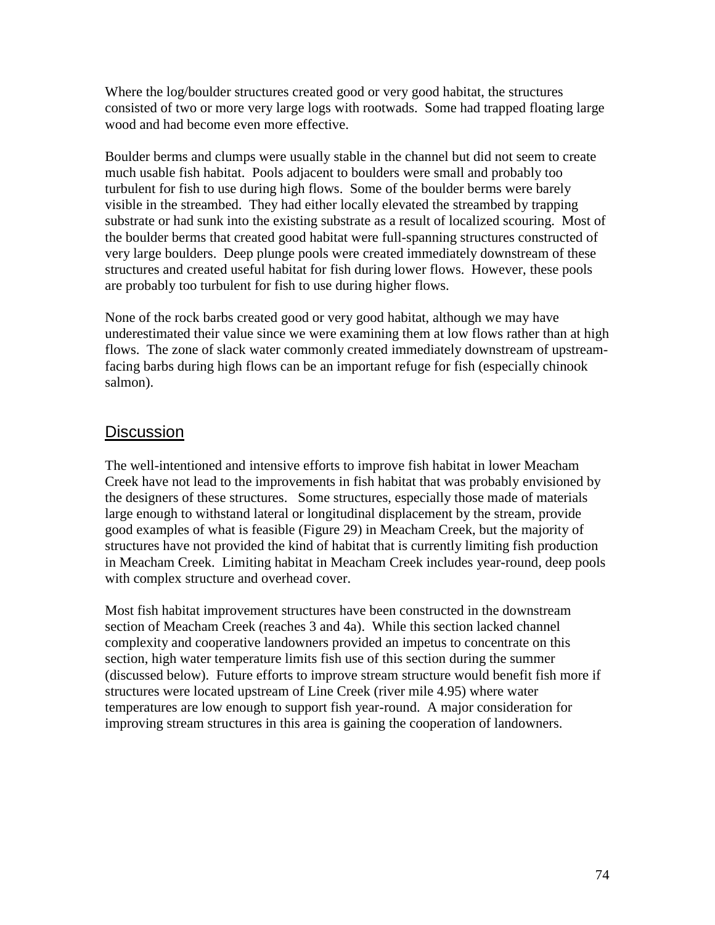Where the log/boulder structures created good or very good habitat, the structures consisted of two or more very large logs with rootwads. Some had trapped floating large wood and had become even more effective.

Boulder berms and clumps were usually stable in the channel but did not seem to create much usable fish habitat. Pools adjacent to boulders were small and probably too turbulent for fish to use during high flows. Some of the boulder berms were barely visible in the streambed. They had either locally elevated the streambed by trapping substrate or had sunk into the existing substrate as a result of localized scouring. Most of the boulder berms that created good habitat were full-spanning structures constructed of very large boulders. Deep plunge pools were created immediately downstream of these structures and created useful habitat for fish during lower flows. However, these pools are probably too turbulent for fish to use during higher flows.

None of the rock barbs created good or very good habitat, although we may have underestimated their value since we were examining them at low flows rather than at high flows. The zone of slack water commonly created immediately downstream of upstreamfacing barbs during high flows can be an important refuge for fish (especially chinook salmon).

#### **Discussion**

The well-intentioned and intensive efforts to improve fish habitat in lower Meacham Creek have not lead to the improvements in fish habitat that was probably envisioned by the designers of these structures. Some structures, especially those made of materials large enough to withstand lateral or longitudinal displacement by the stream, provide good examples of what is feasible (Figure 29) in Meacham Creek, but the majority of structures have not provided the kind of habitat that is currently limiting fish production in Meacham Creek. Limiting habitat in Meacham Creek includes year-round, deep pools with complex structure and overhead cover.

Most fish habitat improvement structures have been constructed in the downstream section of Meacham Creek (reaches 3 and 4a). While this section lacked channel complexity and cooperative landowners provided an impetus to concentrate on this section, high water temperature limits fish use of this section during the summer (discussed below). Future efforts to improve stream structure would benefit fish more if structures were located upstream of Line Creek (river mile 4.95) where water temperatures are low enough to support fish year-round. A major consideration for improving stream structures in this area is gaining the cooperation of landowners.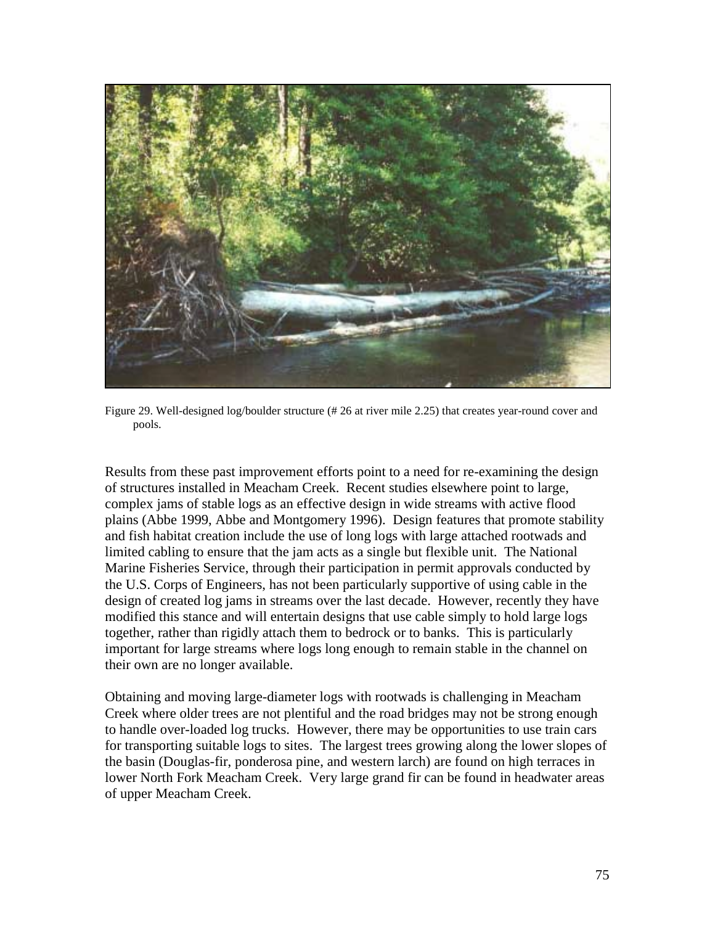

Figure 29. Well-designed log/boulder structure (# 26 at river mile 2.25) that creates year-round cover and pools.

Results from these past improvement efforts point to a need for re-examining the design of structures installed in Meacham Creek. Recent studies elsewhere point to large, complex jams of stable logs as an effective design in wide streams with active flood plains (Abbe 1999, Abbe and Montgomery 1996). Design features that promote stability and fish habitat creation include the use of long logs with large attached rootwads and limited cabling to ensure that the jam acts as a single but flexible unit. The National Marine Fisheries Service, through their participation in permit approvals conducted by the U.S. Corps of Engineers, has not been particularly supportive of using cable in the design of created log jams in streams over the last decade. However, recently they have modified this stance and will entertain designs that use cable simply to hold large logs together, rather than rigidly attach them to bedrock or to banks. This is particularly important for large streams where logs long enough to remain stable in the channel on their own are no longer available.

Obtaining and moving large-diameter logs with rootwads is challenging in Meacham Creek where older trees are not plentiful and the road bridges may not be strong enough to handle over-loaded log trucks. However, there may be opportunities to use train cars for transporting suitable logs to sites. The largest trees growing along the lower slopes of the basin (Douglas-fir, ponderosa pine, and western larch) are found on high terraces in lower North Fork Meacham Creek. Very large grand fir can be found in headwater areas of upper Meacham Creek.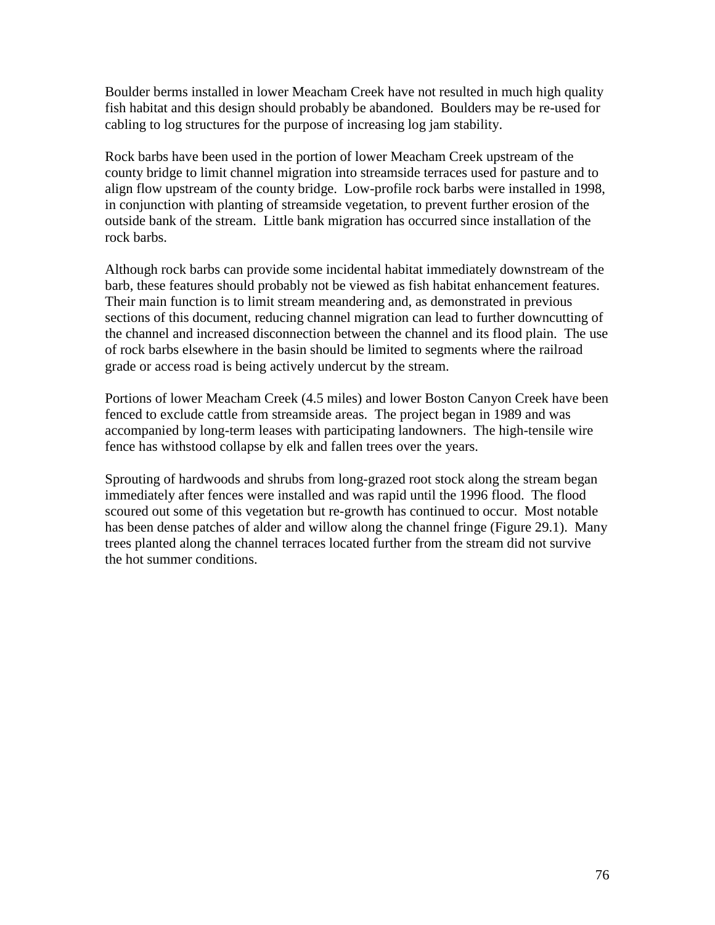Boulder berms installed in lower Meacham Creek have not resulted in much high quality fish habitat and this design should probably be abandoned. Boulders may be re-used for cabling to log structures for the purpose of increasing log jam stability.

Rock barbs have been used in the portion of lower Meacham Creek upstream of the county bridge to limit channel migration into streamside terraces used for pasture and to align flow upstream of the county bridge. Low-profile rock barbs were installed in 1998, in conjunction with planting of streamside vegetation, to prevent further erosion of the outside bank of the stream. Little bank migration has occurred since installation of the rock barbs.

Although rock barbs can provide some incidental habitat immediately downstream of the barb, these features should probably not be viewed as fish habitat enhancement features. Their main function is to limit stream meandering and, as demonstrated in previous sections of this document, reducing channel migration can lead to further downcutting of the channel and increased disconnection between the channel and its flood plain. The use of rock barbs elsewhere in the basin should be limited to segments where the railroad grade or access road is being actively undercut by the stream.

Portions of lower Meacham Creek (4.5 miles) and lower Boston Canyon Creek have been fenced to exclude cattle from streamside areas. The project began in 1989 and was accompanied by long-term leases with participating landowners. The high-tensile wire fence has withstood collapse by elk and fallen trees over the years.

Sprouting of hardwoods and shrubs from long-grazed root stock along the stream began immediately after fences were installed and was rapid until the 1996 flood. The flood scoured out some of this vegetation but re-growth has continued to occur. Most notable has been dense patches of alder and willow along the channel fringe (Figure 29.1). Many trees planted along the channel terraces located further from the stream did not survive the hot summer conditions.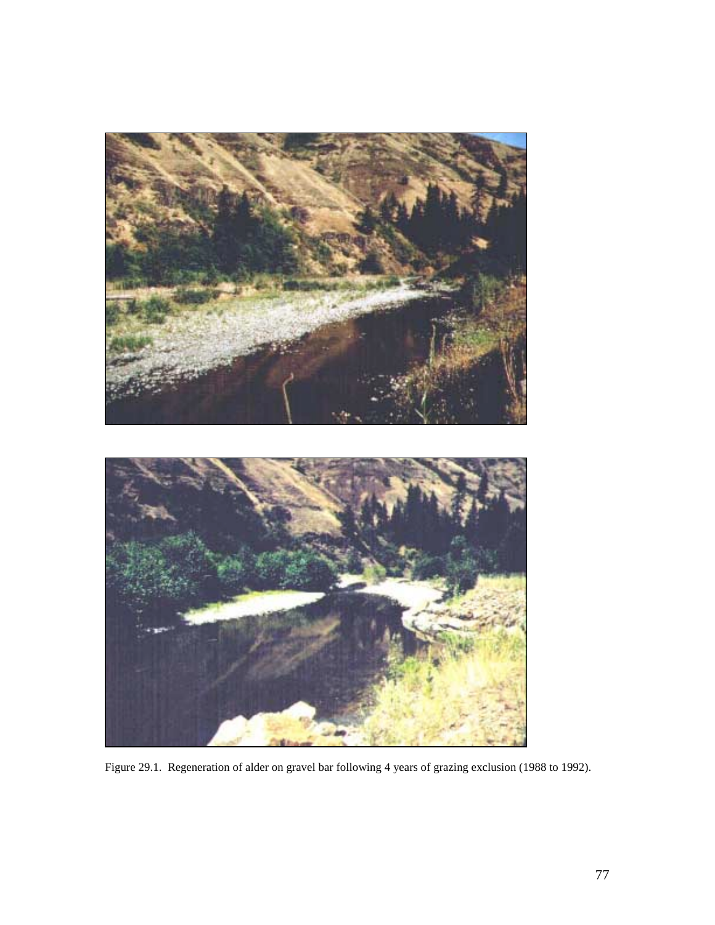

Figure 29.1. Regeneration of alder on gravel bar following 4 years of grazing exclusion (1988 to 1992).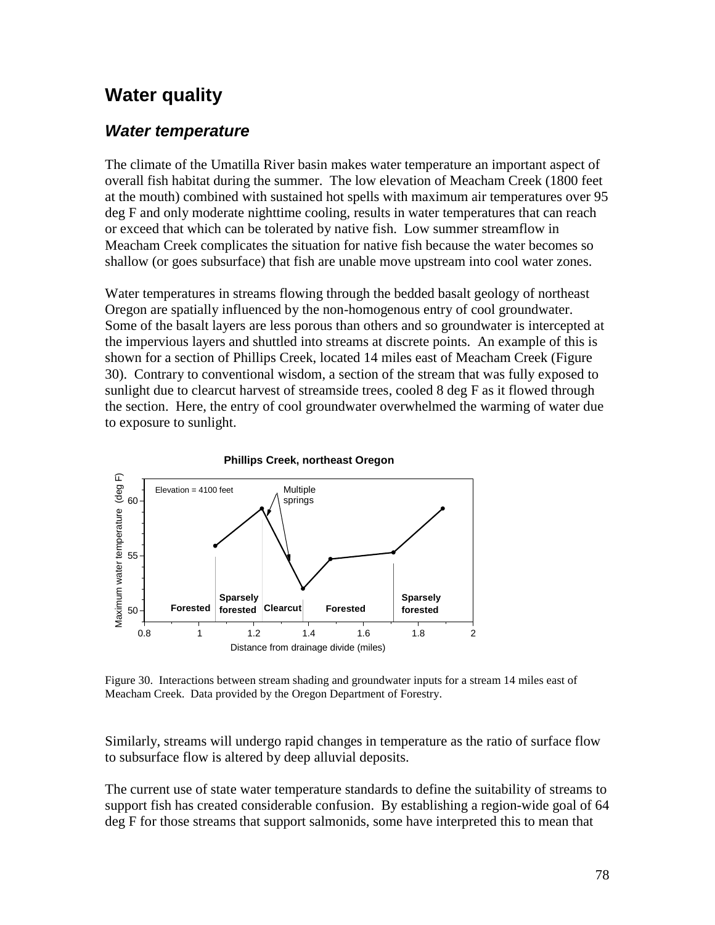## **Water quality**

#### *Water temperature*

The climate of the Umatilla River basin makes water temperature an important aspect of overall fish habitat during the summer. The low elevation of Meacham Creek (1800 feet at the mouth) combined with sustained hot spells with maximum air temperatures over 95 deg F and only moderate nighttime cooling, results in water temperatures that can reach or exceed that which can be tolerated by native fish. Low summer streamflow in Meacham Creek complicates the situation for native fish because the water becomes so shallow (or goes subsurface) that fish are unable move upstream into cool water zones.

Water temperatures in streams flowing through the bedded basalt geology of northeast Oregon are spatially influenced by the non-homogenous entry of cool groundwater. Some of the basalt layers are less porous than others and so groundwater is intercepted at the impervious layers and shuttled into streams at discrete points. An example of this is shown for a section of Phillips Creek, located 14 miles east of Meacham Creek (Figure 30). Contrary to conventional wisdom, a section of the stream that was fully exposed to sunlight due to clearcut harvest of streamside trees, cooled 8 deg F as it flowed through the section. Here, the entry of cool groundwater overwhelmed the warming of water due to exposure to sunlight.



Figure 30. Interactions between stream shading and groundwater inputs for a stream 14 miles east of Meacham Creek. Data provided by the Oregon Department of Forestry.

Similarly, streams will undergo rapid changes in temperature as the ratio of surface flow to subsurface flow is altered by deep alluvial deposits.

The current use of state water temperature standards to define the suitability of streams to support fish has created considerable confusion. By establishing a region-wide goal of 64 deg F for those streams that support salmonids, some have interpreted this to mean that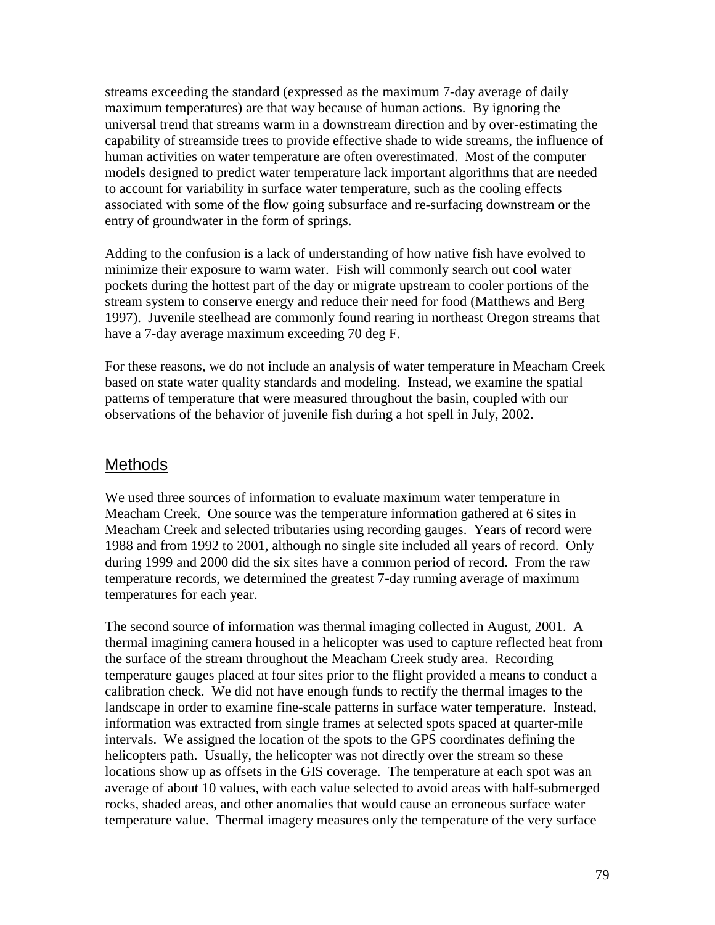streams exceeding the standard (expressed as the maximum 7-day average of daily maximum temperatures) are that way because of human actions. By ignoring the universal trend that streams warm in a downstream direction and by over-estimating the capability of streamside trees to provide effective shade to wide streams, the influence of human activities on water temperature are often overestimated. Most of the computer models designed to predict water temperature lack important algorithms that are needed to account for variability in surface water temperature, such as the cooling effects associated with some of the flow going subsurface and re-surfacing downstream or the entry of groundwater in the form of springs.

Adding to the confusion is a lack of understanding of how native fish have evolved to minimize their exposure to warm water. Fish will commonly search out cool water pockets during the hottest part of the day or migrate upstream to cooler portions of the stream system to conserve energy and reduce their need for food (Matthews and Berg 1997). Juvenile steelhead are commonly found rearing in northeast Oregon streams that have a 7-day average maximum exceeding 70 deg F.

For these reasons, we do not include an analysis of water temperature in Meacham Creek based on state water quality standards and modeling. Instead, we examine the spatial patterns of temperature that were measured throughout the basin, coupled with our observations of the behavior of juvenile fish during a hot spell in July, 2002.

#### **Methods**

We used three sources of information to evaluate maximum water temperature in Meacham Creek. One source was the temperature information gathered at 6 sites in Meacham Creek and selected tributaries using recording gauges. Years of record were 1988 and from 1992 to 2001, although no single site included all years of record. Only during 1999 and 2000 did the six sites have a common period of record. From the raw temperature records, we determined the greatest 7-day running average of maximum temperatures for each year.

The second source of information was thermal imaging collected in August, 2001. A thermal imagining camera housed in a helicopter was used to capture reflected heat from the surface of the stream throughout the Meacham Creek study area. Recording temperature gauges placed at four sites prior to the flight provided a means to conduct a calibration check. We did not have enough funds to rectify the thermal images to the landscape in order to examine fine-scale patterns in surface water temperature. Instead, information was extracted from single frames at selected spots spaced at quarter-mile intervals. We assigned the location of the spots to the GPS coordinates defining the helicopters path. Usually, the helicopter was not directly over the stream so these locations show up as offsets in the GIS coverage. The temperature at each spot was an average of about 10 values, with each value selected to avoid areas with half-submerged rocks, shaded areas, and other anomalies that would cause an erroneous surface water temperature value. Thermal imagery measures only the temperature of the very surface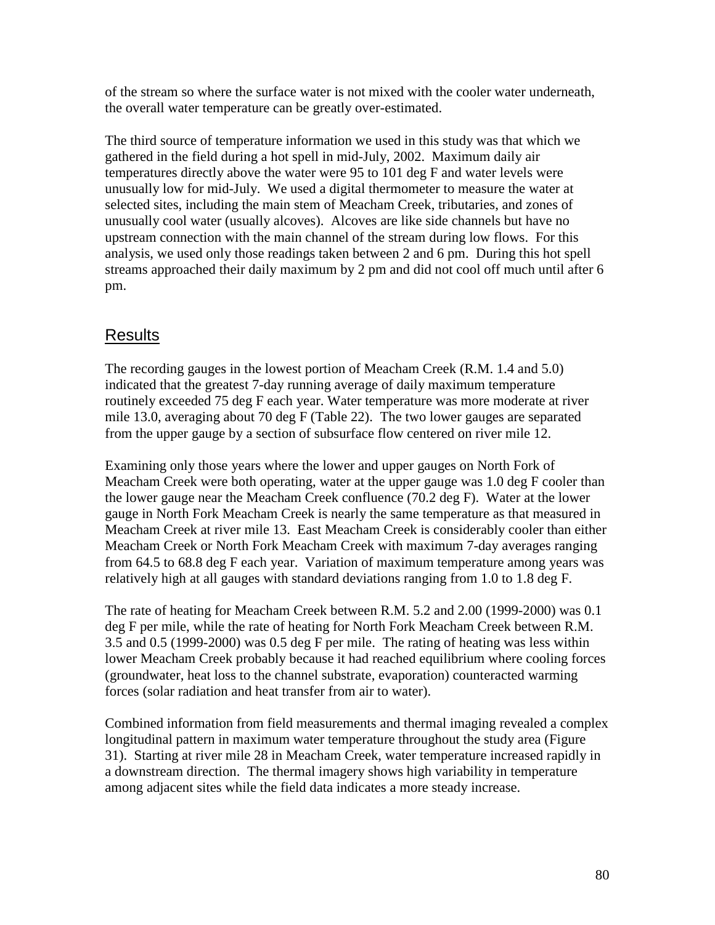of the stream so where the surface water is not mixed with the cooler water underneath, the overall water temperature can be greatly over-estimated.

The third source of temperature information we used in this study was that which we gathered in the field during a hot spell in mid-July, 2002. Maximum daily air temperatures directly above the water were 95 to 101 deg F and water levels were unusually low for mid-July. We used a digital thermometer to measure the water at selected sites, including the main stem of Meacham Creek, tributaries, and zones of unusually cool water (usually alcoves). Alcoves are like side channels but have no upstream connection with the main channel of the stream during low flows. For this analysis, we used only those readings taken between 2 and 6 pm. During this hot spell streams approached their daily maximum by 2 pm and did not cool off much until after 6 pm.

#### Results

The recording gauges in the lowest portion of Meacham Creek (R.M. 1.4 and 5.0) indicated that the greatest 7-day running average of daily maximum temperature routinely exceeded 75 deg F each year. Water temperature was more moderate at river mile 13.0, averaging about 70 deg F (Table 22). The two lower gauges are separated from the upper gauge by a section of subsurface flow centered on river mile 12.

Examining only those years where the lower and upper gauges on North Fork of Meacham Creek were both operating, water at the upper gauge was 1.0 deg F cooler than the lower gauge near the Meacham Creek confluence (70.2 deg F). Water at the lower gauge in North Fork Meacham Creek is nearly the same temperature as that measured in Meacham Creek at river mile 13. East Meacham Creek is considerably cooler than either Meacham Creek or North Fork Meacham Creek with maximum 7-day averages ranging from 64.5 to 68.8 deg F each year. Variation of maximum temperature among years was relatively high at all gauges with standard deviations ranging from 1.0 to 1.8 deg F.

The rate of heating for Meacham Creek between R.M. 5.2 and 2.00 (1999-2000) was 0.1 deg F per mile, while the rate of heating for North Fork Meacham Creek between R.M. 3.5 and 0.5 (1999-2000) was 0.5 deg F per mile. The rating of heating was less within lower Meacham Creek probably because it had reached equilibrium where cooling forces (groundwater, heat loss to the channel substrate, evaporation) counteracted warming forces (solar radiation and heat transfer from air to water).

Combined information from field measurements and thermal imaging revealed a complex longitudinal pattern in maximum water temperature throughout the study area (Figure 31). Starting at river mile 28 in Meacham Creek, water temperature increased rapidly in a downstream direction. The thermal imagery shows high variability in temperature among adjacent sites while the field data indicates a more steady increase.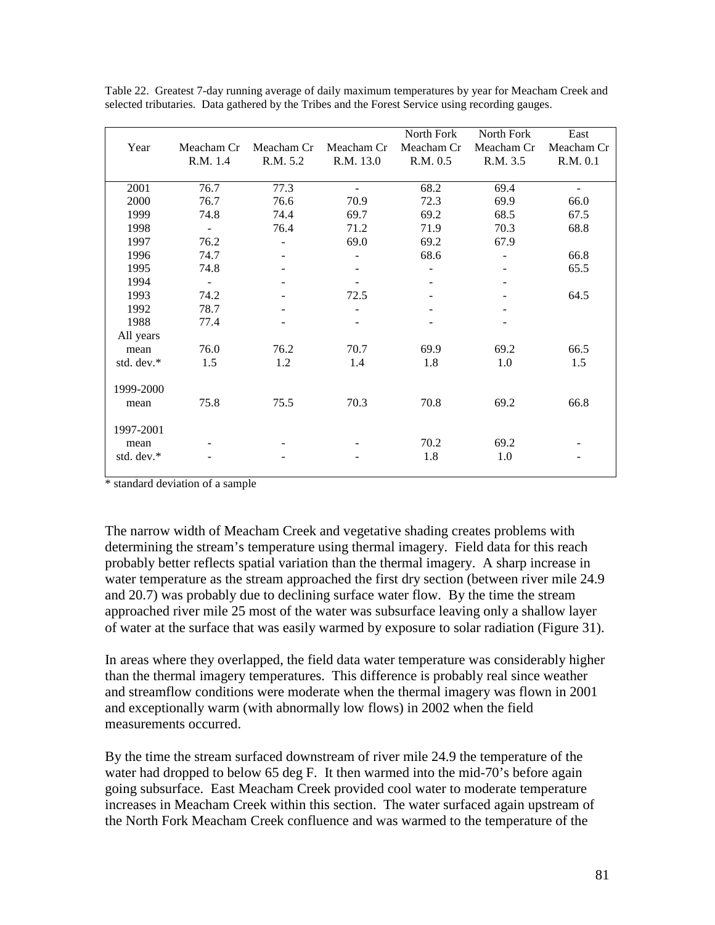|            |                          |            |            | North Fork | North Fork | East       |
|------------|--------------------------|------------|------------|------------|------------|------------|
| Year       | Meacham Cr               | Meacham Cr | Meacham Cr | Meacham Cr | Meacham Cr | Meacham Cr |
|            | R.M. 1.4                 | R.M. 5.2   | R.M. 13.0  | R.M. 0.5   | R.M. 3.5   | R.M. 0.1   |
|            |                          |            |            |            |            |            |
| 2001       | 76.7                     | 77.3       |            | 68.2       | 69.4       |            |
| 2000       | 76.7                     | 76.6       | 70.9       | 72.3       | 69.9       | 66.0       |
| 1999       | 74.8                     | 74.4       | 69.7       | 69.2       | 68.5       | 67.5       |
| 1998       | $\overline{\phantom{a}}$ | 76.4       | 71.2       | 71.9       | 70.3       | 68.8       |
| 1997       | 76.2                     |            | 69.0       | 69.2       | 67.9       |            |
| 1996       | 74.7                     |            |            | 68.6       |            | 66.8       |
| 1995       | 74.8                     |            |            |            |            | 65.5       |
| 1994       | $\blacksquare$           |            |            |            |            |            |
| 1993       | 74.2                     |            | 72.5       |            |            | 64.5       |
| 1992       | 78.7                     |            |            |            |            |            |
| 1988       | 77.4                     |            |            |            |            |            |
| All years  |                          |            |            |            |            |            |
| mean       | 76.0                     | 76.2       | 70.7       | 69.9       | 69.2       | 66.5       |
| std. dev.* | 1.5                      | 1.2        | 1.4        | 1.8        | 1.0        | 1.5        |
|            |                          |            |            |            |            |            |
| 1999-2000  |                          |            |            |            |            |            |
| mean       | 75.8                     | 75.5       | 70.3       | 70.8       | 69.2       | 66.8       |
|            |                          |            |            |            |            |            |
| 1997-2001  |                          |            |            |            |            |            |
| mean       |                          |            |            | 70.2       | 69.2       |            |
| std. dev.* |                          |            |            | 1.8        | 1.0        |            |
|            |                          |            |            |            |            |            |

Table 22. Greatest 7-day running average of daily maximum temperatures by year for Meacham Creek and selected tributaries. Data gathered by the Tribes and the Forest Service using recording gauges.

\* standard deviation of a sample

The narrow width of Meacham Creek and vegetative shading creates problems with determining the stream's temperature using thermal imagery. Field data for this reach probably better reflects spatial variation than the thermal imagery. A sharp increase in water temperature as the stream approached the first dry section (between river mile 24.9) and 20.7) was probably due to declining surface water flow. By the time the stream approached river mile 25 most of the water was subsurface leaving only a shallow layer of water at the surface that was easily warmed by exposure to solar radiation (Figure 31).

In areas where they overlapped, the field data water temperature was considerably higher than the thermal imagery temperatures. This difference is probably real since weather and streamflow conditions were moderate when the thermal imagery was flown in 2001 and exceptionally warm (with abnormally low flows) in 2002 when the field measurements occurred.

By the time the stream surfaced downstream of river mile 24.9 the temperature of the water had dropped to below 65 deg F. It then warmed into the mid-70's before again going subsurface. East Meacham Creek provided cool water to moderate temperature increases in Meacham Creek within this section. The water surfaced again upstream of the North Fork Meacham Creek confluence and was warmed to the temperature of the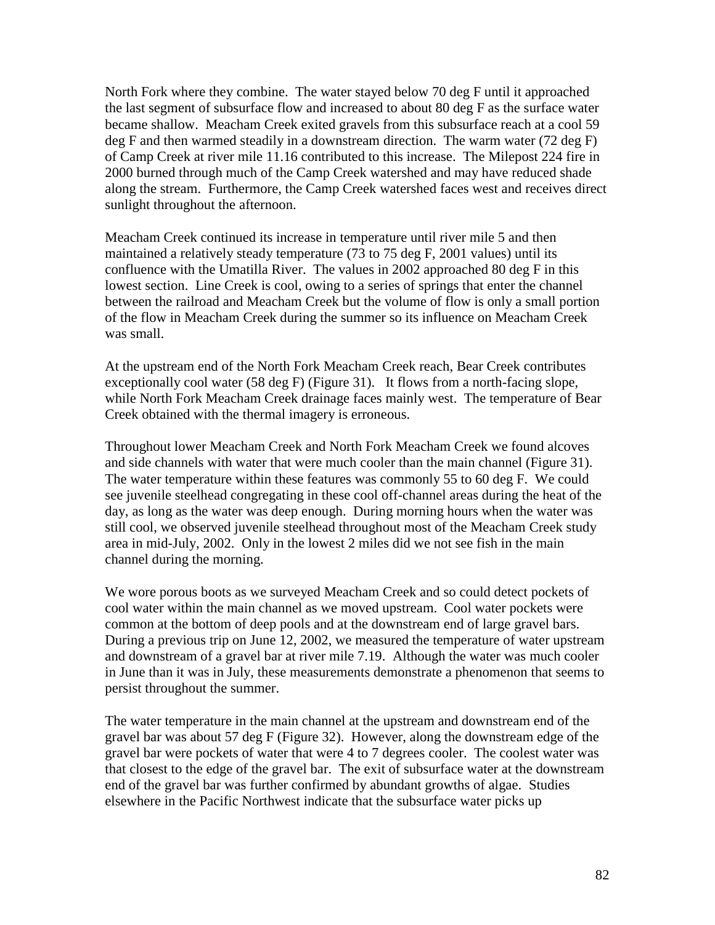North Fork where they combine. The water stayed below 70 deg F until it approached the last segment of subsurface flow and increased to about 80 deg F as the surface water became shallow. Meacham Creek exited gravels from this subsurface reach at a cool 59 deg F and then warmed steadily in a downstream direction. The warm water (72 deg F) of Camp Creek at river mile 11.16 contributed to this increase. The Milepost 224 fire in 2000 burned through much of the Camp Creek watershed and may have reduced shade along the stream. Furthermore, the Camp Creek watershed faces west and receives direct sunlight throughout the afternoon.

Meacham Creek continued its increase in temperature until river mile 5 and then maintained a relatively steady temperature (73 to 75 deg F, 2001 values) until its confluence with the Umatilla River. The values in 2002 approached 80 deg F in this lowest section. Line Creek is cool, owing to a series of springs that enter the channel between the railroad and Meacham Creek but the volume of flow is only a small portion of the flow in Meacham Creek during the summer so its influence on Meacham Creek was small.

At the upstream end of the North Fork Meacham Creek reach, Bear Creek contributes exceptionally cool water (58 deg F) (Figure 31). It flows from a north-facing slope, while North Fork Meacham Creek drainage faces mainly west. The temperature of Bear Creek obtained with the thermal imagery is erroneous.

Throughout lower Meacham Creek and North Fork Meacham Creek we found alcoves and side channels with water that were much cooler than the main channel (Figure 31). The water temperature within these features was commonly 55 to 60 deg F. We could see juvenile steelhead congregating in these cool off-channel areas during the heat of the day, as long as the water was deep enough. During morning hours when the water was still cool, we observed juvenile steelhead throughout most of the Meacham Creek study area in mid-July, 2002. Only in the lowest 2 miles did we not see fish in the main channel during the morning.

We wore porous boots as we surveyed Meacham Creek and so could detect pockets of cool water within the main channel as we moved upstream. Cool water pockets were common at the bottom of deep pools and at the downstream end of large gravel bars. During a previous trip on June 12, 2002, we measured the temperature of water upstream and downstream of a gravel bar at river mile 7.19. Although the water was much cooler in June than it was in July, these measurements demonstrate a phenomenon that seems to persist throughout the summer.

The water temperature in the main channel at the upstream and downstream end of the gravel bar was about 57 deg F (Figure 32). However, along the downstream edge of the gravel bar were pockets of water that were 4 to 7 degrees cooler. The coolest water was that closest to the edge of the gravel bar. The exit of subsurface water at the downstream end of the gravel bar was further confirmed by abundant growths of algae. Studies elsewhere in the Pacific Northwest indicate that the subsurface water picks up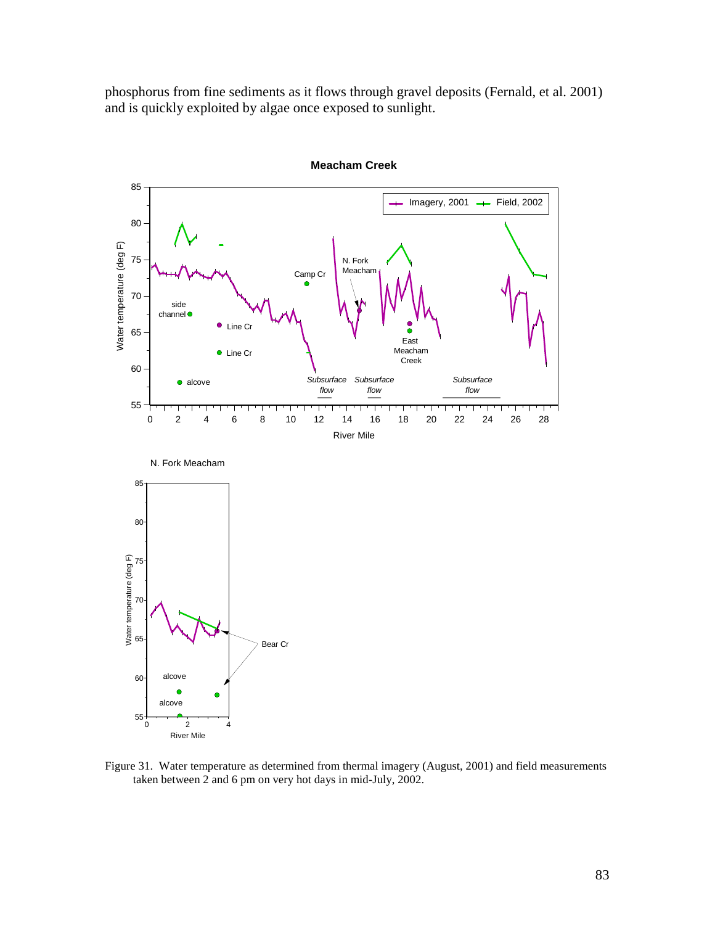phosphorus from fine sediments as it flows through gravel deposits (Fernald, et al. 2001) and is quickly exploited by algae once exposed to sunlight.



**Meacham Creek**

Figure 31. Water temperature as determined from thermal imagery (August, 2001) and field measurements taken between 2 and 6 pm on very hot days in mid-July, 2002.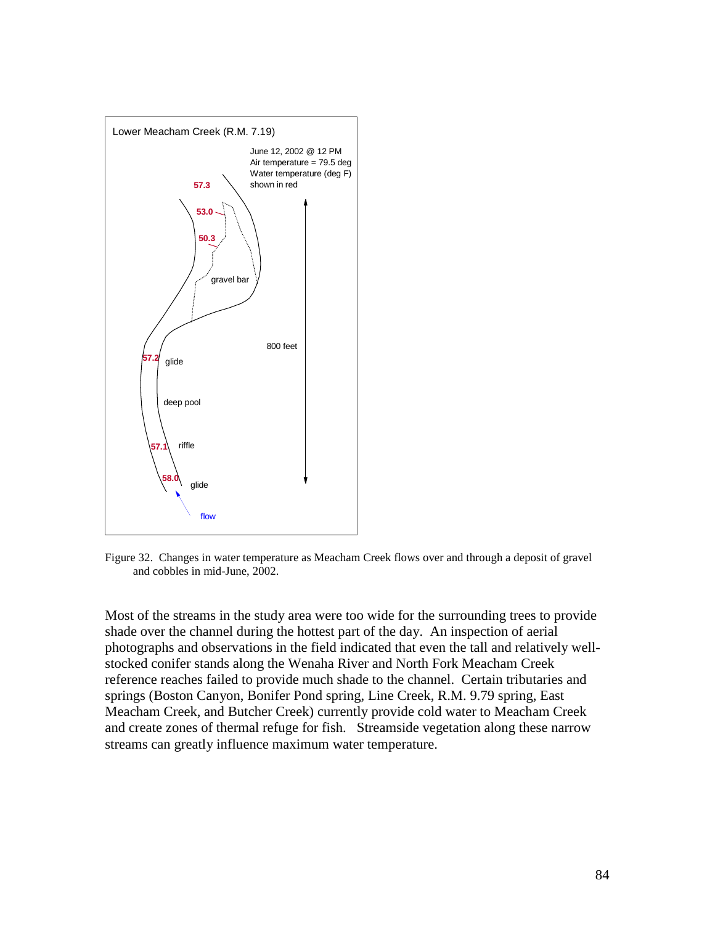

Figure 32. Changes in water temperature as Meacham Creek flows over and through a deposit of gravel and cobbles in mid-June, 2002.

Most of the streams in the study area were too wide for the surrounding trees to provide shade over the channel during the hottest part of the day. An inspection of aerial photographs and observations in the field indicated that even the tall and relatively wellstocked conifer stands along the Wenaha River and North Fork Meacham Creek reference reaches failed to provide much shade to the channel. Certain tributaries and springs (Boston Canyon, Bonifer Pond spring, Line Creek, R.M. 9.79 spring, East Meacham Creek, and Butcher Creek) currently provide cold water to Meacham Creek and create zones of thermal refuge for fish. Streamside vegetation along these narrow streams can greatly influence maximum water temperature.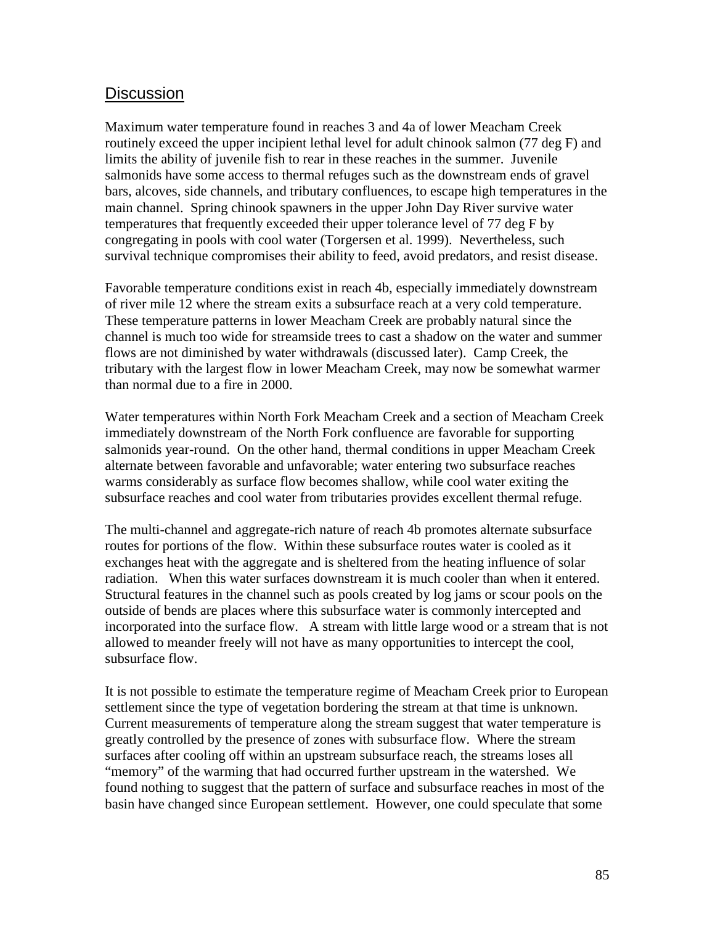#### **Discussion**

Maximum water temperature found in reaches 3 and 4a of lower Meacham Creek routinely exceed the upper incipient lethal level for adult chinook salmon (77 deg F) and limits the ability of juvenile fish to rear in these reaches in the summer. Juvenile salmonids have some access to thermal refuges such as the downstream ends of gravel bars, alcoves, side channels, and tributary confluences, to escape high temperatures in the main channel. Spring chinook spawners in the upper John Day River survive water temperatures that frequently exceeded their upper tolerance level of 77 deg F by congregating in pools with cool water (Torgersen et al. 1999). Nevertheless, such survival technique compromises their ability to feed, avoid predators, and resist disease.

Favorable temperature conditions exist in reach 4b, especially immediately downstream of river mile 12 where the stream exits a subsurface reach at a very cold temperature. These temperature patterns in lower Meacham Creek are probably natural since the channel is much too wide for streamside trees to cast a shadow on the water and summer flows are not diminished by water withdrawals (discussed later). Camp Creek, the tributary with the largest flow in lower Meacham Creek, may now be somewhat warmer than normal due to a fire in 2000.

Water temperatures within North Fork Meacham Creek and a section of Meacham Creek immediately downstream of the North Fork confluence are favorable for supporting salmonids year-round. On the other hand, thermal conditions in upper Meacham Creek alternate between favorable and unfavorable; water entering two subsurface reaches warms considerably as surface flow becomes shallow, while cool water exiting the subsurface reaches and cool water from tributaries provides excellent thermal refuge.

The multi-channel and aggregate-rich nature of reach 4b promotes alternate subsurface routes for portions of the flow. Within these subsurface routes water is cooled as it exchanges heat with the aggregate and is sheltered from the heating influence of solar radiation. When this water surfaces downstream it is much cooler than when it entered. Structural features in the channel such as pools created by log jams or scour pools on the outside of bends are places where this subsurface water is commonly intercepted and incorporated into the surface flow. A stream with little large wood or a stream that is not allowed to meander freely will not have as many opportunities to intercept the cool, subsurface flow.

It is not possible to estimate the temperature regime of Meacham Creek prior to European settlement since the type of vegetation bordering the stream at that time is unknown. Current measurements of temperature along the stream suggest that water temperature is greatly controlled by the presence of zones with subsurface flow. Where the stream surfaces after cooling off within an upstream subsurface reach, the streams loses all "memory" of the warming that had occurred further upstream in the watershed. We found nothing to suggest that the pattern of surface and subsurface reaches in most of the basin have changed since European settlement. However, one could speculate that some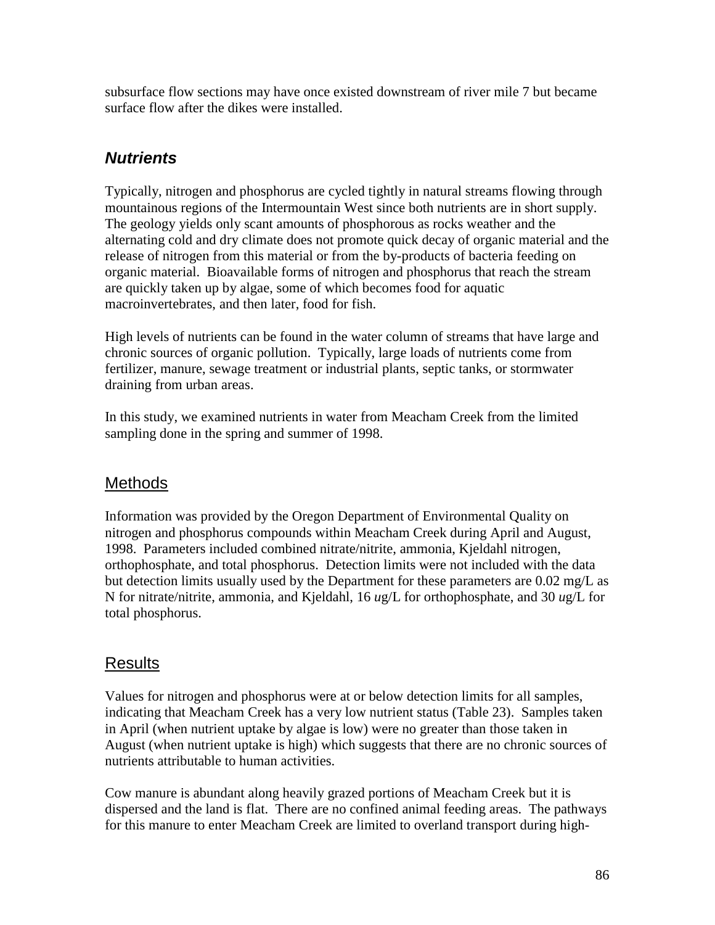subsurface flow sections may have once existed downstream of river mile 7 but became surface flow after the dikes were installed.

## *Nutrients*

Typically, nitrogen and phosphorus are cycled tightly in natural streams flowing through mountainous regions of the Intermountain West since both nutrients are in short supply. The geology yields only scant amounts of phosphorous as rocks weather and the alternating cold and dry climate does not promote quick decay of organic material and the release of nitrogen from this material or from the by-products of bacteria feeding on organic material. Bioavailable forms of nitrogen and phosphorus that reach the stream are quickly taken up by algae, some of which becomes food for aquatic macroinvertebrates, and then later, food for fish.

High levels of nutrients can be found in the water column of streams that have large and chronic sources of organic pollution. Typically, large loads of nutrients come from fertilizer, manure, sewage treatment or industrial plants, septic tanks, or stormwater draining from urban areas.

In this study, we examined nutrients in water from Meacham Creek from the limited sampling done in the spring and summer of 1998.

#### Methods

Information was provided by the Oregon Department of Environmental Quality on nitrogen and phosphorus compounds within Meacham Creek during April and August, 1998. Parameters included combined nitrate/nitrite, ammonia, Kjeldahl nitrogen, orthophosphate, and total phosphorus. Detection limits were not included with the data but detection limits usually used by the Department for these parameters are 0.02 mg/L as N for nitrate/nitrite, ammonia, and Kjeldahl, 16 *u*g/L for orthophosphate, and 30 *u*g/L for total phosphorus.

#### Results

Values for nitrogen and phosphorus were at or below detection limits for all samples, indicating that Meacham Creek has a very low nutrient status (Table 23). Samples taken in April (when nutrient uptake by algae is low) were no greater than those taken in August (when nutrient uptake is high) which suggests that there are no chronic sources of nutrients attributable to human activities.

Cow manure is abundant along heavily grazed portions of Meacham Creek but it is dispersed and the land is flat. There are no confined animal feeding areas. The pathways for this manure to enter Meacham Creek are limited to overland transport during high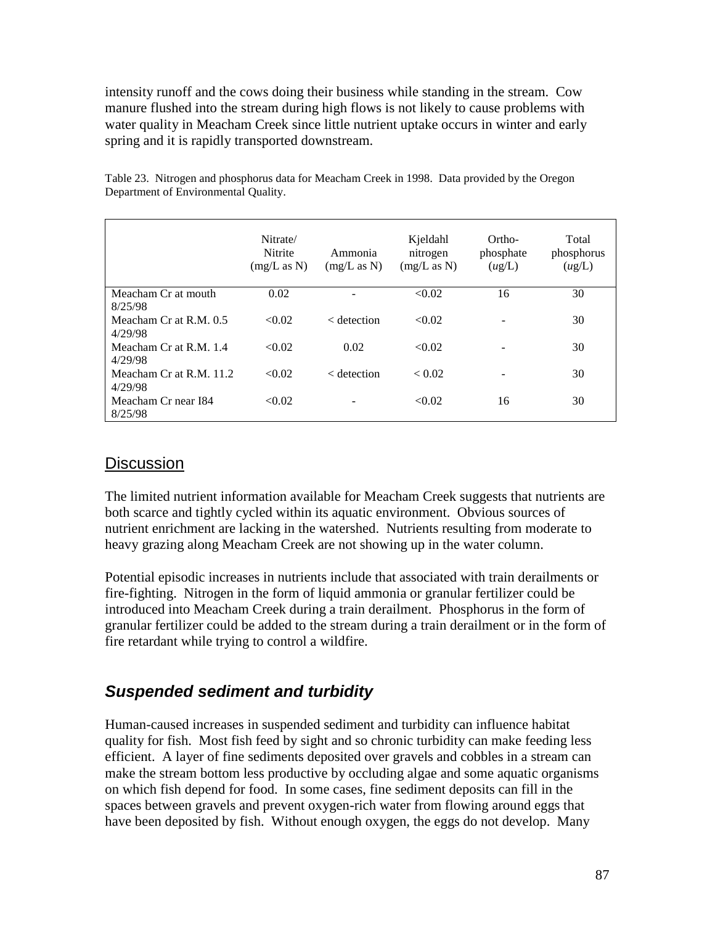intensity runoff and the cows doing their business while standing in the stream. Cow manure flushed into the stream during high flows is not likely to cause problems with water quality in Meacham Creek since little nutrient uptake occurs in winter and early spring and it is rapidly transported downstream.

|                                    | Nitrate/<br>Nitrite<br>(mg/L as N) | Ammonia<br>(mg/L as N) | Kjeldahl<br>nitrogen<br>(mg/L as N) | Ortho-<br>phosphate<br>(ug/L) | Total<br>phosphorus<br>(ug/L) |
|------------------------------------|------------------------------------|------------------------|-------------------------------------|-------------------------------|-------------------------------|
| Meacham Cr at mouth<br>8/25/98     | 0.02                               |                        | < 0.02                              | 16                            | 30                            |
| Meacham Cr at R.M. 0.5<br>4/29/98  | < 0.02                             | $\epsilon$ detection   | < 0.02                              |                               | 30                            |
| Meacham Cr at R.M. 1.4<br>4/29/98  | < 0.02                             | 0.02                   | < 0.02                              |                               | 30                            |
| Meacham Cr at R.M. 11.2<br>4/29/98 | < 0.02                             | $\alpha$ detection     | ${}_{0.02}$                         |                               | 30                            |
| Meacham Cr near I84<br>8/25/98     | < 0.02                             |                        | < 0.02                              | 16                            | 30                            |

Table 23. Nitrogen and phosphorus data for Meacham Creek in 1998. Data provided by the Oregon Department of Environmental Quality.

#### **Discussion**

The limited nutrient information available for Meacham Creek suggests that nutrients are both scarce and tightly cycled within its aquatic environment. Obvious sources of nutrient enrichment are lacking in the watershed. Nutrients resulting from moderate to heavy grazing along Meacham Creek are not showing up in the water column.

Potential episodic increases in nutrients include that associated with train derailments or fire-fighting. Nitrogen in the form of liquid ammonia or granular fertilizer could be introduced into Meacham Creek during a train derailment. Phosphorus in the form of granular fertilizer could be added to the stream during a train derailment or in the form of fire retardant while trying to control a wildfire.

#### *Suspended sediment and turbidity*

Human-caused increases in suspended sediment and turbidity can influence habitat quality for fish. Most fish feed by sight and so chronic turbidity can make feeding less efficient. A layer of fine sediments deposited over gravels and cobbles in a stream can make the stream bottom less productive by occluding algae and some aquatic organisms on which fish depend for food. In some cases, fine sediment deposits can fill in the spaces between gravels and prevent oxygen-rich water from flowing around eggs that have been deposited by fish. Without enough oxygen, the eggs do not develop. Many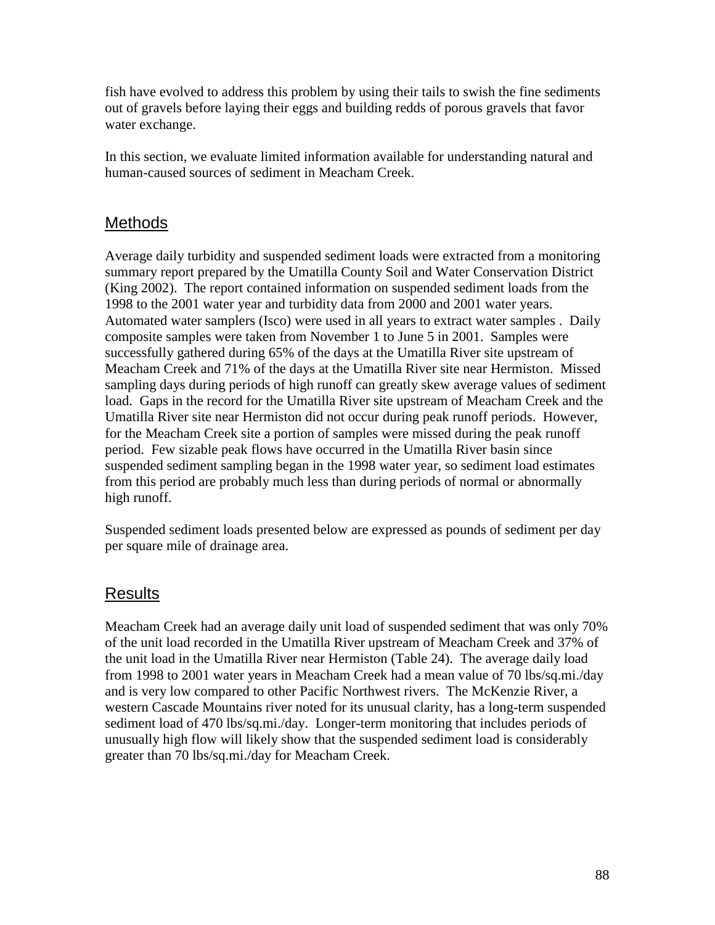fish have evolved to address this problem by using their tails to swish the fine sediments out of gravels before laying their eggs and building redds of porous gravels that favor water exchange.

In this section, we evaluate limited information available for understanding natural and human-caused sources of sediment in Meacham Creek.

## **Methods**

Average daily turbidity and suspended sediment loads were extracted from a monitoring summary report prepared by the Umatilla County Soil and Water Conservation District (King 2002). The report contained information on suspended sediment loads from the 1998 to the 2001 water year and turbidity data from 2000 and 2001 water years. Automated water samplers (Isco) were used in all years to extract water samples . Daily composite samples were taken from November 1 to June 5 in 2001. Samples were successfully gathered during 65% of the days at the Umatilla River site upstream of Meacham Creek and 71% of the days at the Umatilla River site near Hermiston. Missed sampling days during periods of high runoff can greatly skew average values of sediment load. Gaps in the record for the Umatilla River site upstream of Meacham Creek and the Umatilla River site near Hermiston did not occur during peak runoff periods. However, for the Meacham Creek site a portion of samples were missed during the peak runoff period. Few sizable peak flows have occurred in the Umatilla River basin since suspended sediment sampling began in the 1998 water year, so sediment load estimates from this period are probably much less than during periods of normal or abnormally high runoff.

Suspended sediment loads presented below are expressed as pounds of sediment per day per square mile of drainage area.

#### Results

Meacham Creek had an average daily unit load of suspended sediment that was only 70% of the unit load recorded in the Umatilla River upstream of Meacham Creek and 37% of the unit load in the Umatilla River near Hermiston (Table 24). The average daily load from 1998 to 2001 water years in Meacham Creek had a mean value of 70 lbs/sq.mi./day and is very low compared to other Pacific Northwest rivers. The McKenzie River, a western Cascade Mountains river noted for its unusual clarity, has a long-term suspended sediment load of 470 lbs/sq.mi./day. Longer-term monitoring that includes periods of unusually high flow will likely show that the suspended sediment load is considerably greater than 70 lbs/sq.mi./day for Meacham Creek.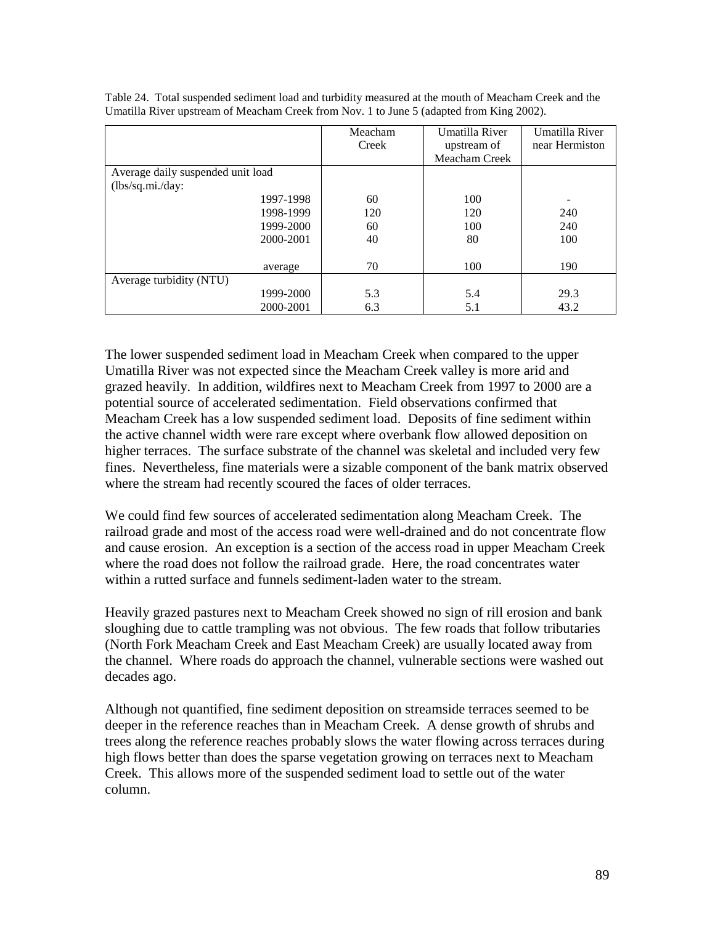|                                   | Meacham<br>Creek | Umatilla River<br>upstream of<br>Meacham Creek | Umatilla River<br>near Hermiston |
|-----------------------------------|------------------|------------------------------------------------|----------------------------------|
| Average daily suspended unit load |                  |                                                |                                  |
| (lbs/sq.mi./day:                  |                  |                                                |                                  |
| 1997-1998                         | 60               | 100                                            |                                  |
| 1998-1999                         | 120              | 120                                            | 240                              |
| 1999-2000                         | 60               | 100                                            | 240                              |
| 2000-2001                         | 40               | 80                                             | 100                              |
|                                   |                  |                                                |                                  |
| average                           | 70               | 100                                            | 190                              |
| Average turbidity (NTU)           |                  |                                                |                                  |
| 1999-2000                         | 5.3              | 5.4                                            | 29.3                             |
| 2000-2001                         | 6.3              | 5.1                                            | 43.2                             |

Table 24. Total suspended sediment load and turbidity measured at the mouth of Meacham Creek and the Umatilla River upstream of Meacham Creek from Nov. 1 to June 5 (adapted from King 2002).

The lower suspended sediment load in Meacham Creek when compared to the upper Umatilla River was not expected since the Meacham Creek valley is more arid and grazed heavily. In addition, wildfires next to Meacham Creek from 1997 to 2000 are a potential source of accelerated sedimentation. Field observations confirmed that Meacham Creek has a low suspended sediment load. Deposits of fine sediment within the active channel width were rare except where overbank flow allowed deposition on higher terraces. The surface substrate of the channel was skeletal and included very few fines. Nevertheless, fine materials were a sizable component of the bank matrix observed where the stream had recently scoured the faces of older terraces.

We could find few sources of accelerated sedimentation along Meacham Creek. The railroad grade and most of the access road were well-drained and do not concentrate flow and cause erosion. An exception is a section of the access road in upper Meacham Creek where the road does not follow the railroad grade. Here, the road concentrates water within a rutted surface and funnels sediment-laden water to the stream.

Heavily grazed pastures next to Meacham Creek showed no sign of rill erosion and bank sloughing due to cattle trampling was not obvious. The few roads that follow tributaries (North Fork Meacham Creek and East Meacham Creek) are usually located away from the channel. Where roads do approach the channel, vulnerable sections were washed out decades ago.

Although not quantified, fine sediment deposition on streamside terraces seemed to be deeper in the reference reaches than in Meacham Creek. A dense growth of shrubs and trees along the reference reaches probably slows the water flowing across terraces during high flows better than does the sparse vegetation growing on terraces next to Meacham Creek. This allows more of the suspended sediment load to settle out of the water column.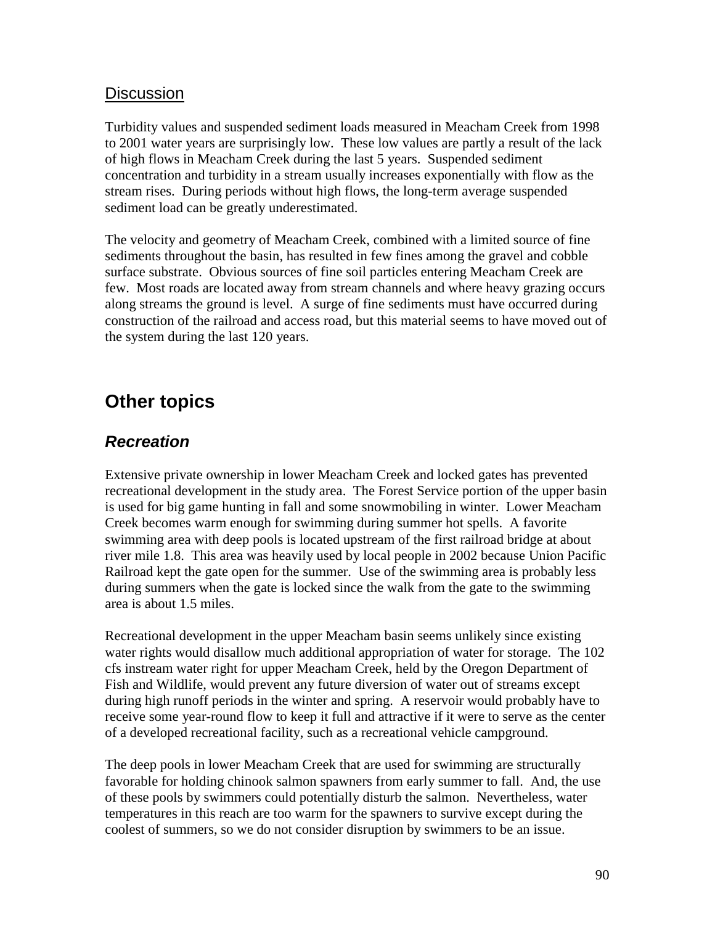#### **Discussion**

Turbidity values and suspended sediment loads measured in Meacham Creek from 1998 to 2001 water years are surprisingly low. These low values are partly a result of the lack of high flows in Meacham Creek during the last 5 years. Suspended sediment concentration and turbidity in a stream usually increases exponentially with flow as the stream rises. During periods without high flows, the long-term average suspended sediment load can be greatly underestimated.

The velocity and geometry of Meacham Creek, combined with a limited source of fine sediments throughout the basin, has resulted in few fines among the gravel and cobble surface substrate. Obvious sources of fine soil particles entering Meacham Creek are few. Most roads are located away from stream channels and where heavy grazing occurs along streams the ground is level. A surge of fine sediments must have occurred during construction of the railroad and access road, but this material seems to have moved out of the system during the last 120 years.

# **Other topics**

#### *Recreation*

Extensive private ownership in lower Meacham Creek and locked gates has prevented recreational development in the study area. The Forest Service portion of the upper basin is used for big game hunting in fall and some snowmobiling in winter. Lower Meacham Creek becomes warm enough for swimming during summer hot spells. A favorite swimming area with deep pools is located upstream of the first railroad bridge at about river mile 1.8. This area was heavily used by local people in 2002 because Union Pacific Railroad kept the gate open for the summer. Use of the swimming area is probably less during summers when the gate is locked since the walk from the gate to the swimming area is about 1.5 miles.

Recreational development in the upper Meacham basin seems unlikely since existing water rights would disallow much additional appropriation of water for storage. The 102 cfs instream water right for upper Meacham Creek, held by the Oregon Department of Fish and Wildlife, would prevent any future diversion of water out of streams except during high runoff periods in the winter and spring. A reservoir would probably have to receive some year-round flow to keep it full and attractive if it were to serve as the center of a developed recreational facility, such as a recreational vehicle campground.

The deep pools in lower Meacham Creek that are used for swimming are structurally favorable for holding chinook salmon spawners from early summer to fall. And, the use of these pools by swimmers could potentially disturb the salmon. Nevertheless, water temperatures in this reach are too warm for the spawners to survive except during the coolest of summers, so we do not consider disruption by swimmers to be an issue.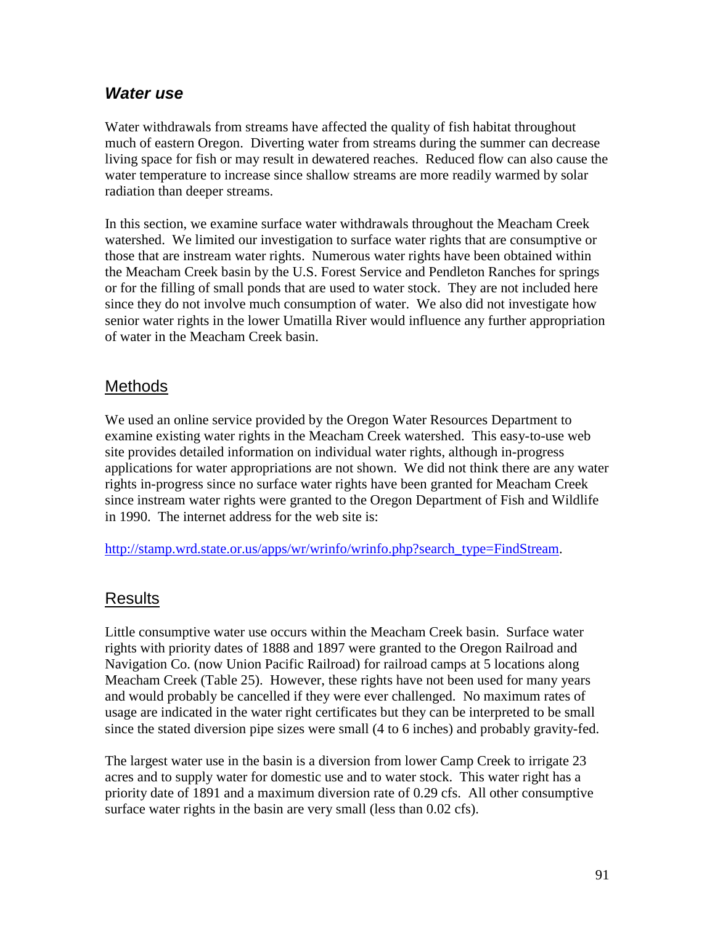#### *Water use*

Water withdrawals from streams have affected the quality of fish habitat throughout much of eastern Oregon. Diverting water from streams during the summer can decrease living space for fish or may result in dewatered reaches. Reduced flow can also cause the water temperature to increase since shallow streams are more readily warmed by solar radiation than deeper streams.

In this section, we examine surface water withdrawals throughout the Meacham Creek watershed. We limited our investigation to surface water rights that are consumptive or those that are instream water rights. Numerous water rights have been obtained within the Meacham Creek basin by the U.S. Forest Service and Pendleton Ranches for springs or for the filling of small ponds that are used to water stock. They are not included here since they do not involve much consumption of water. We also did not investigate how senior water rights in the lower Umatilla River would influence any further appropriation of water in the Meacham Creek basin.

#### **Methods**

We used an online service provided by the Oregon Water Resources Department to examine existing water rights in the Meacham Creek watershed. This easy-to-use web site provides detailed information on individual water rights, although in-progress applications for water appropriations are not shown. We did not think there are any water rights in-progress since no surface water rights have been granted for Meacham Creek since instream water rights were granted to the Oregon Department of Fish and Wildlife in 1990. The internet address for the web site is:

http://stamp.wrd.state.or.us/apps/wr/wrinfo/wrinfo.php?search\_type=FindStream.

#### Results

Little consumptive water use occurs within the Meacham Creek basin. Surface water rights with priority dates of 1888 and 1897 were granted to the Oregon Railroad and Navigation Co. (now Union Pacific Railroad) for railroad camps at 5 locations along Meacham Creek (Table 25). However, these rights have not been used for many years and would probably be cancelled if they were ever challenged. No maximum rates of usage are indicated in the water right certificates but they can be interpreted to be small since the stated diversion pipe sizes were small (4 to 6 inches) and probably gravity-fed.

The largest water use in the basin is a diversion from lower Camp Creek to irrigate 23 acres and to supply water for domestic use and to water stock. This water right has a priority date of 1891 and a maximum diversion rate of 0.29 cfs. All other consumptive surface water rights in the basin are very small (less than 0.02 cfs).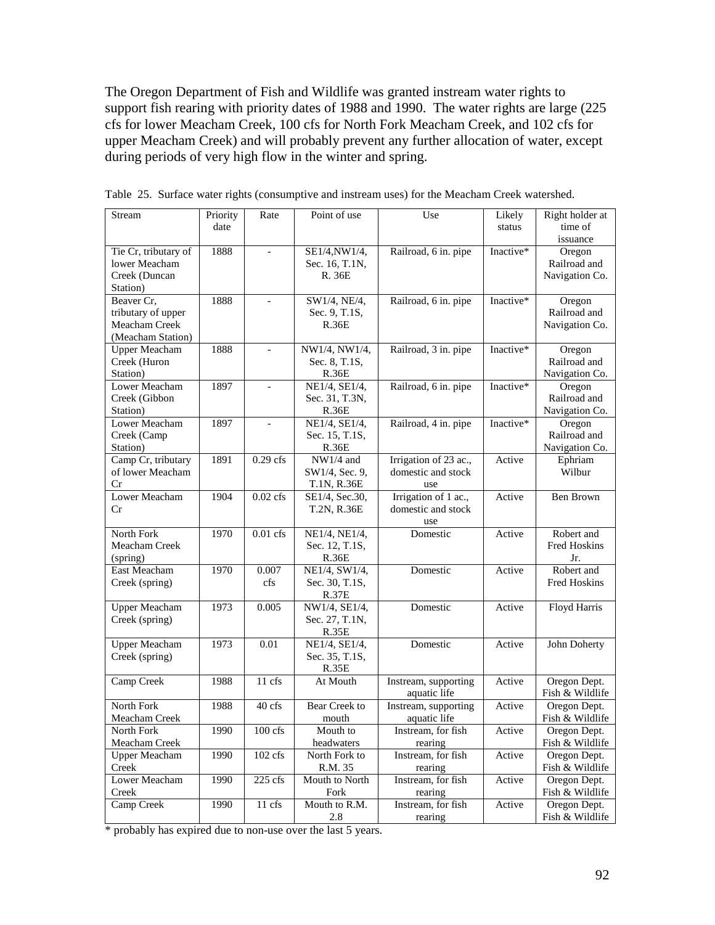The Oregon Department of Fish and Wildlife was granted instream water rights to support fish rearing with priority dates of 1988 and 1990. The water rights are large (225 cfs for lower Meacham Creek, 100 cfs for North Fork Meacham Creek, and 102 cfs for upper Meacham Creek) and will probably prevent any further allocation of water, except during periods of very high flow in the winter and spring.

| time of<br>date<br>status<br>issuance<br>Tie Cr, tributary of<br>Inactive*<br>1888<br>Railroad, 6 in. pipe<br>SE1/4, NW1/4,<br>Oregon<br>lower Meacham<br>Railroad and<br>Sec. 16, T.1N,<br>Navigation Co.<br>Creek (Duncan<br>R. 36E<br>Station)<br>1888<br>Railroad, 6 in. pipe<br>Inactive*<br>Beaver Cr,<br>SW1/4, NE/4,<br>Oregon<br>Railroad and<br>tributary of upper<br>Sec. 9, T.1S,<br>Meacham Creek<br>Navigation Co.<br>R.36E<br>(Meacham Station)<br><b>Upper Meacham</b><br>1888<br>NW1/4, NW1/4,<br>Railroad, 3 in. pipe<br>Inactive*<br>Oregon<br>Railroad and<br>Creek (Huron<br>Sec. 8, T.1S,<br>Station)<br>Navigation Co.<br>R.36E<br>Lower Meacham<br>1897<br>Railroad, 6 in. pipe<br>Inactive*<br>NE1/4, SE1/4,<br>Oregon<br>$\equiv$<br>Railroad and<br>Creek (Gibbon<br>Sec. 31, T.3N,<br>Navigation Co.<br>Station)<br><b>R.36E</b> |
|--------------------------------------------------------------------------------------------------------------------------------------------------------------------------------------------------------------------------------------------------------------------------------------------------------------------------------------------------------------------------------------------------------------------------------------------------------------------------------------------------------------------------------------------------------------------------------------------------------------------------------------------------------------------------------------------------------------------------------------------------------------------------------------------------------------------------------------------------------------|
|                                                                                                                                                                                                                                                                                                                                                                                                                                                                                                                                                                                                                                                                                                                                                                                                                                                              |
|                                                                                                                                                                                                                                                                                                                                                                                                                                                                                                                                                                                                                                                                                                                                                                                                                                                              |
|                                                                                                                                                                                                                                                                                                                                                                                                                                                                                                                                                                                                                                                                                                                                                                                                                                                              |
|                                                                                                                                                                                                                                                                                                                                                                                                                                                                                                                                                                                                                                                                                                                                                                                                                                                              |
|                                                                                                                                                                                                                                                                                                                                                                                                                                                                                                                                                                                                                                                                                                                                                                                                                                                              |
|                                                                                                                                                                                                                                                                                                                                                                                                                                                                                                                                                                                                                                                                                                                                                                                                                                                              |
|                                                                                                                                                                                                                                                                                                                                                                                                                                                                                                                                                                                                                                                                                                                                                                                                                                                              |
|                                                                                                                                                                                                                                                                                                                                                                                                                                                                                                                                                                                                                                                                                                                                                                                                                                                              |
|                                                                                                                                                                                                                                                                                                                                                                                                                                                                                                                                                                                                                                                                                                                                                                                                                                                              |
|                                                                                                                                                                                                                                                                                                                                                                                                                                                                                                                                                                                                                                                                                                                                                                                                                                                              |
|                                                                                                                                                                                                                                                                                                                                                                                                                                                                                                                                                                                                                                                                                                                                                                                                                                                              |
|                                                                                                                                                                                                                                                                                                                                                                                                                                                                                                                                                                                                                                                                                                                                                                                                                                                              |
|                                                                                                                                                                                                                                                                                                                                                                                                                                                                                                                                                                                                                                                                                                                                                                                                                                                              |
|                                                                                                                                                                                                                                                                                                                                                                                                                                                                                                                                                                                                                                                                                                                                                                                                                                                              |
|                                                                                                                                                                                                                                                                                                                                                                                                                                                                                                                                                                                                                                                                                                                                                                                                                                                              |
| Lower Meacham<br>Railroad, 4 in. pipe<br>1897<br>NE1/4, SE1/4,<br>Inactive*<br>Oregon                                                                                                                                                                                                                                                                                                                                                                                                                                                                                                                                                                                                                                                                                                                                                                        |
| Railroad and<br>Creek (Camp<br>Sec. 15, T.1S,                                                                                                                                                                                                                                                                                                                                                                                                                                                                                                                                                                                                                                                                                                                                                                                                                |
| Navigation Co.<br>Station)<br>R.36E                                                                                                                                                                                                                                                                                                                                                                                                                                                                                                                                                                                                                                                                                                                                                                                                                          |
| Camp Cr, tributary<br>$0.29$ cfs<br>Irrigation of 23 ac.,<br>1891<br>$NW1/4$ and<br>Ephriam<br>Active                                                                                                                                                                                                                                                                                                                                                                                                                                                                                                                                                                                                                                                                                                                                                        |
| of lower Meacham<br>domestic and stock<br>Wilbur<br>SW1/4, Sec. 9,                                                                                                                                                                                                                                                                                                                                                                                                                                                                                                                                                                                                                                                                                                                                                                                           |
| Cr<br>T.1N, R.36E<br>use                                                                                                                                                                                                                                                                                                                                                                                                                                                                                                                                                                                                                                                                                                                                                                                                                                     |
| Lower Meacham<br>$0.02$ cfs<br>Irrigation of 1 ac.,<br>Ben Brown<br>1904<br>Active<br>SE1/4, Sec.30,                                                                                                                                                                                                                                                                                                                                                                                                                                                                                                                                                                                                                                                                                                                                                         |
| domestic and stock<br>Cr<br>T.2N, R.36E                                                                                                                                                                                                                                                                                                                                                                                                                                                                                                                                                                                                                                                                                                                                                                                                                      |
| use<br>Robert and<br>North Fork<br>$0.01$ cfs<br>NE1/4, NE1/4,<br>1970<br>Domestic<br>Active                                                                                                                                                                                                                                                                                                                                                                                                                                                                                                                                                                                                                                                                                                                                                                 |
| Meacham Creek<br>Fred Hoskins<br>Sec. 12, T.1S,                                                                                                                                                                                                                                                                                                                                                                                                                                                                                                                                                                                                                                                                                                                                                                                                              |
| <b>R.36E</b><br>Jr.<br>(spring)                                                                                                                                                                                                                                                                                                                                                                                                                                                                                                                                                                                                                                                                                                                                                                                                                              |
| East Meacham<br>Domestic<br>Robert and<br>1970<br>0.007<br>NE1/4, SW1/4,<br>Active                                                                                                                                                                                                                                                                                                                                                                                                                                                                                                                                                                                                                                                                                                                                                                           |
| cfs<br>Fred Hoskins<br>Creek (spring)<br>Sec. 30, T.1S,                                                                                                                                                                                                                                                                                                                                                                                                                                                                                                                                                                                                                                                                                                                                                                                                      |
| <b>R.37E</b>                                                                                                                                                                                                                                                                                                                                                                                                                                                                                                                                                                                                                                                                                                                                                                                                                                                 |
| Upper Meacham<br>Domestic<br>Floyd Harris<br>1973<br>0.005<br>NW1/4, SE1/4,<br>Active                                                                                                                                                                                                                                                                                                                                                                                                                                                                                                                                                                                                                                                                                                                                                                        |
| Creek (spring)<br>Sec. 27, T.1N,                                                                                                                                                                                                                                                                                                                                                                                                                                                                                                                                                                                                                                                                                                                                                                                                                             |
| R.35E                                                                                                                                                                                                                                                                                                                                                                                                                                                                                                                                                                                                                                                                                                                                                                                                                                                        |
| <b>Upper Meacham</b><br>1973<br>0.01<br>NE1/4, SE1/4,<br>Domestic<br>Active<br>John Doherty                                                                                                                                                                                                                                                                                                                                                                                                                                                                                                                                                                                                                                                                                                                                                                  |
| Creek (spring)<br>Sec. 35, T.1S,                                                                                                                                                                                                                                                                                                                                                                                                                                                                                                                                                                                                                                                                                                                                                                                                                             |
| R.35E                                                                                                                                                                                                                                                                                                                                                                                                                                                                                                                                                                                                                                                                                                                                                                                                                                                        |
| Camp Creek<br>1988<br>11 cfs<br>Instream, supporting<br>Oregon Dept.<br>At Mouth<br>Active                                                                                                                                                                                                                                                                                                                                                                                                                                                                                                                                                                                                                                                                                                                                                                   |
| aquatic life<br>Fish & Wildlife                                                                                                                                                                                                                                                                                                                                                                                                                                                                                                                                                                                                                                                                                                                                                                                                                              |
| North Fork<br>1988<br>40 cfs<br>Bear Creek to<br>Oregon Dept.<br>Instream, supporting<br>Active                                                                                                                                                                                                                                                                                                                                                                                                                                                                                                                                                                                                                                                                                                                                                              |
| Fish & Wildlife<br>Meacham Creek<br>aquatic life<br>mouth                                                                                                                                                                                                                                                                                                                                                                                                                                                                                                                                                                                                                                                                                                                                                                                                    |
| 1990<br>$100$ cfs<br>Instream, for fish<br>North Fork<br>Oregon Dept.<br>Mouth to<br>Active                                                                                                                                                                                                                                                                                                                                                                                                                                                                                                                                                                                                                                                                                                                                                                  |
| Fish & Wildlife<br>Meacham Creek<br>headwaters<br>rearing                                                                                                                                                                                                                                                                                                                                                                                                                                                                                                                                                                                                                                                                                                                                                                                                    |
| <b>Upper Meacham</b><br>$102$ cfs<br>Instream, for fish<br>Oregon Dept.<br>1990<br>North Fork to<br>Active                                                                                                                                                                                                                                                                                                                                                                                                                                                                                                                                                                                                                                                                                                                                                   |
| Creek<br>R.M. 35<br>Fish & Wildlife<br>rearing<br>Lower Meacham<br>1990<br>225 cfs<br>Mouth to North<br>Instream, for fish<br>Active<br>Oregon Dept.                                                                                                                                                                                                                                                                                                                                                                                                                                                                                                                                                                                                                                                                                                         |
| Creek<br>Fish & Wildlife<br>Fork<br>rearing                                                                                                                                                                                                                                                                                                                                                                                                                                                                                                                                                                                                                                                                                                                                                                                                                  |
| 11 cfs<br>Mouth to R.M.<br>Instream, for fish<br>Camp Creek<br>1990<br>Oregon Dept.<br>Active                                                                                                                                                                                                                                                                                                                                                                                                                                                                                                                                                                                                                                                                                                                                                                |
| rearing<br>Fish & Wildlife<br>2.8                                                                                                                                                                                                                                                                                                                                                                                                                                                                                                                                                                                                                                                                                                                                                                                                                            |

Table 25. Surface water rights (consumptive and instream uses) for the Meacham Creek watershed.

\* probably has expired due to non-use over the last 5 years.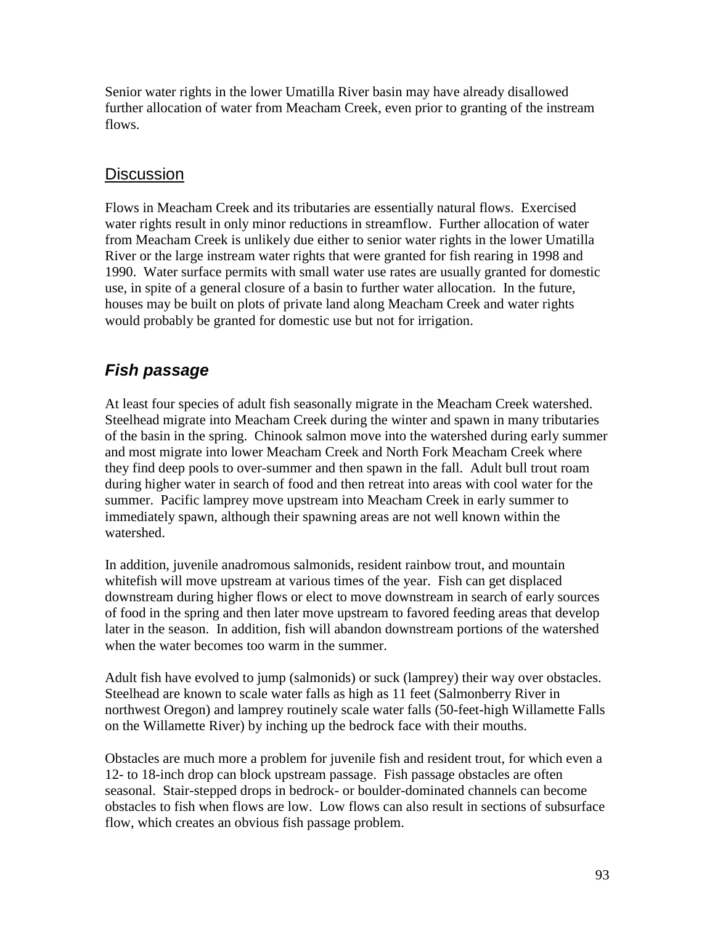Senior water rights in the lower Umatilla River basin may have already disallowed further allocation of water from Meacham Creek, even prior to granting of the instream flows.

#### **Discussion**

Flows in Meacham Creek and its tributaries are essentially natural flows. Exercised water rights result in only minor reductions in streamflow. Further allocation of water from Meacham Creek is unlikely due either to senior water rights in the lower Umatilla River or the large instream water rights that were granted for fish rearing in 1998 and 1990. Water surface permits with small water use rates are usually granted for domestic use, in spite of a general closure of a basin to further water allocation. In the future, houses may be built on plots of private land along Meacham Creek and water rights would probably be granted for domestic use but not for irrigation.

## *Fish passage*

At least four species of adult fish seasonally migrate in the Meacham Creek watershed. Steelhead migrate into Meacham Creek during the winter and spawn in many tributaries of the basin in the spring. Chinook salmon move into the watershed during early summer and most migrate into lower Meacham Creek and North Fork Meacham Creek where they find deep pools to over-summer and then spawn in the fall. Adult bull trout roam during higher water in search of food and then retreat into areas with cool water for the summer. Pacific lamprey move upstream into Meacham Creek in early summer to immediately spawn, although their spawning areas are not well known within the watershed.

In addition, juvenile anadromous salmonids, resident rainbow trout, and mountain whitefish will move upstream at various times of the year. Fish can get displaced downstream during higher flows or elect to move downstream in search of early sources of food in the spring and then later move upstream to favored feeding areas that develop later in the season. In addition, fish will abandon downstream portions of the watershed when the water becomes too warm in the summer.

Adult fish have evolved to jump (salmonids) or suck (lamprey) their way over obstacles. Steelhead are known to scale water falls as high as 11 feet (Salmonberry River in northwest Oregon) and lamprey routinely scale water falls (50-feet-high Willamette Falls on the Willamette River) by inching up the bedrock face with their mouths.

Obstacles are much more a problem for juvenile fish and resident trout, for which even a 12- to 18-inch drop can block upstream passage. Fish passage obstacles are often seasonal. Stair-stepped drops in bedrock- or boulder-dominated channels can become obstacles to fish when flows are low. Low flows can also result in sections of subsurface flow, which creates an obvious fish passage problem.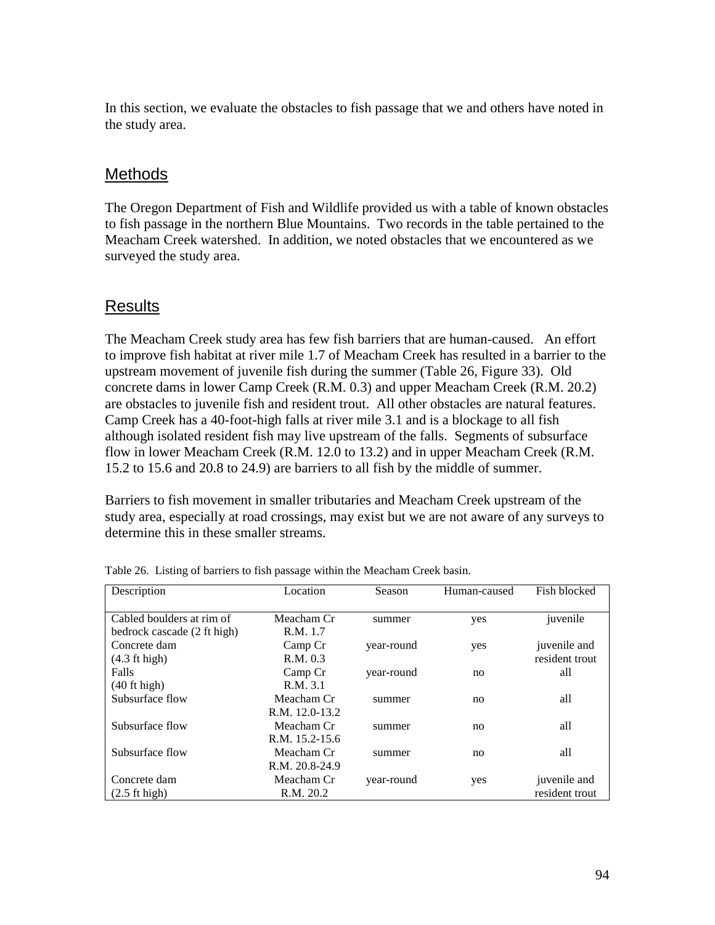In this section, we evaluate the obstacles to fish passage that we and others have noted in the study area.

#### **Methods**

The Oregon Department of Fish and Wildlife provided us with a table of known obstacles to fish passage in the northern Blue Mountains. Two records in the table pertained to the Meacham Creek watershed. In addition, we noted obstacles that we encountered as we surveyed the study area.

#### Results

The Meacham Creek study area has few fish barriers that are human-caused. An effort to improve fish habitat at river mile 1.7 of Meacham Creek has resulted in a barrier to the upstream movement of juvenile fish during the summer (Table 26, Figure 33). Old concrete dams in lower Camp Creek (R.M. 0.3) and upper Meacham Creek (R.M. 20.2) are obstacles to juvenile fish and resident trout. All other obstacles are natural features. Camp Creek has a 40-foot-high falls at river mile 3.1 and is a blockage to all fish although isolated resident fish may live upstream of the falls. Segments of subsurface flow in lower Meacham Creek (R.M. 12.0 to 13.2) and in upper Meacham Creek (R.M. 15.2 to 15.6 and 20.8 to 24.9) are barriers to all fish by the middle of summer.

Barriers to fish movement in smaller tributaries and Meacham Creek upstream of the study area, especially at road crossings, may exist but we are not aware of any surveys to determine this in these smaller streams.

| Description                 | Location       | Season     | Human-caused | Fish blocked   |
|-----------------------------|----------------|------------|--------------|----------------|
| Cabled boulders at rim of   | Meacham Cr     | summer     | yes          | juvenile       |
| bedrock cascade (2 ft high) | R.M. 1.7       |            |              |                |
| Concrete dam                | Camp Cr        | year-round | yes          | juvenile and   |
| (4.3 ft high)               | R.M. 0.3       |            |              | resident trout |
| Falls                       | Camp Cr        | year-round | no           | all            |
| $(40$ ft high)              | R.M. 3.1       |            |              |                |
| Subsurface flow             | Meacham Cr     | summer     | no           | all            |
|                             | R.M. 12.0-13.2 |            |              |                |
| Subsurface flow             | Meacham Cr     | summer     | no           | all            |
|                             | R.M. 15.2-15.6 |            |              |                |
| Subsurface flow             | Meacham Cr     | summer     | no           | all            |
|                             | R.M. 20.8-24.9 |            |              |                |
| Concrete dam                | Meacham Cr     | year-round | yes          | juvenile and   |
| $(2.5 \text{ ft high})$     | R.M. 20.2      |            |              | resident trout |

Table 26. Listing of barriers to fish passage within the Meacham Creek basin.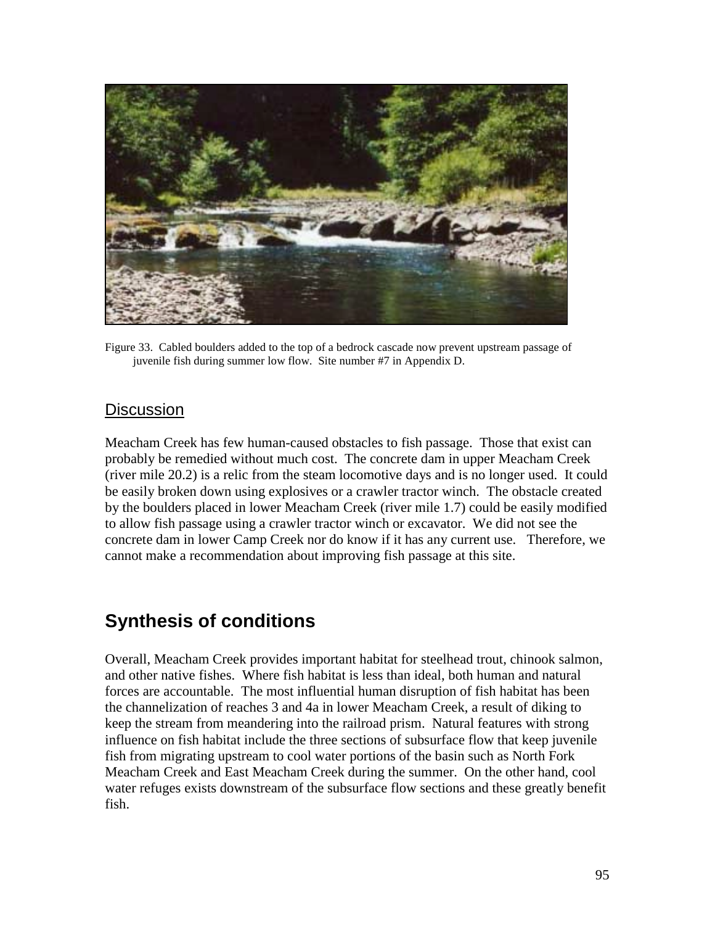

Figure 33. Cabled boulders added to the top of a bedrock cascade now prevent upstream passage of juvenile fish during summer low flow. Site number #7 in Appendix D.

#### **Discussion**

Meacham Creek has few human-caused obstacles to fish passage. Those that exist can probably be remedied without much cost. The concrete dam in upper Meacham Creek (river mile 20.2) is a relic from the steam locomotive days and is no longer used. It could be easily broken down using explosives or a crawler tractor winch. The obstacle created by the boulders placed in lower Meacham Creek (river mile 1.7) could be easily modified to allow fish passage using a crawler tractor winch or excavator. We did not see the concrete dam in lower Camp Creek nor do know if it has any current use. Therefore, we cannot make a recommendation about improving fish passage at this site.

## **Synthesis of conditions**

Overall, Meacham Creek provides important habitat for steelhead trout, chinook salmon, and other native fishes. Where fish habitat is less than ideal, both human and natural forces are accountable. The most influential human disruption of fish habitat has been the channelization of reaches 3 and 4a in lower Meacham Creek, a result of diking to keep the stream from meandering into the railroad prism. Natural features with strong influence on fish habitat include the three sections of subsurface flow that keep juvenile fish from migrating upstream to cool water portions of the basin such as North Fork Meacham Creek and East Meacham Creek during the summer. On the other hand, cool water refuges exists downstream of the subsurface flow sections and these greatly benefit fish.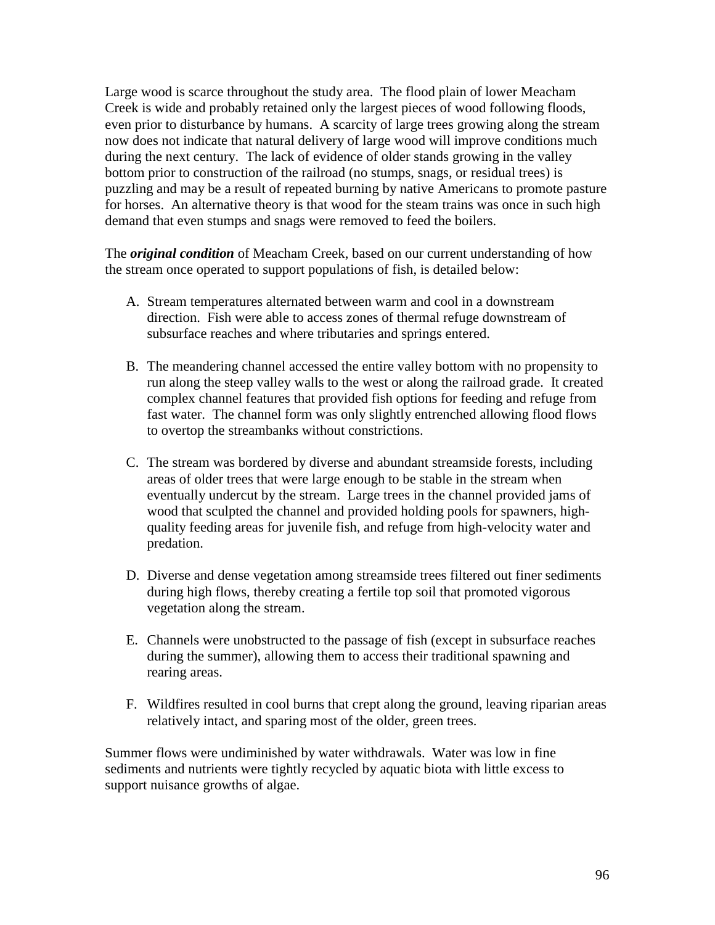Large wood is scarce throughout the study area. The flood plain of lower Meacham Creek is wide and probably retained only the largest pieces of wood following floods, even prior to disturbance by humans. A scarcity of large trees growing along the stream now does not indicate that natural delivery of large wood will improve conditions much during the next century. The lack of evidence of older stands growing in the valley bottom prior to construction of the railroad (no stumps, snags, or residual trees) is puzzling and may be a result of repeated burning by native Americans to promote pasture for horses. An alternative theory is that wood for the steam trains was once in such high demand that even stumps and snags were removed to feed the boilers.

The *original condition* of Meacham Creek, based on our current understanding of how the stream once operated to support populations of fish, is detailed below:

- A. Stream temperatures alternated between warm and cool in a downstream direction. Fish were able to access zones of thermal refuge downstream of subsurface reaches and where tributaries and springs entered.
- B. The meandering channel accessed the entire valley bottom with no propensity to run along the steep valley walls to the west or along the railroad grade. It created complex channel features that provided fish options for feeding and refuge from fast water. The channel form was only slightly entrenched allowing flood flows to overtop the streambanks without constrictions.
- C. The stream was bordered by diverse and abundant streamside forests, including areas of older trees that were large enough to be stable in the stream when eventually undercut by the stream. Large trees in the channel provided jams of wood that sculpted the channel and provided holding pools for spawners, highquality feeding areas for juvenile fish, and refuge from high-velocity water and predation.
- D. Diverse and dense vegetation among streamside trees filtered out finer sediments during high flows, thereby creating a fertile top soil that promoted vigorous vegetation along the stream.
- E. Channels were unobstructed to the passage of fish (except in subsurface reaches during the summer), allowing them to access their traditional spawning and rearing areas.
- F. Wildfires resulted in cool burns that crept along the ground, leaving riparian areas relatively intact, and sparing most of the older, green trees.

Summer flows were undiminished by water withdrawals. Water was low in fine sediments and nutrients were tightly recycled by aquatic biota with little excess to support nuisance growths of algae.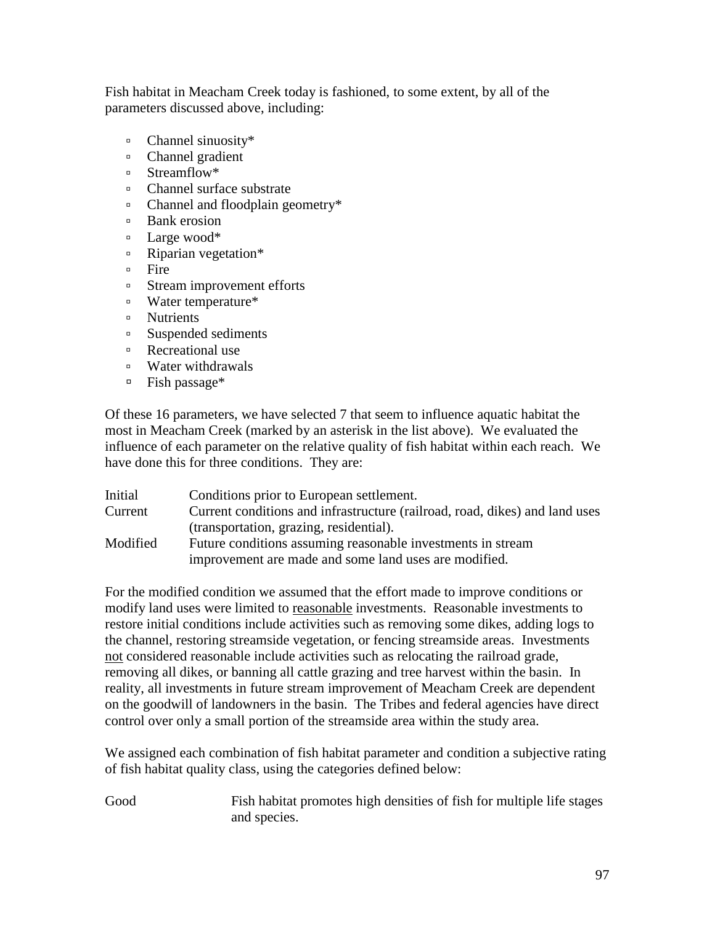Fish habitat in Meacham Creek today is fashioned, to some extent, by all of the parameters discussed above, including:

- <sup>"</sup> Channel sinuosity\*
- <sup>"</sup> Channel gradient
- <sup>"</sup> Streamflow\*
- <sup>"</sup> Channel surface substrate
- <sup>"</sup> Channel and floodplain geometry\*
- <sup>o</sup> Bank erosion
- **Example 1** Large wood\*
- <sup>"</sup> Riparian vegetation\*
- ! Fire
- <sup>In</sup> Stream improvement efforts
- ! Water temperature\*
- <sup>"</sup> Nutrients
- <sup>1</sup> Suspended sediments
- <sup>o</sup> Recreational use
- ! Water withdrawals
- $\blacksquare$  Fish passage\*

Of these 16 parameters, we have selected 7 that seem to influence aquatic habitat the most in Meacham Creek (marked by an asterisk in the list above). We evaluated the influence of each parameter on the relative quality of fish habitat within each reach. We have done this for three conditions. They are:

| Initial  | Conditions prior to European settlement.                                    |
|----------|-----------------------------------------------------------------------------|
| Current  | Current conditions and infrastructure (railroad, road, dikes) and land uses |
|          | (transportation, grazing, residential).                                     |
| Modified | Future conditions assuming reasonable investments in stream                 |
|          | improvement are made and some land uses are modified.                       |

For the modified condition we assumed that the effort made to improve conditions or modify land uses were limited to reasonable investments. Reasonable investments to restore initial conditions include activities such as removing some dikes, adding logs to the channel, restoring streamside vegetation, or fencing streamside areas. Investments not considered reasonable include activities such as relocating the railroad grade, removing all dikes, or banning all cattle grazing and tree harvest within the basin. In reality, all investments in future stream improvement of Meacham Creek are dependent on the goodwill of landowners in the basin. The Tribes and federal agencies have direct control over only a small portion of the streamside area within the study area.

We assigned each combination of fish habitat parameter and condition a subjective rating of fish habitat quality class, using the categories defined below:

Good Fish habitat promotes high densities of fish for multiple life stages and species.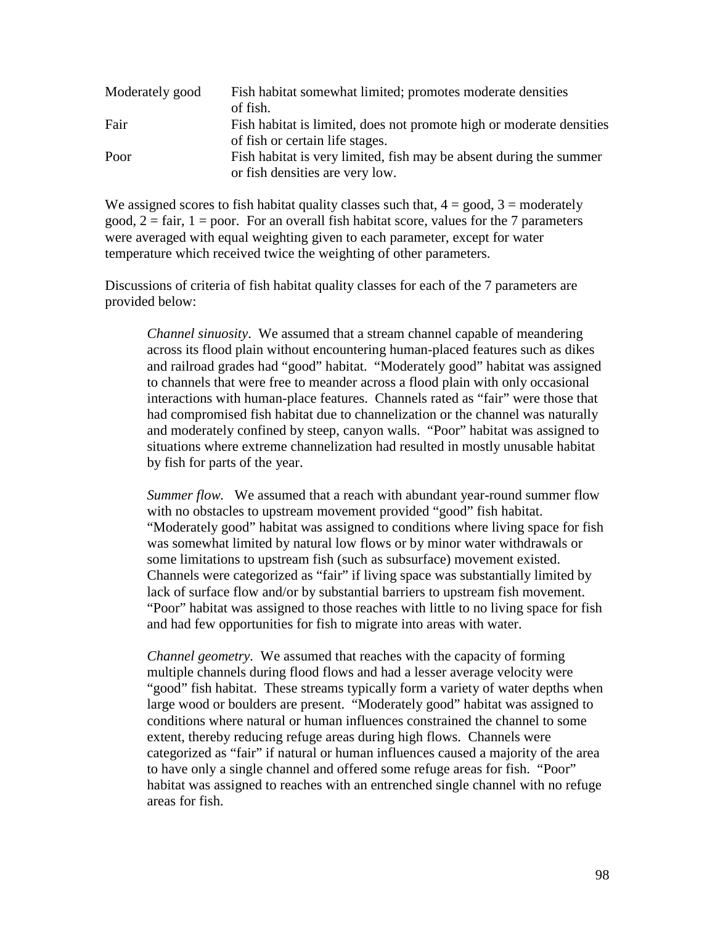| Moderately good | Fish habitat somewhat limited; promotes moderate densities<br>of fish.                                |
|-----------------|-------------------------------------------------------------------------------------------------------|
| Fair            | Fish habitat is limited, does not promote high or moderate densities                                  |
| Poor            | of fish or certain life stages.<br>Fish habitat is very limited, fish may be absent during the summer |
|                 | or fish densities are very low.                                                                       |

We assigned scores to fish habitat quality classes such that,  $4 = \text{good}, 3 = \text{moderately}$ good,  $2 = \text{fair}$ ,  $1 = \text{poor}$ . For an overall fish habitat score, values for the 7 parameters were averaged with equal weighting given to each parameter, except for water temperature which received twice the weighting of other parameters.

Discussions of criteria of fish habitat quality classes for each of the 7 parameters are provided below:

*Channel sinuosity*. We assumed that a stream channel capable of meandering across its flood plain without encountering human-placed features such as dikes and railroad grades had "good" habitat. "Moderately good" habitat was assigned to channels that were free to meander across a flood plain with only occasional interactions with human-place features. Channels rated as "fair" were those that had compromised fish habitat due to channelization or the channel was naturally and moderately confined by steep, canyon walls. "Poor" habitat was assigned to situations where extreme channelization had resulted in mostly unusable habitat by fish for parts of the year.

*Summer flow.* We assumed that a reach with abundant year-round summer flow with no obstacles to upstream movement provided "good" fish habitat. "Moderately good" habitat was assigned to conditions where living space for fish was somewhat limited by natural low flows or by minor water withdrawals or some limitations to upstream fish (such as subsurface) movement existed. Channels were categorized as "fair" if living space was substantially limited by lack of surface flow and/or by substantial barriers to upstream fish movement. "Poor" habitat was assigned to those reaches with little to no living space for fish and had few opportunities for fish to migrate into areas with water.

*Channel geometry.* We assumed that reaches with the capacity of forming multiple channels during flood flows and had a lesser average velocity were "good" fish habitat. These streams typically form a variety of water depths when large wood or boulders are present. "Moderately good" habitat was assigned to conditions where natural or human influences constrained the channel to some extent, thereby reducing refuge areas during high flows. Channels were categorized as "fair" if natural or human influences caused a majority of the area to have only a single channel and offered some refuge areas for fish. "Poor" habitat was assigned to reaches with an entrenched single channel with no refuge areas for fish.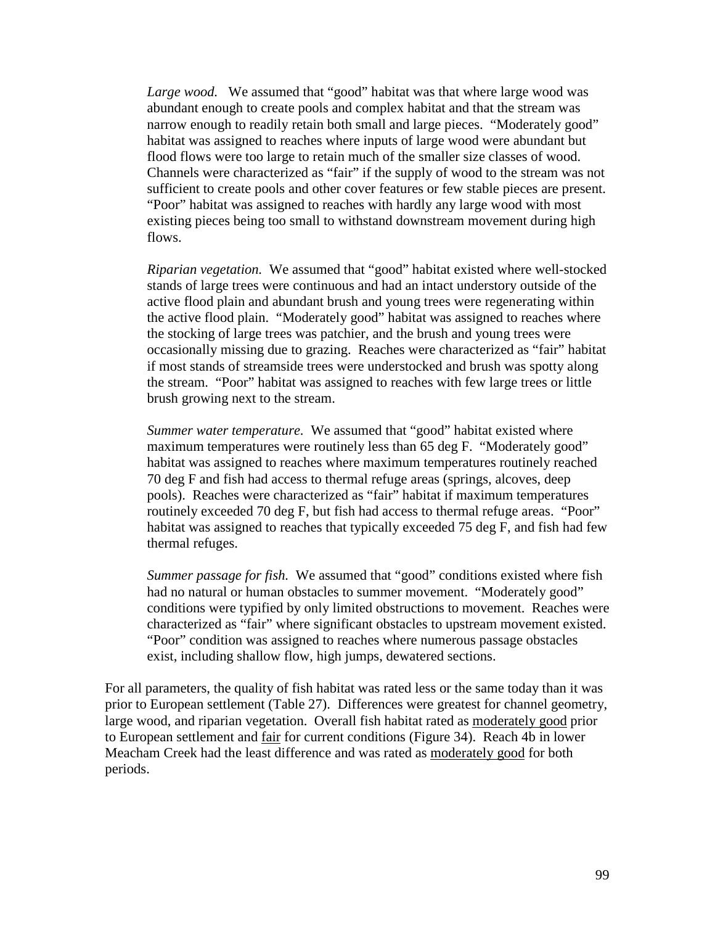Large wood. We assumed that "good" habitat was that where large wood was abundant enough to create pools and complex habitat and that the stream was narrow enough to readily retain both small and large pieces. "Moderately good" habitat was assigned to reaches where inputs of large wood were abundant but flood flows were too large to retain much of the smaller size classes of wood. Channels were characterized as "fair" if the supply of wood to the stream was not sufficient to create pools and other cover features or few stable pieces are present. "Poor" habitat was assigned to reaches with hardly any large wood with most existing pieces being too small to withstand downstream movement during high flows.

*Riparian vegetation.* We assumed that "good" habitat existed where well-stocked stands of large trees were continuous and had an intact understory outside of the active flood plain and abundant brush and young trees were regenerating within the active flood plain. "Moderately good" habitat was assigned to reaches where the stocking of large trees was patchier, and the brush and young trees were occasionally missing due to grazing. Reaches were characterized as "fair" habitat if most stands of streamside trees were understocked and brush was spotty along the stream. "Poor" habitat was assigned to reaches with few large trees or little brush growing next to the stream.

*Summer water temperature.* We assumed that "good" habitat existed where maximum temperatures were routinely less than 65 deg F. "Moderately good" habitat was assigned to reaches where maximum temperatures routinely reached 70 deg F and fish had access to thermal refuge areas (springs, alcoves, deep pools). Reaches were characterized as "fair" habitat if maximum temperatures routinely exceeded 70 deg F, but fish had access to thermal refuge areas. "Poor" habitat was assigned to reaches that typically exceeded 75 deg F, and fish had few thermal refuges.

*Summer passage for fish.* We assumed that "good" conditions existed where fish had no natural or human obstacles to summer movement. "Moderately good" conditions were typified by only limited obstructions to movement. Reaches were characterized as "fair" where significant obstacles to upstream movement existed. "Poor" condition was assigned to reaches where numerous passage obstacles exist, including shallow flow, high jumps, dewatered sections.

For all parameters, the quality of fish habitat was rated less or the same today than it was prior to European settlement (Table 27). Differences were greatest for channel geometry, large wood, and riparian vegetation. Overall fish habitat rated as moderately good prior to European settlement and fair for current conditions (Figure 34). Reach 4b in lower Meacham Creek had the least difference and was rated as moderately good for both periods.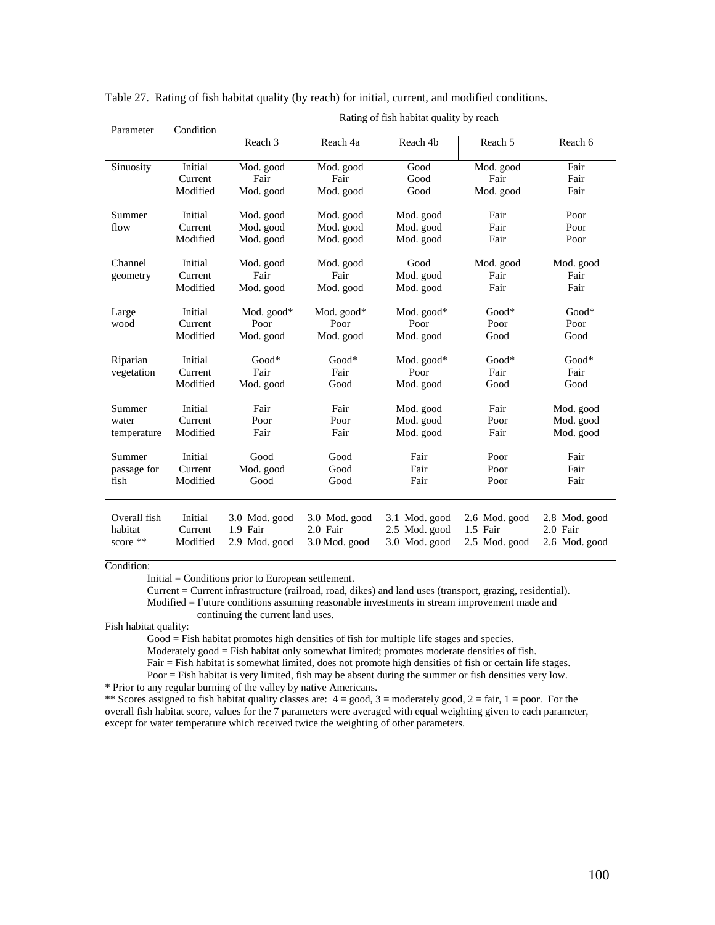| Parameter                           | Condition                      |                                            | Rating of fish habitat quality by reach    |                                                 |                                            |                                            |  |  |
|-------------------------------------|--------------------------------|--------------------------------------------|--------------------------------------------|-------------------------------------------------|--------------------------------------------|--------------------------------------------|--|--|
|                                     |                                | Reach 3                                    | Reach 4a                                   | Reach 4b                                        | Reach 5                                    | Reach 6                                    |  |  |
| Sinuosity                           | Initial<br>Current<br>Modified | Mod. good<br>Fair<br>Mod. good             | Mod. good<br>Fair<br>Mod. good             | Good<br>Good<br>Good                            | Mod. good<br>Fair<br>Mod. good             | Fair<br>Fair<br>Fair                       |  |  |
| Summer<br>flow                      | Initial<br>Current<br>Modified | Mod. good<br>Mod. good<br>Mod. good        | Mod. good<br>Mod. good<br>Mod. good        | Mod. good<br>Mod. good<br>Mod. good             | Fair<br>Fair<br>Fair                       | Poor<br>Poor<br>Poor                       |  |  |
| Channel<br>geometry                 | Initial<br>Current<br>Modified | Mod. good<br>Fair<br>Mod. good             | Mod. good<br>Fair<br>Mod. good             | Good<br>Mod. good<br>Mod. good                  | Mod. good<br>Fair<br>Fair                  | Mod. good<br>Fair<br>Fair                  |  |  |
| Large<br>wood                       | Initial<br>Current<br>Modified | Mod. good*<br>Poor<br>Mod. good            | Mod. good*<br>Poor<br>Mod. good            | Mod. good*<br>Poor<br>Mod. good                 | $Good*$<br>Poor<br>Good                    | $Good*$<br>Poor<br>Good                    |  |  |
| Riparian<br>vegetation              | Initial<br>Current<br>Modified | $Good*$<br>Fair<br>Mod. good               | $Good*$<br>Fair<br>Good                    | Mod. good*<br>Poor<br>Mod. good                 | $Good*$<br>Fair<br>Good                    | $Good*$<br>Fair<br>Good                    |  |  |
| Summer<br>water<br>temperature      | Initial<br>Current<br>Modified | Fair<br>Poor<br>Fair                       | Fair<br>Poor<br>Fair                       | Mod. good<br>Mod. good<br>Mod. good             | Fair<br>Poor<br>Fair                       | Mod. good<br>Mod. good<br>Mod. good        |  |  |
| Summer<br>passage for<br>fish       | Initial<br>Current<br>Modified | Good<br>Mod. good<br>Good                  | Good<br>Good<br>Good                       | Fair<br>Fair<br>Fair                            | Poor<br>Poor<br>Poor                       | Fair<br>Fair<br>Fair                       |  |  |
| Overall fish<br>habitat<br>score ** | Initial<br>Current<br>Modified | 3.0 Mod. good<br>1.9 Fair<br>2.9 Mod. good | 3.0 Mod. good<br>2.0 Fair<br>3.0 Mod. good | 3.1 Mod. good<br>2.5 Mod. good<br>3.0 Mod. good | 2.6 Mod. good<br>1.5 Fair<br>2.5 Mod. good | 2.8 Mod. good<br>2.0 Fair<br>2.6 Mod. good |  |  |

Table 27. Rating of fish habitat quality (by reach) for initial, current, and modified conditions.

Condition:

Initial = Conditions prior to European settlement.

Current = Current infrastructure (railroad, road, dikes) and land uses (transport, grazing, residential).

Modified = Future conditions assuming reasonable investments in stream improvement made and continuing the current land uses.

Fish habitat quality:

Good = Fish habitat promotes high densities of fish for multiple life stages and species.

Moderately good = Fish habitat only somewhat limited; promotes moderate densities of fish.

Fair = Fish habitat is somewhat limited, does not promote high densities of fish or certain life stages.

Poor = Fish habitat is very limited, fish may be absent during the summer or fish densities very low. \* Prior to any regular burning of the valley by native Americans.

\*\* Scores assigned to fish habitat quality classes are:  $4 = \text{good}, 3 = \text{moderately good}, 2 = \text{fair}, 1 = \text{poor}.$  For the overall fish habitat score, values for the 7 parameters were averaged with equal weighting given to each parameter, except for water temperature which received twice the weighting of other parameters.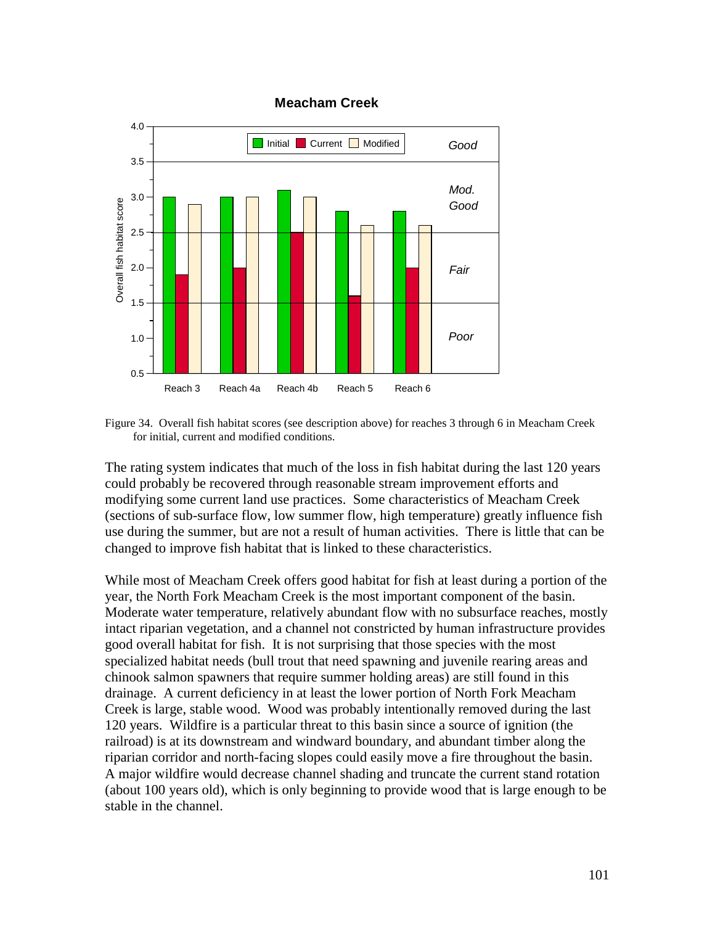

#### **Meacham Creek**

Figure 34. Overall fish habitat scores (see description above) for reaches 3 through 6 in Meacham Creek for initial, current and modified conditions.

The rating system indicates that much of the loss in fish habitat during the last 120 years could probably be recovered through reasonable stream improvement efforts and modifying some current land use practices. Some characteristics of Meacham Creek (sections of sub-surface flow, low summer flow, high temperature) greatly influence fish use during the summer, but are not a result of human activities. There is little that can be changed to improve fish habitat that is linked to these characteristics.

While most of Meacham Creek offers good habitat for fish at least during a portion of the year, the North Fork Meacham Creek is the most important component of the basin. Moderate water temperature, relatively abundant flow with no subsurface reaches, mostly intact riparian vegetation, and a channel not constricted by human infrastructure provides good overall habitat for fish. It is not surprising that those species with the most specialized habitat needs (bull trout that need spawning and juvenile rearing areas and chinook salmon spawners that require summer holding areas) are still found in this drainage. A current deficiency in at least the lower portion of North Fork Meacham Creek is large, stable wood. Wood was probably intentionally removed during the last 120 years. Wildfire is a particular threat to this basin since a source of ignition (the railroad) is at its downstream and windward boundary, and abundant timber along the riparian corridor and north-facing slopes could easily move a fire throughout the basin. A major wildfire would decrease channel shading and truncate the current stand rotation (about 100 years old), which is only beginning to provide wood that is large enough to be stable in the channel.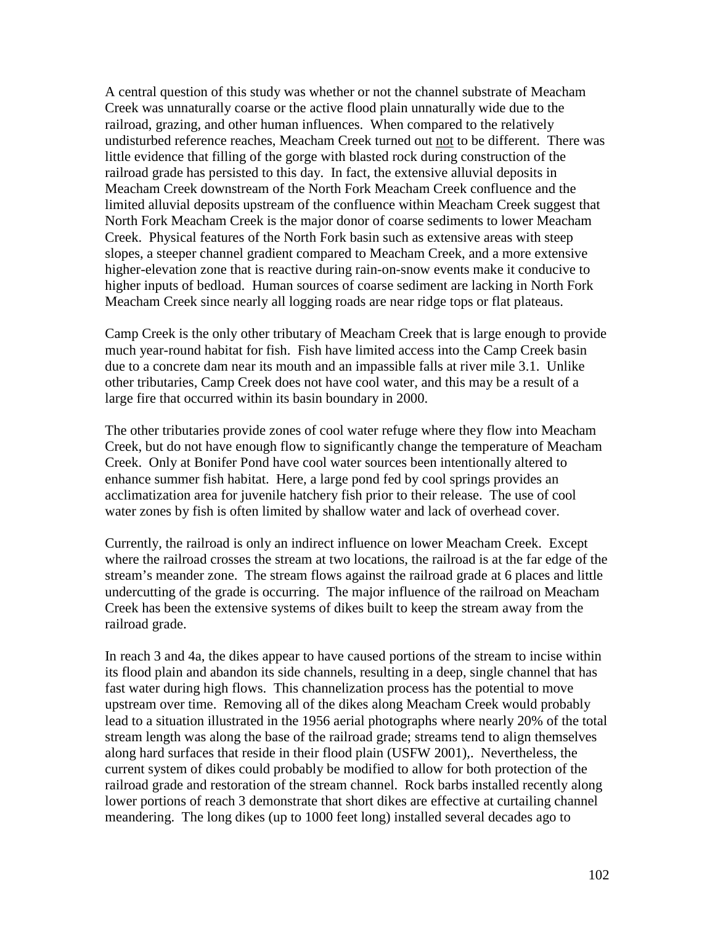A central question of this study was whether or not the channel substrate of Meacham Creek was unnaturally coarse or the active flood plain unnaturally wide due to the railroad, grazing, and other human influences. When compared to the relatively undisturbed reference reaches, Meacham Creek turned out not to be different. There was little evidence that filling of the gorge with blasted rock during construction of the railroad grade has persisted to this day. In fact, the extensive alluvial deposits in Meacham Creek downstream of the North Fork Meacham Creek confluence and the limited alluvial deposits upstream of the confluence within Meacham Creek suggest that North Fork Meacham Creek is the major donor of coarse sediments to lower Meacham Creek. Physical features of the North Fork basin such as extensive areas with steep slopes, a steeper channel gradient compared to Meacham Creek, and a more extensive higher-elevation zone that is reactive during rain-on-snow events make it conducive to higher inputs of bedload. Human sources of coarse sediment are lacking in North Fork Meacham Creek since nearly all logging roads are near ridge tops or flat plateaus.

Camp Creek is the only other tributary of Meacham Creek that is large enough to provide much year-round habitat for fish. Fish have limited access into the Camp Creek basin due to a concrete dam near its mouth and an impassible falls at river mile 3.1. Unlike other tributaries, Camp Creek does not have cool water, and this may be a result of a large fire that occurred within its basin boundary in 2000.

The other tributaries provide zones of cool water refuge where they flow into Meacham Creek, but do not have enough flow to significantly change the temperature of Meacham Creek. Only at Bonifer Pond have cool water sources been intentionally altered to enhance summer fish habitat. Here, a large pond fed by cool springs provides an acclimatization area for juvenile hatchery fish prior to their release. The use of cool water zones by fish is often limited by shallow water and lack of overhead cover.

Currently, the railroad is only an indirect influence on lower Meacham Creek. Except where the railroad crosses the stream at two locations, the railroad is at the far edge of the stream's meander zone. The stream flows against the railroad grade at 6 places and little undercutting of the grade is occurring. The major influence of the railroad on Meacham Creek has been the extensive systems of dikes built to keep the stream away from the railroad grade.

In reach 3 and 4a, the dikes appear to have caused portions of the stream to incise within its flood plain and abandon its side channels, resulting in a deep, single channel that has fast water during high flows. This channelization process has the potential to move upstream over time. Removing all of the dikes along Meacham Creek would probably lead to a situation illustrated in the 1956 aerial photographs where nearly 20% of the total stream length was along the base of the railroad grade; streams tend to align themselves along hard surfaces that reside in their flood plain (USFW 2001),. Nevertheless, the current system of dikes could probably be modified to allow for both protection of the railroad grade and restoration of the stream channel. Rock barbs installed recently along lower portions of reach 3 demonstrate that short dikes are effective at curtailing channel meandering. The long dikes (up to 1000 feet long) installed several decades ago to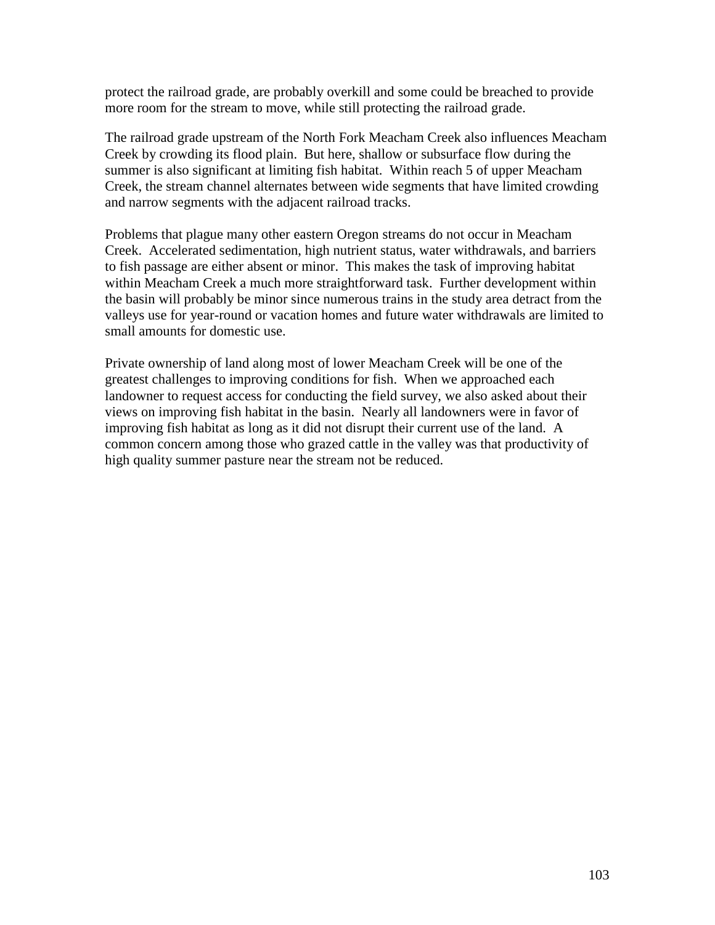protect the railroad grade, are probably overkill and some could be breached to provide more room for the stream to move, while still protecting the railroad grade.

The railroad grade upstream of the North Fork Meacham Creek also influences Meacham Creek by crowding its flood plain. But here, shallow or subsurface flow during the summer is also significant at limiting fish habitat. Within reach 5 of upper Meacham Creek, the stream channel alternates between wide segments that have limited crowding and narrow segments with the adjacent railroad tracks.

Problems that plague many other eastern Oregon streams do not occur in Meacham Creek. Accelerated sedimentation, high nutrient status, water withdrawals, and barriers to fish passage are either absent or minor. This makes the task of improving habitat within Meacham Creek a much more straightforward task. Further development within the basin will probably be minor since numerous trains in the study area detract from the valleys use for year-round or vacation homes and future water withdrawals are limited to small amounts for domestic use.

Private ownership of land along most of lower Meacham Creek will be one of the greatest challenges to improving conditions for fish. When we approached each landowner to request access for conducting the field survey, we also asked about their views on improving fish habitat in the basin. Nearly all landowners were in favor of improving fish habitat as long as it did not disrupt their current use of the land. A common concern among those who grazed cattle in the valley was that productivity of high quality summer pasture near the stream not be reduced.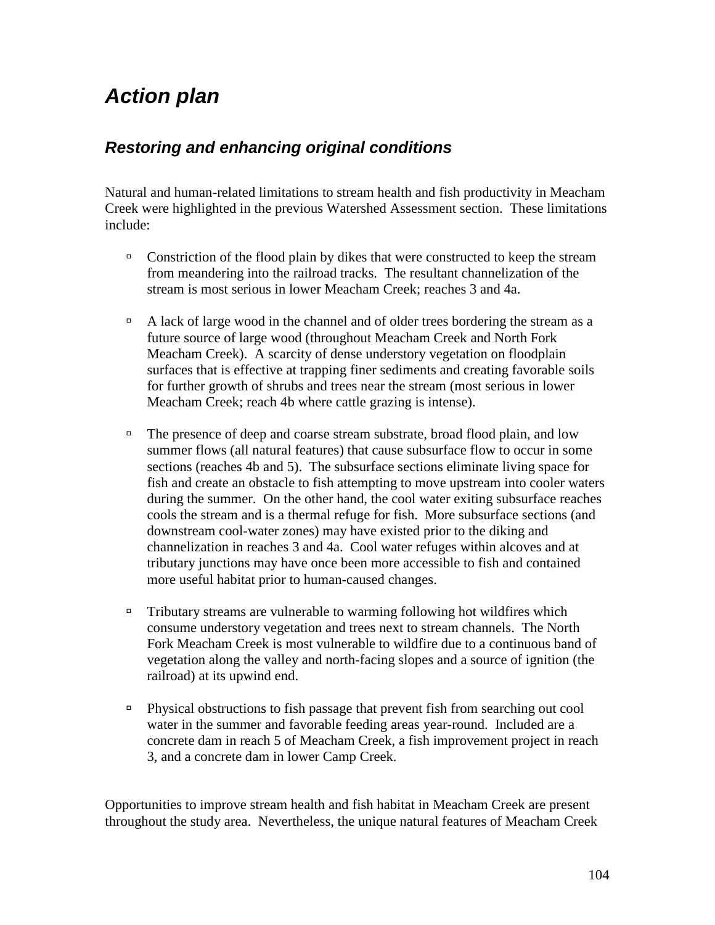# *Action plan*

## *Restoring and enhancing original conditions*

Natural and human-related limitations to stream health and fish productivity in Meacham Creek were highlighted in the previous Watershed Assessment section. These limitations include:

- $\Box$  Constriction of the flood plain by dikes that were constructed to keep the stream from meandering into the railroad tracks. The resultant channelization of the stream is most serious in lower Meacham Creek; reaches 3 and 4a.
- $\Box$  A lack of large wood in the channel and of older trees bordering the stream as a future source of large wood (throughout Meacham Creek and North Fork Meacham Creek). A scarcity of dense understory vegetation on floodplain surfaces that is effective at trapping finer sediments and creating favorable soils for further growth of shrubs and trees near the stream (most serious in lower Meacham Creek; reach 4b where cattle grazing is intense).
- <sup>In</sup> The presence of deep and coarse stream substrate, broad flood plain, and low summer flows (all natural features) that cause subsurface flow to occur in some sections (reaches 4b and 5). The subsurface sections eliminate living space for fish and create an obstacle to fish attempting to move upstream into cooler waters during the summer. On the other hand, the cool water exiting subsurface reaches cools the stream and is a thermal refuge for fish. More subsurface sections (and downstream cool-water zones) may have existed prior to the diking and channelization in reaches 3 and 4a. Cool water refuges within alcoves and at tributary junctions may have once been more accessible to fish and contained more useful habitat prior to human-caused changes.
- $\Box$  Tributary streams are vulnerable to warming following hot wildfires which consume understory vegetation and trees next to stream channels. The North Fork Meacham Creek is most vulnerable to wildfire due to a continuous band of vegetation along the valley and north-facing slopes and a source of ignition (the railroad) at its upwind end.
- ! Physical obstructions to fish passage that prevent fish from searching out cool water in the summer and favorable feeding areas year-round. Included are a concrete dam in reach 5 of Meacham Creek, a fish improvement project in reach 3, and a concrete dam in lower Camp Creek.

Opportunities to improve stream health and fish habitat in Meacham Creek are present throughout the study area. Nevertheless, the unique natural features of Meacham Creek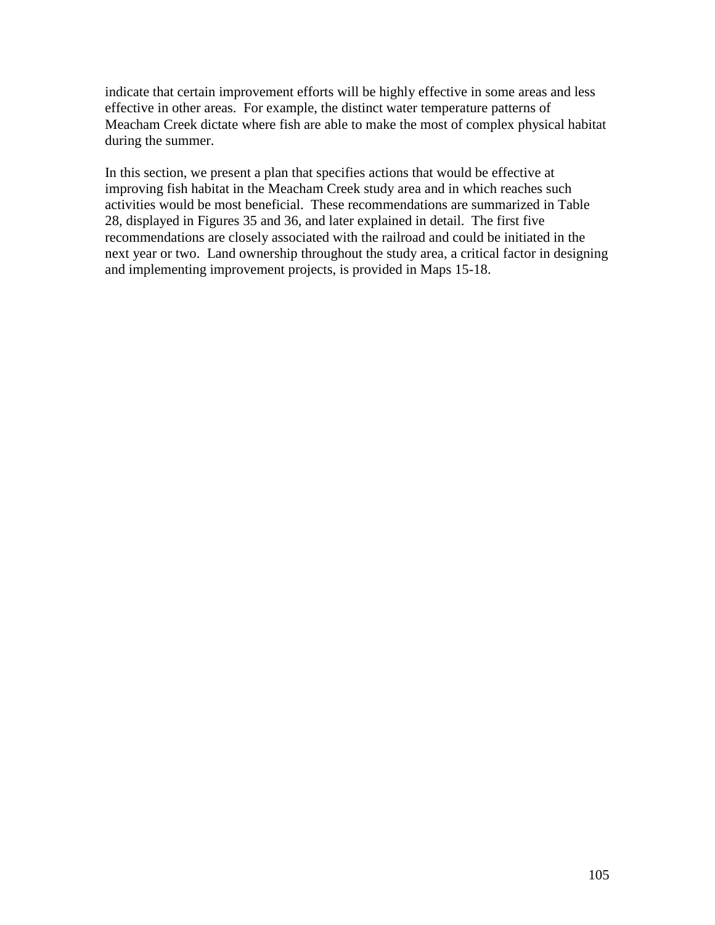indicate that certain improvement efforts will be highly effective in some areas and less effective in other areas. For example, the distinct water temperature patterns of Meacham Creek dictate where fish are able to make the most of complex physical habitat during the summer.

In this section, we present a plan that specifies actions that would be effective at improving fish habitat in the Meacham Creek study area and in which reaches such activities would be most beneficial. These recommendations are summarized in Table 28, displayed in Figures 35 and 36, and later explained in detail. The first five recommendations are closely associated with the railroad and could be initiated in the next year or two. Land ownership throughout the study area, a critical factor in designing and implementing improvement projects, is provided in Maps 15-18.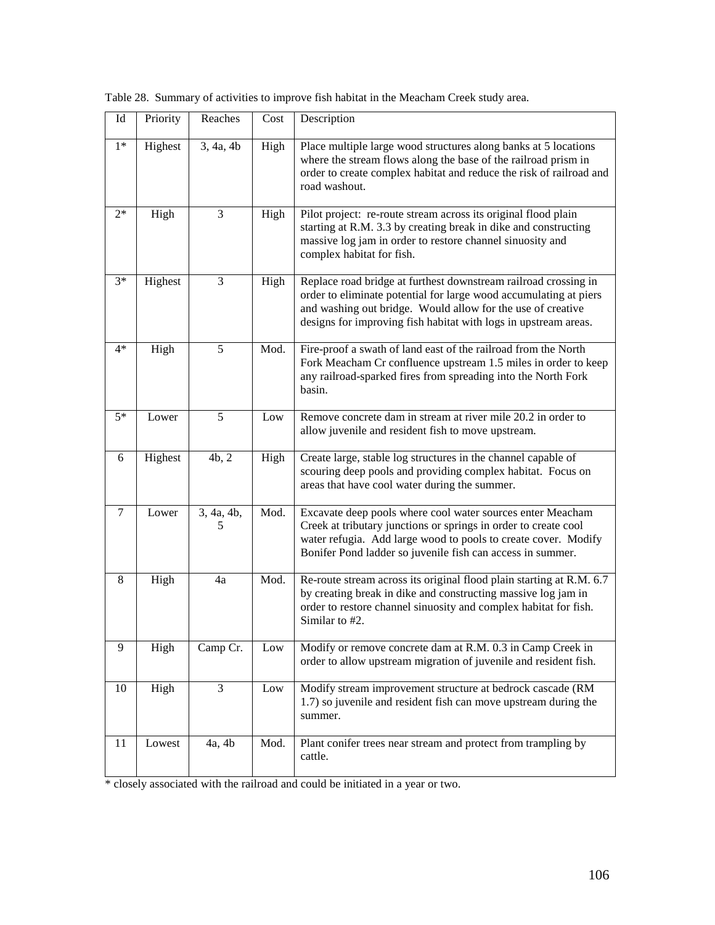| $\mathop{\rm Id}\nolimits$ | Priority | Reaches         | Cost | Description                                                                                                                                                                                                                                                            |
|----------------------------|----------|-----------------|------|------------------------------------------------------------------------------------------------------------------------------------------------------------------------------------------------------------------------------------------------------------------------|
| $1*$                       | Highest  | 3, 4a, 4b       | High | Place multiple large wood structures along banks at 5 locations<br>where the stream flows along the base of the railroad prism in<br>order to create complex habitat and reduce the risk of railroad and<br>road washout.                                              |
| $2*$                       | High     | 3               | High | Pilot project: re-route stream across its original flood plain<br>starting at R.M. 3.3 by creating break in dike and constructing<br>massive log jam in order to restore channel sinuosity and<br>complex habitat for fish.                                            |
| $3*$                       | Highest  | 3               | High | Replace road bridge at furthest downstream railroad crossing in<br>order to eliminate potential for large wood accumulating at piers<br>and washing out bridge. Would allow for the use of creative<br>designs for improving fish habitat with logs in upstream areas. |
| $4*$                       | High     | 5               | Mod. | Fire-proof a swath of land east of the railroad from the North<br>Fork Meacham Cr confluence upstream 1.5 miles in order to keep<br>any railroad-sparked fires from spreading into the North Fork<br>basin.                                                            |
| $5*$                       | Lower    | 5               | Low  | Remove concrete dam in stream at river mile 20.2 in order to<br>allow juvenile and resident fish to move upstream.                                                                                                                                                     |
| 6                          | Highest  | 4b, 2           | High | Create large, stable log structures in the channel capable of<br>scouring deep pools and providing complex habitat. Focus on<br>areas that have cool water during the summer.                                                                                          |
| $\tau$                     | Lower    | 3, 4a, 4b,<br>5 | Mod. | Excavate deep pools where cool water sources enter Meacham<br>Creek at tributary junctions or springs in order to create cool<br>water refugia. Add large wood to pools to create cover. Modify<br>Bonifer Pond ladder so juvenile fish can access in summer.          |
| 8                          | High     | 4a              | Mod. | Re-route stream across its original flood plain starting at R.M. 6.7<br>by creating break in dike and constructing massive log jam in<br>order to restore channel sinuosity and complex habitat for fish.<br>Similar to #2.                                            |
| 9                          | High     | Camp Cr.        | Low  | Modify or remove concrete dam at R.M. 0.3 in Camp Creek in<br>order to allow upstream migration of juvenile and resident fish.                                                                                                                                         |
| 10                         | High     | 3               | Low  | Modify stream improvement structure at bedrock cascade (RM<br>1.7) so juvenile and resident fish can move upstream during the<br>summer.                                                                                                                               |
| 11                         | Lowest   | 4a, 4b          | Mod. | Plant conifer trees near stream and protect from trampling by<br>cattle.                                                                                                                                                                                               |

Table 28. Summary of activities to improve fish habitat in the Meacham Creek study area.

\* closely associated with the railroad and could be initiated in a year or two.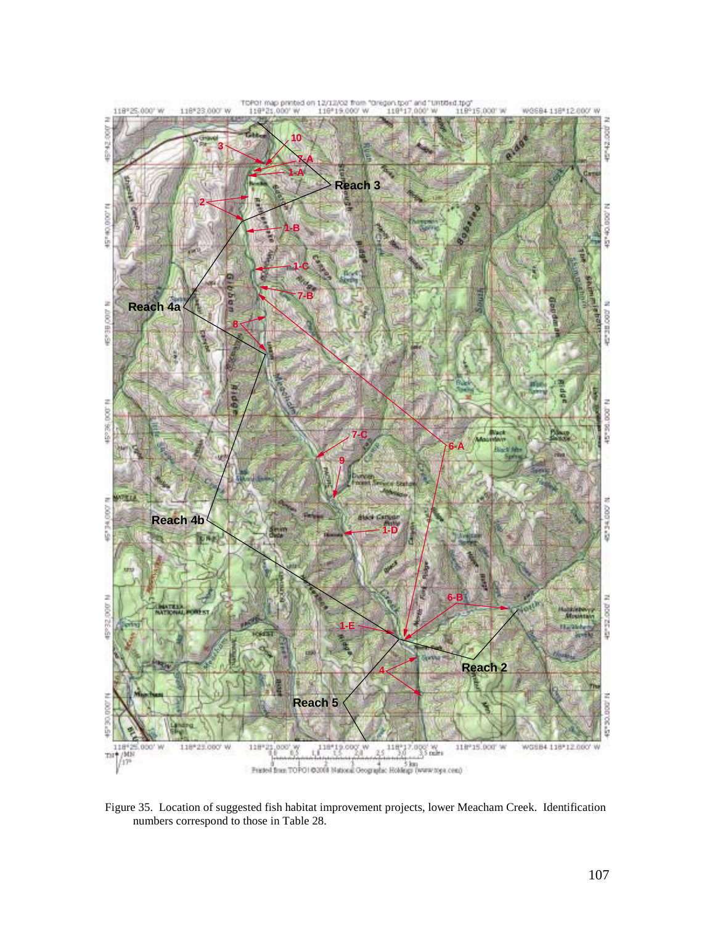

Figure 35. Location of suggested fish habitat improvement projects, lower Meacham Creek. Identification numbers correspond to those in Table 28.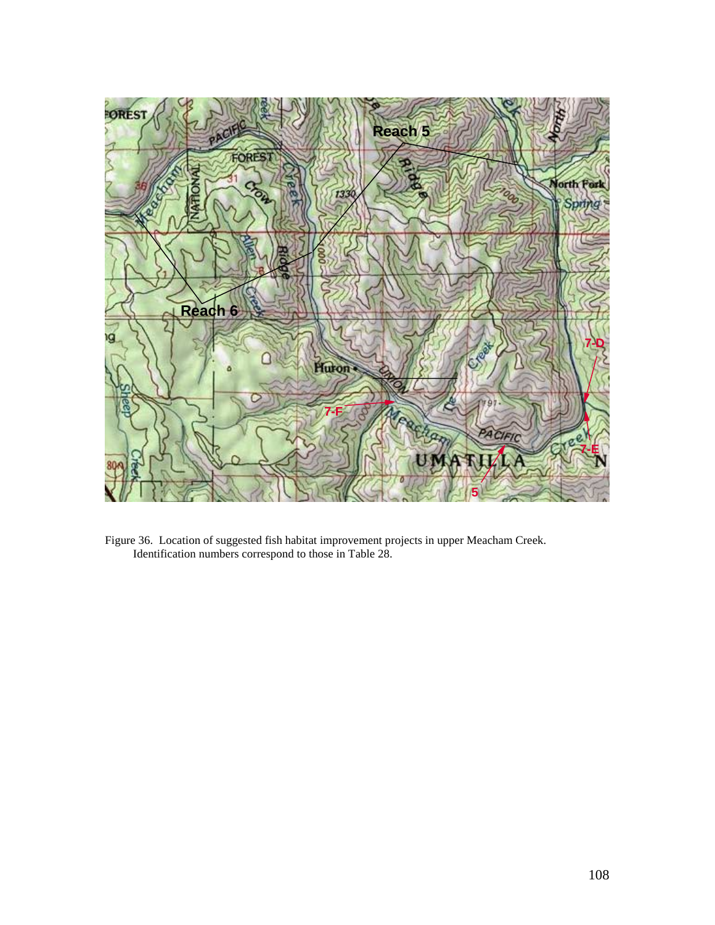

Figure 36. Location of suggested fish habitat improvement projects in upper Meacham Creek. Identification numbers correspond to those in Table 28.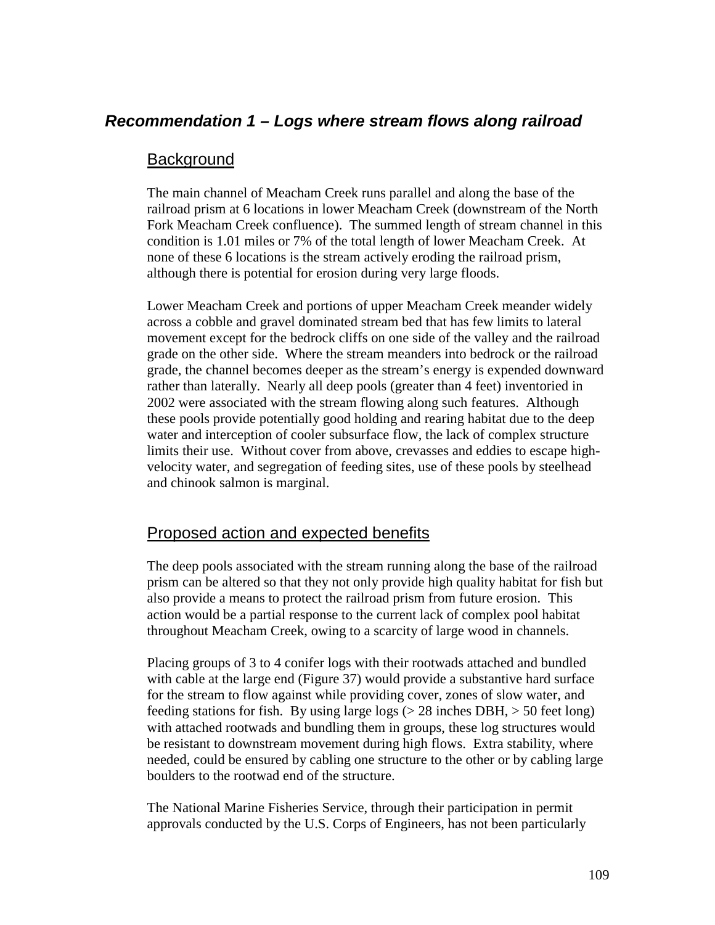# *Recommendation 1 – Logs where stream flows along railroad*

#### **Background**

The main channel of Meacham Creek runs parallel and along the base of the railroad prism at 6 locations in lower Meacham Creek (downstream of the North Fork Meacham Creek confluence). The summed length of stream channel in this condition is 1.01 miles or 7% of the total length of lower Meacham Creek. At none of these 6 locations is the stream actively eroding the railroad prism, although there is potential for erosion during very large floods.

Lower Meacham Creek and portions of upper Meacham Creek meander widely across a cobble and gravel dominated stream bed that has few limits to lateral movement except for the bedrock cliffs on one side of the valley and the railroad grade on the other side. Where the stream meanders into bedrock or the railroad grade, the channel becomes deeper as the stream's energy is expended downward rather than laterally. Nearly all deep pools (greater than 4 feet) inventoried in 2002 were associated with the stream flowing along such features. Although these pools provide potentially good holding and rearing habitat due to the deep water and interception of cooler subsurface flow, the lack of complex structure limits their use. Without cover from above, crevasses and eddies to escape highvelocity water, and segregation of feeding sites, use of these pools by steelhead and chinook salmon is marginal.

## Proposed action and expected benefits

The deep pools associated with the stream running along the base of the railroad prism can be altered so that they not only provide high quality habitat for fish but also provide a means to protect the railroad prism from future erosion. This action would be a partial response to the current lack of complex pool habitat throughout Meacham Creek, owing to a scarcity of large wood in channels.

Placing groups of 3 to 4 conifer logs with their rootwads attached and bundled with cable at the large end (Figure 37) would provide a substantive hard surface for the stream to flow against while providing cover, zones of slow water, and feeding stations for fish. By using large logs  $(> 28 \text{ inches DBH}, > 50 \text{ feet long})$ with attached rootwads and bundling them in groups, these log structures would be resistant to downstream movement during high flows. Extra stability, where needed, could be ensured by cabling one structure to the other or by cabling large boulders to the rootwad end of the structure.

The National Marine Fisheries Service, through their participation in permit approvals conducted by the U.S. Corps of Engineers, has not been particularly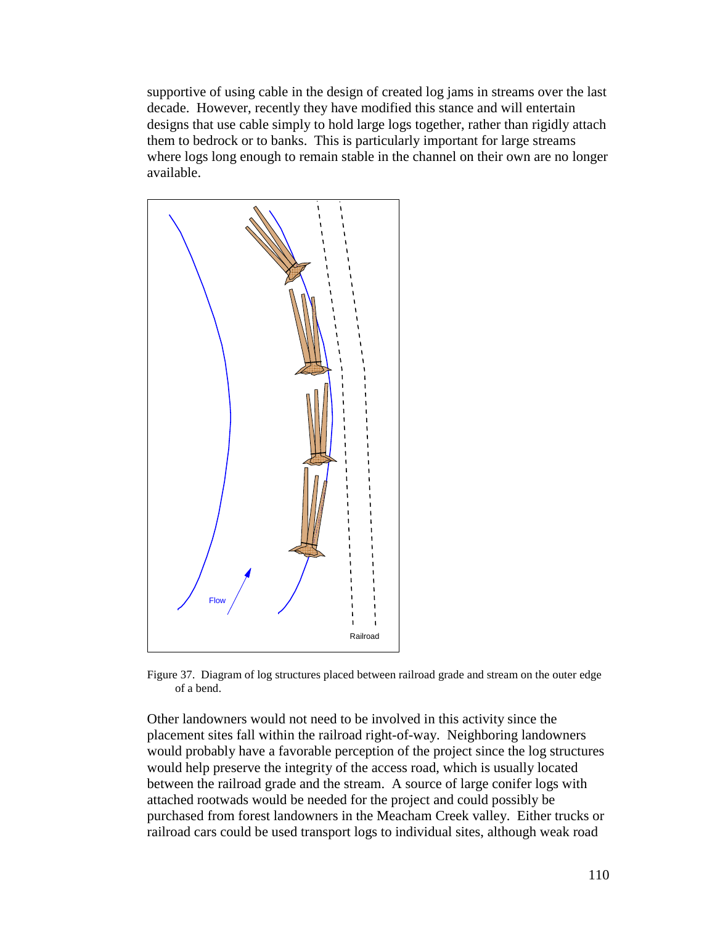supportive of using cable in the design of created log jams in streams over the last decade. However, recently they have modified this stance and will entertain designs that use cable simply to hold large logs together, rather than rigidly attach them to bedrock or to banks. This is particularly important for large streams where logs long enough to remain stable in the channel on their own are no longer available.



Figure 37. Diagram of log structures placed between railroad grade and stream on the outer edge of a bend.

Other landowners would not need to be involved in this activity since the placement sites fall within the railroad right-of-way. Neighboring landowners would probably have a favorable perception of the project since the log structures would help preserve the integrity of the access road, which is usually located between the railroad grade and the stream. A source of large conifer logs with attached rootwads would be needed for the project and could possibly be purchased from forest landowners in the Meacham Creek valley. Either trucks or railroad cars could be used transport logs to individual sites, although weak road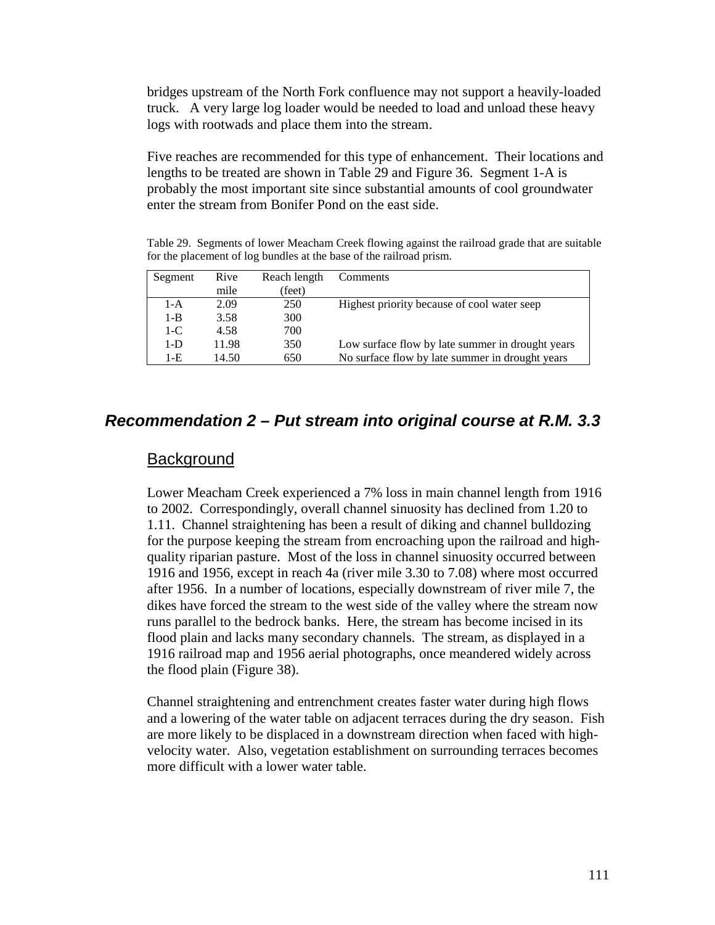bridges upstream of the North Fork confluence may not support a heavily-loaded truck. A very large log loader would be needed to load and unload these heavy logs with rootwads and place them into the stream.

Five reaches are recommended for this type of enhancement. Their locations and lengths to be treated are shown in Table 29 and Figure 36. Segment 1-A is probably the most important site since substantial amounts of cool groundwater enter the stream from Bonifer Pond on the east side.

Table 29. Segments of lower Meacham Creek flowing against the railroad grade that are suitable for the placement of log bundles at the base of the railroad prism.

| Segment | Rive  | Reach length | Comments                                         |
|---------|-------|--------------|--------------------------------------------------|
|         | mile  | (feet)       |                                                  |
| 1-A     | 2.09  | 250          | Highest priority because of cool water seep      |
| $1 - B$ | 3.58  | 300          |                                                  |
| $1-C$   | 4.58  | 700          |                                                  |
| $1-D$   | 11.98 | 350          | Low surface flow by late summer in drought years |
| 1-E     | 14.50 | 650          | No surface flow by late summer in drought years  |

#### *Recommendation 2 – Put stream into original course at R.M. 3.3*

#### **Background**

Lower Meacham Creek experienced a 7% loss in main channel length from 1916 to 2002. Correspondingly, overall channel sinuosity has declined from 1.20 to 1.11. Channel straightening has been a result of diking and channel bulldozing for the purpose keeping the stream from encroaching upon the railroad and highquality riparian pasture. Most of the loss in channel sinuosity occurred between 1916 and 1956, except in reach 4a (river mile 3.30 to 7.08) where most occurred after 1956. In a number of locations, especially downstream of river mile 7, the dikes have forced the stream to the west side of the valley where the stream now runs parallel to the bedrock banks. Here, the stream has become incised in its flood plain and lacks many secondary channels. The stream, as displayed in a 1916 railroad map and 1956 aerial photographs, once meandered widely across the flood plain (Figure 38).

Channel straightening and entrenchment creates faster water during high flows and a lowering of the water table on adjacent terraces during the dry season. Fish are more likely to be displaced in a downstream direction when faced with highvelocity water. Also, vegetation establishment on surrounding terraces becomes more difficult with a lower water table.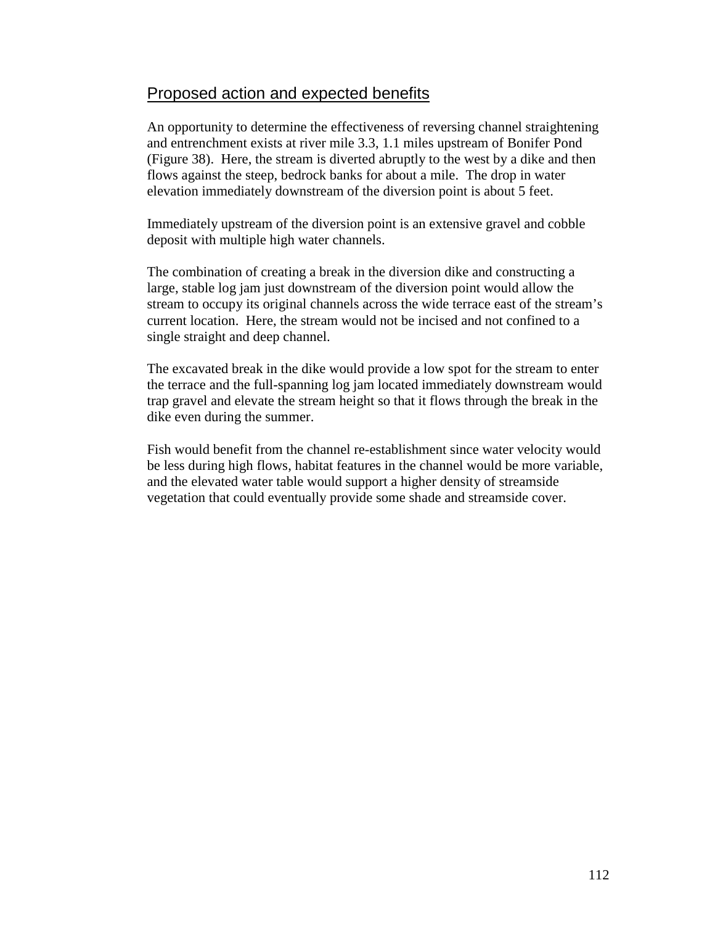## Proposed action and expected benefits

An opportunity to determine the effectiveness of reversing channel straightening and entrenchment exists at river mile 3.3, 1.1 miles upstream of Bonifer Pond (Figure 38). Here, the stream is diverted abruptly to the west by a dike and then flows against the steep, bedrock banks for about a mile. The drop in water elevation immediately downstream of the diversion point is about 5 feet.

Immediately upstream of the diversion point is an extensive gravel and cobble deposit with multiple high water channels.

The combination of creating a break in the diversion dike and constructing a large, stable log jam just downstream of the diversion point would allow the stream to occupy its original channels across the wide terrace east of the stream's current location. Here, the stream would not be incised and not confined to a single straight and deep channel.

The excavated break in the dike would provide a low spot for the stream to enter the terrace and the full-spanning log jam located immediately downstream would trap gravel and elevate the stream height so that it flows through the break in the dike even during the summer.

Fish would benefit from the channel re-establishment since water velocity would be less during high flows, habitat features in the channel would be more variable, and the elevated water table would support a higher density of streamside vegetation that could eventually provide some shade and streamside cover.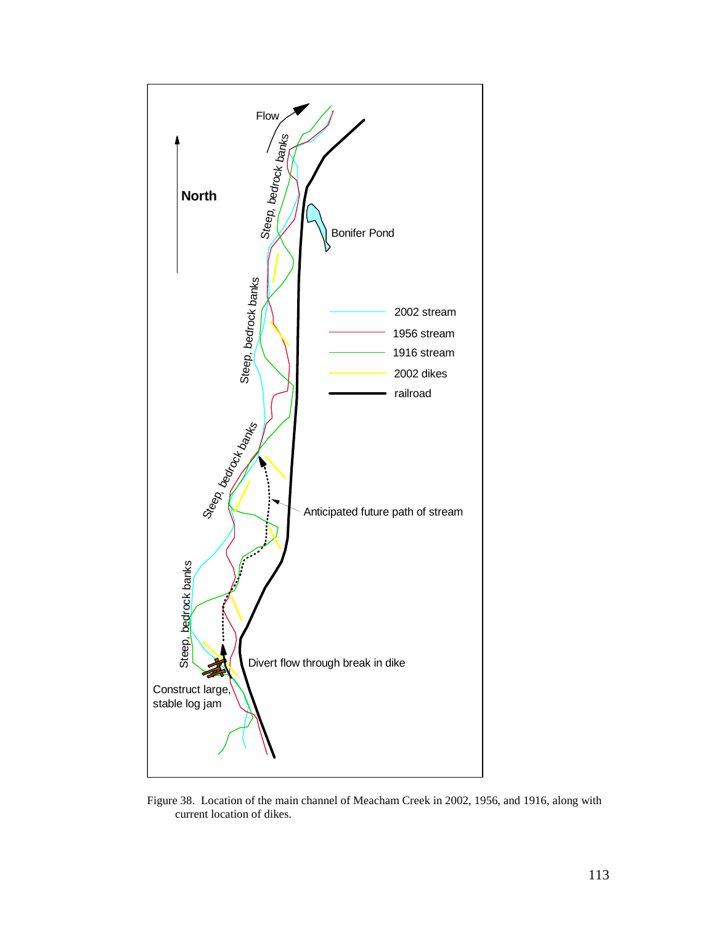

Figure 38. Location of the main channel of Meacham Creek in 2002, 1956, and 1916, along with current location of dikes.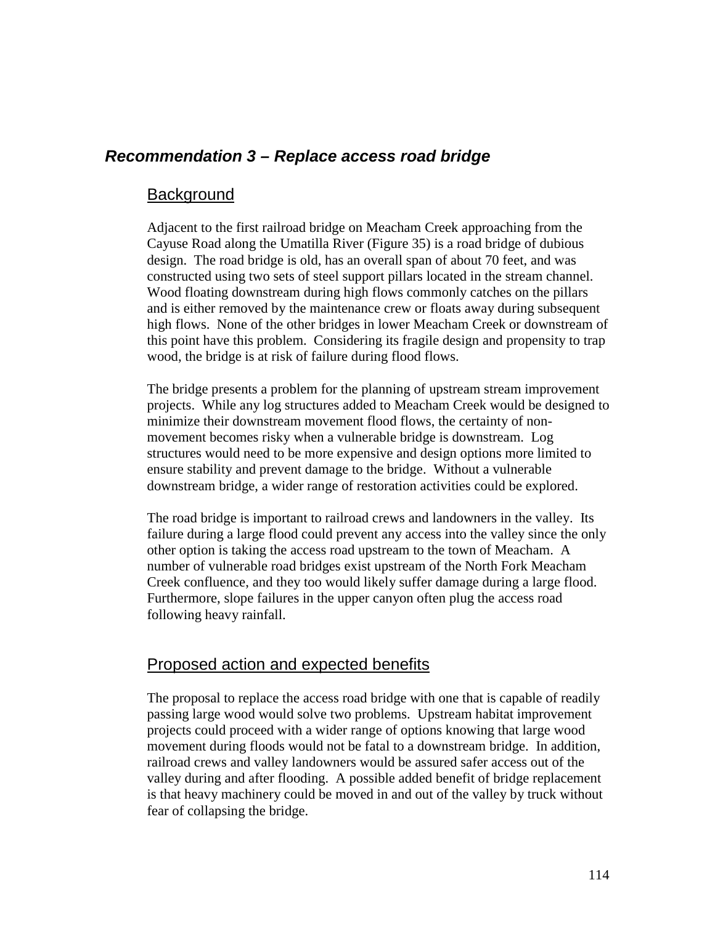# *Recommendation 3 – Replace access road bridge*

#### **Background**

Adjacent to the first railroad bridge on Meacham Creek approaching from the Cayuse Road along the Umatilla River (Figure 35) is a road bridge of dubious design. The road bridge is old, has an overall span of about 70 feet, and was constructed using two sets of steel support pillars located in the stream channel. Wood floating downstream during high flows commonly catches on the pillars and is either removed by the maintenance crew or floats away during subsequent high flows. None of the other bridges in lower Meacham Creek or downstream of this point have this problem. Considering its fragile design and propensity to trap wood, the bridge is at risk of failure during flood flows.

The bridge presents a problem for the planning of upstream stream improvement projects. While any log structures added to Meacham Creek would be designed to minimize their downstream movement flood flows, the certainty of nonmovement becomes risky when a vulnerable bridge is downstream. Log structures would need to be more expensive and design options more limited to ensure stability and prevent damage to the bridge. Without a vulnerable downstream bridge, a wider range of restoration activities could be explored.

The road bridge is important to railroad crews and landowners in the valley. Its failure during a large flood could prevent any access into the valley since the only other option is taking the access road upstream to the town of Meacham. A number of vulnerable road bridges exist upstream of the North Fork Meacham Creek confluence, and they too would likely suffer damage during a large flood. Furthermore, slope failures in the upper canyon often plug the access road following heavy rainfall.

#### Proposed action and expected benefits

The proposal to replace the access road bridge with one that is capable of readily passing large wood would solve two problems. Upstream habitat improvement projects could proceed with a wider range of options knowing that large wood movement during floods would not be fatal to a downstream bridge. In addition, railroad crews and valley landowners would be assured safer access out of the valley during and after flooding. A possible added benefit of bridge replacement is that heavy machinery could be moved in and out of the valley by truck without fear of collapsing the bridge.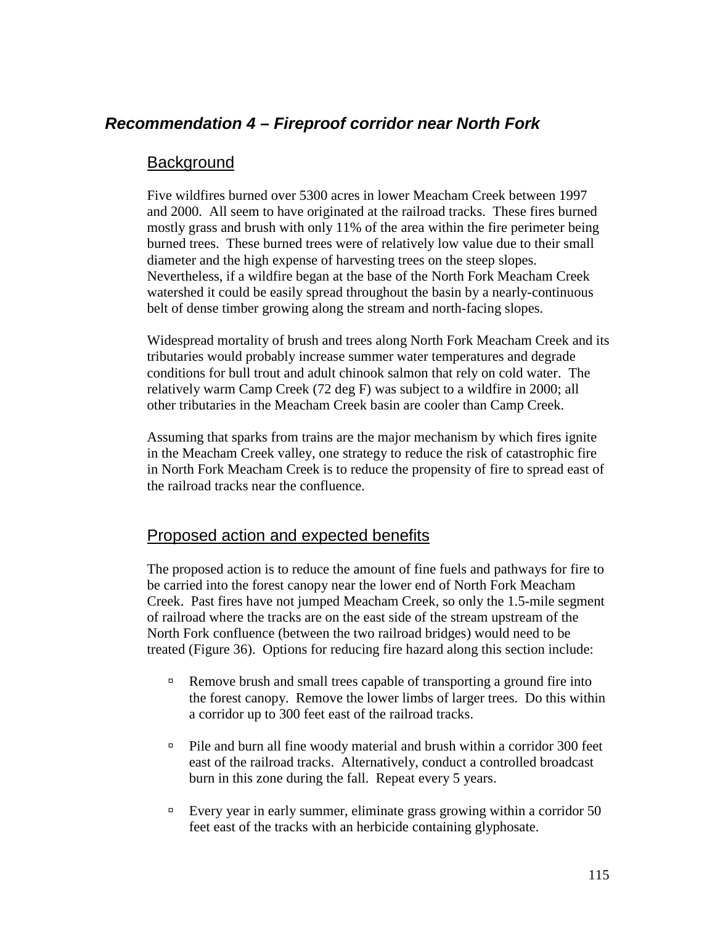# *Recommendation 4 – Fireproof corridor near North Fork*

## **Background**

Five wildfires burned over 5300 acres in lower Meacham Creek between 1997 and 2000. All seem to have originated at the railroad tracks. These fires burned mostly grass and brush with only 11% of the area within the fire perimeter being burned trees. These burned trees were of relatively low value due to their small diameter and the high expense of harvesting trees on the steep slopes. Nevertheless, if a wildfire began at the base of the North Fork Meacham Creek watershed it could be easily spread throughout the basin by a nearly-continuous belt of dense timber growing along the stream and north-facing slopes.

Widespread mortality of brush and trees along North Fork Meacham Creek and its tributaries would probably increase summer water temperatures and degrade conditions for bull trout and adult chinook salmon that rely on cold water. The relatively warm Camp Creek (72 deg F) was subject to a wildfire in 2000; all other tributaries in the Meacham Creek basin are cooler than Camp Creek.

Assuming that sparks from trains are the major mechanism by which fires ignite in the Meacham Creek valley, one strategy to reduce the risk of catastrophic fire in North Fork Meacham Creek is to reduce the propensity of fire to spread east of the railroad tracks near the confluence.

## Proposed action and expected benefits

The proposed action is to reduce the amount of fine fuels and pathways for fire to be carried into the forest canopy near the lower end of North Fork Meacham Creek. Past fires have not jumped Meacham Creek, so only the 1.5-mile segment of railroad where the tracks are on the east side of the stream upstream of the North Fork confluence (between the two railroad bridges) would need to be treated (Figure 36). Options for reducing fire hazard along this section include:

- <sup>In</sup> Remove brush and small trees capable of transporting a ground fire into the forest canopy. Remove the lower limbs of larger trees. Do this within a corridor up to 300 feet east of the railroad tracks.
- $\Box$  Pile and burn all fine woody material and brush within a corridor 300 feet east of the railroad tracks. Alternatively, conduct a controlled broadcast burn in this zone during the fall. Repeat every 5 years.
- $\textdegree$  Every year in early summer, eliminate grass growing within a corridor 50 feet east of the tracks with an herbicide containing glyphosate.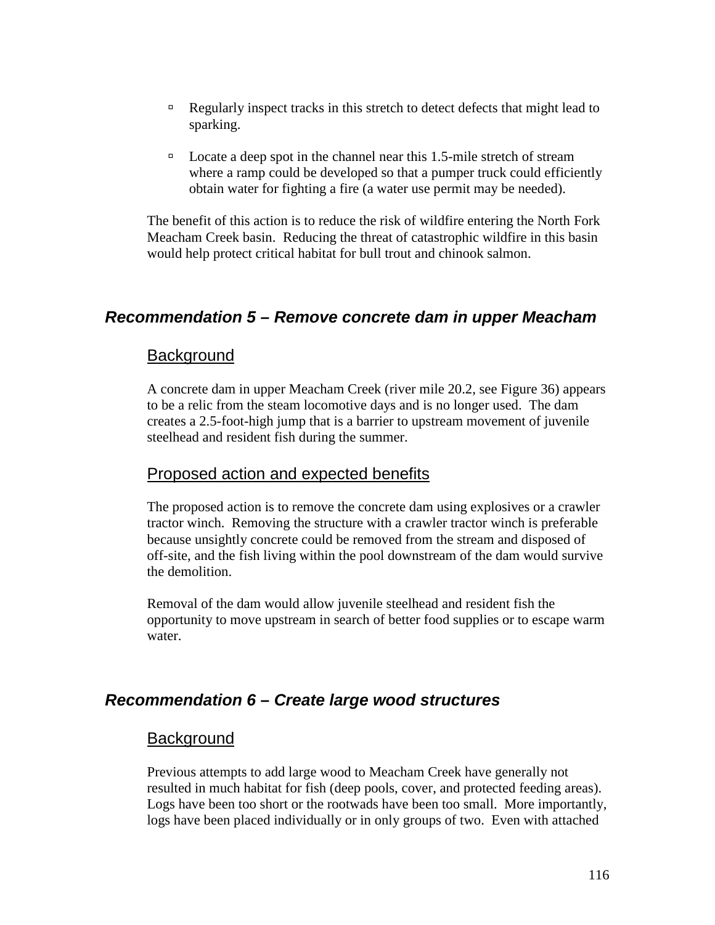- <sup>In</sup> Regularly inspect tracks in this stretch to detect defects that might lead to sparking.
- $\Box$  Locate a deep spot in the channel near this 1.5-mile stretch of stream where a ramp could be developed so that a pumper truck could efficiently obtain water for fighting a fire (a water use permit may be needed).

The benefit of this action is to reduce the risk of wildfire entering the North Fork Meacham Creek basin. Reducing the threat of catastrophic wildfire in this basin would help protect critical habitat for bull trout and chinook salmon.

## *Recommendation 5 – Remove concrete dam in upper Meacham*

#### **Background**

A concrete dam in upper Meacham Creek (river mile 20.2, see Figure 36) appears to be a relic from the steam locomotive days and is no longer used. The dam creates a 2.5-foot-high jump that is a barrier to upstream movement of juvenile steelhead and resident fish during the summer.

#### Proposed action and expected benefits

The proposed action is to remove the concrete dam using explosives or a crawler tractor winch. Removing the structure with a crawler tractor winch is preferable because unsightly concrete could be removed from the stream and disposed of off-site, and the fish living within the pool downstream of the dam would survive the demolition.

Removal of the dam would allow juvenile steelhead and resident fish the opportunity to move upstream in search of better food supplies or to escape warm water.

## *Recommendation 6 – Create large wood structures*

#### **Background**

Previous attempts to add large wood to Meacham Creek have generally not resulted in much habitat for fish (deep pools, cover, and protected feeding areas). Logs have been too short or the rootwads have been too small. More importantly, logs have been placed individually or in only groups of two. Even with attached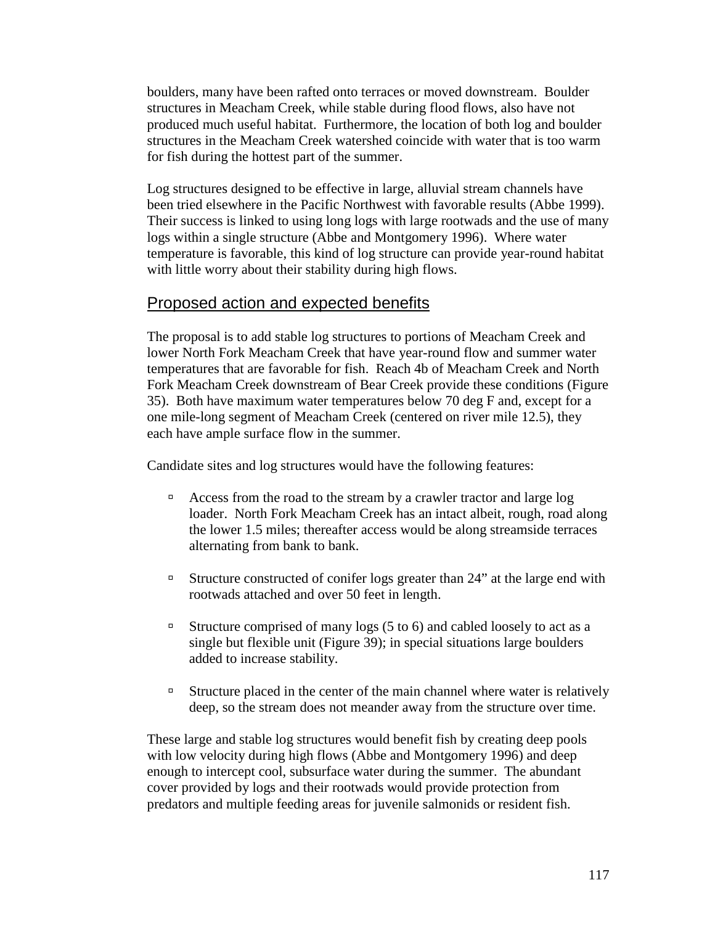boulders, many have been rafted onto terraces or moved downstream. Boulder structures in Meacham Creek, while stable during flood flows, also have not produced much useful habitat. Furthermore, the location of both log and boulder structures in the Meacham Creek watershed coincide with water that is too warm for fish during the hottest part of the summer.

Log structures designed to be effective in large, alluvial stream channels have been tried elsewhere in the Pacific Northwest with favorable results (Abbe 1999). Their success is linked to using long logs with large rootwads and the use of many logs within a single structure (Abbe and Montgomery 1996). Where water temperature is favorable, this kind of log structure can provide year-round habitat with little worry about their stability during high flows.

## Proposed action and expected benefits

The proposal is to add stable log structures to portions of Meacham Creek and lower North Fork Meacham Creek that have year-round flow and summer water temperatures that are favorable for fish. Reach 4b of Meacham Creek and North Fork Meacham Creek downstream of Bear Creek provide these conditions (Figure 35). Both have maximum water temperatures below 70 deg F and, except for a one mile-long segment of Meacham Creek (centered on river mile 12.5), they each have ample surface flow in the summer.

Candidate sites and log structures would have the following features:

- <sup>In</sup> Access from the road to the stream by a crawler tractor and large log loader. North Fork Meacham Creek has an intact albeit, rough, road along the lower 1.5 miles; thereafter access would be along streamside terraces alternating from bank to bank.
- <sup> $\Box$ </sup> Structure constructed of conifer logs greater than 24" at the large end with rootwads attached and over 50 feet in length.
- <sup> $\Box$ </sup> Structure comprised of many logs (5 to 6) and cabled loosely to act as a single but flexible unit (Figure 39); in special situations large boulders added to increase stability.
- <sup>In</sup> Structure placed in the center of the main channel where water is relatively deep, so the stream does not meander away from the structure over time.

These large and stable log structures would benefit fish by creating deep pools with low velocity during high flows (Abbe and Montgomery 1996) and deep enough to intercept cool, subsurface water during the summer. The abundant cover provided by logs and their rootwads would provide protection from predators and multiple feeding areas for juvenile salmonids or resident fish.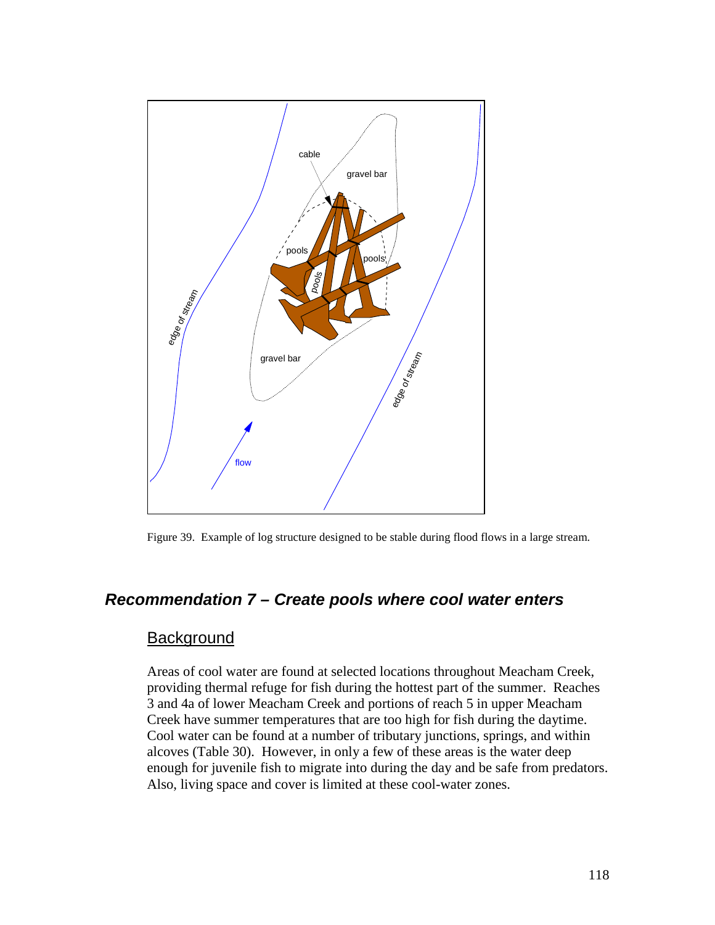

Figure 39. Example of log structure designed to be stable during flood flows in a large stream.

## *Recommendation 7 – Create pools where cool water enters*

### **Background**

Areas of cool water are found at selected locations throughout Meacham Creek, providing thermal refuge for fish during the hottest part of the summer. Reaches 3 and 4a of lower Meacham Creek and portions of reach 5 in upper Meacham Creek have summer temperatures that are too high for fish during the daytime. Cool water can be found at a number of tributary junctions, springs, and within alcoves (Table 30). However, in only a few of these areas is the water deep enough for juvenile fish to migrate into during the day and be safe from predators. Also, living space and cover is limited at these cool-water zones.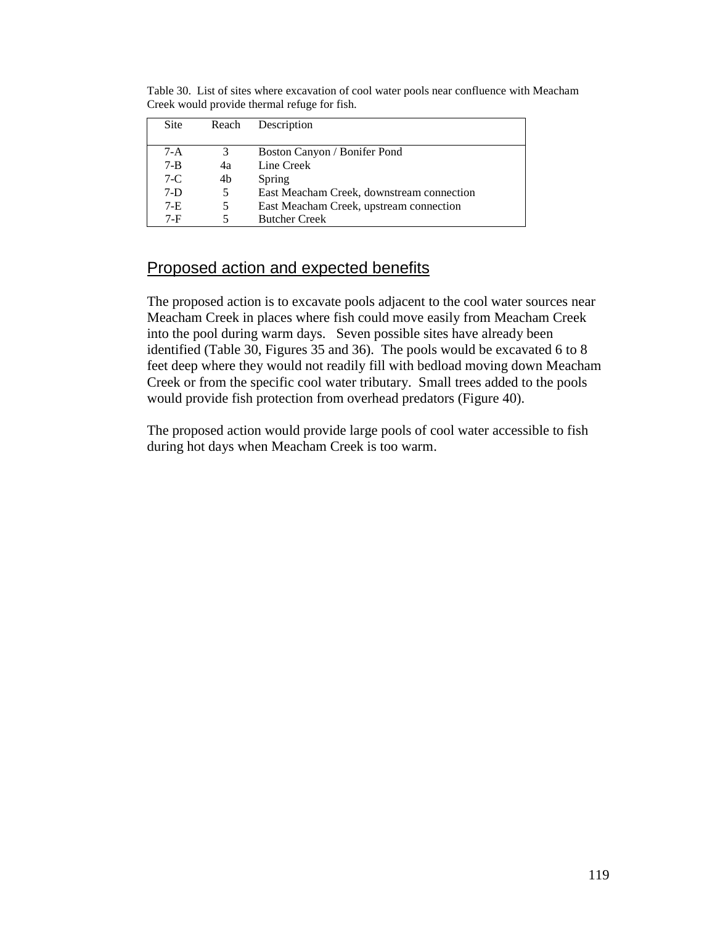Table 30. List of sites where excavation of cool water pools near confluence with Meacham Creek would provide thermal refuge for fish.

| Site    | Reach | Description                               |
|---------|-------|-------------------------------------------|
| 7-A     | 3     | Boston Canyon / Bonifer Pond              |
| $7 - B$ | 4a    | Line Creek                                |
| $7-C$   | 4b    | Spring                                    |
| $7-D$   | 5.    | East Meacham Creek, downstream connection |
| $7-E$   | 5     | East Meacham Creek, upstream connection   |
| 7-F     |       | <b>Butcher Creek</b>                      |

# Proposed action and expected benefits

The proposed action is to excavate pools adjacent to the cool water sources near Meacham Creek in places where fish could move easily from Meacham Creek into the pool during warm days. Seven possible sites have already been identified (Table 30, Figures 35 and 36). The pools would be excavated 6 to 8 feet deep where they would not readily fill with bedload moving down Meacham Creek or from the specific cool water tributary. Small trees added to the pools would provide fish protection from overhead predators (Figure 40).

The proposed action would provide large pools of cool water accessible to fish during hot days when Meacham Creek is too warm.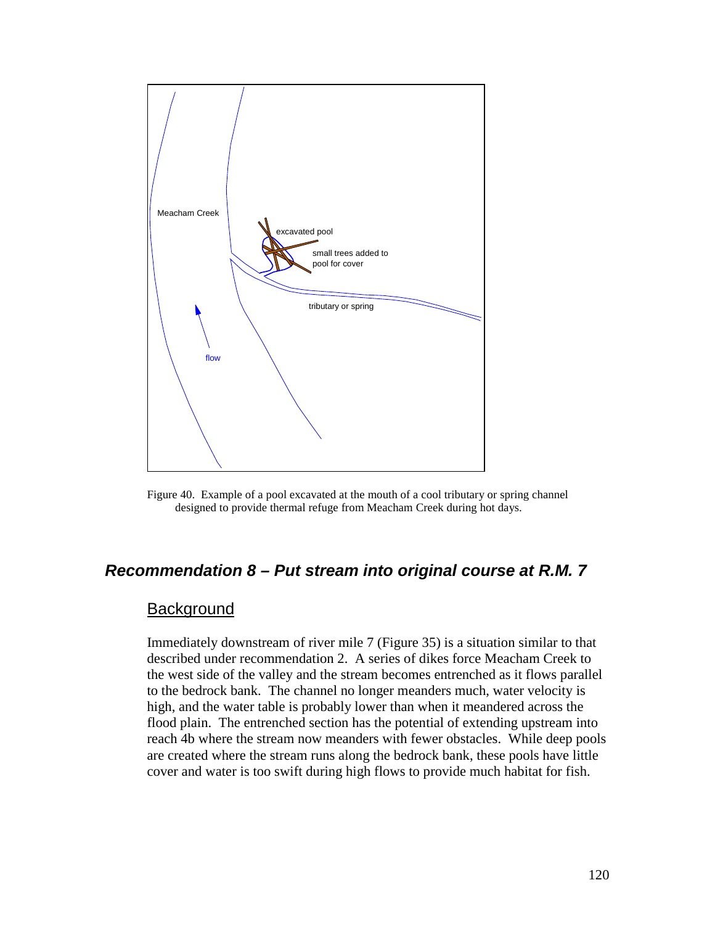

Figure 40. Example of a pool excavated at the mouth of a cool tributary or spring channel designed to provide thermal refuge from Meacham Creek during hot days.

## *Recommendation 8 – Put stream into original course at R.M. 7*

#### **Background**

Immediately downstream of river mile 7 (Figure 35) is a situation similar to that described under recommendation 2. A series of dikes force Meacham Creek to the west side of the valley and the stream becomes entrenched as it flows parallel to the bedrock bank. The channel no longer meanders much, water velocity is high, and the water table is probably lower than when it meandered across the flood plain. The entrenched section has the potential of extending upstream into reach 4b where the stream now meanders with fewer obstacles. While deep pools are created where the stream runs along the bedrock bank, these pools have little cover and water is too swift during high flows to provide much habitat for fish.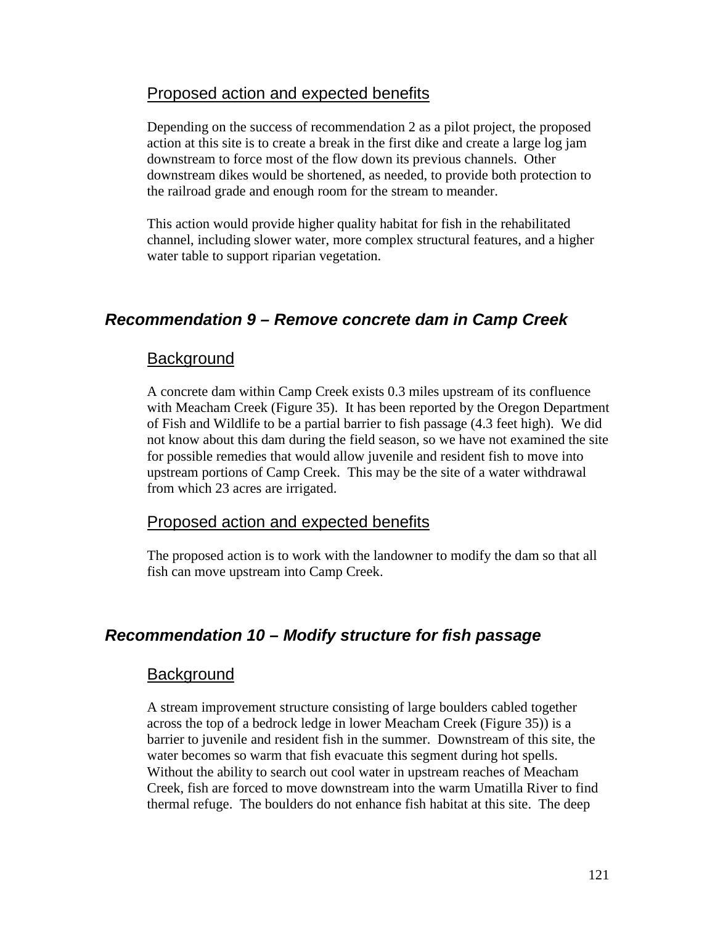## Proposed action and expected benefits

Depending on the success of recommendation 2 as a pilot project, the proposed action at this site is to create a break in the first dike and create a large log jam downstream to force most of the flow down its previous channels. Other downstream dikes would be shortened, as needed, to provide both protection to the railroad grade and enough room for the stream to meander.

This action would provide higher quality habitat for fish in the rehabilitated channel, including slower water, more complex structural features, and a higher water table to support riparian vegetation.

## *Recommendation 9 – Remove concrete dam in Camp Creek*

#### **Background**

A concrete dam within Camp Creek exists 0.3 miles upstream of its confluence with Meacham Creek (Figure 35). It has been reported by the Oregon Department of Fish and Wildlife to be a partial barrier to fish passage (4.3 feet high). We did not know about this dam during the field season, so we have not examined the site for possible remedies that would allow juvenile and resident fish to move into upstream portions of Camp Creek. This may be the site of a water withdrawal from which 23 acres are irrigated.

#### Proposed action and expected benefits

The proposed action is to work with the landowner to modify the dam so that all fish can move upstream into Camp Creek.

## *Recommendation 10 – Modify structure for fish passage*

#### **Background**

A stream improvement structure consisting of large boulders cabled together across the top of a bedrock ledge in lower Meacham Creek (Figure 35)) is a barrier to juvenile and resident fish in the summer. Downstream of this site, the water becomes so warm that fish evacuate this segment during hot spells. Without the ability to search out cool water in upstream reaches of Meacham Creek, fish are forced to move downstream into the warm Umatilla River to find thermal refuge. The boulders do not enhance fish habitat at this site. The deep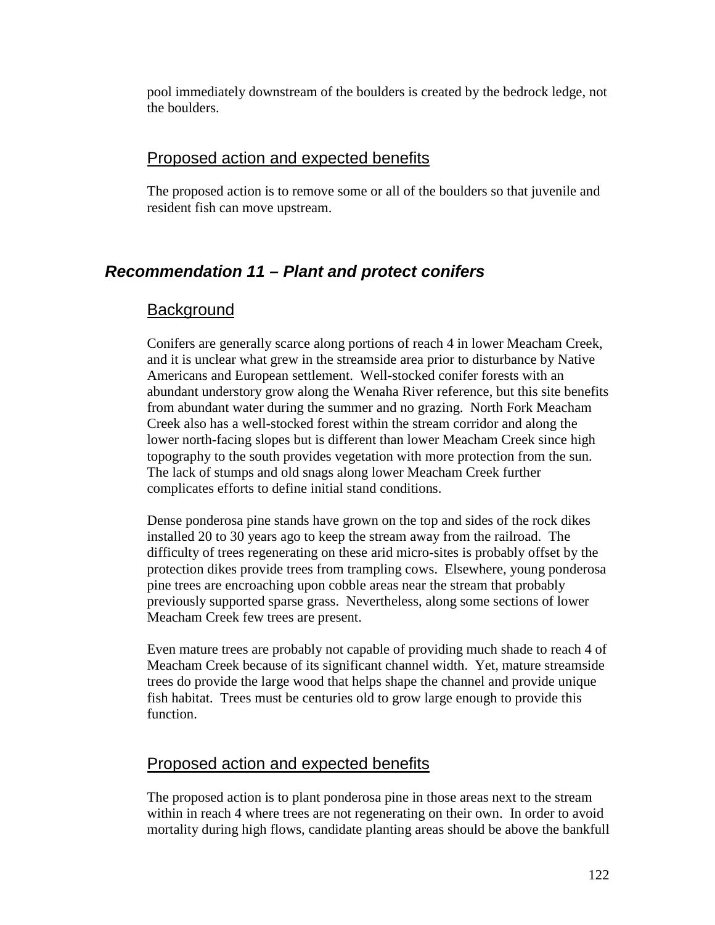pool immediately downstream of the boulders is created by the bedrock ledge, not the boulders.

## Proposed action and expected benefits

The proposed action is to remove some or all of the boulders so that juvenile and resident fish can move upstream.

# *Recommendation 11 – Plant and protect conifers*

## **Background**

Conifers are generally scarce along portions of reach 4 in lower Meacham Creek, and it is unclear what grew in the streamside area prior to disturbance by Native Americans and European settlement. Well-stocked conifer forests with an abundant understory grow along the Wenaha River reference, but this site benefits from abundant water during the summer and no grazing. North Fork Meacham Creek also has a well-stocked forest within the stream corridor and along the lower north-facing slopes but is different than lower Meacham Creek since high topography to the south provides vegetation with more protection from the sun. The lack of stumps and old snags along lower Meacham Creek further complicates efforts to define initial stand conditions.

Dense ponderosa pine stands have grown on the top and sides of the rock dikes installed 20 to 30 years ago to keep the stream away from the railroad. The difficulty of trees regenerating on these arid micro-sites is probably offset by the protection dikes provide trees from trampling cows. Elsewhere, young ponderosa pine trees are encroaching upon cobble areas near the stream that probably previously supported sparse grass. Nevertheless, along some sections of lower Meacham Creek few trees are present.

Even mature trees are probably not capable of providing much shade to reach 4 of Meacham Creek because of its significant channel width. Yet, mature streamside trees do provide the large wood that helps shape the channel and provide unique fish habitat. Trees must be centuries old to grow large enough to provide this function.

# Proposed action and expected benefits

The proposed action is to plant ponderosa pine in those areas next to the stream within in reach 4 where trees are not regenerating on their own. In order to avoid mortality during high flows, candidate planting areas should be above the bankfull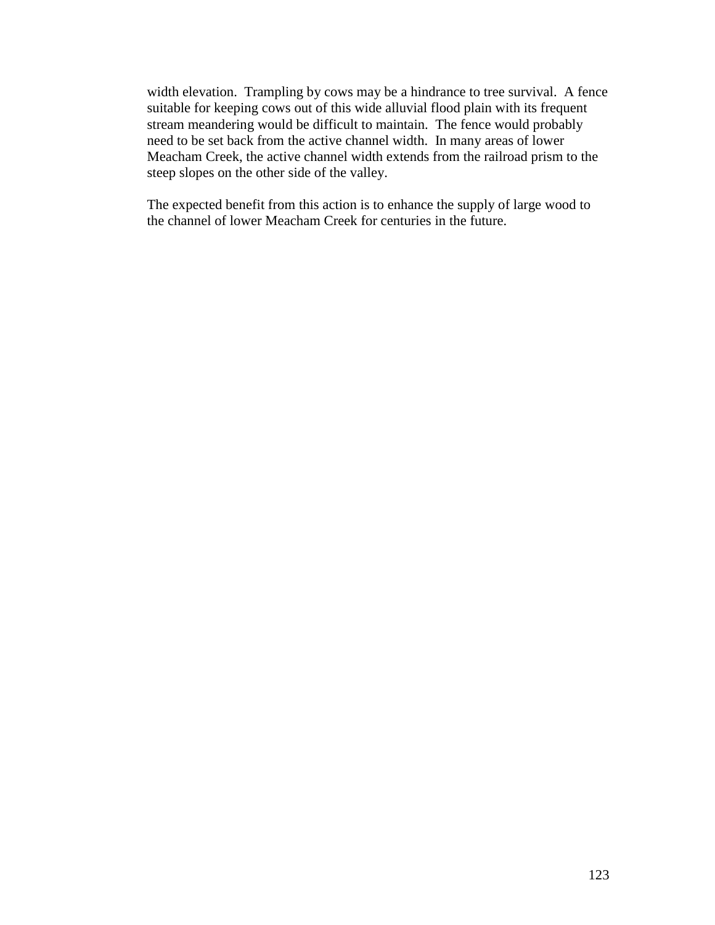width elevation. Trampling by cows may be a hindrance to tree survival. A fence suitable for keeping cows out of this wide alluvial flood plain with its frequent stream meandering would be difficult to maintain. The fence would probably need to be set back from the active channel width. In many areas of lower Meacham Creek, the active channel width extends from the railroad prism to the steep slopes on the other side of the valley.

The expected benefit from this action is to enhance the supply of large wood to the channel of lower Meacham Creek for centuries in the future.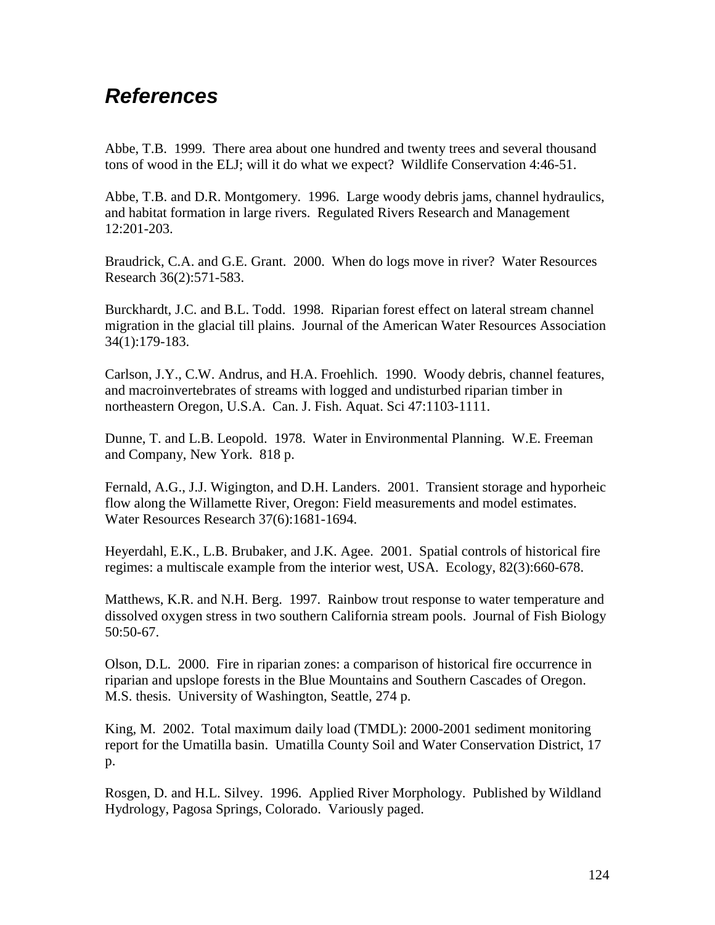# *References*

Abbe, T.B. 1999. There area about one hundred and twenty trees and several thousand tons of wood in the ELJ; will it do what we expect? Wildlife Conservation 4:46-51.

Abbe, T.B. and D.R. Montgomery. 1996. Large woody debris jams, channel hydraulics, and habitat formation in large rivers. Regulated Rivers Research and Management 12:201-203.

Braudrick, C.A. and G.E. Grant. 2000. When do logs move in river? Water Resources Research 36(2):571-583.

Burckhardt, J.C. and B.L. Todd. 1998. Riparian forest effect on lateral stream channel migration in the glacial till plains. Journal of the American Water Resources Association 34(1):179-183.

Carlson, J.Y., C.W. Andrus, and H.A. Froehlich. 1990. Woody debris, channel features, and macroinvertebrates of streams with logged and undisturbed riparian timber in northeastern Oregon, U.S.A. Can. J. Fish. Aquat. Sci 47:1103-1111.

Dunne, T. and L.B. Leopold. 1978. Water in Environmental Planning. W.E. Freeman and Company, New York. 818 p.

Fernald, A.G., J.J. Wigington, and D.H. Landers. 2001. Transient storage and hyporheic flow along the Willamette River, Oregon: Field measurements and model estimates. Water Resources Research 37(6):1681-1694.

Heyerdahl, E.K., L.B. Brubaker, and J.K. Agee. 2001. Spatial controls of historical fire regimes: a multiscale example from the interior west, USA. Ecology, 82(3):660-678.

Matthews, K.R. and N.H. Berg. 1997. Rainbow trout response to water temperature and dissolved oxygen stress in two southern California stream pools. Journal of Fish Biology 50:50-67.

Olson, D.L. 2000. Fire in riparian zones: a comparison of historical fire occurrence in riparian and upslope forests in the Blue Mountains and Southern Cascades of Oregon. M.S. thesis. University of Washington, Seattle, 274 p.

King, M. 2002. Total maximum daily load (TMDL): 2000-2001 sediment monitoring report for the Umatilla basin. Umatilla County Soil and Water Conservation District, 17 p.

Rosgen, D. and H.L. Silvey. 1996. Applied River Morphology. Published by Wildland Hydrology, Pagosa Springs, Colorado. Variously paged.